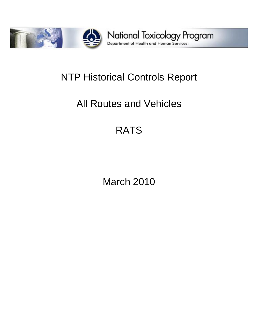

# NTP Historical Controls Report

# All Routes and Vehicles

# RATS

March 2010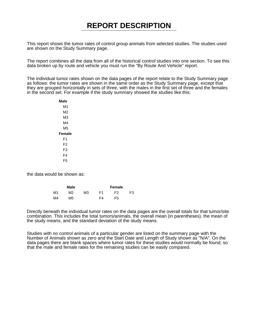This report shows the tumor rates of control group animals from selected studies. The studies used are shown on the Study Summary page.

The report combines all the data from all of the historical control studies into one section. To see this data broken up by route and vehicle you must run the "By Route And Vehicle" report.

The individual tumor rates shown on the data pages of the report relate to the Study Summary page as follows: the tumor rates are shown in the same order as the Study Summary page, except that they are grouped horizontally in sets of three, with the males in the first set of three and the females in the second set. For example if the study summary showed the studies like this:

> **Male** M1 M2 M3 M4 M5 **Female** F1 F2 F3 F4 F5

the data would be shown as:

|    | Male |    |    | Female |    |
|----|------|----|----|--------|----|
| M1 | M2   | MЗ | F1 | F2     | F3 |
| M4 | M5   |    | F4 | F5     |    |

Directly beneath the individual tumor rates on the data pages are the overall totals for that tumor/site combination. This includes the total tumors/animals, the overall mean (in parentheses), the mean of the study means, and the standard deviation of the study means.

Studies with no control animals of a particular gender are listed on the summary page with the Number of Animals shown as zero and the Start Date and Length of Study shown as "N/A". On the data pages there are blank spaces where tumor rates for these studies would normally be found, so that the male and female rates for the remaining studies can be easily compared.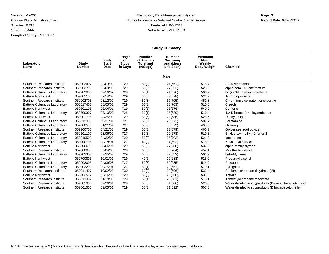#### **Toxicology Data Management System** Tumor Incidence for Selected Control Animal Groups **Report Date:** 03/20/2010 **Route:** ALL ROUTES **Vehicle:** ALL VEHICLES

|                                     |                               |                               |                                         |                                                             | <b>Study Summary</b>                                         |                                                        |                                                        |
|-------------------------------------|-------------------------------|-------------------------------|-----------------------------------------|-------------------------------------------------------------|--------------------------------------------------------------|--------------------------------------------------------|--------------------------------------------------------|
| Laboratory<br>Name                  | <b>Study</b><br><b>Number</b> | Study<br><b>Start</b><br>Date | Length<br>оf<br><b>Study</b><br>in Days | <b>Number</b><br>of Animals<br><b>Total and</b><br>(H/Cage) | <b>Number</b><br><b>Surviving</b><br>and (Mean<br>Life Span) | <b>Maximum</b><br>Mean<br>Weekly<br><b>Body Weight</b> | <b>Chemical</b>                                        |
|                                     |                               |                               |                                         |                                                             | <b>Male</b>                                                  |                                                        |                                                        |
| Southern Research Institute         | 059902407                     | 02/03/03                      | 729                                     | 50(3)                                                       | 21(661)                                                      | 518.7                                                  | Androstenedione                                        |
| Southern Research Institute         | 059903705                     | 06/09/03                      | 729                                     | 50(3)                                                       | 27(662)                                                      | 523.0                                                  | alpha/beta Thujone mixture                             |
| <b>Battelle Columbus Laboratory</b> | 059902805                     | 09/16/02                      | 729                                     | 50(1)                                                       | 21(676)                                                      | 506.2                                                  | bis(2-Chloroethoxy)methane                             |
| <b>Battelle Northwest</b>           | 052001105                     | 07/14/03                      | 729                                     | 50(5)                                                       | 23(678)                                                      | 526.9                                                  | 1-Bromopropane                                         |
| Southern Research Institute         | 059902703                     | 08/12/02                      | 729                                     | 50(3)                                                       | 37(705)                                                      | 452.8                                                  | Chromium picolinate monohydrate                        |
| <b>Battelle Columbus Laboratory</b> | 050517405                     | 08/05/02                      | 729                                     | 50(3)                                                       | 33(703)                                                      | 510.0                                                  | Cresols                                                |
| <b>Battelle Northwest</b>           | 059601105                     | 06/04/01                      | 729                                     | 50(5)                                                       | 26(676)                                                      | 540.9                                                  | Cumene                                                 |
| <b>Battelle Columbus Laboratory</b> | 059700307                     | 07/10/02                      | 728                                     | 50(1)                                                       | 25(680)                                                      | 510.4                                                  | 1,2-Dibromo-2,4-dicyanobutane                          |
| <b>Battelle Northwest</b>           | 059901705                     | 08/25/03                      | 729                                     | 50(5)                                                       | 28(686)                                                      | 525.6                                                  | Diethylamine                                           |
| <b>Battelle Columbus Laboratory</b> | 058812305                     | 03/21/01                      | 727                                     | 50(3)                                                       | 26(673)                                                      | 509.7                                                  | Formamide                                              |
| <b>Battelle Columbus Laboratory</b> | 052000505                     | 01/21/04                      | 727                                     | 50(3)                                                       | 30(679)                                                      | 498.5                                                  | Ginseng                                                |
| Southern Research Institute         | 059900705                     | 04/21/03                      | 729                                     | 50(3)                                                       | 33(679)                                                      | 460.9                                                  | Goldenseal root powder                                 |
| <b>Battelle Columbus Laboratory</b> | 059501107                     | 03/06/02                      | 727                                     | 50(3)                                                       | 22(673)                                                      | 510.3                                                  | 5-(Hydroxymethyl)-2-furfural                           |
| <b>Battelle Columbus Laboratory</b> | 058810503                     | 04/22/02                      | 729                                     | 50(3)                                                       | 35(702)                                                      | 521.9                                                  | Isoeugenol                                             |
| <b>Battelle Columbus Laboratory</b> | 052000705                     | 08/18/04                      | 727                                     | 49(3)                                                       | 34(692)                                                      | 515.2                                                  | Kava kava extract                                      |
| <b>Battelle Northwest</b>           | 058800603                     | 08/06/01                      | 729                                     | 50(5)                                                       | 27(680)                                                      | 537.2                                                  | alpha-Methylstyrene                                    |
| Southern Research Institute         | 052000803                     | 03/04/03                      | 729                                     | 50(3)                                                       | 36(704)                                                      | 452.1                                                  | Milk thistle extract                                   |
| <b>Battelle Columbus Laboratory</b> | 059902303                     | 03/25/02                      | 729                                     | 50(3)                                                       | 29(683)                                                      | 501.9                                                  | beta-Myrcene                                           |
| <b>Battelle Northwest</b>           | 059700805                     | 10/01/01                      | 729                                     | 49(5)                                                       | 27(683)                                                      | 525.0                                                  | Propargyl alcohol                                      |
| <b>Battelle Columbus Laboratory</b> | 059902005                     | 04/09/03                      | 727                                     | 50(3)                                                       | 39(685)                                                      | 514.9                                                  | Pulegone                                               |
| <b>Battelle Columbus Laboratory</b> | 059903203                     | 09/15/04                      | 727                                     | 50(1)                                                       | 23(651)                                                      | 510.1                                                  | Pyrogallol                                             |
| Southern Research Institute         | 052011407                     | 10/02/02                      | 730                                     | 50(3)                                                       | 28(696)                                                      | 532.4                                                  | Sodium dichromate dihydrate (VI)                       |
| <b>Battelle Northwest</b>           | 059302507                     | 06/16/03                      | 729                                     | 50(5)                                                       | 20(668)                                                      | 536.2                                                  | Tetralin                                               |
| Southern Research Institute         | 058813307                     | 01/18/05                      | 729                                     | 50(1)                                                       | 23(681)                                                      | 516.1                                                  | Trimethylolpropane triacrylate                         |
| Southern Research Institute         | 059601905                     | 09/26/01                      | 729                                     | 50(3)                                                       | 31(686)                                                      | 526.0                                                  | Water disinfection byproducts (Bromochloroacetic acid) |
| Southern Research Institute         | 059601505                     | 09/05/01                      | 729                                     | 50(3)                                                       | 31(692)                                                      | 507.8                                                  | Water disinfection byproducts (Dibromoacetonitrile)    |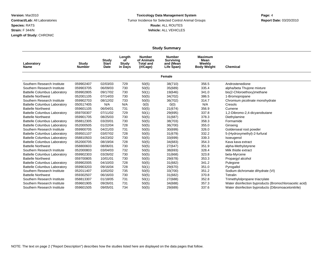#### **Toxicology Data Management System** Tumor Incidence for Selected Control Animal Groups **Report Date:** 03/20/2010 **Route:** ALL ROUTES **Vehicle:** ALL VEHICLES

|                                     |                        |                               |                                  |                                                             | <b>Study Summary</b>                                         |                                                        |                                                        |
|-------------------------------------|------------------------|-------------------------------|----------------------------------|-------------------------------------------------------------|--------------------------------------------------------------|--------------------------------------------------------|--------------------------------------------------------|
| Laboratory<br>Name                  | Study<br><b>Number</b> | Study<br><b>Start</b><br>Date | Length<br>οf<br>Study<br>in Days | <b>Number</b><br>of Animals<br><b>Total and</b><br>(#/Cage) | <b>Number</b><br><b>Surviving</b><br>and (Mean<br>Life Span) | <b>Maximum</b><br>Mean<br>Weekly<br><b>Body Weight</b> | <b>Chemical</b>                                        |
|                                     |                        |                               |                                  |                                                             | Female                                                       |                                                        |                                                        |
| Southern Research Institute         | 059902407              | 02/03/03                      | 729                              | 50(5)                                                       | 38(710)                                                      | 356.5                                                  | Androstenedione                                        |
| Southern Research Institute         | 059903705              | 06/09/03                      | 730                              | 50(5)                                                       | 35(689)                                                      | 335.4                                                  | alpha/beta Thujone mixture                             |
| <b>Battelle Columbus Laboratory</b> | 059902805              | 09/17/02                      | 730                              | 50(1)                                                       | 19(646)                                                      | 341.0                                                  | bis(2-Chloroethoxy)methane                             |
| <b>Battelle Northwest</b>           | 052001105              | 07/14/03                      | 730                              | 50(5)                                                       | 34(702)                                                      | 386.5                                                  | 1-Bromopropane                                         |
| Southern Research Institute         | 059902703              | 08/12/02                      | 733                              | 50(5)                                                       | 36(702)                                                      | 314.7                                                  | Chromium picolinate monohydrate                        |
| <b>Battelle Columbus Laboratory</b> | 050517405              | N/A                           | N/A                              | 0(0)                                                        | 0(0)                                                         | N/A                                                    | Cresols                                                |
| <b>Battelle Northwest</b>           | 059601105              | 06/04/01                      | 731                              | 50(5)                                                       | 21(674)                                                      | 356.9                                                  | Cumene                                                 |
| <b>Battelle Columbus Laboratory</b> | 059700307              | 07/11/02                      | 729                              | 50(1)                                                       | 29(695)                                                      | 337.8                                                  | 1,2-Dibromo-2,4-dicyanobutane                          |
| <b>Battelle Northwest</b>           | 059901705              | 08/25/03                      | 730                              | 50(5)                                                       | 31(687)                                                      | 378.3                                                  | Diethylamine                                           |
| <b>Battelle Columbus Laboratory</b> | 058812305              | 03/20/01                      | 730                              | 50(5)                                                       | 38(703)                                                      | 358.3                                                  | Formamide                                              |
| <b>Battelle Columbus Laboratory</b> | 052000505              | 01/22/04                      | 728                              | 50(5)                                                       | 36(700)                                                      | 355.0                                                  | Ginseng                                                |
| Southern Research Institute         | 059900705              | 04/21/03                      | 731                              | 50(5)                                                       | 30(699)                                                      | 326.0                                                  | Goldenseal root powder                                 |
| <b>Battelle Columbus Laboratory</b> | 059501107              | 03/07/02                      | 728                              | 50(5)                                                       | 31(679)                                                      | 332.2                                                  | 5-(Hydroxymethyl)-2-furfural                           |
| <b>Battelle Columbus Laboratory</b> | 058810503              | 04/23/02                      | 730                              | 50(5)                                                       | 33(699)                                                      | 339.3                                                  | Isoeugenol                                             |
| <b>Battelle Columbus Laboratory</b> | 052000705              | 08/19/04                      | 728                              | 50(5)                                                       | 34(683)                                                      | 354.3                                                  | Kava kava extract                                      |
| <b>Battelle Northwest</b>           | 058800603              | 08/06/01                      | 730                              | 50(5)                                                       | 27(647)                                                      | 351.9                                                  | alpha-Methylstyrene                                    |
| Southern Research Institute         | 052000803              | 03/04/03                      | 732                              | 50(5)                                                       | 38(693)                                                      | 328.4                                                  | Milk thistle extract                                   |
| <b>Battelle Columbus Laboratory</b> | 059902303              | 03/26/02                      | 730                              | 50(5)                                                       | 31(668)                                                      | 323.8                                                  | beta-Myrcene                                           |
| <b>Battelle Northwest</b>           | 059700805              | 10/01/01                      | 730                              | 50(5)                                                       | 29(678)                                                      | 353.3                                                  | Propargyl alcohol                                      |
| <b>Battelle Columbus Laboratory</b> | 059902005              | 04/10/03                      | 728                              | 50(5)                                                       | 31(682)                                                      | 341.2                                                  | Pulegone                                               |
| <b>Battelle Columbus Laboratory</b> | 059903203              | 09/16/04                      | 728                              | 50(1)                                                       | 29(670)                                                      | 351.0                                                  | Pyrogallol                                             |
| Southern Research Institute         | 052011407              | 10/02/02                      | 735                              | 50(5)                                                       | 33(700)                                                      | 351.2                                                  | Sodium dichromate dihydrate (VI)                       |
| <b>Battelle Northwest</b>           | 059302507              | 06/16/03                      | 730                              | 50(5)                                                       | 31(682)                                                      | 370.8                                                  | Tetralin                                               |
| Southern Research Institute         | 058813307              | 01/18/05                      | 731                              | 50(1)                                                       | 27(688)                                                      | 352.8                                                  | Trimethylolpropane triacrylate                         |
| Southern Research Institute         | 059601905              | 09/26/01                      | 731                              | 50(5)                                                       | 34(688)                                                      | 357.3                                                  | Water disinfection byproducts (Bromochloroacetic acid) |
| Southern Research Institute         | 059601505              | 09/05/01                      | 734                              | 50(5)                                                       | 29(689)                                                      | 337.6                                                  | Water disinfection byproducts (Dibromoacetonitrile)    |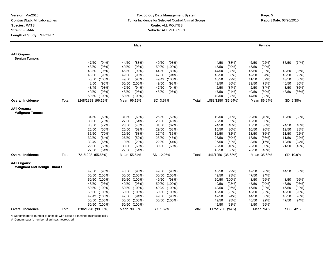#### **Toxicology Data Management System** Tumor Incidence for Selected Control Animal Groups **Report Date:** 03/20/2010 **Route:** ALL ROUTES **Vehicle:** ALL VEHICLES

|                                                    |       |                    | <b>Male</b>        |                    |       |                    | Female            |                   |
|----------------------------------------------------|-------|--------------------|--------------------|--------------------|-------|--------------------|-------------------|-------------------|
| #All Organs:<br><b>Benign Tumors</b>               |       |                    |                    |                    |       |                    |                   |                   |
|                                                    |       | 47/50<br>(94%)     | 44/50<br>(88%)     | 49/50<br>(98%)     |       | 44/50<br>(88%)     | 46/50<br>(92%)    | 37/50<br>(74%)    |
|                                                    |       | 48/50<br>(96%)     | (98%)<br>49/50     | $(100\%)$<br>50/50 |       | (90%<br>45/50      | 45/50<br>$(90\%)$ |                   |
|                                                    |       | 48/50<br>(96%)     | 46/50<br>(92%)     | 44/50<br>(88%)     |       | (88%)<br>44/50     | 46/50<br>(92%)    | 43/50<br>(86%)    |
|                                                    |       | 45/50<br>$(90\%)$  | 49/50<br>(98%)     | 47/50<br>(94% )    |       | (86%<br>43/50      | 42/50<br>(84%     | 46/50<br>(92%)    |
|                                                    |       | 50/50<br>$(100\%)$ | 49/50<br>(98%)     | 49/49<br>$(100\%)$ |       | 46/50<br>(92% )    | (82%)<br>41/50    | (86%)<br>43/50    |
|                                                    |       | 48/50<br>(96%)     | 50/50<br>$(100\%)$ | 49/50<br>(98%)     |       | 43/50<br>(86%)     | 39/50<br>(78%)    | 40/50<br>(80%)    |
|                                                    |       | 48/49<br>(98%)     | 47/50<br>(94%)     | 47/50<br>(94%)     |       | 42/50<br>(84%      | 42/50<br>(84%     | 43/50<br>(86%)    |
|                                                    |       | 49/50<br>(98%)     | 48/50<br>(96%)     | 48/50<br>(96%)     |       | 47/50<br>(94%)     | 40/50<br>$(80\%)$ | 43/50<br>(86%)    |
|                                                    |       | 50/50 (100%)       | 50/50 (100%)       |                    |       | 49/50<br>(98%)     | 44/50<br>(88%)    |                   |
| <b>Overall Incidence</b>                           | Total | 1248/1298 (96.15%) | Mean 96.15%        | SD 3.57%           | Total | 1083/1250 (86.64%) | Mean 86.64%       | SD 5.38%          |
| #All Organs:<br><b>Malignant Tumors</b>            |       |                    |                    |                    |       |                    |                   |                   |
|                                                    |       | (68%)<br>34/50     | (62%)<br>31/50     | (52%)<br>26/50     |       | 10/50<br>(20%)     | (40%<br>20/50     | 19/50<br>(38%)    |
|                                                    |       | 38/50<br>(76%)     | 27/50<br>(54%)     | 23/50<br>(46%)     |       | (52%)<br>26/50     | 15/50<br>(30%)    |                   |
|                                                    |       | 36/50<br>(72%)     | 23/50<br>(46%)     | 31/50<br>(62%)     |       | 24/50<br>(48%)     | 15/50<br>(30%)    | 24/50<br>(48%)    |
|                                                    |       | 25/50<br>(50%)     | 26/50<br>(52%)     | 29/50<br>(58%)     |       | 15/50<br>(30%)     | 10/50<br>(20%)    | 19/50<br>(38%)    |
|                                                    |       | 35/50<br>(70%)     | 29/50<br>(58%)     | 17/49<br>(35%)     |       | 16/50<br>(32%)     | 18/50<br>(36%)    | (22%)<br>11/50    |
|                                                    |       | 32/50<br>(64%)     | (52%)<br>26/50     | (46%)<br>23/50     |       | (50%<br>25/50      | 18/50<br>(36%)    | (22%)<br>11/50    |
|                                                    |       | 32/49<br>(65%)     | 10/50<br>(20%)     | 22/50<br>(44%)     |       | 26/50<br>(52%)     | 8/50<br>(16%)     | (24%)<br>12/50    |
|                                                    |       | 29/50<br>(58%)     | 33/50<br>(66%)     | 30/50<br>(60%)     |       | 20/50<br>(40%)     | 25/50<br>(50%)    | 21/50<br>(42%)    |
|                                                    |       | 27/50<br>(54%)     | 27/50<br>(54%)     |                    |       | 18/50<br>(36%)     | 20/50<br>(40%)    |                   |
| <b>Overall Incidence</b>                           | Total | 721/1298 (55.55%)  | Mean 55.54%        | SD 12.05%          | Total | 446/1250 (35.68%)  | Mean 35.68%       | SD 10.9%          |
| #All Organs:<br><b>Malignant and Benign Tumors</b> |       |                    |                    |                    |       |                    |                   |                   |
|                                                    |       | 49/50<br>(98%)     | 48/50<br>(96%)     | 49/50<br>(98%)     |       | 46/50<br>(92%)     | 49/50<br>(98%)    | 44/50<br>(88%)    |
|                                                    |       | 50/50 (100%)       | 50/50<br>$(100\%)$ | 50/50<br>$(100\%)$ |       | (98%)<br>49/50     | 47/50<br>(94%)    |                   |
|                                                    |       | 50/50 (100%)       | $(100\%)$<br>50/50 | 49/50<br>(98%)     |       | 50/50<br>$(100\%)$ | 48/50<br>(96%)    | 48/50<br>(96%)    |
|                                                    |       | (96%)<br>48/50     | 49/50<br>(98%)     | 50/50<br>(100%)    |       | (98%)<br>49/50     | 45/50<br>$(90\%)$ | (96%)<br>48/50    |
|                                                    |       | 50/50 (100%)       | 50/50<br>$(100\%)$ | 49/49 (100%)       |       | 48/50<br>(96%)     | 46/50<br>(92%)    | (92%)<br>46/50    |
|                                                    |       | 50/50 (100%)       | 50/50<br>$(100\%)$ | 50/50 (100%)       |       | 46/50<br>(92%)     | 46/50<br>(92%)    | 45/50<br>$(90\%)$ |
|                                                    |       | 49/49 (100%)       | 47/50<br>(94%)     | 49/50<br>(98%)     |       | 47/50<br>(94% )    | (88%)<br>44/50    | $(90\%)$<br>45/50 |
|                                                    |       | 50/50 (100%)       | 50/50 (100%)       | 50/50 (100%)       |       | 49/50<br>(98%)     | 46/50<br>(92% )   | 47/50<br>(94%)    |
|                                                    |       | 50/50 (100%)       | 50/50 (100%)       |                    |       | 49/50<br>(98%)     | 48/50<br>(96%)    |                   |
| <b>Overall Incidence</b>                           | Total | 1286/1298 (99.08%) | Mean 99.08%        | SD 1.62%           | Total | 1175/1250 (94%)    | Mean 94%          | SD 3.42%          |

\*: Denominator is number of animals with tissues examined microscopically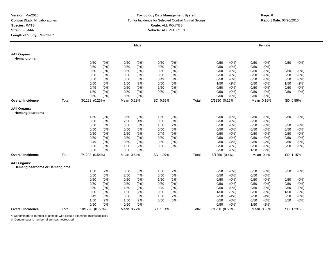#### **Toxicology Data Management System** Tumor Incidence for Selected Control Animal Groups **Report Date:** 03/20/2010 **Route:** ALL ROUTES **Vehicle:** ALL VEHICLES

# **Page: 6**<br>**Page: 6**

|                                               |       |                 |         |            | Male    |          |         |       |                |       |      | Female     |          |         |
|-----------------------------------------------|-------|-----------------|---------|------------|---------|----------|---------|-------|----------------|-------|------|------------|----------|---------|
| #All Organs:<br>Hemangioma                    |       |                 |         |            |         |          |         |       |                |       |      |            |          |         |
|                                               |       | 0/50            | $(0\%)$ | 0/50       | $(0\%)$ | 0/50     | (0%)    |       | 0/50           | (0%)  | 0/50 | (0%)       | 0/50     | $(0\%)$ |
|                                               |       | 0/50            | (0%)    | 0/50       | $(0\%)$ | 0/50     | (0%)    |       | 0/50           | (0%)  | 0/50 | (0%        |          |         |
|                                               |       | 0/50            | (0%)    | 0/50       | $(0\%)$ | 0/50     | (0%)    |       | 0/50           | (0%)  | 0/50 | $(0\%)$    | 0/50     | $(0\%)$ |
|                                               |       | 0/50            | (0%)    | 0/50       | $(0\%)$ | 0/50     | (0%)    |       | 0/50           | (0%)  | 0/50 | (0%        | 0/50     | $(0\%)$ |
|                                               |       | 0/50            | $(0\%)$ | 0/50       | $(0\%)$ | 0/49     | (0%)    |       | 0/50           | (0%)  | 0/50 | (0%        | 0/50     | $(0\%)$ |
|                                               |       | 0/50            | $(0\%)$ | 1/50       | (2%)    | 0/50     | (0%)    |       | 1/50           | (2%)  | 0/50 | (0%        | 1/50     | (2%)    |
|                                               |       | 0/49            | (0%)    | 0/50       | $(0\%)$ | 1/50     | (2%)    |       | 0/50           | (0%)  | 0/50 | (0%        | 0/50     | $(0\%)$ |
|                                               |       | 1/50            | (2%)    | 0/50       | $(0\%)$ | 0/50     | $(0\%)$ |       | 0/50           | (0%)  | 0/50 | $(0\%)$    | 0/50     | $(0\%)$ |
|                                               |       | 0/50            | $(0\%)$ | 0/50       | $(0\%)$ |          |         |       | 0/50           | (0%)  | 0/50 | (0%        |          |         |
| <b>Overall Incidence</b>                      | Total | 3/1298 (0.23%)  |         | Mean 0.23% |         | SD 0.65% |         | Total | 2/1250 (0.16%) |       |      | Mean 0.16% | SD 0.55% |         |
| #All Organs:<br>Hemangiosarcoma               |       |                 |         |            |         |          |         |       |                |       |      |            |          |         |
|                                               |       | 1/50            | (2%)    | 0/50       | $(0\%)$ | 1/50     | (2%)    |       | 0/50           | (0%)  | 0/50 | $(0\%)$    | 0/50     | $(0\%)$ |
|                                               |       | 0/50            | $(0\%)$ | 2/50       | (4% )   | 0/50     | (0%)    |       | 0/50           | (0%)  | 0/50 | $(0\%)$    |          |         |
|                                               |       | 0/50            | $(0\%)$ | 0/50       | $(0\%)$ | 1/50     | (2%)    |       | 0/50           | (0%)  | 0/50 | $(0\%)$    | 0/50     | (0%)    |
|                                               |       | 0/50            | (0%)    | 0/50       | $(0\%)$ | 0/50     | $(0\%)$ |       | 0/50           | (0%)  | 0/50 | $(0\%)$    | 0/50     | $(0\%)$ |
|                                               |       | 0/50            | (0%)    | 1/50       | (2%)    | 0/49     | (0%)    |       | 0/50           | (0%)  | 0/50 | (0%        | 0/50     | (0%)    |
|                                               |       | 0/50            | (0%)    | 0/50       | $(0\%)$ | 0/50     | $(0\%)$ |       | 0/50           | (0%)  | 0/50 | $(0\%)$    | 0/50     | $(0\%)$ |
|                                               |       | 0/49            | $(0\%)$ | 0/50       | $(0\%)$ | 0/50     | (0%)    |       | 2/50           | (4% ) | 2/50 | (4%)       | 0/50     | (0%)    |
|                                               |       | 0/50            | $(0\%)$ | 1/50       | (2%)    | 0/50     | $(0\%)$ |       | 0/50           | (0%)  | 0/50 | $(0\%)$    | 0/50     | $(0\%)$ |
|                                               |       | 0/50            | $(0\%)$ | 0/50       | $(0\%)$ |          |         |       | 0/50           | (0%)  | 1/50 | (2%)       |          |         |
| <b>Overall Incidence</b>                      | Total | 7/1298 (0.54%)  |         | Mean 0.54% |         | SD 1.07% |         | Total | 5/1250 (0.4%)  |       |      | Mean 0.4%  | SD 1.15% |         |
| #All Organs:<br>Hemangiosarcoma or Hemangioma |       |                 |         |            |         |          |         |       |                |       |      |            |          |         |
|                                               |       | 1/50            | (2%)    | 0/50       | (0%)    | 1/50     | (2%)    |       | 0/50           | (0%)  | 0/50 | $(0\%)$    | 0/50     | $(0\%)$ |
|                                               |       | 0/50            | $(0\%)$ | 2/50       | (4% )   | 0/50     | (0%)    |       | 0/50           | (0%)  | 0/50 | (0%        |          |         |
|                                               |       | 0/50            | (0%)    | 0/50       | $(0\%)$ | 1/50     | (2%)    |       | 0/50           | (0%)  | 0/50 | (0%        | 0/50     | $(0\%)$ |
|                                               |       | 0/50            | (0%)    | 0/50       | $(0\%)$ | 0/50     | $(0\%)$ |       | 0/50           | (0%)  | 0/50 | (0%        | 0/50     | $(0\%)$ |
|                                               |       | 0/50            | $(0\%)$ | 1/50       | (2%)    | 0/49     | (0%)    |       | 0/50           | (0%)  | 0/50 | (0%)       | 0/50     | $(0\%)$ |
|                                               |       | 0/50            | (0%)    | 1/50       | (2%)    | 0/50     | (0%)    |       | 1/50           | (2%)  | 0/50 | $(0\%)$    | 1/50     | (2%)    |
|                                               |       | 0/49            | $(0\%)$ | 0/50       | $(0\%)$ | 1/50     | (2%)    |       | 2/50           | (4% ) | 2/50 | (4%)       | 0/50     | (0%)    |
|                                               |       | 1/50            | (2%)    | 1/50       | (2%)    | 0/50     | $(0\%)$ |       | 0/50           | (0%)  | 0/50 | $(0\%)$    | 0/50     | (0%)    |
|                                               |       | 0/50            | $(0\%)$ | 0/50       | $(0\%)$ |          |         |       | 0/50           | (0%)  | 1/50 | (2%)       |          |         |
| <b>Overall Incidence</b>                      | Total | 10/1298 (0.77%) |         | Mean 0.77% |         | SD 1.14% |         | Total | 7/1250 (0.56%) |       |      | Mean 0.56% | SD 1.23% |         |

\*: Denominator is number of animals with tissues examined microscopically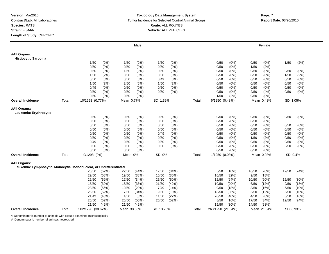#### **Toxicology Data Management System** Tumor Incidence for Selected Control Animal Groups **Report Date:** 03/20/2010 **Route:** ALL ROUTES **Vehicle:** ALL VEHICLES

# **Page: 7**

|                                                                                    |       |                   |         |             | <b>Male</b> |           |         |       |                   |         |       | Female      |          |       |
|------------------------------------------------------------------------------------|-------|-------------------|---------|-------------|-------------|-----------|---------|-------|-------------------|---------|-------|-------------|----------|-------|
| #All Organs:<br><b>Histiocytic Sarcoma</b>                                         |       |                   |         |             |             |           |         |       |                   |         |       |             |          |       |
|                                                                                    |       | 1/50              | (2%)    | 1/50        | (2%)        | 1/50      | (2%)    |       | 0/50              | (0%)    | 0/50  | (0%)        | 1/50     | (2%)  |
|                                                                                    |       | 0/50              | (0%)    | 0/50        | $(0\%)$     | 0/50      | $(0\%)$ |       | 0/50              | (0%)    | 1/50  | (2%)        |          |       |
|                                                                                    |       | 0/50              | (0%)    | 1/50        | (2%)        | 0/50      | $(0\%)$ |       | 0/50              | (0%)    | 0/50  | $(0\%)$     | 0/50     | (0%)  |
|                                                                                    |       | 1/50              | (2%)    | 0/50        | $(0\%)$     | 0/50      | $(0\%)$ |       | 0/50              | (0%     | 0/50  | (0%)        | 1/50     | (2%)  |
|                                                                                    |       | 0/50              | (0%)    | 0/50        | (0%)        | 0/49      | (0%)    |       | 0/50              | (0%)    | 0/50  | $(0\%)$     | 0/50     | (0%)  |
|                                                                                    |       | 1/50              | (2%)    | 3/50        | (6%)        | 1/50      | (2%)    |       | 0/50              | (0%)    | 0/50  | $(0\%)$     | 0/50     | (0%)  |
|                                                                                    |       | 0/49              | (0%)    | 0/50        | $(0\%)$     | 0/50      | $(0\%)$ |       | 0/50              | (0%)    | 0/50  | (0%)        | 0/50     | (0%)  |
|                                                                                    |       | 0/50              | (0%)    | 0/50        | $(0\%)$     | 0/50      | $(0\%)$ |       | 0/50              | (0%)    | 2/50  | (4% )       | 0/50     | (0%)  |
|                                                                                    |       | 0/50              | $(0\%)$ | 0/50        | $(0\%)$     |           |         |       | 1/50              | (2%)    | 0/50  | (0%)        |          |       |
| <b>Overall Incidence</b>                                                           | Total | 10/1298 (0.77%)   |         | Mean 0.77%  |             | SD 1.39%  |         | Total | 6/1250 (0.48%)    |         |       | Mean 0.48%  | SD 1.05% |       |
| #All Organs:<br>Leukemia: Erythrocytic                                             |       |                   |         |             |             |           |         |       |                   |         |       |             |          |       |
|                                                                                    |       | 0/50              | (0%)    | 0/50        | (0%)        | 0/50      | $(0\%)$ |       | 0/50              | (0%)    | 0/50  | (0%)        | 0/50     | (0%)  |
|                                                                                    |       | 0/50              | (0%)    | 0/50        | (0%         | 0/50      | (0%     |       | 0/50              | (0% )   | 0/50  | (0% )       |          |       |
|                                                                                    |       | 0/50              | (0%)    | 0/50        | $(0\%)$     | 0/50      | (0% )   |       | 0/50              | $(0\%)$ | 0/50  | (0%)        | 0/50     | (0%)  |
|                                                                                    |       | 0/50              | (0%)    | 0/50        | $(0\%)$     | 0/50      | $(0\%)$ |       | 0/50              | (0%)    | 0/50  | $(0\%)$     | 0/50     | (0%   |
|                                                                                    |       | 0/50              | $(0\%)$ | 0/50        | (0%)        | 0/49      | $(0\%)$ |       | 0/50              | (0%)    | 0/50  | (0%)        | 0/50     | (0%)  |
|                                                                                    |       | 0/50              | (0%)    | 0/50        | $(0\%)$     | 0/50      | $(0\%)$ |       | 0/50              | (0%)    | 1/50  | (2%)        | 0/50     | (0%)  |
|                                                                                    |       | 0/49              | $(0\%)$ | 0/50        | $(0\%)$     | 0/50      | $(0\%)$ |       | 0/50              | (0%)    | 0/50  | $(0\%)$     | 0/50     | (0%)  |
|                                                                                    |       | 0/50              | $(0\%)$ | 0/50        | $(0\%)$     | 0/50      | $(0\%)$ |       | 0/50              | (0%)    | 0/50  | $(0\%)$     | 0/50     | (0%)  |
|                                                                                    |       | 0/50              | (0%)    | 0/50        | $(0\%)$     |           |         |       | 0/50              | (0%)    | 0/50  | $(0\%)$     |          |       |
| <b>Overall Incidence</b>                                                           | Total | 0/1298 (0%)       |         | Mean 0%     |             | SD 0%     |         | Total | 1/1250 (0.08%)    |         |       | Mean 0.08%  | SD 0.4%  |       |
| #All Organs:<br>Leukemia: Lymphocytic, Monocytic, Mononuclear, or Undifferentiated |       |                   |         |             |             |           |         |       |                   |         |       |             |          |       |
|                                                                                    |       | 26/50             | (52%)   | 22/50       | (44% )      | 17/50     | (34%)   |       | 5/50              | (10%)   | 10/50 | (20%)       | 12/50    | (24%) |
|                                                                                    |       | 29/50             | (58%)   | 19/50       | (38%)       | 15/50     | (30%)   |       | 16/50             | (32%)   | 9/50  | (18%)       |          |       |
|                                                                                    |       | 26/50             | (52%)   | 17/50       | (34%)       | 25/50     | (50%    |       | 12/50             | (24%)   | 10/50 | (20%)       | 15/50    | (30%) |
|                                                                                    |       | 15/50             | (30%)   | 18/50       | (36%)       | 21/50     | (42%)   |       | 10/50             | (20%)   | 6/50  | (12%)       | 9/50     | (18%) |
|                                                                                    |       | 28/50             | (56%)   | 10/50       | (20%)       | 7/49      | (14% )  |       | 9/50              | (18%)   | 8/50  | (16%)       | 5/50     | (10%) |
|                                                                                    |       | 26/50             | (52%)   | 17/50       | (34%)       | 9/50      | (18%)   |       | 18/50             | (36%)   | 6/50  | (12%)       | 5/50     | (10%) |
|                                                                                    |       | 21/49             | (43%)   | 4/50        | (8%)        | 11/50     | (22%)   |       | 20/50             | (40%)   | 4/50  | (8%)        | 8/50     | (16%) |
|                                                                                    |       | 26/50             | (52%)   | 25/50       | (50%        | 26/50     | (52%)   |       | 8/50              | (16%)   | 17/50 | (34%)       | 12/50    | (24%) |
|                                                                                    |       | 21/50             | (42%)   | 21/50       | (42%)       |           |         |       | 15/50             | (30%)   | 14/50 | (28%)       |          |       |
| <b>Overall Incidence</b>                                                           | Total | 502/1298 (38.67%) |         | Mean 38.66% |             | SD 13.73% |         | Total | 263/1250 (21.04%) |         |       | Mean 21.04% | SD 8.93% |       |

\*: Denominator is number of animals with tissues examined microscopically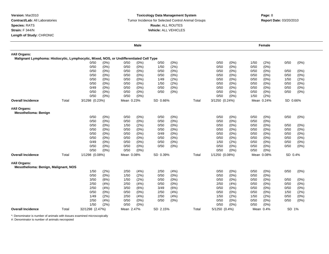#### **Toxicology Data Management System** Tumor Incidence for Selected Control Animal Groups **Report Date:** 03/20/2010 **Route:** ALL ROUTES **Vehicle:** ALL VEHICLES

|                                                                                         |       |                 |       |            | Male    |          |         |       |                |       |      | Female     |          |         |
|-----------------------------------------------------------------------------------------|-------|-----------------|-------|------------|---------|----------|---------|-------|----------------|-------|------|------------|----------|---------|
| #All Organs:                                                                            |       |                 |       |            |         |          |         |       |                |       |      |            |          |         |
| Malignant Lymphoma: Histiocytic, Lymphocytic, Mixed, NOS, or Undifferentiated Cell Type |       |                 |       |            |         |          |         |       |                |       |      |            |          |         |
|                                                                                         |       | 0/50            | (0%)  | 0/50       | (0%)    | 0/50     | (0%)    |       | 0/50           | (0%)  | 1/50 | (2%)       | 0/50     | (0% )   |
|                                                                                         |       | 0/50            | (0%)  | 0/50       | $(0\%)$ | 1/50     | (2%)    |       | 0/50           | (0%)  | 0/50 | $(0\%)$    |          |         |
|                                                                                         |       | 0/50            | (0%)  | 0/50       | $(0\%)$ | 0/50     | (0%)    |       | 0/50           | (0%)  | 0/50 | (0%)       | 0/50     | (0%)    |
|                                                                                         |       | 0/50            | (0%)  | 0/50       | $(0\%)$ | 0/50     | (0%)    |       | 0/50           | (0%)  | 0/50 | (0%)       | 0/50     | (0%)    |
|                                                                                         |       | 0/50            | (0%)  | 0/50       | $(0\%)$ | 1/49     | (2%)    |       | 0/50           | (0%)  | 0/50 | $(0\%)$    | 1/50     | (2%)    |
|                                                                                         |       | 0/50            | (0%)  | 0/50       | $(0\%)$ | 1/50     | (2%)    |       | 0/50           | (0%)  | 0/50 | (0%)       | 0/50     | (0%)    |
|                                                                                         |       | 0/49            | (0%)  | 0/50       | (0%)    | 0/50     | (0%)    |       | 0/50           | (0%)  | 0/50 | $(0\%)$    | 0/50     | (0%)    |
|                                                                                         |       | 0/50            | (0%)  | 0/50       | (0%)    | 0/50     | (0%)    |       | 0/50           | (0%)  | 0/50 | (0%)       | 0/50     | (0%)    |
|                                                                                         |       | 0/50            | (0%)  | 0/50       | $(0\%)$ |          |         |       | 0/50           | (0%)  | 1/50 | (2%)       |          |         |
| <b>Overall Incidence</b>                                                                | Total | 3/1298 (0.23%)  |       | Mean 0.23% |         | SD 0.66% |         | Total | 3/1250 (0.24%) |       |      | Mean 0.24% | SD 0.66% |         |
| #All Organs:                                                                            |       |                 |       |            |         |          |         |       |                |       |      |            |          |         |
| <b>Mesothelioma: Benign</b>                                                             |       |                 |       |            |         |          |         |       |                |       |      |            |          |         |
|                                                                                         |       | 0/50            | (0%)  | 0/50       | (0%)    | 0/50     | (0%)    |       | 0/50           | (0%)  | 0/50 | $(0\%)$    | 0/50     | (0%)    |
|                                                                                         |       | 0/50            | (0%)  | 0/50       | (0% )   | 0/50     | (0% )   |       | 0/50           | (0%   | 0/50 | (0%        |          |         |
|                                                                                         |       | 0/50            | (0%)  | 1/50       | (2%)    | 0/50     | (0%)    |       | 0/50           | (0% ) | 0/50 | $(0\%)$    | 0/50     | (0%)    |
|                                                                                         |       | 0/50            | (0%)  | 0/50       | (0%)    | 0/50     | (0%)    |       | 0/50           | (0%)  | 0/50 | $(0\%)$    | 0/50     | (0%)    |
|                                                                                         |       | 0/50            | (0%)  | 0/50       | (0%)    | 0/49     | (0%)    |       | 0/50           | (0%)  | 0/50 | (0%)       | 0/50     | (0%)    |
|                                                                                         |       | 0/50            | (0%)  | 0/50       | $(0\%)$ | 0/50     | $(0\%)$ |       | 0/50           | (0%)  | 0/50 | (0%)       | 0/50     | $(0\%)$ |
|                                                                                         |       | 0/49            | (0%)  | 0/50       | $(0\%)$ | 0/50     | (0%)    |       | 1/50           | (2%)  | 0/50 | (0%)       | 0/50     | (0%)    |
|                                                                                         |       | 0/50            | (0%)  | 0/50       | (0%)    | 0/50     | $(0\%)$ |       | 0/50           | (0%)  | 0/50 | (0%)       | 0/50     | $(0\%)$ |
|                                                                                         |       | 0/50            | (0%)  | 0/50       | (0%)    |          |         |       | 0/50           | (0%)  | 0/50 | (0%)       |          |         |
| <b>Overall Incidence</b>                                                                | Total | 1/1298 (0.08%)  |       | Mean 0.08% |         | SD 0.39% |         | Total | 1/1250 (0.08%) |       |      | Mean 0.08% | SD 0.4%  |         |
| #All Organs:<br>Mesothelioma: Benign, Malignant, NOS                                    |       |                 |       |            |         |          |         |       |                |       |      |            |          |         |
|                                                                                         |       | 1/50            | (2%)  | 2/50       | (4%)    | 2/50     | (4%)    |       | 0/50           | (0%)  | 0/50 | (0%)       | 0/50     | $(0\%)$ |
|                                                                                         |       | 0/50            | (0% ) | 1/50       | (2%)    | 0/50     | (0%)    |       | 0/50           | (0% ) | 0/50 | (0%)       |          |         |
|                                                                                         |       | 3/50            | (6%)  | 1/50       | (2%)    | 0/50     | $(0\%)$ |       | 0/50           | (0%)  | 0/50 | (0%)       | 0/50     | (0%)    |
|                                                                                         |       | 2/50            | (4% ) | 2/50       | (4%)    | 0/50     | (0%)    |       | 2/50           | (4% ) | 0/50 | (0%)       | 0/50     | (0% )   |
|                                                                                         |       | 2/50            | (4% ) | 3/50       | (6%)    | 3/49     | (6%)    |       | 0/50           | (0%)  | 0/50 | (0%)       | 0/50     | (0%)    |
|                                                                                         |       | 0/50            | (0%)  | 0/50       | $(0\%)$ | 2/50     | (4% )   |       | 0/50           | (0%)  | 0/50 | (0%)       | 1/50     | (2%)    |
|                                                                                         |       | 1/49            | (2%)  | 2/50       | (4%)    | 2/50     | (4% )   |       | 1/50           | (2%)  | 1/50 | (2%)       | 0/50     | (0%)    |
|                                                                                         |       | 2/50            | (4% ) | 0/50       | (0%)    | 0/50     | (0%)    |       | 0/50           | (0%)  | 0/50 | (0%)       | 0/50     | (0%)    |
|                                                                                         |       | 1/50            | (2%)  | 0/50       | (0%)    |          |         |       | 0/50           | (0%)  | 0/50 | (0% )      |          |         |
| <b>Overall Incidence</b>                                                                | Total | 32/1298 (2.47%) |       | Mean 2.47% |         | SD 2.15% |         | Total | 5/1250 (0.4%)  |       |      | Mean 0.4%  | SD 1%    |         |
|                                                                                         |       |                 |       |            |         |          |         |       |                |       |      |            |          |         |

\*: Denominator is number of animals with tissues examined microscopically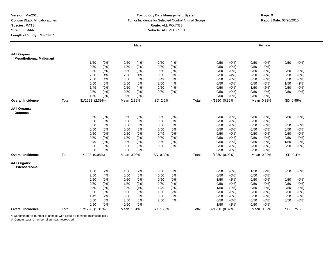#### **Toxicology Data Management System** Tumor Incidence for Selected Control Animal Groups **Report Date:** 03/20/2010 **Route:** ALL ROUTES **Vehicle:** ALL VEHICLES

# **Page: 9**<br>**Page: 9**

|                                                |       |                 | <b>Male</b>             |                         | Female                     |                 |
|------------------------------------------------|-------|-----------------|-------------------------|-------------------------|----------------------------|-----------------|
| #All Organs:<br><b>Mesothelioma: Malignant</b> |       |                 |                         |                         |                            |                 |
|                                                |       | 1/50<br>(2%)    | 2/50<br>2/50<br>(4%)    | (4% )<br>0/50           | (0%)<br>0/50<br>(0%)       | 0/50<br>$(0\%)$ |
|                                                |       | 0/50<br>(0%)    | (2%)<br>1/50<br>0/50    | (0%)<br>0/50            | 0/50<br>$(0\%)$<br>(0%)    |                 |
|                                                |       | 3/50<br>(6%)    | 0/50<br>$(0\%)$<br>0/50 | (0%)<br>0/50            | (0%)<br>$(0\%)$<br>0/50    | 0/50<br>(0%)    |
|                                                |       | 2/50<br>(4% )   | 2/50<br>(4% )<br>0/50   | (0%)<br>2/50            | (4% )<br>$(0\%)$<br>0/50   | 0/50<br>(0%)    |
|                                                |       | 2/50<br>(4% )   | 3/50<br>(6%)<br>3/49    | (6%)<br>0/50            | (0%)<br>0/50<br>(0%)       | 0/50<br>$(0\%)$ |
|                                                |       | 0/50<br>(0%)    | 0/50<br>2/50<br>(0%)    | (4% )<br>0/50           | 0/50<br>$(0\%)$<br>(0%)    | 1/50<br>(2%)    |
|                                                |       | 1/49<br>(2%)    | 2/50<br>(4% )<br>2/50   | (4% )<br>0/50           | (0%)<br>1/50<br>(2%)       | 0/50<br>(0%)    |
|                                                |       | 2/50<br>(4%)    | 0/50<br>(0%)<br>0/50    | (0%)<br>0/50            | (0%)<br>0/50<br>$(0\%)$    | 0/50<br>(0%)    |
|                                                |       | 1/50<br>(2%)    | 0/50<br>(0%)            | 0/50                    | (0%)<br>(0%)<br>0/50       |                 |
| <b>Overall Incidence</b>                       | Total | 31/1298 (2.39%) | Mean 2.39%<br>SD 2.2%   | 4/1250 (0.32%)<br>Total | Mean 0.32%                 | SD 0.95%        |
| #All Organs:<br>Osteoma                        |       |                 |                         |                         |                            |                 |
|                                                |       | 0/50<br>(0%)    | 0/50<br>(0%)<br>0/50    | (0%)<br>0/50            | (0%)<br>0/50<br>(0%)       | 0/50<br>$(0\%)$ |
|                                                |       | 0/50<br>(0%)    | 0/50<br>(0%)<br>0/50    | (0%)<br>0/50            | (0%)<br>0/50<br>$(0\%)$    |                 |
|                                                |       | 0/50<br>(0%)    | 0/50<br>(0%)<br>0/50    | (0%)<br>0/50            | (0%)<br>(0%)<br>0/50       | 0/50<br>(0%)    |
|                                                |       | 0/50<br>$(0\%)$ | 0/50<br>0/50<br>$(0\%)$ | 0/50<br>(0%)            | (0%)<br>$(0\%)$<br>0/50    | 0/50<br>(0%)    |
|                                                |       | 0/50<br>(0%)    | 0/50<br>(0%)<br>0/49    | (0%)<br>0/50            | 0/50<br>(0%)<br>(0%)       | 0/50<br>$(0\%)$ |
|                                                |       | 0/50<br>(0%)    | 1/50<br>(2%)<br>0/50    | (0%)<br>0/50            | 0/50<br>$(0\%)$<br>(0%)    | 0/50<br>(0%)    |
|                                                |       | 0/49<br>$(0\%)$ | 0/50<br>$(0\%)$<br>0/50 | $(0\%)$<br>0/50         | $(0\%)$<br>(0%)<br>0/50    | 1/50<br>(2%)    |
|                                                |       | 0/50<br>(0%)    | 0/50<br>$(0\%)$<br>0/50 | (0%)<br>0/50            | (0%)<br>(0%)<br>0/50       | 0/50<br>$(0\%)$ |
|                                                |       | 0/50<br>$(0\%)$ | 0/50<br>$(0\%)$         | 0/50                    | $(0\%)$<br>0/50<br>$(0\%)$ |                 |
| <b>Overall Incidence</b>                       | Total | 1/1298 (0.08%)  | Mean 0.08%<br>SD 0.39%  | 1/1250 (0.08%)<br>Total | Mean 0.08%                 | SD 0.4%         |
| #All Organs:<br>Osteosarcoma                   |       |                 |                         |                         |                            |                 |
|                                                |       | 1/50<br>(2%)    | 1/50<br>(2%)<br>0/50    | (0%)<br>0/50            | (0%)<br>1/50<br>(2%)       | 0/50<br>$(0\%)$ |
|                                                |       | 2/50<br>(4% )   | 0/50<br>0/50<br>$(0\%)$ | (0%)<br>0/50            | (0%)<br>0/50<br>$(0\%)$    |                 |
|                                                |       | 0/50<br>$(0\%)$ | 0/50<br>0/50<br>$(0\%)$ | $(0\%)$<br>1/50         | (2%)<br>0/50<br>(0%)       | 0/50<br>(0%)    |
|                                                |       | 0/50<br>(0%)    | (2%)<br>1/50<br>2/50    | 0/50<br>(4% )           | (0%)<br>$(0\%)$<br>0/50    | 0/50<br>(0%)    |
|                                                |       | 0/50<br>(0%)    | 2/50<br>(4% )<br>1/49   | (2%)<br>1/50            | (2%)<br>0/50<br>(0%)       | 0/50<br>(0%)    |
|                                                |       | 0/50<br>$(0\%)$ | 0/50<br>$(0\%)$<br>1/50 | (2%)<br>0/50            | (0%)<br>0/50<br>$(0\%)$    | 0/50<br>(0%)    |
|                                                |       | 1/49<br>(2%)    | 0/50<br>$(0\%)$<br>0/50 | $(0\%)$<br>0/50         | (0%)<br>0/50<br>$(0\%)$    | 0/50<br>(0%)    |
|                                                |       | 0/50<br>(0%)    | 3/50<br>2/50<br>(6%)    | (4% )<br>0/50           | $(0\%)$<br>0/50<br>$(0\%)$ | 0/50<br>(0%)    |
|                                                |       | 0/50<br>(0%)    | 0/50<br>(0%)            | 1/50                    | (2%)<br>0/50<br>$(0\%)$    |                 |
| <b>Overall Incidence</b>                       | Total | 17/1298 (1.31%) | Mean 1.31%<br>SD 1.78%  | 4/1250 (0.32%)<br>Total | Mean 0.32%                 | SD 0.75%        |

\*: Denominator is number of animals with tissues examined microscopically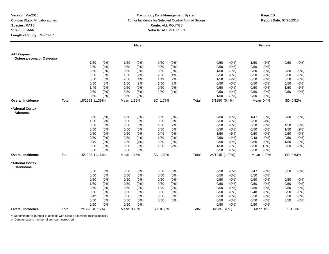#### **Toxicology Data Management System** Tumor Incidence for Selected Control Animal Groups **Report Date:** 03/20/2010 **Route:** ALL ROUTES **Vehicle:** ALL VEHICLES

# **m**<br> **Page:** 10

|                                         |       |                 | <b>Male</b>     |                 |       |                 | Female          |                 |
|-----------------------------------------|-------|-----------------|-----------------|-----------------|-------|-----------------|-----------------|-----------------|
| #All Organs:<br>Osteosarcoma or Osteoma |       |                 |                 |                 |       |                 |                 |                 |
|                                         |       | 1/50<br>(2%)    | 1/50<br>(2%)    | 0/50<br>(0%)    |       | 0/50<br>(0%)    | 1/50<br>(2%)    | 0/50<br>$(0\%)$ |
|                                         |       | 2/50<br>(4%)    | 0/50<br>$(0\%)$ | 0/50<br>(0%)    |       | 0/50<br>$(0\%)$ | 0/50<br>(0%)    |                 |
|                                         |       | 0/50<br>$(0\%)$ | 0/50<br>$(0\%)$ | $(0\%)$<br>0/50 |       | (2%)<br>1/50    | 0/50<br>$(0\%)$ | 0/50<br>(0%)    |
|                                         |       | 0/50<br>(0%)    | 1/50<br>(2%)    | (4% )<br>2/50   |       | (0%<br>0/50     | (0%<br>0/50     | 0/50<br>(0%)    |
|                                         |       | 0/50<br>(0%)    | (4% )<br>2/50   | (2%)<br>1/49    |       | (2%)<br>1/50    | $(0\%)$<br>0/50 | (0%)<br>0/50    |
|                                         |       | 0/50<br>$(0\%)$ | 1/50<br>(2%)    | (2%)<br>1/50    |       | $(0\%)$<br>0/50 | $(0\%)$<br>0/50 | 0/50<br>(0%)    |
|                                         |       | 1/49<br>(2%)    | 0/50<br>$(0\%)$ | 0/50<br>(0%)    |       | 0/50<br>(0%)    | 0/50<br>(0%)    | 1/50<br>(2%)    |
|                                         |       | 0/50<br>$(0\%)$ | 3/50<br>(6%)    | 2/50<br>(4%)    |       | 0/50<br>$(0\%)$ | 0/50<br>(0%)    | 0/50<br>(0%)    |
|                                         |       | 0/50<br>$(0\%)$ | 0/50<br>$(0\%)$ |                 |       | 1/50<br>(2%)    | 0/50<br>$(0\%)$ |                 |
| <b>Overall Incidence</b>                | Total | 18/1298 (1.39%) | Mean 1.39%      | SD 1.77%        | Total | 5/1250 (0.4%)   | Mean 0.4%       | SD 0.82%        |
| *Adrenal Cortex:<br>Adenoma             |       |                 |                 |                 |       |                 |                 |                 |
|                                         |       | 3/50<br>(6%)    | 1/50<br>(2%)    | 0/50<br>(0%)    |       | 0/50<br>$(0\%)$ | 1/47<br>(2%)    | 0/50<br>(0%)    |
|                                         |       | 1/50<br>(2%)    | 0/50<br>$(0\%)$ | (0%<br>0/50     |       | 3/50<br>(6%)    | 2/50<br>(4% )   |                 |
|                                         |       | 0/50<br>(0%)    | 3/50<br>(6%)    | (2%)<br>1/50    |       | 0/50<br>(0%)    | 0/50<br>$(0\%)$ | 4/50<br>(8%)    |
|                                         |       | 0/50<br>(0%)    | 0/50<br>$(0\%)$ | 0/50<br>$(0\%)$ |       | 0/50<br>$(0\%)$ | 0/50<br>$(0\%)$ | 1/50<br>(2%)    |
|                                         |       | 0/50<br>$(0\%)$ | 0/50<br>$(0\%)$ | $(0\%)$<br>0/49 |       | (2%)<br>1/50    | 0/50<br>$(0\%)$ | 0/50<br>$(0\%)$ |
|                                         |       | 0/50<br>$(0\%)$ | 2/50<br>(4% )   | (2%)<br>1/50    |       | 2/50<br>(4% )   | $(0\%)$<br>0/48 | 0/50<br>(0%)    |
|                                         |       | 0/49<br>$(0\%)$ | 2/50<br>(4% )   | (0%)<br>0/50    |       | $(0\%)$<br>0/50 | $(0\%)$<br>0/50 | (2%)<br>1/50    |
|                                         |       | 0/50<br>$(0\%)$ | 0/50<br>$(0\%)$ | (2%)<br>1/50    |       | (2%)<br>1/50    | 8/50<br>(16%)   | 0/50<br>(0%)    |
|                                         |       | 0/50<br>(0%)    | 0/50<br>$(0\%)$ |                 |       | 0/50<br>(0%)    | 0/50<br>(0%)    |                 |
| <b>Overall Incidence</b>                | Total | 15/1298 (1.16%) | Mean 1.15%      | SD 1.89%        | Total | 24/1245 (1.93%) | Mean 1.93%      | SD 3.63%        |
| *Adrenal Cortex:<br>Carcinoma           |       |                 |                 |                 |       |                 |                 |                 |
|                                         |       | $(0\%)$<br>0/50 | 0/50<br>(0%)    | (0%)<br>0/50    |       | 0/50<br>$(0\%)$ | 0/47<br>$(0\%)$ | 0/50<br>$(0\%)$ |
|                                         |       | 0/50<br>(0%)    | 0/50<br>$(0\%)$ | (0%)<br>0/50    |       | $(0\%)$<br>0/50 | 0/50<br>$(0\%)$ |                 |
|                                         |       | 0/50<br>(0%)    | 0/50<br>$(0\%)$ | 0/50<br>$(0\%)$ |       | 0/50<br>$(0\%)$ | 0/50<br>$(0\%)$ | 0/50<br>$(0\%)$ |
|                                         |       | 1/50<br>(2%)    | 0/50<br>$(0\%)$ | $(0\%)$<br>0/50 |       | 0/50<br>$(0\%)$ | 0/50<br>$(0\%)$ | 0/50<br>(0%)    |
|                                         |       | 0/50<br>(0%)    | $(0\%)$<br>0/50 | (2%)<br>1/49    |       | (0%)<br>0/50    | $(0\%)$<br>0/50 | 0/50<br>$(0\%)$ |
|                                         |       | 0/50<br>$(0\%)$ | 0/50<br>$(0\%)$ | 0/50<br>(0%)    |       | 0/50<br>$(0\%)$ | 0/48<br>$(0\%)$ | 0/50<br>$(0\%)$ |
|                                         |       | 0/49<br>$(0\%)$ | 0/50<br>$(0\%)$ | (0%)<br>0/50    |       | 0/50<br>(0%)    | 0/50<br>$(0\%)$ | 0/50<br>$(0\%)$ |
|                                         |       | 0/50<br>(0%)    | 0/50<br>$(0\%)$ | 0/50<br>(0%)    |       | 0/50<br>(0%)    | 0/50<br>$(0\%)$ | 0/50<br>$(0\%)$ |
|                                         |       | 0/50<br>(0%)    | $(0\%)$<br>0/50 |                 |       | 0/50<br>(0%)    | 0/50<br>(0% )   |                 |
| <b>Overall Incidence</b>                | Total | 2/1298 (0.15%)  | Mean 0.16%      | SD 0.55%        | Total | $0/1245$ (0%)   | Mean 0%         | SD 0%           |

\*: Denominator is number of animals with tissues examined microscopically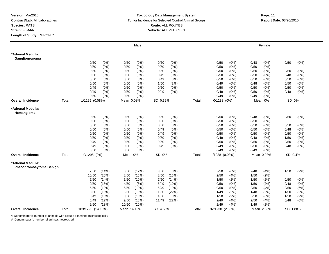#### **Toxicology Data Management System** Tumor Incidence for Selected Control Animal Groups **Report Date:** 03/20/2010 **Route:** ALL ROUTES **Vehicle:** ALL VEHICLES

# **m**<br> **Page:** 11

|                                              |       |                   |         |             | <b>Male</b> |          |         |       |                 |       |      | Female     |          |         |
|----------------------------------------------|-------|-------------------|---------|-------------|-------------|----------|---------|-------|-----------------|-------|------|------------|----------|---------|
| *Adrenal Medulla:<br>Ganglioneuroma          |       |                   |         |             |             |          |         |       |                 |       |      |            |          |         |
|                                              |       | 0/50              | (0%)    | 0/50        | (0%)        | 0/50     | (0%)    |       | 0/50            | (0%)  | 0/48 | (0%)       | 0/50     | $(0\%)$ |
|                                              |       | 0/50              | (0%)    | 0/50        | (0%)        | 0/50     | (0%)    |       | 0/50            | (0%   | 0/50 | (0%)       |          |         |
|                                              |       | 0/50              | (0%)    | 0/50        | $(0\%)$     | 0/50     | (0%)    |       | 0/50            | (0%)  | 0/50 | $(0\%)$    | 0/50     | (0%)    |
|                                              |       | 0/50              | (0%)    | 0/50        | $(0\%)$     | 0/49     | (0%)    |       | 0/50            | (0%)  | 0/50 | $(0\%)$    | 0/48     | (0%)    |
|                                              |       | 0/50              | (0%)    | 0/50        | $(0\%)$     | 0/49     | (0%)    |       | 0/50            | (0%)  | 0/50 | $(0\%)$    | 0/50     | (0%)    |
|                                              |       | 0/50              | (0%)    | 0/50        | (0%)        | 1/50     | (2%)    |       | 0/49            | (0%)  | 0/48 | (0%)       | 0/50     | (0%)    |
|                                              |       | 0/49              | $(0\%)$ | 0/50        | $(0\%)$     | 0/50     | (0%)    |       | 0/50            | (0%   | 0/50 | (0%)       | 0/50     | (0%)    |
|                                              |       | 0/49              | (0%)    | 0/50        | (0%)        | 0/49     | (0% )   |       | 0/49            | (0%)  | 0/50 | $(0\%)$    | 0/48     | (0%)    |
|                                              |       | 0/50              | $(0\%)$ | 0/50        | (0%)        |          |         |       | 0/49            | (0%)  | 0/49 | $(0\%)$    |          |         |
| <b>Overall Incidence</b>                     | Total | 1/1295 (0.08%)    |         | Mean 0.08%  |             | SD 0.39% |         | Total | $0/1238$ $(0%)$ |       |      | Mean 0%    | SD 0%    |         |
| *Adrenal Medulla:<br>Hemangioma              |       |                   |         |             |             |          |         |       |                 |       |      |            |          |         |
|                                              |       | 0/50              | (0%)    | 0/50        | (0%)        | 0/50     | (0%)    |       | 0/50            | (0%)  | 0/48 | $(0\%)$    | 0/50     | (0%)    |
|                                              |       | 0/50              | (0%)    | 0/50        | (0%)        | 0/50     | (0% )   |       | 0/50            | (0%)  | 0/50 | (0%)       |          |         |
|                                              |       | 0/50              | (0%)    | 0/50        | (0%)        | 0/50     | (0%)    |       | 0/50            | (0%)  | 0/50 | $(0\%)$    | 0/50     | $(0\%)$ |
|                                              |       | 0/50              | (0%)    | 0/50        | $(0\%)$     | 0/49     | (0%)    |       | 0/50            | (0%)  | 0/50 | $(0\%)$    | 0/48     | (0%)    |
|                                              |       | 0/50              | (0%)    | 0/50        | (0%)        | 0/49     | (0%)    |       | 0/50            | (0%   | 0/50 | $(0\%)$    | 0/50     | (0%)    |
|                                              |       | 0/50              | (0%)    | 0/50        | (0%         | 0/50     | (0%)    |       | 0/49            | (0%)  | 0/48 | (0%)       | 1/50     | (2%)    |
|                                              |       | 0/49              | (0%)    | 0/50        | $(0\%)$     | 0/50     | $(0\%)$ |       | 0/50            | (0%)  | 0/50 | $(0\%)$    | 0/50     | (0%)    |
|                                              |       | 0/49              | (0%)    | 0/50        | $(0\%)$     | 0/49     | (0%)    |       | 0/49            | (0%)  | 0/50 | (0%)       | 0/48     | $(0\%)$ |
|                                              |       | 0/50              | $(0\%)$ | 0/50        | $(0\%)$     |          |         |       | 0/49            | (0%)  | 0/49 | $(0\%)$    |          |         |
| <b>Overall Incidence</b>                     | Total | $0/1295$ $(0%)$   |         | Mean 0%     |             | SD 0%    |         | Total | 1/1238 (0.08%)  |       |      | Mean 0.08% | SD 0.4%  |         |
| *Adrenal Medulla:<br>Pheochromocytoma Benign |       |                   |         |             |             |          |         |       |                 |       |      |            |          |         |
|                                              |       | 7/50              | (14%)   | 6/50        | (12%)       | 3/50     | (6%)    |       | 3/50            | (6%)  | 2/48 | (4%)       | 1/50     | (2%)    |
|                                              |       | 10/50             | (20%)   | 8/50        | (16%)       | 8/50     | (16%)   |       | 2/50            | (4% ) | 1/50 | (2%)       |          |         |
|                                              |       | 7/50              | (14%)   | 5/50        | (10%)       | 7/50     | (14%)   |       | 1/50            | (2%)  | 1/50 | (2%)       | 0/50     | (0%)    |
|                                              |       | 9/50              | (18%)   | 4/50        | (8%)        | 5/49     | (10%)   |       | 0/50            | (0%)  | 1/50 | (2%)       | 0/48     | (0%)    |
|                                              |       | 5/50              | (10%)   | 5/50        | (10%)       | 5/49     | (10%)   |       | 0/50            | (0%)  | 2/50 | (4% )      | 3/50     | (6%)    |
|                                              |       | 8/50              | (16%)   | 5/50        | (10%)       | 11/50    | (22%)   |       | 1/49            | (2%)  | 1/48 | (2%)       | 1/50     | (2%)    |
|                                              |       | 8/49              | (16%)   | 8/50        | (16%)       | 4/50     | (8%)    |       | 1/50            | (2%)  | 3/50 | (6%)       | 1/50     | (2%)    |
|                                              |       | 6/49              | (12%)   | 9/50        | (18%)       | 11/49    | (22%)   |       | 2/49            | (4% ) | 2/50 | (4%)       | 0/48     | (0%)    |
|                                              |       | 9/50              | (18%)   | 10/50       | (20%)       |          |         |       | 2/49            | (4% ) | 1/49 | (2%)       |          |         |
| <b>Overall Incidence</b>                     | Total | 183/1295 (14.13%) |         | Mean 14.13% |             | SD 4.53% |         | Total | 32/1238 (2.58%) |       |      | Mean 2.58% | SD 1.88% |         |

\*: Denominator is number of animals with tissues examined microscopically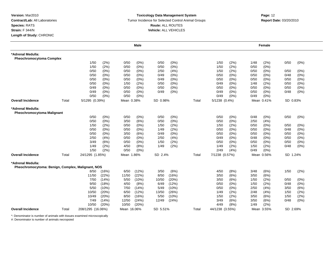#### **Toxicology Data Management System** Tumor Incidence for Selected Control Animal Groups **Report Date:** 03/20/2010 **Route:** ALL ROUTES **Vehicle:** ALL VEHICLES

|                                                                        |       |                   |         |             | Male    |          |         |       |                 |       |      | Female     |          |         |
|------------------------------------------------------------------------|-------|-------------------|---------|-------------|---------|----------|---------|-------|-----------------|-------|------|------------|----------|---------|
| *Adrenal Medulla:<br><b>Pheochromocytoma Complex</b>                   |       |                   |         |             |         |          |         |       |                 |       |      |            |          |         |
|                                                                        |       | 1/50              | (2%)    | 0/50        | $(0\%)$ | 0/50     | (0%)    |       | 1/50            | (2%)  | 1/48 | (2%)       | 0/50     | (0%)    |
|                                                                        |       | 1/50              | (2%)    | 0/50        | (0% )   | 0/50     | (0% )   |       | 1/50            | (2%)  | 0/50 | (0%)       |          |         |
|                                                                        |       | 0/50              | (0%)    | 0/50        | $(0\%)$ | 2/50     | (4% )   |       | 1/50            | (2%)  | 0/50 | $(0\%)$    | 0/50     | (0%)    |
|                                                                        |       | 0/50              | (0%)    | 0/50        | (0%)    | 0/49     | $(0\%)$ |       | 0/50            | (0%)  | 0/50 | $(0\%)$    | 0/48     | (0%)    |
|                                                                        |       | 0/50              | (0%)    | 0/50        | $(0\%)$ | 0/49     | (0%     |       | 0/50            | (0%)  | 0/50 | (0%)       | 0/50     | (0% )   |
|                                                                        |       | 0/50              | (0%)    | 1/50        | (2%)    | 0/50     | (0%)    |       | 0/49            | (0%)  | 1/48 | (2%)       | 0/50     | $(0\%)$ |
|                                                                        |       | 0/49              | (0%)    | 0/50        | $(0\%)$ | 0/50     | (0%)    |       | 0/50            | (0%)  | 0/50 | (0% )      | 0/50     | $(0\%)$ |
|                                                                        |       | 0/49              | (0%)    | 0/50        | $(0\%)$ | 0/49     | (0%)    |       | 0/49            | (0%)  | 0/50 | (0%)       | 0/48     | $(0\%)$ |
|                                                                        |       | 0/50              | $(0\%)$ | 0/50        | (0%)    |          |         |       | 0/49            | (0%)  | 0/49 | (0%)       |          |         |
| <b>Overall Incidence</b>                                               | Total | 5/1295 (0.39%)    |         | Mean 0.38%  |         | SD 0.98% |         | Total | 5/1238 (0.4%)   |       |      | Mean 0.41% | SD 0.83% |         |
| *Adrenal Medulla:<br><b>Pheochromocytoma Malignant</b>                 |       |                   |         |             |         |          |         |       |                 |       |      |            |          |         |
|                                                                        |       | 0/50              | (0%)    | 0/50        | $(0\%)$ | 0/50     | (0%)    |       | 0/50            | (0%)  | 0/48 | $(0\%)$    | 0/50     | (0%)    |
|                                                                        |       | 0/50              | (0%)    | 3/50        | (6%)    | 0/50     | $(0\%)$ |       | 0/50            | (0%)  | 2/50 | (4% )      |          |         |
|                                                                        |       | 1/50              | (2%)    | 0/50        | $(0\%)$ | 1/50     | (2%)    |       | 1/50            | (2%)  | 0/50 | (0%)       | 0/50     | $(0\%)$ |
|                                                                        |       | 0/50              | (0%)    | 0/50        | $(0\%)$ | 1/49     | (2%)    |       | 0/50            | (0%)  | 0/50 | (0%)       | 0/48     | $(0\%)$ |
|                                                                        |       | 0/50              | (0%)    | 3/50        | (6%)    | 0/49     | (0%)    |       | 0/50            | (0%)  | 0/50 | (0%)       | 0/50     | $(0\%)$ |
|                                                                        |       | 2/50              | (4%)    | 0/50        | $(0\%)$ | 2/50     | (4%)    |       | 0/49            | (0%)  | 0/48 | $(0\%)$    | 0/50     | (0%)    |
|                                                                        |       | 3/49              | (6%)    | 0/50        | $(0\%)$ | 1/50     | (2%)    |       | 0/50            | (0%)  | 0/50 | $(0\%)$    | 0/50     | (0%)    |
|                                                                        |       | 1/49              | (2%)    | 4/50        | (8%)    | 1/49     | (2%)    |       | 1/49            | (2%)  | 1/50 | (2%)       | 0/48     | $(0\%)$ |
|                                                                        |       | 1/50              | (2%)    | 0/50        | $(0\%)$ |          |         |       | 2/49            | (4% ) | 0/49 | (0%)       |          |         |
| <b>Overall Incidence</b>                                               | Total | 24/1295 (1.85%)   |         | Mean 1.86%  |         | SD 2.4%  |         | Total | 7/1238 (0.57%)  |       |      | Mean 0.56% | SD 1.24% |         |
| *Adrenal Medulla:<br>Pheochromocytoma: Benign, Complex, Malignant, NOS |       |                   |         |             |         |          |         |       |                 |       |      |            |          |         |
|                                                                        |       | 8/50              | (16%)   | 6/50        | (12%)   | 3/50     | (6%)    |       | 4/50            | (8%)  | 3/48 | (6%)       | 1/50     | (2%)    |
|                                                                        |       | 11/50             | (22%)   | 11/50       | (22%)   | 8/50     | (16%)   |       | 3/50            | (6%)  | 3/50 | (6%)       |          |         |
|                                                                        |       | 7/50              | (14% )  | 5/50        | (10%)   | 10/50    | (20%)   |       | 3/50            | (6%)  | 1/50 | (2%)       | 0/50     | $(0\%)$ |
|                                                                        |       | 9/50              | (18%)   | 4/50        | (8%)    | 6/49     | (12%)   |       | 0/50            | (0%   | 1/50 | (2%)       | 0/48     | (0% )   |
|                                                                        |       | 5/50              | (10%)   | 7/50        | (14%)   | 5/49     | (10%)   |       | 0/50            | (0%)  | 2/50 | (4%)       | 3/50     | (6%)    |
|                                                                        |       | 10/50             | (20%)   | 6/50        | (12%)   | 13/50    | (26%)   |       | 1/49            | (2%)  | 2/48 | (4%)       | 1/50     | (2%)    |
|                                                                        |       | 10/49             | (20%)   | 8/50        | (16%)   | 5/50     | (10%)   |       | 1/50            | (2%)  | 3/50 | (6%)       | 1/50     | (2%)    |
|                                                                        |       | 7/49              | (14%)   | 12/50       | (24%)   | 12/49    | (24%)   |       | 3/49            | (6%)  | 3/50 | (6%)       | 0/48     | (0%)    |
|                                                                        |       | 10/50             | (20%)   | 10/50       | (20%)   |          |         |       | 4/49            | (8%)  | 1/49 | (2%)       |          |         |
| <b>Overall Incidence</b>                                               | Total | 208/1295 (16.06%) |         | Mean 16.06% |         | SD 5.51% |         | Total | 44/1238 (3.55%) |       |      | Mean 3.55% | SD 2.69% |         |

\*: Denominator is number of animals with tissues examined microscopically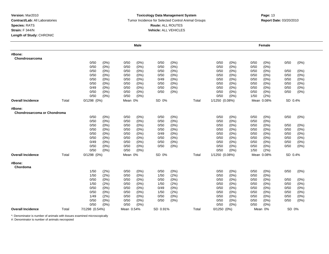#### **Toxicology Data Management System** Tumor Incidence for Selected Control Animal Groups **Report Date:** 03/20/2010 **Route:** ALL ROUTES **Vehicle:** ALL VEHICLES

|                                       |       |                 |         |            | <b>Male</b> |          |         |       |                 |       |      | Female     |         |         |
|---------------------------------------|-------|-----------------|---------|------------|-------------|----------|---------|-------|-----------------|-------|------|------------|---------|---------|
| #Bone:<br>Chondrosarcoma              |       |                 |         |            |             |          |         |       |                 |       |      |            |         |         |
|                                       |       | 0/50            | (0%)    | 0/50       | (0%)        | 0/50     | (0%)    |       | 0/50            | (0%)  | 0/50 | (0%)       | 0/50    | (0%)    |
|                                       |       | 0/50            | (0%)    | 0/50       | (0%)        | 0/50     | (0%)    |       | 0/50            | (0%)  | 0/50 | (0%)       |         |         |
|                                       |       | 0/50            | (0%)    | 0/50       | $(0\%)$     | 0/50     | (0%)    |       | 0/50            | (0%)  | 0/50 | $(0\%)$    | 0/50    | (0%)    |
|                                       |       | 0/50            | (0%)    | 0/50       | (0%)        | 0/50     | (0%)    |       | 0/50            | (0%   | 0/50 | (0%        | 0/50    | (0%)    |
|                                       |       | 0/50            | (0%)    | 0/50       | $(0\%)$     | 0/49     | (0%)    |       | 0/50            | (0%)  | 0/50 | (0%)       | 0/50    | (0%)    |
|                                       |       | 0/50            | (0%)    | 0/50       | (0%)        | 0/50     | (0%)    |       | 0/50            | (0%)  | 0/50 | (0%)       | 0/50    | (0%)    |
|                                       |       | 0/49            | (0%)    | 0/50       | (0%)        | 0/50     | (0%)    |       | 0/50            | (0%)  | 0/50 | $(0\%)$    | 0/50    | $(0\%)$ |
|                                       |       | 0/50            | (0%)    | 0/50       | (0%)        | 0/50     | (0%)    |       | 0/50            | (0%)  | 0/50 | (0%)       | 0/50    | (0%)    |
|                                       |       | 0/50            | (0%)    | 0/50       | (0%)        |          |         |       | 0/50            | (0%)  | 1/50 | (2%)       |         |         |
| <b>Overall Incidence</b>              | Total | $0/1298$ $(0%)$ |         | Mean 0%    |             | SD 0%    |         | Total | 1/1250 (0.08%)  |       |      | Mean 0.08% | SD 0.4% |         |
| #Bone:<br>Chondrosarcoma or Chondroma |       |                 |         |            |             |          |         |       |                 |       |      |            |         |         |
|                                       |       | 0/50            | (0%)    | 0/50       | (0%)        | 0/50     | (0%)    |       | 0/50            | (0%)  | 0/50 | $(0\%)$    | 0/50    | $(0\%)$ |
|                                       |       | 0/50            | (0%)    | 0/50       | (0%)        | 0/50     | (0%)    |       | 0/50            | (0%)  | 0/50 | (0%)       |         |         |
|                                       |       | 0/50            | (0%)    | 0/50       | (0%)        | 0/50     | (0%)    |       | 0/50            | (0%)  | 0/50 | (0%)       | 0/50    | (0%)    |
|                                       |       | 0/50            | (0%)    | 0/50       | (0%)        | 0/50     | (0%)    |       | 0/50            | (0%)  | 0/50 | (0%)       | 0/50    | (0%)    |
|                                       |       | 0/50            | $(0\%)$ | 0/50       | $(0\%)$     | 0/49     | (0%)    |       | 0/50            | (0%)  | 0/50 | (0%)       | 0/50    | $(0\%)$ |
|                                       |       | 0/50            | $(0\%)$ | 0/50       | $(0\%)$     | 0/50     | (0%)    |       | 0/50            | (0%)  | 0/50 | (0%)       | 0/50    | $(0\%)$ |
|                                       |       | 0/49            | (0%)    | 0/50       | (0%)        | 0/50     | (0%)    |       | 0/50            | (0%)  | 0/50 | (0%)       | 0/50    | $(0\%)$ |
|                                       |       | 0/50            | (0%)    | 0/50       | $(0\%)$     | 0/50     | $(0\%)$ |       | 0/50            | (0%)  | 0/50 | (0%)       | 0/50    | $(0\%)$ |
|                                       |       | 0/50            | (0%)    | 0/50       | $(0\%)$     |          |         |       | 0/50            | (0%)  | 1/50 | (2%)       |         |         |
| <b>Overall Incidence</b>              | Total | $0/1298$ $(0%)$ |         | Mean 0%    |             | SD 0%    |         | Total | 1/1250 (0.08%)  |       |      | Mean 0.08% | SD 0.4% |         |
| #Bone:<br>Chordoma                    |       |                 |         |            |             |          |         |       |                 |       |      |            |         |         |
|                                       |       | 1/50            | (2%)    | 0/50       | (0%)        | 0/50     | (0%)    |       | 0/50            | (0%)  | 0/50 | $(0\%)$    | 0/50    | (0%)    |
|                                       |       | 1/50            | (2%)    | 0/50       | (0%)        | 1/50     | (2%)    |       | 0/50            | (0%)  | 0/50 | (0%)       |         |         |
|                                       |       | 0/50            | $(0\%)$ | 0/50       | $(0\%)$     | 0/50     | (0%)    |       | 0/50            | (0%)  | 0/50 | $(0\%)$    | 0/50    | (0%)    |
|                                       |       | 1/50            | (2%)    | 0/50       | $(0\%)$     | 1/50     | (2%)    |       | 0/50            | (0%   | 0/50 | (0%)       | 0/50    | (0% )   |
|                                       |       | 0/50            | (0%)    | 0/50       | $(0\%)$     | 0/49     | (0%)    |       | 0/50            | (0% ) | 0/50 | $(0\%)$    | 0/50    | $(0\%)$ |
|                                       |       | 0/50            | (0%)    | 0/50       | (0%)        | 1/50     | (2%)    |       | 0/50            | (0%)  | 0/50 | $(0\%)$    | 0/50    | $(0\%)$ |
|                                       |       | 1/49            | (2%)    | 0/50       | (0%)        | 0/50     | (0%)    |       | 0/50            | (0%)  | 0/50 | $(0\%)$    | 0/50    | $(0\%)$ |
|                                       |       | 0/50            | (0%)    | 0/50       | (0%)        | 0/50     | (0%)    |       | 0/50            | (0%)  | 0/50 | (0%)       | 0/50    | $(0\%)$ |
|                                       |       | 0/50            | $(0\%)$ | 0/50       | (0%)        |          |         |       | 0/50            | (0%)  | 0/50 | (0%)       |         |         |
| <b>Overall Incidence</b>              | Total | 7/1298 (0.54%)  |         | Mean 0.54% |             | SD 0.91% |         | Total | $0/1250$ $(0%)$ |       |      | Mean 0%    | SD 0%   |         |

\*: Denominator is number of animals with tissues examined microscopically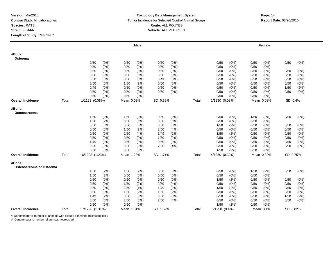#### **Toxicology Data Management System** Tumor Incidence for Selected Control Animal Groups **Report Date:** 03/20/2010 **Route:** ALL ROUTES **Vehicle:** ALL VEHICLES

|                                   |       |                 |         |            | Male    |          |         |       |                |         |      | Female     |          |         |
|-----------------------------------|-------|-----------------|---------|------------|---------|----------|---------|-------|----------------|---------|------|------------|----------|---------|
| #Bone:<br>Osteoma                 |       |                 |         |            |         |          |         |       |                |         |      |            |          |         |
|                                   |       | 0/50            | (0%)    | 0/50       | $(0\%)$ | 0/50     | $(0\%)$ |       | 0/50           | $(0\%)$ | 0/50 | $(0\%)$    | 0/50     | (0%)    |
|                                   |       | 0/50            | (0%)    | 0/50       | $(0\%)$ | 0/50     | (0%)    |       | 0/50           | $(0\%)$ | 0/50 | (0%)       |          |         |
|                                   |       | 0/50            | $(0\%)$ | 0/50       | $(0\%)$ | 0/50     | (0%)    |       | 0/50           | $(0\%)$ | 0/50 | (0%)       | 0/50     | (0%)    |
|                                   |       | 0/50            | $(0\%)$ | 0/50       | $(0\%)$ | 0/50     | (0%)    |       | 0/50           | (0%)    | 0/50 | $(0\%)$    | 0/50     | (0%)    |
|                                   |       | 0/50            | $(0\%)$ | 0/50       | $(0\%)$ | 0/49     | (0%)    |       | 0/50           | (0%     | 0/50 | (0%)       | 0/50     | (0%)    |
|                                   |       | 0/50            | (0%)    | 1/50       | (2%)    | 0/50     | $(0\%)$ |       | 0/50           | $(0\%)$ | 0/50 | (0%)       | 0/50     | (0%)    |
|                                   |       | 0/49            | $(0\%)$ | 0/50       | $(0\%)$ | 0/50     | $(0\%)$ |       | 0/50           | $(0\%)$ | 0/50 | $(0\%)$    | 1/50     | (2%)    |
|                                   |       | 0/50            | (0%)    | 0/50       | $(0\%)$ | 0/50     | $(0\%)$ |       | 0/50           | (0%)    | 0/50 | (0%)       | 0/50     | (0%)    |
|                                   |       | 0/50            | (0%)    | 0/50       | (0%)    |          |         |       | 0/50           | (0%)    | 0/50 | (0%)       |          |         |
| Overall Incidence                 | Total | 1/1298 (0.08%)  |         | Mean 0.08% |         | SD 0.39% |         | Total | 1/1250 (0.08%) |         |      | Mean 0.08% | SD 0.4%  |         |
| #Bone:<br>Osteosarcoma            |       |                 |         |            |         |          |         |       |                |         |      |            |          |         |
|                                   |       | 1/50            | (2%)    | 1/50       | (2%)    | 0/50     | $(0\%)$ |       | 0/50           | (0%)    | 1/50 | (2%)       | 0/50     | (0%)    |
|                                   |       | 1/50            | (2%)    | 0/50       | (0%)    | 0/50     | (0%)    |       | 0/50           | (0%     | 0/50 | (0%)       |          |         |
|                                   |       | 0/50            | $(0\%)$ | 0/50       | $(0\%)$ | 0/50     | (0%)    |       | 1/50           | (2%)    | 0/50 | (0%)       | 0/50     | $(0\%)$ |
|                                   |       | 0/50            | $(0\%)$ | 1/50       | (2%)    | 2/50     | (4% )   |       | 0/50           | $(0\%)$ | 0/50 | (0%)       | 0/50     | (0%)    |
|                                   |       | 0/50            | $(0\%)$ | 2/50       | (4%)    | 1/49     | (2%)    |       | 1/50           | (2%)    | 0/50 | $(0\%)$    | 0/50     | (0%)    |
|                                   |       | 0/50            | $(0\%)$ | 0/50       | $(0\%)$ | 1/50     | (2%)    |       | 0/50           | (0%)    | 0/50 | $(0\%)$    | 0/50     | (0%)    |
|                                   |       | 1/49            | (2%)    | 0/50       | $(0\%)$ | 0/50     | $(0\%)$ |       | 0/50           | (0%)    | 0/50 | (0%)       | 0/50     | (0%)    |
|                                   |       | 0/50            | $(0\%)$ | 3/50       | (6%)    | 2/50     | (4% )   |       | 0/50           | (0%)    | 0/50 | (0%)       | 0/50     | $(0\%)$ |
|                                   |       | 0/50            | $(0\%)$ | 0/50       | $(0\%)$ |          |         |       | 1/50           | (2%)    | 0/50 | (0%)       |          |         |
| Overall Incidence                 | Total | 16/1298 (1.23%) |         | Mean 1.23% |         | SD 1.71% |         | Total | 4/1250 (0.32%) |         |      | Mean 0.32% | SD 0.75% |         |
| #Bone:<br>Osteosarcoma or Osteoma |       |                 |         |            |         |          |         |       |                |         |      |            |          |         |
|                                   |       | 1/50            | (2%)    | 1/50       | (2%)    | 0/50     | (0%)    |       | 0/50           | (0%)    | 1/50 | (2%)       | 0/50     | (0%)    |
|                                   |       | 1/50            | (2%)    | 0/50       | $(0\%)$ | 0/50     | (0%)    |       | 0/50           | (0%)    | 0/50 | $(0\%)$    |          |         |
|                                   |       | 0/50            | $(0\%)$ | 0/50       | $(0\%)$ | 0/50     | $(0\%)$ |       | 1/50           | (2%)    | 0/50 | $(0\%)$    | 0/50     | (0%)    |
|                                   |       | 0/50            | (0%)    | 1/50       | (2%)    | 2/50     | (4%)    |       | 0/50           | $(0\%)$ | 0/50 | $(0\%)$    | 0/50     | (0%)    |
|                                   |       | 0/50            | $(0\%)$ | 2/50       | (4% )   | 1/49     | (2%)    |       | 1/50           | (2%)    | 0/50 | $(0\%)$    | 0/50     | (0%)    |
|                                   |       | 0/50            | (0%)    | 1/50       | (2%)    | 1/50     | (2%)    |       | 0/50           | $(0\%)$ | 0/50 | (0%)       | 0/50     | (0%)    |
|                                   |       | 1/49            | (2%)    | 0/50       | $(0\%)$ | 0/50     | $(0\%)$ |       | 0/50           | (0%)    | 0/50 | (0%)       | 1/50     | (2%)    |
|                                   |       | 0/50            | (0%)    | 3/50       | (6%)    | 2/50     | (4% )   |       | 0/50           | $(0\%)$ | 0/50 | (0%)       | 0/50     | (0%)    |
|                                   |       | 0/50            | (0%)    | 0/50       | $(0\%)$ |          |         |       | 1/50           | (2%)    | 0/50 | (0%)       |          |         |
| <b>Overall Incidence</b>          | Total | 17/1298 (1.31%) |         | Mean 1.31% |         | SD 1.69% |         | Total | 5/1250 (0.4%)  |         |      | Mean 0.4%  | SD 0.82% |         |

\*: Denominator is number of animals with tissues examined microscopically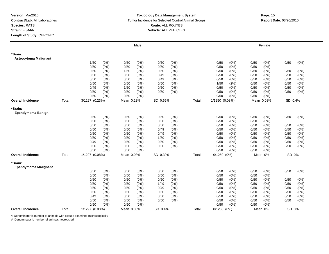#### **Toxicology Data Management System** Tumor Incidence for Selected Control Animal Groups **Report Date:** 03/20/2010 **Route:** ALL ROUTES **Vehicle:** ALL VEHICLES

|                                         |       |                |         |            | <b>Male</b> |          |         |       |                 |         |      | Female     |         |         |
|-----------------------------------------|-------|----------------|---------|------------|-------------|----------|---------|-------|-----------------|---------|------|------------|---------|---------|
| *Brain:<br><b>Astrocytoma Malignant</b> |       |                |         |            |             |          |         |       |                 |         |      |            |         |         |
|                                         |       | 1/50           | (2%)    | 0/50       | (0%)        | 0/50     | (0%)    |       | 0/50            | (0%)    | 0/50 | (0%)       | 0/50    | $(0\%)$ |
|                                         |       | 0/50           | (0%)    | 0/50       | (0%)        | 0/50     | (0%)    |       | 0/50            | (0%)    | 0/50 | $(0\%)$    |         |         |
|                                         |       | 0/50           | (0%)    | 1/50       | (2%)        | 0/50     | (0%)    |       | 0/50            | (0%)    | 0/50 | (0%)       | 0/50    | $(0\%)$ |
|                                         |       | 0/50           | (0%     | 0/50       | $(0\%)$     | 0/49     | (0%)    |       | 0/50            | $(0\%)$ | 0/50 | (0%)       | 0/50    | (0% )   |
|                                         |       | 0/50           | (0%)    | 0/50       | (0%)        | 0/49     | (0%)    |       | 0/50            | (0%)    | 0/50 | $(0\%)$    | 0/50    | $(0\%)$ |
|                                         |       | 0/50           | (0%)    | 0/50       | (0%)        | 0/50     | (0%)    |       | 1/50            | (2%)    | 0/50 | (0%)       | 0/50    | $(0\%)$ |
|                                         |       | 0/49           | (0%)    | 1/50       | (2%)        | 0/50     | $(0\%)$ |       | 0/50            | (0%)    | 0/50 | (0%)       | 0/50    | $(0\%)$ |
|                                         |       | 0/50           | (0%)    | 0/50       | $(0\%)$     | 0/50     | (0%)    |       | 0/50            | (0%)    | 0/50 | $(0\%)$    | 0/50    | $(0\%)$ |
|                                         |       | 0/50           | (0%)    | 0/50       | (0%)        |          |         |       | 0/50            | (0%)    | 0/50 | $(0\%)$    |         |         |
| <b>Overall Incidence</b>                | Total | 3/1297 (0.23%) |         | Mean 0.23% |             | SD 0.65% |         | Total | 1/1250 (0.08%)  |         |      | Mean 0.08% | SD 0.4% |         |
| *Brain:<br>Ependymoma Benign            |       |                |         |            |             |          |         |       |                 |         |      |            |         |         |
|                                         |       | 0/50           | (0%)    | 0/50       | (0%)        | 0/50     | (0%)    |       | 0/50            | (0%)    | 0/50 | (0%)       | 0/50    | (0%)    |
|                                         |       | 0/50           | (0%)    | 0/50       | (0%)        | 0/50     | (0% )   |       | 0/50            | (0%)    | 0/50 | (0%)       |         |         |
|                                         |       | 0/50           | (0%)    | 0/50       | (0%)        | 0/50     | (0%)    |       | 0/50            | (0%)    | 0/50 | $(0\%)$    | 0/50    | $(0\%)$ |
|                                         |       | 0/50           | (0%)    | 0/50       | (0%)        | 0/49     | (0%)    |       | 0/50            | (0%)    | 0/50 | (0%)       | 0/50    | (0% )   |
|                                         |       | 0/50           | (0%)    | 0/50       | $(0\%)$     | 0/49     | (0%)    |       | 0/50            | (0%)    | 0/50 | (0%)       | 0/50    | $(0\%)$ |
|                                         |       | 0/50           | (0%)    | 0/50       | (0%)        | 1/50     | (2%)    |       | 0/50            | $(0\%)$ | 0/50 | (0%)       | 0/50    | (0%)    |
|                                         |       | 0/49           | (0%)    | 0/50       | (0%)        | 0/50     | (0%)    |       | 0/50            | (0%)    | 0/50 | $(0\%)$    | 0/50    | $(0\%)$ |
|                                         |       | 0/50           | (0%)    | 0/50       | (0%)        | 0/50     | (0%)    |       | 0/50            | (0%)    | 0/50 | (0%)       | 0/50    | $(0\%)$ |
|                                         |       | 0/50           | (0%)    | 0/50       | (0%)        |          |         |       | 0/50            | (0%)    | 0/50 | (0%)       |         |         |
| <b>Overall Incidence</b>                | Total | 1/1297 (0.08%) |         | Mean 0.08% |             | SD 0.39% |         | Total | $0/1250$ $(0%)$ |         |      | Mean 0%    | SD 0%   |         |
| *Brain:<br>Ependymoma Malignant         |       |                |         |            |             |          |         |       |                 |         |      |            |         |         |
|                                         |       | 0/50           | (0%)    | 0/50       | (0%)        | 0/50     | $(0\%)$ |       | 0/50            | (0%)    | 0/50 | (0%)       | 0/50    | $(0\%)$ |
|                                         |       | 0/50           | (0%)    | 0/50       | (0%)        | 0/50     | (0%)    |       | 0/50            | (0%)    | 0/50 | $(0\%)$    |         |         |
|                                         |       | 0/50           | $(0\%)$ | 0/50       | (0%)        | 0/50     | (0%)    |       | 0/50            | (0%)    | 0/50 | (0%)       | 0/50    | (0%)    |
|                                         |       | 0/50           | (0%)    | 0/50       | (0%)        | 1/49     | (2%)    |       | 0/50            | (0%)    | 0/50 | (0%)       | 0/50    | (0%)    |
|                                         |       | 0/50           | (0%)    | 0/50       | (0%)        | 0/49     | $(0\%)$ |       | 0/50            | (0%)    | 0/50 | $(0\%)$    | 0/50    | $(0\%)$ |
|                                         |       | 0/50           | (0%)    | 0/50       | (0%)        | 0/50     | $(0\%)$ |       | 0/50            | (0%)    | 0/50 | $(0\%)$    | 0/50    | $(0\%)$ |
|                                         |       | 0/49           | $(0\%)$ | 0/50       | (0%)        | 0/50     | (0%)    |       | 0/50            | (0%)    | 0/50 | $(0\%)$    | 0/50    | $(0\%)$ |
|                                         |       | 0/50           | (0%)    | 0/50       | (0%)        | 0/50     | (0%)    |       | 0/50            | (0%)    | 0/50 | $(0\%)$    | 0/50    | (0%)    |
|                                         |       | 0/50           | (0%)    | 0/50       | (0%)        |          |         |       | 0/50            | (0%)    | 0/50 | (0%)       |         |         |
| <b>Overall Incidence</b>                | Total | 1/1297 (0.08%) |         | Mean 0.08% |             | SD 0.4%  |         | Total | $0/1250$ $(0%)$ |         |      | Mean 0%    | SD 0%   |         |

\*: Denominator is number of animals with tissues examined microscopically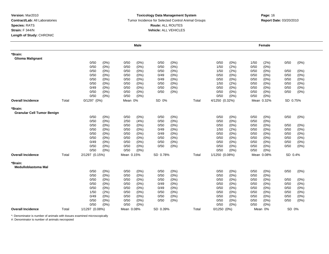#### **Toxicology Data Management System** Tumor Incidence for Selected Control Animal Groups **Report Date:** 03/20/2010 **Route:** ALL ROUTES **Vehicle:** ALL VEHICLES

|                                              |       |                 |         |            | <b>Male</b> |          |         |       |                |         |      | Female     |          |         |
|----------------------------------------------|-------|-----------------|---------|------------|-------------|----------|---------|-------|----------------|---------|------|------------|----------|---------|
| *Brain:<br><b>Glioma Malignant</b>           |       |                 |         |            |             |          |         |       |                |         |      |            |          |         |
|                                              |       | 0/50            | (0%)    | 0/50       | (0%)        | 0/50     | (0%)    |       | 0/50           | (0%)    | 1/50 | (2%)       | 0/50     | (0%)    |
|                                              |       | 0/50            | (0%)    | 0/50       | (0%)        | 0/50     | (0%)    |       | 1/50           | (2%)    | 0/50 | (0%)       |          |         |
|                                              |       | 0/50            | (0%)    | 0/50       | (0%)        | 0/50     | (0%)    |       | 1/50           | (2%)    | 0/50 | $(0\%)$    | 0/50     | (0%)    |
|                                              |       | 0/50            | (0%)    | 0/50       | (0%)        | 0/49     | $(0\%)$ |       | 0/50           | $(0\%)$ | 0/50 | (0%        | 0/50     | (0%)    |
|                                              |       | 0/50            | (0%)    | 0/50       | (0%)        | 0/49     | (0%)    |       | 0/50           | (0%)    | 0/50 | $(0\%)$    | 0/50     | (0%)    |
|                                              |       | 0/50            | (0%)    | 0/50       | (0%)        | 0/50     | (0%)    |       | 1/50           | (2%)    | 0/50 | (0%)       | 0/50     | (0%)    |
|                                              |       | 0/49            | (0%)    | 0/50       | $(0\%)$     | 0/50     | (0%)    |       | 0/50           | $(0\%)$ | 0/50 | (0%)       | 0/50     | (0%)    |
|                                              |       | 0/50            | (0%)    | 0/50       | (0%)        | 0/50     | (0%)    |       | 0/50           | (0%)    | 0/50 | $(0\%)$    | 0/50     | (0%)    |
|                                              |       | 0/50            | (0%)    | 0/50       | (0%)        |          |         |       | 0/50           | (0%)    | 0/50 | (0%)       |          |         |
| <b>Overall Incidence</b>                     | Total | $0/1297$ $(0%)$ |         | Mean 0%    |             | SD 0%    |         | Total | 4/1250 (0.32%) |         |      | Mean 0.32% | SD 0.75% |         |
| *Brain:<br><b>Granular Cell Tumor Benign</b> |       |                 |         |            |             |          |         |       |                |         |      |            |          |         |
|                                              |       | 0/50            | (0%)    | 0/50       | (0%)        | 0/50     | (0%)    |       | 0/50           | (0%)    | 0/50 | $(0\%)$    | 0/50     | (0%)    |
|                                              |       | 0/50            | (0%)    | 2/50       | (4%)        | 0/50     | (0% )   |       | 0/50           | (0%     | 0/50 | (0%)       |          |         |
|                                              |       | 0/50            | (0%)    | 0/50       | (0%)        | 0/50     | (0% )   |       | 0/50           | (0% )   | 0/50 | (0%)       | 0/50     | (0%)    |
|                                              |       | 0/50            | (0%)    | 0/50       | (0%)        | 0/49     | (0%)    |       | 1/50           | (2%)    | 0/50 | (0%)       | 0/50     | $(0\%)$ |
|                                              |       | 0/50            | (0%)    | 0/50       | $(0\%)$     | 0/49     | (0%)    |       | 0/50           | $(0\%)$ | 0/50 | (0%)       | 0/50     | (0%)    |
|                                              |       | 0/50            | (0%)    | 0/50       | (0%)        | 0/50     | (0%)    |       | 0/50           | $(0\%)$ | 0/50 | $(0\%)$    | 0/50     | (0%)    |
|                                              |       | 0/49            | (0%)    | 0/50       | (0%)        | 0/50     | (0%)    |       | 0/50           | (0%)    | 0/50 | (0%)       | 0/50     | (0%)    |
|                                              |       | 0/50            | (0%)    | 0/50       | (0%)        | 0/50     | (0%)    |       | 0/50           | (0%)    | 0/50 | $(0\%)$    | 0/50     | (0%)    |
|                                              |       | 0/50            | (0%)    | 0/50       | (0%)        |          |         |       | 0/50           | (0%)    | 0/50 | (0%)       |          |         |
| <b>Overall Incidence</b>                     | Total | 2/1297 (0.15%)  |         | Mean 0.15% |             | SD 0.78% |         | Total | 1/1250 (0.08%) |         |      | Mean 0.08% | SD 0.4%  |         |
| *Brain:<br><b>Medulloblastoma Mal</b>        |       |                 |         |            |             |          |         |       |                |         |      |            |          |         |
|                                              |       | 0/50            | (0%)    | 0/50       | (0%)        | 0/50     | (0%)    |       | 0/50           | (0%)    | 0/50 | $(0\%)$    | 0/50     | (0%)    |
|                                              |       | 0/50            | (0%)    | 0/50       | (0%)        | 0/50     | (0%)    |       | 0/50           | $(0\%)$ | 0/50 | (0%)       |          |         |
|                                              |       | 0/50            | $(0\%)$ | 0/50       | (0%)        | 0/50     | (0%)    |       | 0/50           | $(0\%)$ | 0/50 | (0%)       | 0/50     | (0%)    |
|                                              |       | 0/50            | (0%)    | 0/50       | (0%)        | 0/49     | (0%)    |       | 0/50           | $(0\%)$ | 0/50 | $(0\%)$    | 0/50     | (0%)    |
|                                              |       | 0/50            | (0%)    | 0/50       | (0%)        | 0/49     | (0%)    |       | 0/50           | (0%)    | 0/50 | (0%)       | 0/50     | (0%)    |
|                                              |       | 1/50            | (2%)    | 0/50       | (0%)        | 0/50     | (0%)    |       | 0/50           | $(0\%)$ | 0/50 | (0%)       | 0/50     | (0%)    |
|                                              |       | 0/49            | (0%)    | 0/50       | (0%)        | 0/50     | (0%)    |       | 0/50           | (0%)    | 0/50 | (0%)       | 0/50     | (0%)    |
|                                              |       | 0/50            | (0%)    | 0/50       | (0%)        | 0/50     | (0%)    |       | 0/50           | (0%)    | 0/50 | (0%)       | 0/50     | (0%)    |
|                                              |       | 0/50            | (0%)    | 0/50       | (0%)        |          |         |       | 0/50           | (0% )   | 0/50 | (0%        |          |         |
| <b>Overall Incidence</b>                     | Total | 1/1297 (0.08%)  |         | Mean 0.08% |             | SD 0.39% |         | Total | $0/1250(0\%)$  |         |      | Mean 0%    | SD 0%    |         |

\*: Denominator is number of animals with tissues examined microscopically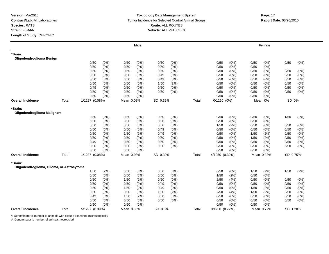#### **Toxicology Data Management System** Tumor Incidence for Selected Control Animal Groups **Report Date:** 03/20/2010 **Route:** ALL ROUTES **Vehicle:** ALL VEHICLES

|                                                      |       |                |         |            | <b>Male</b> |          |       |       |                 |       |      | Female     |          |         |
|------------------------------------------------------|-------|----------------|---------|------------|-------------|----------|-------|-------|-----------------|-------|------|------------|----------|---------|
| *Brain:<br>Oligodendroglioma Benign                  |       |                |         |            |             |          |       |       |                 |       |      |            |          |         |
|                                                      |       | 0/50           | (0%)    | 0/50       | (0%)        | 0/50     | (0%)  |       | 0/50            | (0%)  | 0/50 | (0%)       | 0/50     | $(0\%)$ |
|                                                      |       | 0/50           | (0%)    | 0/50       | $(0\%)$     | 0/50     | (0%)  |       | 0/50            | (0%)  | 0/50 | (0%)       |          |         |
|                                                      |       | 0/50           | $(0\%)$ | 0/50       | $(0\%)$     | 0/50     | (0%)  |       | 0/50            | (0%)  | 0/50 | (0%)       | 0/50     | (0%)    |
|                                                      |       | 0/50           | (0%)    | 0/50       | $(0\%)$     | 0/49     | (0%)  |       | 0/50            | (0%   | 0/50 | (0%)       | 0/50     | (0% )   |
|                                                      |       | 0/50           | $(0\%)$ | 0/50       | $(0\%)$     | 0/49     | (0%)  |       | 0/50            | (0%)  | 0/50 | $(0\%)$    | 0/50     | (0%)    |
|                                                      |       | 0/50           | (0%)    | 0/50       | (0%)        | 1/50     | (2%)  |       | 0/50            | (0%)  | 0/50 | (0%)       | 0/50     | (0%)    |
|                                                      |       | 0/49           | (0%)    | 0/50       | $(0\%)$     | 0/50     | (0%)  |       | 0/50            | (0%)  | 0/50 | $(0\%)$    | 0/50     | $(0\%)$ |
|                                                      |       | 0/50           | (0%)    | 0/50       | $(0\%)$     | 0/50     | (0%)  |       | 0/50            | (0%)  | 0/50 | $(0\%)$    | 0/50     | $(0\%)$ |
|                                                      |       | 0/50           | (0%)    | 0/50       | $(0\%)$     |          |       |       | 0/50            | (0%)  | 0/50 | (0%)       |          |         |
| <b>Overall Incidence</b>                             | Total | 1/1297 (0.08%) |         | Mean 0.08% |             | SD 0.39% |       | Total | $0/1250$ $(0%)$ |       |      | Mean 0%    | SD 0%    |         |
| *Brain:<br>Oligodendroglioma Malignant               |       |                |         |            |             |          |       |       |                 |       |      |            |          |         |
|                                                      |       | 0/50           | (0%)    | 0/50       | (0%)        | 0/50     | (0%)  |       | 0/50            | (0%)  | 0/50 | (0%)       | 1/50     | (2%)    |
|                                                      |       | 0/50           | (0%)    | 0/50       | $(0\%)$     | 0/50     | (0% ) |       | 0/50            | (0% ) | 0/50 | (0% )      |          |         |
|                                                      |       | 0/50           | (0%)    | 0/50       | (0%)        | 0/50     | (0% ) |       | 1/50            | (2%)  | 0/50 | $(0\%)$    | 0/50     | (0%)    |
|                                                      |       | 0/50           | (0%)    | 0/50       | $(0\%)$     | 0/49     | (0%)  |       | 0/50            | (0% ) | 0/50 | (0%)       | 0/50     | (0% )   |
|                                                      |       | 0/50           | (0%)    | 1/50       | (2%)        | 0/49     | (0%)  |       | 0/50            | (0%   | 1/50 | (2%)       | 0/50     | (0%)    |
|                                                      |       | 0/50           | (0%)    | 0/50       | (0%)        | 0/50     | (0%)  |       | 0/50            | (0%   | 1/50 | (2%)       | 0/50     | (0%)    |
|                                                      |       | 0/49           | (0%)    | 0/50       | (0%)        | 0/50     | (0%)  |       | 0/50            | (0%)  | 0/50 | (0%)       | 0/50     | (0%)    |
|                                                      |       | 0/50           | (0%)    | 0/50       | (0%)        | 0/50     | (0%)  |       | 0/50            | (0%)  | 0/50 | $(0\%)$    | 0/50     | $(0\%)$ |
|                                                      |       | 0/50           | (0%)    | 0/50       | (0%)        |          |       |       | 0/50            | (0%)  | 0/50 | (0%)       |          |         |
| <b>Overall Incidence</b>                             | Total | 1/1297 (0.08%) |         | Mean 0.08% |             | SD 0.39% |       | Total | 4/1250 (0.32%)  |       |      | Mean 0.32% | SD 0.75% |         |
| *Brain:<br>Oligodendroglioma, Glioma, or Astrocytoma |       |                |         |            |             |          |       |       |                 |       |      |            |          |         |
|                                                      |       | 1/50           | (2%)    | 0/50       | $(0\%)$     | 0/50     | (0%)  |       | 0/50            | (0%)  | 1/50 | (2%)       | 1/50     | (2%)    |
|                                                      |       | 0/50           | (0%)    | 0/50       | (0%)        | 0/50     | (0%)  |       | 1/50            | (2%)  | 0/50 | $(0\%)$    |          |         |
|                                                      |       | 0/50           | (0%)    | 1/50       | (2%)        | 0/50     | (0%)  |       | 2/50            | (4% ) | 0/50 | (0%)       | 0/50     | $(0\%)$ |
|                                                      |       | 0/50           | (0%)    | 0/50       | (0%)        | 0/49     | (0%)  |       | 0/50            | (0%   | 0/50 | (0%)       | 0/50     | (0%)    |
|                                                      |       | 0/50           | (0%)    | 1/50       | (2%)        | 0/49     | (0%)  |       | 0/50            | (0%)  | 1/50 | (2%)       | 0/50     | (0%)    |
|                                                      |       | 0/50           | (0%)    | 0/50       | (0%)        | 1/50     | (2%)  |       | 2/50            | (4% ) | 1/50 | (2%)       | 0/50     | (0%)    |
|                                                      |       | 0/49           | (0%)    | 1/50       | (2%)        | 0/50     | (0%)  |       | 0/50            | (0%)  | 0/50 | (0%)       | 0/50     | (0%)    |
|                                                      |       | 0/50           | (0%)    | 0/50       | (0%)        | 0/50     | (0%)  |       | 0/50            | (0%)  | 0/50 | (0%)       | 0/50     | (0%)    |
|                                                      |       | 0/50           | (0%)    | 0/50       | (0%)        |          |       |       | 0/50            | (0% ) | 0/50 | (0% )      |          |         |
| <b>Overall Incidence</b>                             | Total | 5/1297 (0.39%) |         | Mean 0.38% |             | SD 0.8%  |       | Total | 9/1250 (0.72%)  |       |      | Mean 0.72% | SD 1.28% |         |

\*: Denominator is number of animals with tissues examined microscopically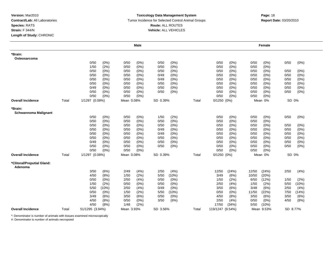#### **Toxicology Data Management System** Tumor Incidence for Selected Control Animal Groups **Report Date:** 03/20/2010 **Route:** ALL ROUTES **Vehicle:** ALL VEHICLES

|                                        |       |                 |         |            | <b>Male</b> |          |         |       |                  |         |       | Female     |          |         |
|----------------------------------------|-------|-----------------|---------|------------|-------------|----------|---------|-------|------------------|---------|-------|------------|----------|---------|
| *Brain:<br>Osteosarcoma                |       |                 |         |            |             |          |         |       |                  |         |       |            |          |         |
|                                        |       | 0/50            | (0%)    | 0/50       | (0%)        | 0/50     | (0%)    |       | 0/50             | (0%)    | 0/50  | $(0\%)$    | 0/50     | (0%)    |
|                                        |       | 1/50            | (2%)    | 0/50       | (0%)        | 0/50     | (0%)    |       | 0/50             | $(0\%)$ | 0/50  | (0%)       |          |         |
|                                        |       | 0/50            | (0%)    | 0/50       | $(0\%)$     | 0/50     | (0%)    |       | 0/50             | $(0\%)$ | 0/50  | (0%)       | 0/50     | (0%)    |
|                                        |       | 0/50            | (0%)    | 0/50       | (0%)        | 0/49     | (0%)    |       | 0/50             | $(0\%)$ | 0/50  | (0%)       | 0/50     | (0%)    |
|                                        |       | 0/50            | (0%)    | 0/50       | $(0\%)$     | 0/49     | (0%)    |       | 0/50             | $(0\%)$ | 0/50  | (0%)       | 0/50     | (0%)    |
|                                        |       | 0/50            | (0%)    | 0/50       | (0%)        | 0/50     | (0%)    |       | 0/50             | (0%)    | 0/50  | (0%)       | 0/50     | (0%)    |
|                                        |       | 0/49            | (0%)    | 0/50       | (0%)        | 0/50     | (0%)    |       | 0/50             | $(0\%)$ | 0/50  | (0%)       | 0/50     | (0%)    |
|                                        |       | 0/50            | (0%)    | 0/50       | (0%)        | 0/50     | (0%)    |       | 0/50             | (0%)    | 0/50  | (0%)       | 0/50     | (0%)    |
|                                        |       | 0/50            | (0%)    | 0/50       | (0%)        |          |         |       | 0/50             | (0%)    | 0/50  | (0%        |          |         |
| <b>Overall Incidence</b>               | Total | 1/1297 (0.08%)  |         | Mean 0.08% |             | SD 0.39% |         | Total | $0/1250$ $(0%)$  |         |       | Mean 0%    | SD 0%    |         |
| *Brain:<br><b>Schwannoma Malignant</b> |       |                 |         |            |             |          |         |       |                  |         |       |            |          |         |
|                                        |       | 0/50            | (0%)    | 0/50       | (0%)        | 1/50     | (2%)    |       | 0/50             | (0%)    | 0/50  | $(0\%)$    | 0/50     | (0%)    |
|                                        |       | 0/50            | (0%)    | 0/50       | $(0\%)$     | 0/50     | (0%)    |       | 0/50             | $(0\%)$ | 0/50  | (0%)       |          |         |
|                                        |       | 0/50            | $(0\%)$ | 0/50       | (0%)        | 0/50     | (0%)    |       | 0/50             | (0%)    | 0/50  | $(0\%)$    | 0/50     | (0%)    |
|                                        |       | 0/50            | (0%)    | 0/50       | (0%)        | 0/49     | (0%)    |       | 0/50             | $(0\%)$ | 0/50  | (0%)       | 0/50     | (0%)    |
|                                        |       | 0/50            | $(0\%)$ | 0/50       | $(0\%)$     | 0/49     | (0%)    |       | 0/50             | $(0\%)$ | 0/50  | (0%)       | 0/50     | (0%)    |
|                                        |       | 0/50            | $(0\%)$ | 0/50       | (0%)        | 0/50     | (0%)    |       | 0/50             | $(0\%)$ | 0/50  | (0%)       | 0/50     | (0%)    |
|                                        |       | 0/49            | (0%)    | 0/50       | (0%)        | 0/50     | (0%)    |       | 0/50             | (0%)    | 0/50  | (0%)       | 0/50     | $(0\%)$ |
|                                        |       | 0/50            | $(0\%)$ | 0/50       | (0%)        | 0/50     | $(0\%)$ |       | 0/50             | (0%)    | 0/50  | $(0\%)$    | 0/50     | (0%)    |
|                                        |       | 0/50            | $(0\%)$ | 0/50       | (0%)        |          |         |       | 0/50             | (0%)    | 0/50  | $(0\%)$    |          |         |
| <b>Overall Incidence</b>               | Total | 1/1297 (0.08%)  |         | Mean 0.08% |             | SD 0.39% |         | Total | $0/1250$ $(0%)$  |         |       | Mean 0%    | SD 0%    |         |
| *Clitoral/Preputial Gland:<br>Adenoma  |       |                 |         |            |             |          |         |       |                  |         |       |            |          |         |
|                                        |       | 3/50            | (6%)    | 2/49       | (4%)        | 2/50     | (4% )   |       | 12/50            | (24%)   | 12/50 | (24%)      | 2/50     | (4%)    |
|                                        |       | 4/50            | (8%)    | 1/50       | (2%)        | 5/50     | (10%)   |       | 3/49             | (6%)    | 10/50 | (20%)      |          |         |
|                                        |       | 0/50            | $(0\%)$ | 2/50       | (4%)        | 0/50     | (0%)    |       | 1/50             | (2%)    | 6/50  | (12%)      | 1/50     | (2%)    |
|                                        |       | 1/50            | (2%)    | 0/50       | $(0\%)$     | 0/50     | (0%)    |       | 2/50             | (4% )   | 1/50  | (2%)       | $5/50$   | (10%)   |
|                                        |       | 5/50            | (10%)   | 2/50       | (4%)        | 0/49     | $(0\%)$ |       | 3/50             | (6%)    | 3/48  | (6%)       | 2/50     | (4%)    |
|                                        |       | 0/50            | (0%)    | 1/50       | (2%)        | 5/50     | (10%)   |       | 0/50             | $(0\%)$ | 11/50 | (22%)      | 7/50     | (14%)   |
|                                        |       | 3/49            | (6%)    | 3/50       | (6%)        | 0/50     | (0%)    |       | 4/50             | (8%)    | 3/50  | (6%)       | 3/50     | (6%)    |
|                                        |       | 4/50            | (8%)    | 0/50       | (0%)        | 3/50     | (6%)    |       | 2/50             | (4% )   | 0/50  | (0%)       | 4/50     | (8%)    |
|                                        |       | 4/50            | (8%)    | 1/48       | (2%)        |          |         |       | 17/50            | (34%)   | 5/50  | (10%)      |          |         |
| <b>Overall Incidence</b>               | Total | 51/1295 (3.94%) |         | Mean 3.93% |             | SD 3.56% |         | Total | 119/1247 (9.54%) |         |       | Mean 9.53% | SD 8.77% |         |

\*: Denominator is number of animals with tissues examined microscopically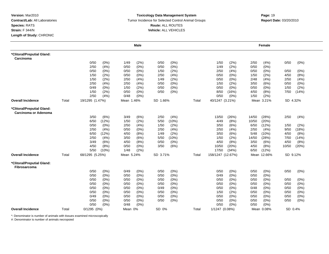#### **Toxicology Data Management System** Tumor Incidence for Selected Control Animal Groups **Report Date:** 03/20/2010 **Route:** ALL ROUTES **Vehicle:** ALL VEHICLES

|                                                    |       |                 |         |            | <b>Male</b> |          |         |       |                   |         |       | Female      |          |          |
|----------------------------------------------------|-------|-----------------|---------|------------|-------------|----------|---------|-------|-------------------|---------|-------|-------------|----------|----------|
| *Clitoral/Preputial Gland:<br>Carcinoma            |       |                 |         |            |             |          |         |       |                   |         |       |             |          |          |
|                                                    |       | 0/50            | $(0\%)$ | 1/49       | (2%)        | 0/50     | (0%)    |       | 1/50              | (2%)    | 2/50  | (4%)        | 0/50     | $(0\%)$  |
|                                                    |       | 2/50            | (4% )   | 0/50       | $(0\%)$     | 0/50     | (0%)    |       | 1/49              | (2%)    | 0/50  | (0%)        |          |          |
|                                                    |       | 0/50            | $(0\%)$ | 0/50       | $(0\%)$     | 1/50     | (2%)    |       | 2/50              | (4% )   | 0/50  | (0%)        | 0/50     | $(0\%)$  |
|                                                    |       | 1/50            | (2%)    | 0/50       | $(0\%)$     | 2/50     | (4% )   |       | 0/50              | (0%)    | 1/50  | (2%)        | 4/50     | (8%)     |
|                                                    |       | 1/50            | (2%)    | 2/50       | (4%)        | 1/49     | (2%)    |       | 0/50              | (0%)    | 2/48  | (4% )       | 2/50     | (4%)     |
|                                                    |       | 2/50            | (4% )   | 2/50       | (4% )       | 0/50     | (0%)    |       | 1/50              | (2%)    | 3/50  | (6%)        | 0/50     | $(0\%)$  |
|                                                    |       | 0/49            | $(0\%)$ | 1/50       | (2%)        | 0/50     | (0%)    |       | 0/50              | $(0\%)$ | 0/50  | (0%)        | 1/50     | (2%)     |
|                                                    |       | 1/50            | (2%)    | 0/50       | $(0\%)$     | 0/50     | (0%)    |       | 8/50              | (16%)   | 4/50  | (8%)        | 7/50     | (14%)    |
|                                                    |       | 2/50            | (4%)    | 0/48       | $(0\%)$     |          |         |       | 0/50              | (0%)    | 1/50  | (2%)        |          |          |
| <b>Overall Incidence</b>                           | Total | 19/1295 (1.47%) |         | Mean 1.46% |             | SD 1.66% |         | Total | 40/1247 (3.21%)   |         |       | Mean 3.21%  |          | SD 4.32% |
| *Clitoral/Preputial Gland:<br>Carcinoma or Adenoma |       |                 |         |            |             |          |         |       |                   |         |       |             |          |          |
|                                                    |       | 3/50            | (6%)    | 3/49       | (6%)        | 2/50     | (4% )   |       | 13/50             | (26%)   | 14/50 | (28%)       | 2/50     | (4%)     |
|                                                    |       | 6/50            | (12%)   | 1/50       | (2%)        | 5/50     | (10%)   |       | 4/49              | (8%)    | 10/50 | (20%)       |          |          |
|                                                    |       | 0/50            | (0%)    | 2/50       | (4% )       | 1/50     | (2%)    |       | 3/50              | (6%)    | 6/50  | (12%)       | 1/50     | (2%)     |
|                                                    |       | 2/50            | (4% )   | 0/50       | $(0\%)$     | 2/50     | (4% )   |       | 2/50              | (4% )   | 2/50  | (4%)        | 9/50     | (18%)    |
|                                                    |       | 6/50            | (12%)   | 4/50       | (8%)        | 1/49     | (2%)    |       | 3/50              | (6%)    | 5/48  | (10%)       | 4/50     | (8%)     |
|                                                    |       | 2/50            | (4% )   | 3/50       | (6%)        | 5/50     | (10%)   |       | 1/50              | (2%)    | 14/50 | (28%)       | 7/50     | (14%)    |
|                                                    |       | 3/49            | (6%)    | 4/50       | (8%)        | 0/50     | (0%)    |       | 4/50              | (8%)    | 3/50  | (6%)        | 4/50     | (8%)     |
|                                                    |       | 4/50            | (8%)    | 0/50       | $(0\%)$     | 3/50     | (6%)    |       | 10/50             | (20%)   | 4/50  | (8%)        | 10/50    | (20%)    |
|                                                    |       | 5/50            | (10%)   | 1/48       | (2%)        |          |         |       | 17/50             | (34%)   | 6/50  | (12%)       |          |          |
| <b>Overall Incidence</b>                           | Total | 68/1295 (5.25%) |         | Mean 5.24% |             | SD 3.71% |         | Total | 158/1247 (12.67%) |         |       | Mean 12.66% | SD 9.12% |          |
| *Clitoral/Preputial Gland:<br><b>Fibrosarcoma</b>  |       |                 |         |            |             |          |         |       |                   |         |       |             |          |          |
|                                                    |       | 0/50            | (0%)    | 0/49       | (0%)        | 0/50     | (0% )   |       | 0/50              | (0%)    | 0/50  | (0%)        | 0/50     | (0% )    |
|                                                    |       | 0/50            | (0%)    | 0/50       | (0%)        | 0/50     | (0%)    |       | 0/49              | (0%)    | 0/50  | $(0\%)$     |          |          |
|                                                    |       | 0/50            | $(0\%)$ | 0/50       | (0%)        | 0/50     | $(0\%)$ |       | 0/50              | (0%)    | 0/50  | (0%)        | 0/50     | (0%)     |
|                                                    |       | 0/50            | (0% )   | 0/50       | $(0\%)$     | 0/50     | $(0\%)$ |       | 0/50              | (0%)    | 0/50  | (0%)        | 0/50     | (0%)     |
|                                                    |       | 0/50            | (0%)    | 0/50       | $(0\%)$     | 0/49     | (0%)    |       | 0/50              | $(0\%)$ | 0/48  | (0%)        | 0/50     | $(0\%)$  |
|                                                    |       | 0/50            | (0%)    | 0/50       | $(0\%)$     | 0/50     | $(0\%)$ |       | 1/50              | (2%)    | 0/50  | (0%)        | 0/50     | $(0\%)$  |
|                                                    |       | 0/49            | $(0\%)$ | 0/50       | (0%)        | 0/50     | (0%)    |       | 0/50              | $(0\%)$ | 0/50  | $(0\%)$     | 0/50     | (0%)     |
|                                                    |       | 0/50            | $(0\%)$ | 0/50       | $(0\%)$     | 0/50     | (0%)    |       | 0/50              | (0%)    | 0/50  | $(0\%)$     | 0/50     | (0%)     |
|                                                    |       | 0/50            | (0%)    | 0/48       | $(0\%)$     |          |         |       | 0/50              | (0%)    | 0/50  | (0%)        |          |          |
| <b>Overall Incidence</b>                           | Total | $0/1295$ $(0%)$ |         | Mean 0%    |             | SD 0%    |         | Total | 1/1247 (0.08%)    |         |       | Mean 0.08%  | SD 0.4%  |          |

\*: Denominator is number of animals with tissues examined microscopically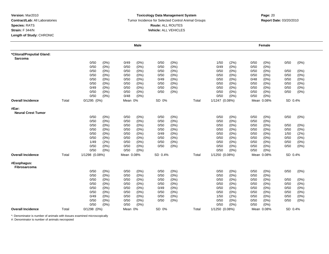#### **Toxicology Data Management System** Tumor Incidence for Selected Control Animal Groups **Report Date:** 03/20/2010 **Route:** ALL ROUTES **Vehicle:** ALL VEHICLES

|                                              |       |                 |         |            | <b>Male</b> |         |         |       |                |         |      | <b>Female</b> |         |      |
|----------------------------------------------|-------|-----------------|---------|------------|-------------|---------|---------|-------|----------------|---------|------|---------------|---------|------|
| *Clitoral/Preputial Gland:<br><b>Sarcoma</b> |       |                 |         |            |             |         |         |       |                |         |      |               |         |      |
|                                              |       | 0/50            | (0%)    | 0/49       | $(0\%)$     | 0/50    | (0%)    |       | 1/50           | (2%)    | 0/50 | $(0\%)$       | 0/50    | (0%) |
|                                              |       | 0/50            | (0%)    | 0/50       | (0%)        | 0/50    | (0%)    |       | 0/49           | $(0\%)$ | 0/50 | (0%)          |         |      |
|                                              |       | 0/50            | (0%)    | 0/50       | (0%)        | 0/50    | (0%)    |       | 0/50           | $(0\%)$ | 0/50 | (0%)          | 0/50    | (0%) |
|                                              |       | 0/50            | (0%)    | 0/50       | $(0\%)$     | 0/50    | (0%)    |       | 0/50           | $(0\%)$ | 0/50 | (0%           | 0/50    | (0%) |
|                                              |       | 0/50            | (0%)    | 0/50       | (0%)        | 0/49    | (0%)    |       | 0/50           | (0%)    | 0/48 | $(0\%)$       | 0/50    | (0%) |
|                                              |       | 0/50            | (0%)    | 0/50       | (0%)        | 0/50    | (0%)    |       | 0/50           | $(0\%)$ | 0/50 | (0%)          | 0/50    | (0%) |
|                                              |       | 0/49            | $(0\%)$ | 0/50       | (0%)        | 0/50    | (0%)    |       | 0/50           | $(0\%)$ | 0/50 | $(0\%)$       | 0/50    | (0%) |
|                                              |       | 0/50            | (0%)    | 0/50       | (0%)        | 0/50    | (0%)    |       | 0/50           | $(0\%)$ | 0/50 | (0%)          | 0/50    | (0%) |
|                                              |       | 0/50            | (0%)    | 0/48       | (0%)        |         |         |       | 0/50           | (0%)    | 0/50 | (0%           |         |      |
| <b>Overall Incidence</b>                     | Total | 0/1295(0%)      |         | Mean 0%    |             | SD 0%   |         | Total | 1/1247 (0.08%) |         |      | Mean 0.08%    | SD 0.4% |      |
| #Ear:<br><b>Neural Crest Tumor</b>           |       |                 |         |            |             |         |         |       |                |         |      |               |         |      |
|                                              |       | 0/50            | (0%)    | 0/50       | (0%)        | 0/50    | (0%)    |       | 0/50           | (0%)    | 0/50 | (0%)          | 0/50    | (0%) |
|                                              |       | 0/50            | (0%)    | 0/50       | (0%)        | 0/50    | (0%)    |       | 0/50           | (0%)    | 0/50 | (0%)          |         |      |
|                                              |       | 0/50            | (0%)    | 0/50       | (0%)        | 0/50    | (0%)    |       | 0/50           | (0%)    | 0/50 | (0%)          | 0/50    | (0%) |
|                                              |       | 0/50            | (0%)    | 0/50       | (0%)        | 0/50    | (0%)    |       | 0/50           | $(0\%)$ | 0/50 | (0%)          | 0/50    | (0%) |
|                                              |       | 0/50            | $(0\%)$ | 0/50       | $(0\%)$     | 0/49    | (0%)    |       | 0/50           | (0%     | 0/50 | (0%)          | 1/50    | (2%) |
|                                              |       | 0/50            | (0%)    | 0/50       | (0%)        | 0/50    | $(0\%)$ |       | 0/50           | $(0\%)$ | 0/50 | (0%)          | 0/50    | (0%) |
|                                              |       | 1/49            | (2%)    | 0/50       | (0%)        | 0/50    | (0%)    |       | 0/50           | (0%)    | 0/50 | (0%)          | 0/50    | (0%) |
|                                              |       | 0/50            | (0%)    | 0/50       | (0%)        | 0/50    | $(0\%)$ |       | 0/50           | (0%)    | 0/50 | $(0\%)$       | 0/50    | (0%) |
|                                              |       | 0/50            | (0%)    | 0/50       | (0%)        |         |         |       | 0/50           | (0%)    | 0/50 | $(0\%)$       |         |      |
| <b>Overall Incidence</b>                     | Total | 1/1298 (0.08%)  |         | Mean 0.08% |             | SD 0.4% |         | Total | 1/1250 (0.08%) |         |      | Mean 0.08%    | SD 0.4% |      |
| #Esophagus:<br>Fibrosarcoma                  |       |                 |         |            |             |         |         |       |                |         |      |               |         |      |
|                                              |       | 0/50            | (0%)    | 0/50       | (0%)        | 0/50    | (0%)    |       | 0/50           | (0%)    | 0/50 | $(0\%)$       | 0/50    | (0%) |
|                                              |       | 0/50            | (0%)    | 0/50       | (0%)        | 0/50    | (0%)    |       | 0/50           | $(0\%)$ | 0/50 | (0%)          |         |      |
|                                              |       | 0/50            | (0%)    | 0/50       | (0%)        | 0/50    | (0%)    |       | 0/50           | (0%     | 0/50 | $(0\%)$       | 0/50    | (0%) |
|                                              |       | 0/50            | (0%)    | 0/50       | $(0\%)$     | 0/50    | (0%)    |       | 0/50           | $(0\%)$ | 0/50 | (0%)          | 0/50    | (0%) |
|                                              |       | 0/50            | (0%)    | 0/50       | (0%)        | 0/49    | (0%)    |       | 0/50           | (0%)    | 0/50 | $(0\%)$       | 0/50    | (0%) |
|                                              |       | 0/50            | (0%)    | 0/50       | (0%)        | 0/50    | (0%)    |       | 0/50           | $(0\%)$ | 0/50 | (0%)          | 0/50    | (0%) |
|                                              |       | 0/49            | $(0\%)$ | 0/50       | $(0\%)$     | 0/50    | (0%)    |       | 1/50           | (2%)    | 0/50 | $(0\%)$       | 0/50    | (0%) |
|                                              |       | 0/50            | (0%)    | 0/50       | (0%)        | 0/50    | (0%)    |       | 0/50           | $(0\%)$ | 0/50 | (0%)          | 0/50    | (0%) |
|                                              |       | 0/50            | (0%)    | 0/50       | (0%)        |         |         |       | 0/50           | (0%)    | 0/50 | (0%)          |         |      |
| <b>Overall Incidence</b>                     | Total | $0/1298$ $(0%)$ |         | Mean 0%    |             | SD 0%   |         | Total | 1/1250 (0.08%) |         |      | Mean 0.08%    | SD 0.4% |      |

\*: Denominator is number of animals with tissues examined microscopically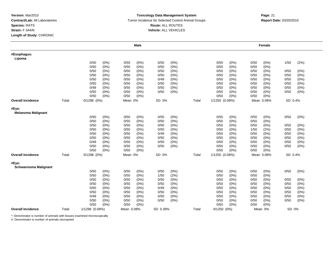#### **Toxicology Data Management System** Tumor Incidence for Selected Control Animal Groups **Report Date:** 03/20/2010 **Route:** ALL ROUTES **Vehicle:** ALL VEHICLES

# **m**<br> **Page:** 21

|                                      |       |                 |                 | <b>Male</b> |          |         |       |                |      |      | Female     |         |         |
|--------------------------------------|-------|-----------------|-----------------|-------------|----------|---------|-------|----------------|------|------|------------|---------|---------|
| #Esophagus:<br>Lipoma                |       |                 |                 |             |          |         |       |                |      |      |            |         |         |
|                                      |       | 0/50            | (0%)<br>0/50    | $(0\%)$     | 0/50     | (0%)    |       | 0/50           | (0%) | 0/50 | (0%)       | 1/50    | (2%)    |
|                                      |       | 0/50            | $(0\%)$<br>0/50 | $(0\%)$     | 0/50     | (0%)    |       | 0/50           | (0%) | 0/50 | $(0\%)$    |         |         |
|                                      |       | 0/50            | $(0\%)$<br>0/50 | $(0\%)$     | 0/50     | (0%)    |       | 0/50           | (0%) | 0/50 | $(0\%)$    | 0/50    | $(0\%)$ |
|                                      |       | 0/50            | (0%)<br>0/50    | $(0\%)$     | 0/50     | (0%)    |       | 0/50           | (0%) | 0/50 | $(0\%)$    | 0/50    | $(0\%)$ |
|                                      |       | 0/50            | 0/50<br>$(0\%)$ | $(0\%)$     | 0/49     | $(0\%)$ |       | 0/50           | (0%) | 0/50 | (0%        | 0/50    | $(0\%)$ |
|                                      |       | 0/50            | 0/50<br>(0%)    | $(0\%)$     | 0/50     | $(0\%)$ |       | 0/50           | (0%) | 0/50 | $(0\%)$    | 0/50    | $(0\%)$ |
|                                      |       | 0/49            | (0%)<br>0/50    | (0%)        | 0/50     | $(0\%)$ |       | 0/50           | (0%) | 0/50 | $(0\%)$    | 0/50    | $(0\%)$ |
|                                      |       | 0/50            | 0/50<br>(0%)    | $(0\%)$     | 0/50     | (0%)    |       | 0/50           | (0%) | 0/50 | $(0\%)$    | 0/50    | $(0\%)$ |
|                                      |       | 0/50            | $(0\%)$<br>0/50 | (0%)        |          |         |       | 0/50           | (0%) | 0/50 | (0%        |         |         |
| <b>Overall Incidence</b>             | Total | $0/1298$ $(0%)$ | Mean 0%         |             | SD 0%    |         | Total | 1/1250 (0.08%) |      |      | Mean 0.08% | SD 0.4% |         |
| #Eye:<br><b>Melanoma Malignant</b>   |       |                 |                 |             |          |         |       |                |      |      |            |         |         |
|                                      |       | 0/50            | (0%)<br>0/50    | $(0\%)$     | 0/50     | (0%)    |       | 0/50           | (0%) | 0/50 | $(0\%)$    | 0/50    | $(0\%)$ |
|                                      |       | 0/50            | $(0\%)$<br>0/50 | $(0\%)$     | 0/50     | (0%)    |       | 0/50           | (0%) | 0/50 | $(0\%)$    |         |         |
|                                      |       | 0/50            | (0%)<br>0/50    | $(0\%)$     | 0/50     | $(0\%)$ |       | 0/50           | (0%) | 0/50 | (0%)       | 0/50    | (0%)    |
|                                      |       | 0/50            | 0/50<br>(0%)    | $(0\%)$     | 0/50     | $(0\%)$ |       | 0/50           | (0%) | 1/50 | (2%)       | 0/50    | $(0\%)$ |
|                                      |       | 0/50            | (0%)<br>0/50    | $(0\%)$     | 0/49     | (0%)    |       | 0/50           | (0%) | 0/50 | $(0\%)$    | 0/50    | (0%)    |
|                                      |       | 0/50            | $(0\%)$<br>0/50 | $(0\%)$     | 0/50     | $(0\%)$ |       | 0/50           | (0%) | 0/50 | $(0\%)$    | 0/50    | $(0\%)$ |
|                                      |       | 0/49            | $(0\%)$<br>0/50 | $(0\%)$     | 0/50     | (0%)    |       | 0/50           | (0%) | 0/50 | (0%)       | 0/50    | (0%)    |
|                                      |       | 0/50            | 0/50<br>(0%)    | (0%)        | 0/50     | $(0\%)$ |       | 0/50           | (0%) | 0/50 | (0%)       | 0/50    | $(0\%)$ |
|                                      |       | 0/50            | $(0\%)$<br>0/50 | (0%)        |          |         |       | 0/50           | (0%) | 0/50 | (0%)       |         |         |
| <b>Overall Incidence</b>             | Total | $0/1298$ $(0%)$ | Mean 0%         |             | SD 0%    |         | Total | 1/1250 (0.08%) |      |      | Mean 0.08% | SD 0.4% |         |
| #Eye:<br><b>Schwannoma Malignant</b> |       |                 |                 |             |          |         |       |                |      |      |            |         |         |
|                                      |       | 0/50            | (0%)<br>0/50    | $(0\%)$     | 0/50     | (0%)    |       | 0/50           | (0%) | 0/50 | (0%)       | 0/50    | $(0\%)$ |
|                                      |       | 0/50            | $(0\%)$<br>0/50 | $(0\%)$     | 1/50     | (2%)    |       | 0/50           | (0%) | 0/50 | $(0\%)$    |         |         |
|                                      |       | 0/50            | 0/50<br>$(0\%)$ | $(0\%)$     | 0/50     | (0%)    |       | 0/50           | (0%) | 0/50 | (0%        | 0/50    | $(0\%)$ |
|                                      |       | 0/50            | (0%)<br>0/50    | (0%)        | 0/50     | $(0\%)$ |       | 0/50           | (0%) | 0/50 | $(0\%)$    | 0/50    | $(0\%)$ |
|                                      |       | 0/50            | $(0\%)$<br>0/50 | $(0\%)$     | 0/49     | (0%)    |       | 0/50           | (0%) | 0/50 | (0%        | 0/50    | $(0\%)$ |
|                                      |       | 0/50            | (0%)<br>0/50    | $(0\%)$     | 0/50     | $(0\%)$ |       | 0/50           | (0%) | 0/50 | $(0\%)$    | 0/50    | (0%)    |
|                                      |       | 0/49            | $(0\%)$<br>0/50 | $(0\%)$     | 0/50     | $(0\%)$ |       | 0/50           | (0%) | 0/50 | $(0\%)$    | 0/50    | (0%)    |
|                                      |       | 0/50            | (0%)<br>0/50    | (0%)        | 0/50     | $(0\%)$ |       | 0/50           | (0%) | 0/50 | $(0\%)$    | 0/50    | $(0\%)$ |
|                                      |       | 0/50            | 0/50<br>$(0\%)$ | $(0\%)$     |          |         |       | 0/50           | (0%) | 0/50 | $(0\%)$    |         |         |
| <b>Overall Incidence</b>             | Total | 1/1298 (0.08%)  | Mean 0.08%      |             | SD 0.39% |         | Total | $0/1250(0\%)$  |      |      | Mean 0%    | SD 0%   |         |

\*: Denominator is number of animals with tissues examined microscopically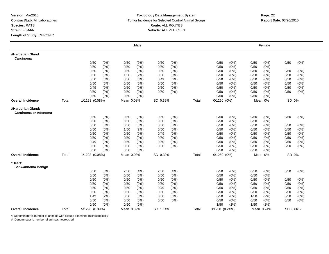#### **Toxicology Data Management System** Tumor Incidence for Selected Control Animal Groups **Report Date:** 03/20/2010 **Route:** ALL ROUTES **Vehicle:** ALL VEHICLES

|                                           |       |                |         |            | Male    |          |       |       |                 |         |      | Female     |          |         |
|-------------------------------------------|-------|----------------|---------|------------|---------|----------|-------|-------|-----------------|---------|------|------------|----------|---------|
| #Harderian Gland:<br>Carcinoma            |       |                |         |            |         |          |       |       |                 |         |      |            |          |         |
|                                           |       | 0/50           | (0%)    | 0/50       | (0%)    | 0/50     | (0%)  |       | 0/50            | $(0\%)$ | 0/50 | $(0\%)$    | 0/50     | (0%)    |
|                                           |       | 0/50           | (0%)    | 0/50       | $(0\%)$ | 0/50     | (0%)  |       | 0/50            | (0%)    | 0/50 | $(0\%)$    |          |         |
|                                           |       | 0/50           | (0%)    | 0/50       | (0%)    | 0/50     | (0%)  |       | 0/50            | (0%)    | 0/50 | $(0\%)$    | 0/50     | $(0\%)$ |
|                                           |       | 0/50           | $(0\%)$ | 1/50       | (2%)    | 0/50     | (0%   |       | 0/50            | (0%)    | 0/50 | (0%        | 0/50     | (0%)    |
|                                           |       | 0/50           | $(0\%)$ | 0/50       | $(0\%)$ | 0/49     | (0%)  |       | 0/50            | (0%)    | 0/50 | $(0\%)$    | 0/50     | $(0\%)$ |
|                                           |       | 0/50           | $(0\%)$ | 0/50       | $(0\%)$ | 0/50     | (0%)  |       | 0/50            | (0%)    | 0/50 | $(0\%)$    | 0/50     | (0%)    |
|                                           |       | 0/49           | (0%)    | 0/50       | $(0\%)$ | 0/50     | (0%)  |       | 0/50            | (0%)    | 0/50 | $(0\%)$    | 0/50     | (0%)    |
|                                           |       | 0/50           | $(0\%)$ | 0/50       | (0%)    | 0/50     | (0%)  |       | 0/50            | $(0\%)$ | 0/50 | $(0\%)$    | 0/50     | (0%)    |
|                                           |       | 0/50           | (0%)    | 0/50       | $(0\%)$ |          |       |       | 0/50            | (0%)    | 0/50 | $(0\%)$    |          |         |
| Overall Incidence                         | Total | 1/1298 (0.08%) |         | Mean 0.08% |         | SD 0.39% |       | Total | $0/1250(0\%)$   |         |      | Mean 0%    | SD 0%    |         |
| #Harderian Gland:<br>Carcinoma or Adenoma |       |                |         |            |         |          |       |       |                 |         |      |            |          |         |
|                                           |       | 0/50           | (0%)    | 0/50       | (0%)    | 0/50     | (0%)  |       | 0/50            | (0%)    | 0/50 | (0%        | 0/50     | (0%)    |
|                                           |       | 0/50           | (0%)    | 0/50       | $(0\%)$ | 0/50     | (0% ) |       | 0/50            | (0%)    | 0/50 | $(0\%)$    |          |         |
|                                           |       | 0/50           | (0%)    | 0/50       | (0%)    | 0/50     | (0%)  |       | 0/50            | (0%)    | 0/50 | $(0\%)$    | 0/50     | (0%)    |
|                                           |       | 0/50           | (0%)    | 1/50       | (2%)    | 0/50     | (0%)  |       | 0/50            | (0%)    | 0/50 | $(0\%)$    | 0/50     | (0%)    |
|                                           |       | 0/50           | $(0\%)$ | 0/50       | $(0\%)$ | 0/49     | (0%)  |       | 0/50            | (0%)    | 0/50 | (0%)       | 0/50     | (0%)    |
|                                           |       | 0/50           | (0%)    | 0/50       | (0%)    | 0/50     | (0%)  |       | 0/50            | (0%)    | 0/50 | (0%        | 0/50     | (0%)    |
|                                           |       | 0/49           | (0%)    | 0/50       | (0%)    | 0/50     | (0%)  |       | 0/50            | (0%)    | 0/50 | $(0\%)$    | 0/50     | (0%)    |
|                                           |       | 0/50           | (0%)    | 0/50       | (0%)    | 0/50     | (0%)  |       | 0/50            | (0%)    | 0/50 | (0%)       | 0/50     | (0%)    |
|                                           |       | 0/50           | (0%)    | 0/50       | (0%)    |          |       |       | 0/50            | (0%)    | 0/50 | (0%)       |          |         |
| <b>Overall Incidence</b>                  | Total | 1/1298 (0.08%) |         | Mean 0.08% |         | SD 0.39% |       | Total | $0/1250$ $(0%)$ |         |      | Mean 0%    | SD 0%    |         |
| *Heart:<br>Schwannoma Benign              |       |                |         |            |         |          |       |       |                 |         |      |            |          |         |
|                                           |       | 0/50           | (0%)    | 2/50       | (4%)    | 2/50     | (4%)  |       | 0/50            | $(0\%)$ | 0/50 | (0%)       | 0/50     | (0%)    |
|                                           |       | 0/50           | (0%)    | 0/50       | (0%)    | 0/50     | (0%)  |       | 0/50            | (0%)    | 0/50 | $(0\%)$    |          |         |
|                                           |       | 0/50           | $(0\%)$ | 0/50       | (0%)    | 0/50     | (0%)  |       | 0/50            | (0%)    | 0/50 | $(0\%)$    | 0/50     | (0%)    |
|                                           |       | 0/50           | (0%)    | 0/50       | (0%)    | 0/50     | (0%)  |       | 0/50            | (0%)    | 0/50 | (0%)       | 0/50     | (0%)    |
|                                           |       | 0/50           | $(0\%)$ | 0/50       | (0%)    | 0/49     | (0%)  |       | 0/50            | (0%)    | 0/50 | (0%)       | 0/50     | (0%)    |
|                                           |       | 0/50           | (0%)    | 0/50       | (0%)    | 0/50     | (0%)  |       | 0/50            | (0%)    | 0/50 | $(0\%)$    | 0/50     | (0%)    |
|                                           |       | 1/49           | (2%)    | 0/50       | (0%)    | 0/50     | (0%)  |       | 0/50            | (0%)    | 1/50 | (2%)       | 0/50     | (0%)    |
|                                           |       | 0/50           | $(0\%)$ | 0/50       | $(0\%)$ | 0/50     | (0%)  |       | 0/50            | (0%)    | 0/50 | $(0\%)$    | 0/50     | (0%)    |
|                                           |       | 0/50           | (0%)    | 0/50       | (0%)    |          |       |       | 1/50            | (2%)    | 1/50 | (2%)       |          |         |
| <b>Overall Incidence</b>                  | Total | 5/1298 (0.39%) |         | Mean 0.39% |         | SD 1.14% |       | Total | 3/1250 (0.24%)  |         |      | Mean 0.24% | SD 0.66% |         |

\*: Denominator is number of animals with tissues examined microscopically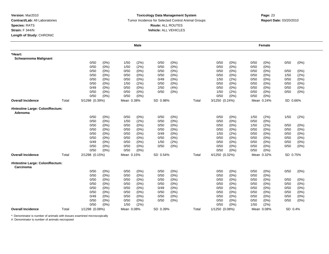#### **Toxicology Data Management System** Tumor Incidence for Selected Control Animal Groups **Report Date:** 03/20/2010 **Route:** ALL ROUTES **Vehicle:** ALL VEHICLES

|                                              |       |                |         |            | <b>Male</b> |          |         |       |                |         |      | Female     |          |         |
|----------------------------------------------|-------|----------------|---------|------------|-------------|----------|---------|-------|----------------|---------|------|------------|----------|---------|
| *Heart:<br><b>Schwannoma Malignant</b>       |       |                |         |            |             |          |         |       |                |         |      |            |          |         |
|                                              |       | 0/50           | (0%)    | 1/50       | (2%)        | 0/50     | $(0\%)$ |       | 0/50           | $(0\%)$ | 0/50 | (0%)       | 0/50     | (0%)    |
|                                              |       | 0/50           | (0%)    | 1/50       | (2%)        | 0/50     | $(0\%)$ |       | 0/50           | $(0\%)$ | 0/50 | $(0\%)$    |          |         |
|                                              |       | 0/50           | (0%)    | 0/50       | $(0\%)$     | 0/50     | (0%)    |       | 0/50           | $(0\%)$ | 0/50 | (0%)       | 0/50     | (0%)    |
|                                              |       | 0/50           | (0%)    | 0/50       | $(0\%)$     | 0/50     | (0%)    |       | 0/50           | $(0\%)$ | 0/50 | (0%        | 1/50     | (2%)    |
|                                              |       | 0/50           | (0%)    | 0/50       | $(0\%)$     | 0/49     | (0%)    |       | 1/50           | (2%)    | 0/50 | $(0\%)$    | 0/50     | (0%)    |
|                                              |       | 0/50           | $(0\%)$ | 1/50       | (2%)        | 0/50     | $(0\%)$ |       | 0/50           | (0%)    | 0/50 | $(0\%)$    | 0/50     | (0%)    |
|                                              |       | 0/49           | (0%)    | 0/50       | $(0\%)$     | 2/50     | (4%)    |       | 0/50           | $(0\%)$ | 0/50 | $(0\%)$    | 0/50     | (0%)    |
|                                              |       | 0/50           | (0%)    | 0/50       | (0%)        | 0/50     | $(0\%)$ |       | 1/50           | (2%)    | 0/50 | (0%)       | 0/50     | (0%)    |
|                                              |       | 0/50           | (0%)    | 0/50       | (0%)        |          |         |       | 0/50           | (0%)    | 0/50 | (0%        |          |         |
| <b>Overall Incidence</b>                     | Total | 5/1298 (0.39%) |         | Mean 0.38% |             | SD 0.98% |         | Total | 3/1250 (0.24%) |         |      | Mean 0.24% | SD 0.66% |         |
| #Intestine Large: Colon/Rectum:<br>Adenoma   |       |                |         |            |             |          |         |       |                |         |      |            |          |         |
|                                              |       | 0/50           | $(0\%)$ | 0/50       | (0%)        | 0/50     | (0%)    |       | 0/50           | $(0\%)$ | 1/50 | (2%)       | 1/50     | (2%)    |
|                                              |       | 0/50           | (0%)    | 1/50       | (2%)        | 0/50     | (0%)    |       | 0/50           | (0%     | 0/50 | (0%        |          |         |
|                                              |       | 0/50           | (0%)    | 0/50       | $(0\%)$     | 0/50     | (0%)    |       | 0/50           | (0%)    | 1/50 | (2%)       | 0/50     | $(0\%)$ |
|                                              |       | 0/50           | (0%)    | 0/50       | $(0\%)$     | 0/50     | $(0\%)$ |       | 0/50           | $(0\%)$ | 0/50 | $(0\%)$    | 0/50     | (0%)    |
|                                              |       | 0/50           | $(0\%)$ | 0/50       | $(0\%)$     | 0/49     | (0%)    |       | 1/50           | (2%)    | 0/50 | $(0\%)$    | 0/50     | (0%)    |
|                                              |       | 0/50           | (0%)    | 0/50       | $(0\%)$     | 0/50     | (0%)    |       | 0/50           | $(0\%)$ | 0/50 | (0%)       | 0/50     | (0%)    |
|                                              |       | 0/49           | (0%)    | 0/50       | $(0\%)$     | 1/50     | (2%)    |       | 0/50           | $(0\%)$ | 0/50 | $(0\%)$    | 0/50     | (0%)    |
|                                              |       | 0/50           | $(0\%)$ | 0/50       | $(0\%)$     | 0/50     | (0%)    |       | 0/50           | (0%)    | 0/50 | $(0\%)$    | 0/50     | (0%)    |
|                                              |       | 0/50           | $(0\%)$ | 0/50       | $(0\%)$     |          |         |       | 0/50           | (0%)    | 0/50 | (0%)       |          |         |
| <b>Overall Incidence</b>                     | Total | 2/1298 (0.15%) |         | Mean 0.15% |             | SD 0.54% |         | Total | 4/1250 (0.32%) |         |      | Mean 0.32% | SD 0.75% |         |
| #Intestine Large: Colon/Rectum:<br>Carcinoma |       |                |         |            |             |          |         |       |                |         |      |            |          |         |
|                                              |       | 0/50           | (0%)    | 0/50       | (0%)        | 0/50     | $(0\%)$ |       | 0/50           | (0%)    | 0/50 | (0%)       | 0/50     | (0%)    |
|                                              |       | 0/50           | (0%)    | 0/50       | $(0\%)$     | 0/50     | $(0\%)$ |       | 0/50           | $(0\%)$ | 0/50 | $(0\%)$    |          |         |
|                                              |       | 0/50           | $(0\%)$ | 0/50       | $(0\%)$     | 0/50     | (0%)    |       | 0/50           | $(0\%)$ | 0/50 | (0%        | 0/50     | (0%)    |
|                                              |       | 0/50           | (0%)    | 0/50       | (0%)        | 0/50     | (0%)    |       | 0/50           | $(0\%)$ | 0/50 | (0%        | 0/50     | (0%)    |
|                                              |       | 0/50           | (0%)    | 0/50       | $(0\%)$     | 0/49     | (0%)    |       | 0/50           | (0%)    | 0/50 | $(0\%)$    | 0/50     | (0%)    |
|                                              |       | 0/50           | (0%)    | 0/50       | $(0\%)$     | 0/50     | $(0\%)$ |       | 0/50           | (0%)    | 0/50 | $(0\%)$    | 0/50     | (0%)    |
|                                              |       | 0/49           | $(0\%)$ | 0/50       | (0%)        | 0/50     | $(0\%)$ |       | 0/50           | $(0\%)$ | 0/50 | $(0\%)$    | 0/50     | (0%)    |
|                                              |       | 0/50           | (0%)    | 0/50       | $(0\%)$     | 0/50     | $(0\%)$ |       | 0/50           | (0%)    | 0/50 | $(0\%)$    | 0/50     | (0%)    |
|                                              |       | 0/50           | (0%)    | 1/50       | (2%)        |          |         |       | 0/50           | (0%)    | 1/50 | (2%)       |          |         |
| <b>Overall Incidence</b>                     | Total | 1/1298 (0.08%) |         | Mean 0.08% |             | SD 0.39% |         | Total | 1/1250 (0.08%) |         |      | Mean 0.08% | SD 0.4%  |         |

\*: Denominator is number of animals with tissues examined microscopically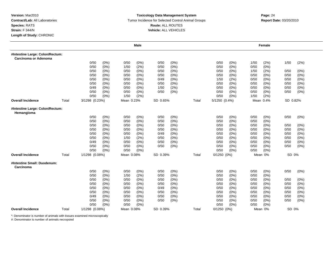#### **Toxicology Data Management System** Tumor Incidence for Selected Control Animal Groups **Report Date:** 03/20/2010 **Route:** ALL ROUTES **Vehicle:** ALL VEHICLES

# **m**<br> **Page:** 24

|                                                         |       |                |         |            | <b>Male</b> |          |         |       |               |       |      | Female    |          |         |
|---------------------------------------------------------|-------|----------------|---------|------------|-------------|----------|---------|-------|---------------|-------|------|-----------|----------|---------|
| #Intestine Large: Colon/Rectum:<br>Carcinoma or Adenoma |       |                |         |            |             |          |         |       |               |       |      |           |          |         |
|                                                         |       | 0/50           | (0%)    | 0/50       | (0%)        | 0/50     | $(0\%)$ |       | 0/50          | (0%)  | 1/50 | (2%)      | 1/50     | (2%)    |
|                                                         |       | 0/50           | (0%)    | 1/50       | (2%)        | 0/50     | $(0\%)$ |       | 0/50          | (0%)  | 0/50 | $(0\%)$   |          |         |
|                                                         |       | 0/50           | (0%)    | 0/50       | $(0\%)$     | 0/50     | $(0\%)$ |       | 0/50          | (0%)  | 1/50 | (2%)      | 0/50     | $(0\%)$ |
|                                                         |       | 0/50           | (0%)    | 0/50       | $(0\%)$     | 0/50     | (0%)    |       | 0/50          | (0%)  | 0/50 | $(0\%)$   | 0/50     | (0%)    |
|                                                         |       | 0/50           | (0%)    | 0/50       | $(0\%)$     | 0/49     | (0%)    |       | 1/50          | (2%)  | 0/50 | $(0\%)$   | 0/50     | $(0\%)$ |
|                                                         |       | 0/50           | (0%)    | 0/50       | (0%)        | 0/50     | (0%)    |       | 0/50          | (0%)  | 0/50 | $(0\%)$   | 0/50     | (0%)    |
|                                                         |       | 0/49           | $(0\%)$ | 0/50       | $(0\%)$     | 1/50     | (2%)    |       | 0/50          | (0%)  | 0/50 | (0%)      | 0/50     | (0%)    |
|                                                         |       | 0/50           | (0%)    | 0/50       | (0%)        | 0/50     | (0%)    |       | 0/50          | (0%)  | 0/50 | $(0\%)$   | 0/50     | (0%)    |
|                                                         |       | 0/50           | (0%)    | 1/50       | (2%)        |          |         |       | 0/50          | (0%)  | 1/50 | (2%)      |          |         |
| <b>Overall Incidence</b>                                | Total | 3/1298 (0.23%) |         | Mean 0.23% |             | SD 0.65% |         | Total | 5/1250 (0.4%) |       |      | Mean 0.4% | SD 0.82% |         |
| #Intestine Large: Colon/Rectum:<br>Hemangioma           |       |                |         |            |             |          |         |       |               |       |      |           |          |         |
|                                                         |       | 0/50           | (0%)    | 0/50       | (0%)        | 0/50     | (0%)    |       | 0/50          | (0%)  | 0/50 | (0%)      | 0/50     | $(0\%)$ |
|                                                         |       | 0/50           | (0%)    | 0/50       | (0%)        | 0/50     | (0%     |       | 0/50          | (0% ) | 0/50 | (0% )     |          |         |
|                                                         |       | 0/50           | (0%)    | 0/50       | (0% )       | 0/50     | (0% )   |       | 0/50          | (0%)  | 0/50 | (0%)      | 0/50     | (0%)    |
|                                                         |       | 0/50           | (0%)    | 0/50       | $(0\%)$     | 0/50     | $(0\%)$ |       | 0/50          | (0%)  | 0/50 | (0%)      | 0/50     | (0%)    |
|                                                         |       | 0/50           | $(0\%)$ | 0/50       | $(0\%)$     | 0/49     | $(0\%)$ |       | 0/50          | (0%)  | 0/50 | (0%)      | 0/50     | (0%)    |
|                                                         |       | 0/50           | (0%)    | 1/50       | (2%)        | 0/50     | $(0\%)$ |       | 0/50          | (0%)  | 0/50 | (0%)      | 0/50     | (0%)    |
|                                                         |       | 0/49           | (0%)    | 0/50       | $(0\%)$     | 0/50     | $(0\%)$ |       | 0/50          | (0%)  | 0/50 | $(0\%)$   | 0/50     | (0%)    |
|                                                         |       | 0/50           | (0%)    | 0/50       | $(0\%)$     | 0/50     | $(0\%)$ |       | 0/50          | (0%)  | 0/50 | (0%)      | 0/50     | $(0\%)$ |
|                                                         |       | 0/50           | (0%)    | 0/50       | $(0\%)$     |          |         |       | 0/50          | (0%)  | 0/50 | (0%)      |          |         |
| <b>Overall Incidence</b>                                | Total | 1/1298 (0.08%) |         | Mean 0.08% |             | SD 0.39% |         | Total | 0/1250 (0%)   |       |      | Mean 0%   | SD 0%    |         |
| #Intestine Small: Duodenum:<br>Carcinoma                |       |                |         |            |             |          |         |       |               |       |      |           |          |         |
|                                                         |       | 0/50           | (0%)    | 0/50       | (0%)        | 0/50     | $(0\%)$ |       | 0/50          | (0%)  | 0/50 | (0%)      | 0/50     | $(0\%)$ |
|                                                         |       | 0/50           | (0%)    | 1/50       | (2%)        | 0/50     | $(0\%)$ |       | 0/50          | (0%)  | 0/50 | $(0\%)$   |          |         |
|                                                         |       | 0/50           | (0%)    | 0/50       | $(0\%)$     | 0/50     | (0%)    |       | 0/50          | (0%)  | 0/50 | (0%)      | 0/50     | $(0\%)$ |
|                                                         |       | 0/50           | (0%)    | 0/50       | $(0\%)$     | 0/50     | (0%)    |       | 0/50          | (0%)  | 0/50 | (0%)      | 0/50     | (0%)    |
|                                                         |       | 0/50           | (0%)    | 0/50       | $(0\%)$     | 0/49     | (0%)    |       | 0/50          | (0%)  | 0/50 | $(0\%)$   | 0/50     | $(0\%)$ |
|                                                         |       | 0/50           | (0%)    | 0/50       | (0%)        | 0/50     | $(0\%)$ |       | 0/50          | (0%)  | 0/50 | $(0\%)$   | 0/50     | (0%)    |
|                                                         |       | 0/49           | (0%)    | 0/50       | (0%)        | 0/50     | $(0\%)$ |       | 0/50          | (0%)  | 0/50 | $(0\%)$   | 0/50     | $(0\%)$ |
|                                                         |       | 0/50           | (0%)    | 0/50       | $(0\%)$     | 0/50     | $(0\%)$ |       | 0/50          | (0%)  | 0/50 | (0%)      | 0/50     | (0%)    |
|                                                         |       | 0/50           | (0%)    | 0/50       | (0%)        |          |         |       | 0/50          | (0%)  | 0/50 | (0% )     |          |         |
| <b>Overall Incidence</b>                                | Total | 1/1298 (0.08%) |         | Mean 0.08% |             | SD 0.39% |         | Total | $0/1250(0\%)$ |       |      | Mean 0%   | SD 0%    |         |

\*: Denominator is number of animals with tissues examined microscopically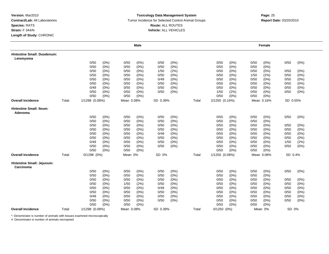#### **Toxicology Data Management System** Tumor Incidence for Selected Control Animal Groups **Report Date:** 03/20/2010 **Route:** ALL ROUTES **Vehicle:** ALL VEHICLES

# **m**<br> **Page:** 25

|                                          |       |                 |         |            | <b>Male</b> |          |         |       |                |      |      | Female     |          |         |
|------------------------------------------|-------|-----------------|---------|------------|-------------|----------|---------|-------|----------------|------|------|------------|----------|---------|
| #Intestine Small: Duodenum:<br>Leiomyoma |       |                 |         |            |             |          |         |       |                |      |      |            |          |         |
|                                          |       | 0/50            | (0%)    | 0/50       | $(0\%)$     | 0/50     | (0%)    |       | 0/50           | (0%) | 0/50 | $(0\%)$    | 0/50     | (0%)    |
|                                          |       | 0/50            | (0%)    | 0/50       | $(0\%)$     | 0/50     | (0%)    |       | 0/50           | (0%) | 0/50 | $(0\%)$    |          |         |
|                                          |       | 0/50            | (0%)    | 0/50       | $(0\%)$     | 1/50     | (2%)    |       | 0/50           | (0%) | 0/50 | $(0\%)$    | 0/50     | (0%)    |
|                                          |       | 0/50            | (0%)    | 0/50       | (0%)        | 0/50     | $(0\%)$ |       | 0/50           | (0%) | 1/50 | (2%)       | 0/50     | (0%)    |
|                                          |       | 0/50            | (0%)    | 0/50       | $(0\%)$     | 0/49     | $(0\%)$ |       | 0/50           | (0%) | 0/50 | (0%)       | 0/50     | $(0\%)$ |
|                                          |       | 0/50            | (0%)    | 0/50       | $(0\%)$     | 0/50     | $(0\%)$ |       | 0/50           | (0%) | 0/50 | (0%)       | 0/50     | (0%)    |
|                                          |       | 0/49            | $(0\%)$ | 0/50       | $(0\%)$     | 0/50     | $(0\%)$ |       | 0/50           | (0%) | 0/50 | $(0\%)$    | 0/50     | $(0\%)$ |
|                                          |       | 0/50            | (0%)    | 0/50       | (0%)        | 0/50     | $(0\%)$ |       | 1/50           | (2%) | 0/50 | $(0\%)$    | 0/50     | (0%)    |
|                                          |       | 0/50            | $(0\%)$ | 0/50       | $(0\%)$     |          |         |       | 0/50           | (0%) | 0/50 | $(0\%)$    |          |         |
| <b>Overall Incidence</b>                 | Total | 1/1298 (0.08%)  |         | Mean 0.08% |             | SD 0.39% |         | Total | 2/1250 (0.16%) |      |      | Mean 0.16% | SD 0.55% |         |
| #Intestine Small: Ileum:<br>Adenoma      |       |                 |         |            |             |          |         |       |                |      |      |            |          |         |
|                                          |       | 0/50            | (0%)    | 0/50       | (0% )       | 0/50     | (0% )   |       | 0/50           | (0%) | 0/50 | $(0\%)$    | 0/50     | (0%)    |
|                                          |       | 0/50            | (0%)    | 0/50       | $(0\%)$     | 0/50     | (0%)    |       | 0/50           | (0%) | 0/50 | (0%)       |          |         |
|                                          |       | 0/50            | (0%)    | 0/50       | $(0\%)$     | 0/50     | $(0\%)$ |       | 0/50           | (0%) | 0/50 | (0%)       | 0/50     | $(0\%)$ |
|                                          |       | 0/50            | $(0\%)$ | 0/50       | $(0\%)$     | 0/50     | $(0\%)$ |       | 0/50           | (0%) | 0/50 | $(0\%)$    | 0/50     | $(0\%)$ |
|                                          |       | 0/50            | $(0\%)$ | 0/50       | $(0\%)$     | 0/49     | (0%)    |       | 0/50           | (0%) | 0/50 | $(0\%)$    | 0/50     | (0%)    |
|                                          |       | 0/50            | (0%)    | 0/50       | $(0\%)$     | 0/50     | $(0\%)$ |       | 0/50           | (0%) | 0/50 | $(0\%)$    | 0/50     | (0%)    |
|                                          |       | 0/49            | (0%)    | 0/50       | $(0\%)$     | 0/50     | (0%)    |       | 0/50           | (0%) | 0/50 | $(0\%)$    | 1/50     | (2%)    |
|                                          |       | 0/50            | (0%)    | 0/50       | $(0\%)$     | 0/50     | (0%)    |       | 0/50           | (0%) | 0/50 | (0%)       | 0/50     | $(0\%)$ |
|                                          |       | 0/50            | (0%)    | 0/50       | $(0\%)$     |          |         |       | 0/50           | (0%) | 0/50 | $(0\%)$    |          |         |
| <b>Overall Incidence</b>                 | Total | $0/1298$ $(0%)$ |         | Mean 0%    |             | SD 0%    |         | Total | 1/1250 (0.08%) |      |      | Mean 0.08% | SD 0.4%  |         |
| #Intestine Small: Jejunum:<br>Carcinoma  |       |                 |         |            |             |          |         |       |                |      |      |            |          |         |
|                                          |       | 0/50            | (0%)    | 0/50       | (0%)        | 0/50     | $(0\%)$ |       | 0/50           | (0%) | 0/50 | $(0\%)$    | 0/50     | $(0\%)$ |
|                                          |       | 0/50            | (0%)    | 0/50       | $(0\%)$     | 0/50     | $(0\%)$ |       | 0/50           | (0%) | 0/50 | (0%)       |          |         |
|                                          |       | 0/50            | (0%)    | 0/50       | (0%)        | 0/50     | $(0\%)$ |       | 0/50           | (0%) | 0/50 | $(0\%)$    | 0/50     | (0%)    |
|                                          |       | 0/50            | (0%)    | 1/50       | (2%)        | 0/50     | $(0\%)$ |       | 0/50           | (0%) | 0/50 | $(0\%)$    | 0/50     | (0%)    |
|                                          |       | 0/50            | (0%)    | 0/50       | $(0\%)$     | 0/49     | $(0\%)$ |       | 0/50           | (0%) | 0/50 | $(0\%)$    | 0/50     | $(0\%)$ |
|                                          |       | 0/50            | $(0\%)$ | 0/50       | $(0\%)$     | 0/50     | $(0\%)$ |       | 0/50           | (0%) | 0/50 | $(0\%)$    | 0/50     | (0%)    |
|                                          |       | 0/49            | $(0\%)$ | 0/50       | $(0\%)$     | 0/50     | (0%)    |       | 0/50           | (0%) | 0/50 | $(0\%)$    | 0/50     | $(0\%)$ |
|                                          |       | 0/50            | (0%)    | 0/50       | $(0\%)$     | 0/50     | (0%)    |       | 0/50           | (0%) | 0/50 | $(0\%)$    | 0/50     | $(0\%)$ |
|                                          |       | 0/50            | (0%)    | 0/50       | (0%)        |          |         |       | 0/50           | (0%) | 0/50 | (0%)       |          |         |
| <b>Overall Incidence</b>                 | Total | 1/1298 (0.08%)  |         | Mean 0.08% |             | SD 0.39% |         | Total | $0/1250(0\%)$  |      |      | Mean 0%    | SD 0%    |         |

\*: Denominator is number of animals with tissues examined microscopically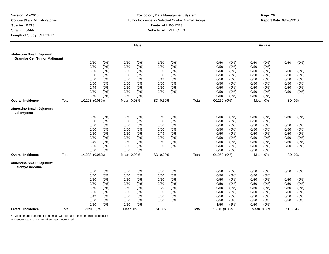#### **Toxicology Data Management System** Tumor Incidence for Selected Control Animal Groups **Report Date:** 03/20/2010 **Route:** ALL ROUTES **Vehicle:** ALL VEHICLES

# **m**<br> **Page:** 26

|                                                                    |       |                 |      |            | <b>Male</b> |          |         |       |                 |       |      | Female     |         |         |
|--------------------------------------------------------------------|-------|-----------------|------|------------|-------------|----------|---------|-------|-----------------|-------|------|------------|---------|---------|
| #Intestine Small: Jejunum:<br><b>Granular Cell Tumor Malignant</b> |       |                 |      |            |             |          |         |       |                 |       |      |            |         |         |
|                                                                    |       | 0/50            | (0%) | 0/50       | (0%)        | 1/50     | (2%)    |       | 0/50            | (0%)  | 0/50 | $(0\%)$    | 0/50    | (0%)    |
|                                                                    |       | 0/50            | (0%) | 0/50       | $(0\%)$     | 0/50     | (0%)    |       | 0/50            | (0% ) | 0/50 | $(0\%)$    |         |         |
|                                                                    |       | 0/50            | (0%) | 0/50       | $(0\%)$     | 0/50     | (0%)    |       | 0/50            | (0%)  | 0/50 | $(0\%)$    | 0/50    | (0%)    |
|                                                                    |       | 0/50            | (0%) | 0/50       | (0%)        | 0/50     | (0%)    |       | 0/50            | (0%   | 0/50 | (0%        | 0/50    | (0%)    |
|                                                                    |       | 0/50            | (0%) | 0/50       | $(0\%)$     | 0/49     | (0%)    |       | 0/50            | (0% ) | 0/50 | $(0\%)$    | 0/50    | (0%)    |
|                                                                    |       | 0/50            | (0%) | 0/50       | $(0\%)$     | 0/50     | (0%)    |       | 0/50            | (0%)  | 0/50 | $(0\%)$    | 0/50    | (0%)    |
|                                                                    |       | 0/49            | (0%) | 0/50       | $(0\%)$     | 0/50     | (0%)    |       | 0/50            | (0%)  | 0/50 | $(0\%)$    | 0/50    | $(0\%)$ |
|                                                                    |       | 0/50            | (0%) | 0/50       | $(0\%)$     | 0/50     | (0%)    |       | 0/50            | (0%)  | 0/50 | $(0\%)$    | 0/50    | $(0\%)$ |
|                                                                    |       | 0/50            | (0%) | 0/50       | (0% )       |          |         |       | 0/50            | (0%)  | 0/50 | (0%        |         |         |
| <b>Overall Incidence</b>                                           | Total | 1/1298 (0.08%)  |      | Mean 0.08% |             | SD 0.39% |         | Total | $0/1250$ $(0%)$ |       |      | Mean 0%    | SD 0%   |         |
| #Intestine Small: Jejunum:<br>Leiomyoma                            |       |                 |      |            |             |          |         |       |                 |       |      |            |         |         |
|                                                                    |       | 0/50            | (0%) | 0/50       | $(0\%)$     | 0/50     | (0%)    |       | 0/50            | (0%)  | 0/50 | $(0\%)$    | 0/50    | $(0\%)$ |
|                                                                    |       | 0/50            | (0%) | 0/50       | $(0\%)$     | 0/50     | (0%)    |       | 0/50            | (0%)  | 0/50 | $(0\%)$    |         |         |
|                                                                    |       | 0/50            | (0%) | 0/50       | $(0\%)$     | 0/50     | (0%)    |       | 0/50            | (0%)  | 0/50 | (0%)       | 0/50    | (0%)    |
|                                                                    |       | 0/50            | (0%) | 0/50       | $(0\%)$     | 0/50     | (0%)    |       | 0/50            | (0%)  | 0/50 | $(0\%)$    | 0/50    | (0%)    |
|                                                                    |       | 0/50            | (0%) | 1/50       | (2%)        | 0/49     | (0%)    |       | 0/50            | (0%)  | 0/50 | (0%)       | 0/50    | $(0\%)$ |
|                                                                    |       | 0/50            | (0%) | 0/50       | (0%)        | 0/50     | (0%)    |       | 0/50            | (0%)  | 0/50 | (0%        | 0/50    | $(0\%)$ |
|                                                                    |       | 0/49            | (0%) | 0/50       | $(0\%)$     | 0/50     | $(0\%)$ |       | 0/50            | (0%)  | 0/50 | (0%)       | 0/50    | (0%)    |
|                                                                    |       | 0/50            | (0%) | 0/50       | $(0\%)$     | 0/50     | (0%)    |       | 0/50            | (0%)  | 0/50 | (0%)       | 0/50    | (0%)    |
|                                                                    |       | 0/50            | (0%) | 0/50       | $(0\%)$     |          |         |       | 0/50            | (0%)  | 0/50 | $(0\%)$    |         |         |
| <b>Overall Incidence</b>                                           | Total | 1/1298 (0.08%)  |      | Mean 0.08% |             | SD 0.39% |         | Total | $0/1250$ $(0%)$ |       |      | Mean 0%    | SD 0%   |         |
| #Intestine Small: Jejunum:<br>Leiomyosarcoma                       |       |                 |      |            |             |          |         |       |                 |       |      |            |         |         |
|                                                                    |       | 0/50            | (0%) | 0/50       | $(0\%)$     | 0/50     | (0%)    |       | 0/50            | (0%)  | 0/50 | (0%)       | 0/50    | $(0\%)$ |
|                                                                    |       | 0/50            | (0%) | 0/50       | $(0\%)$     | 0/50     | (0%)    |       | 0/50            | (0%)  | 0/50 | $(0\%)$    |         |         |
|                                                                    |       | 0/50            | (0%) | 0/50       | $(0\%)$     | 0/50     | $(0\%)$ |       | 0/50            | (0%)  | 0/50 | $(0\%)$    | 0/50    | (0%)    |
|                                                                    |       | 0/50            | (0%) | 0/50       | (0%)        | 0/50     | (0% )   |       | 0/50            | (0% ) | 0/50 | (0%        | 0/50    | (0%)    |
|                                                                    |       | 0/50            | (0%) | 0/50       | $(0\%)$     | 0/49     | $(0\%)$ |       | 0/50            | (0%)  | 0/50 | $(0\%)$    | 0/50    | (0%)    |
|                                                                    |       | 0/50            | (0%) | 0/50       | $(0\%)$     | 0/50     | $(0\%)$ |       | 0/50            | (0%)  | 0/50 | $(0\%)$    | 0/50    | (0%)    |
|                                                                    |       | 0/49            | (0%) | 0/50       | $(0\%)$     | 0/50     | (0%)    |       | 0/50            | (0%)  | 0/50 | $(0\%)$    | 0/50    | (0%)    |
|                                                                    |       | 0/50            | (0%) | 0/50       | $(0\%)$     | 0/50     | (0%)    |       | 0/50            | (0%)  | 0/50 | $(0\%)$    | 0/50    | (0%)    |
|                                                                    |       | 0/50            | (0%) | 0/50       | (0% )       |          |         |       | 1/50            | (2%)  | 0/50 | (0%        |         |         |
| <b>Overall Incidence</b>                                           | Total | $0/1298$ $(0%)$ |      | Mean 0%    |             | SD 0%    |         | Total | 1/1250 (0.08%)  |       |      | Mean 0.08% | SD 0.4% |         |

\*: Denominator is number of animals with tissues examined microscopically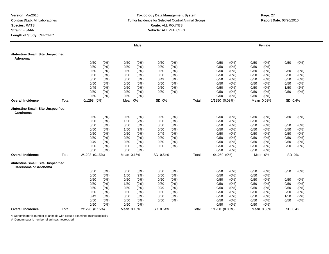#### **Toxicology Data Management System** Tumor Incidence for Selected Control Animal Groups **Report Date:** 03/20/2010 **Route:** ALL ROUTES **Vehicle:** ALL VEHICLES

|                                                                    |       |                 |         |            | <b>Male</b> |          |       |       |                 |         |      | Female     |         |         |
|--------------------------------------------------------------------|-------|-----------------|---------|------------|-------------|----------|-------|-------|-----------------|---------|------|------------|---------|---------|
| #Intestine Small: Site Unspecified:<br>Adenoma                     |       |                 |         |            |             |          |       |       |                 |         |      |            |         |         |
|                                                                    |       | 0/50            | (0%)    | 0/50       | (0%)        | 0/50     | (0%)  |       | 0/50            | (0%)    | 0/50 | (0%)       | 0/50    | (0%)    |
|                                                                    |       | 0/50            | (0%)    | 0/50       | $(0\%)$     | 0/50     | (0%)  |       | 0/50            | (0%     | 0/50 | $(0\%)$    |         |         |
|                                                                    |       | 0/50            | (0%)    | 0/50       | (0%)        | 0/50     | (0%)  |       | 0/50            | $(0\%)$ | 0/50 | (0%)       | 0/50    | (0%)    |
|                                                                    |       | 0/50            | (0%)    | 0/50       | (0%)        | 0/50     | (0%)  |       | 0/50            | $(0\%)$ | 0/50 | (0%)       | 0/50    | (0%)    |
|                                                                    |       | 0/50            | (0%)    | 0/50       | (0%)        | 0/49     | (0%)  |       | 0/50            | (0%)    | 0/50 | (0%)       | 0/50    | (0%)    |
|                                                                    |       | 0/50            | (0%)    | 0/50       | (0%)        | 0/50     | (0%)  |       | 0/50            | (0%     | 0/50 | (0%        | 0/50    | $(0\%)$ |
|                                                                    |       | 0/49            | $(0\%)$ | 0/50       | $(0\%)$     | 0/50     | (0%)  |       | 0/50            | (0%     | 0/50 | $(0\%)$    | 1/50    | (2%)    |
|                                                                    |       | 0/50            | (0%)    | 0/50       | (0%)        | 0/50     | (0% ) |       | 0/50            | (0%     | 0/50 | $(0\%)$    | 0/50    | $(0\%)$ |
|                                                                    |       | 0/50            | (0%)    | 0/50       | (0%)        |          |       |       | 0/50            | (0%)    | 0/50 | (0%)       |         |         |
| <b>Overall Incidence</b>                                           | Total | $0/1298$ $(0%)$ |         | Mean 0%    |             | SD 0%    |       | Total | 1/1250 (0.08%)  |         |      | Mean 0.08% | SD 0.4% |         |
| #Intestine Small: Site Unspecified:<br>Carcinoma                   |       |                 |         |            |             |          |       |       |                 |         |      |            |         |         |
|                                                                    |       | 0/50            | (0%)    | 0/50       | (0%)        | 0/50     | (0%)  |       | 0/50            | $(0\%)$ | 0/50 | $(0\%)$    | 0/50    | (0%)    |
|                                                                    |       | 0/50            | (0%)    | 1/50       | (2%)        | 0/50     | (0% ) |       | 0/50            | (0% )   | 0/50 | (0%)       |         |         |
|                                                                    |       | 0/50            | (0%)    | 0/50       | (0%)        | 0/50     | (0%)  |       | 0/50            | (0%)    | 0/50 | (0%)       | 0/50    | (0%)    |
|                                                                    |       | 0/50            | (0%)    | 1/50       | (2%)        | 0/50     | (0%)  |       | 0/50            | $(0\%)$ | 0/50 | (0%)       | 0/50    | $(0\%)$ |
|                                                                    |       | 0/50            | (0%)    | 0/50       | (0%)        | 0/49     | (0%)  |       | 0/50            | $(0\%)$ | 0/50 | (0%)       | 0/50    | (0%)    |
|                                                                    |       | 0/50            | (0%)    | 0/50       | $(0\%)$     | 0/50     | (0%)  |       | 0/50            | $(0\%)$ | 0/50 | $(0\%)$    | 0/50    | (0%)    |
|                                                                    |       | 0/49            | (0%)    | 0/50       | (0%)        | 0/50     | (0%)  |       | 0/50            | (0%)    | 0/50 | (0%)       | 0/50    | (0%)    |
|                                                                    |       | 0/50            | (0%)    | 0/50       | $(0\%)$     | 0/50     | (0%)  |       | 0/50            | (0%)    | 0/50 | (0%)       | 0/50    | (0%)    |
|                                                                    |       | 0/50            | (0%)    | 0/50       | $(0\%)$     |          |       |       | 0/50            | (0%)    | 0/50 | $(0\%)$    |         |         |
| <b>Overall Incidence</b>                                           | Total | 2/1298 (0.15%)  |         | Mean 0.15% |             | SD 0.54% |       | Total | $0/1250$ $(0%)$ |         |      | Mean 0%    | SD 0%   |         |
| #Intestine Small: Site Unspecified:<br><b>Carcinoma or Adenoma</b> |       |                 |         |            |             |          |       |       |                 |         |      |            |         |         |
|                                                                    |       | 0/50            | (0%)    | 0/50       | (0%)        | 0/50     | (0%)  |       | 0/50            | (0% )   | 0/50 | (0%)       | 0/50    | $(0\%)$ |
|                                                                    |       | 0/50            | (0%)    | 1/50       | (2%)        | 0/50     | (0%)  |       | 0/50            | $(0\%)$ | 0/50 | (0%)       |         |         |
|                                                                    |       | 0/50            | (0%)    | 0/50       | (0%)        | 0/50     | (0%)  |       | 0/50            | $(0\%)$ | 0/50 | $(0\%)$    | 0/50    | (0%)    |
|                                                                    |       | 0/50            | (0%)    | 1/50       | (2%)        | 0/50     | (0%)  |       | 0/50            | $(0\%)$ | 0/50 | (0%)       | 0/50    | (0%)    |
|                                                                    |       | 0/50            | (0%)    | 0/50       | (0%)        | 0/49     | (0%)  |       | 0/50            | (0%)    | 0/50 | $(0\%)$    | 0/50    | (0%)    |
|                                                                    |       | 0/50            | (0%)    | 0/50       | (0%)        | 0/50     | (0%)  |       | 0/50            | $(0\%)$ | 0/50 | $(0\%)$    | 0/50    | (0%)    |
|                                                                    |       | 0/49            | (0%)    | 0/50       | (0%)        | 0/50     | (0%)  |       | 0/50            | $(0\%)$ | 0/50 | (0%)       | 1/50    | (2%)    |
|                                                                    |       | 0/50            | (0%)    | 0/50       | (0%)        | 0/50     | (0%)  |       | 0/50            | $(0\%)$ | 0/50 | (0%)       | 0/50    | (0%)    |
|                                                                    |       | 0/50            | (0%)    | 0/50       | (0%)        |          |       |       | 0/50            | (0%)    | 0/50 | (0%)       |         |         |
| <b>Overall Incidence</b>                                           | Total | 2/1298 (0.15%)  |         | Mean 0.15% |             | SD 0.54% |       | Total | 1/1250 (0.08%)  |         |      | Mean 0.08% | SD 0.4% |         |

\*: Denominator is number of animals with tissues examined microscopically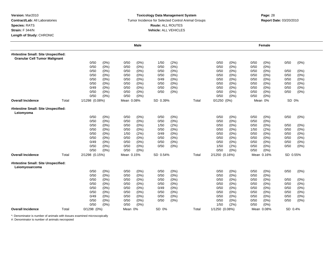#### **Toxicology Data Management System** Tumor Incidence for Selected Control Animal Groups **Report Date:** 03/20/2010 **Route:** ALL ROUTES **Vehicle:** ALL VEHICLES

# **Page:** <sup>28</sup>

|                                                                             |       |                 | <b>Male</b>     |                 |       |                 | Female          |                 |
|-----------------------------------------------------------------------------|-------|-----------------|-----------------|-----------------|-------|-----------------|-----------------|-----------------|
| #Intestine Small: Site Unspecified:<br><b>Granular Cell Tumor Malignant</b> |       |                 |                 |                 |       |                 |                 |                 |
|                                                                             |       | 0/50<br>(0%)    | $(0\%)$<br>0/50 | (2%)<br>1/50    |       | (0%)<br>0/50    | 0/50<br>(0%)    | 0/50<br>$(0\%)$ |
|                                                                             |       | 0/50<br>(0%)    | 0/50<br>$(0\%)$ | 0/50<br>(0%)    |       | 0/50<br>(0%)    | 0/50<br>$(0\%)$ |                 |
|                                                                             |       | 0/50<br>(0%)    | 0/50<br>$(0\%)$ | 0/50<br>(0%)    |       | 0/50<br>$(0\%)$ | 0/50<br>$(0\%)$ | 0/50<br>(0%)    |
|                                                                             |       | 0/50<br>(0%)    | 0/50<br>$(0\%)$ | 0/50<br>$(0\%)$ |       | 0/50<br>$(0\%)$ | 0/50<br>(0%     | 0/50<br>(0%)    |
|                                                                             |       | 0/50<br>(0%)    | 0/50<br>$(0\%)$ | (0%)<br>0/49    |       | (0%)<br>0/50    | 0/50<br>$(0\%)$ | 0/50<br>$(0\%)$ |
|                                                                             |       | 0/50<br>(0%)    | 0/50<br>$(0\%)$ | 0/50<br>(0%)    |       | (0%)<br>0/50    | 0/50<br>$(0\%)$ | 0/50<br>(0%)    |
|                                                                             |       | 0/49<br>(0%)    | 0/50<br>(0%)    | 0/50<br>(0%)    |       | 0/50<br>(0%)    | 0/50<br>(0%)    | 0/50<br>(0%)    |
|                                                                             |       | 0/50<br>(0%)    | 0/50<br>$(0\%)$ | 0/50<br>(0%)    |       | 0/50<br>(0%)    | 0/50<br>$(0\%)$ | 0/50<br>(0%)    |
|                                                                             |       | 0/50<br>(0%)    | 0/50<br>(0%)    |                 |       | 0/50<br>(0%)    | 0/50<br>(0%)    |                 |
| <b>Overall Incidence</b>                                                    | Total | 1/1298 (0.08%)  | Mean 0.08%      | SD 0.39%        | Total | $0/1250$ $(0%)$ | Mean 0%         | SD 0%           |
| #Intestine Small: Site Unspecified:<br>Leiomyoma                            |       |                 |                 |                 |       |                 |                 |                 |
|                                                                             |       | 0/50<br>(0%)    | 0/50<br>$(0\%)$ | 0/50<br>(0%)    |       | 0/50<br>(0%)    | 0/50<br>(0%)    | 0/50<br>(0%)    |
|                                                                             |       | 0/50<br>(0% )   | (0% )<br>0/50   | (0%)<br>0/50    |       | (0%<br>0/50     | 0/50<br>(0%     |                 |
|                                                                             |       | (0% )<br>0/50   | 0/50<br>$(0\%)$ | (2%)<br>1/50    |       | (0% )<br>0/50   | (0%<br>0/50     | 0/50<br>(0%)    |
|                                                                             |       | 0/50<br>(0%)    | 0/50<br>$(0\%)$ | 0/50<br>$(0\%)$ |       | (0%<br>0/50     | (2%)<br>1/50    | 0/50<br>(0%)    |
|                                                                             |       | 0/50<br>(0%)    | 1/50<br>(2%)    | (0%)<br>0/49    |       | 0/50<br>$(0\%)$ | 0/50<br>(0%)    | 0/50<br>(0%)    |
|                                                                             |       | 0/50<br>(0%)    | 0/50<br>$(0\%)$ | 0/50<br>$(0\%)$ |       | 0/50<br>$(0\%)$ | 0/50<br>(0%     | 0/50<br>(0%)    |
|                                                                             |       | 0/49<br>(0%)    | 0/50<br>$(0\%)$ | 0/50<br>(0%)    |       | 0/50<br>(0%)    | 0/50<br>$(0\%)$ | 0/50<br>(0%)    |
|                                                                             |       | 0/50<br>(0%)    | 0/50<br>$(0\%)$ | 0/50<br>(0%)    |       | 1/50<br>(2%)    | 0/50<br>$(0\%)$ | 0/50<br>$(0\%)$ |
|                                                                             |       | 0/50<br>(0%)    | 0/50<br>$(0\%)$ |                 |       | 0/50<br>(0% )   | 0/50<br>$(0\%)$ |                 |
| <b>Overall Incidence</b>                                                    | Total | 2/1298 (0.15%)  | Mean 0.15%      | SD 0.54%        | Total | 2/1250 (0.16%)  | Mean 0.16%      | SD 0.55%        |
| #Intestine Small: Site Unspecified:<br>Leiomyosarcoma                       |       |                 |                 |                 |       |                 |                 |                 |
|                                                                             |       | 0/50<br>(0%)    | $(0\%)$<br>0/50 | 0/50<br>(0%)    |       | (0%)<br>0/50    | 0/50<br>(0%)    | 0/50<br>$(0\%)$ |
|                                                                             |       | 0/50<br>(0%)    | $(0\%)$<br>0/50 | (0%)<br>0/50    |       | (0%)<br>0/50    | 0/50<br>$(0\%)$ |                 |
|                                                                             |       | 0/50<br>(0%)    | 0/50<br>(0%)    | 0/50<br>$(0\%)$ |       | $(0\%)$<br>0/50 | 0/50<br>(0%)    | 0/50<br>(0%)    |
|                                                                             |       | 0/50<br>(0%)    | 0/50<br>$(0\%)$ | 0/50<br>$(0\%)$ |       | $(0\%)$<br>0/50 | 0/50<br>$(0\%)$ | 0/50<br>(0%)    |
|                                                                             |       | 0/50<br>(0%)    | $(0\%)$<br>0/50 | (0%)<br>0/49    |       | (0%)<br>0/50    | 0/50<br>$(0\%)$ | 0/50<br>(0%)    |
|                                                                             |       | 0/50<br>(0%)    | 0/50<br>$(0\%)$ | 0/50<br>(0%)    |       | 0/50<br>(0%)    | 0/50<br>$(0\%)$ | 0/50<br>(0%)    |
|                                                                             |       | 0/49<br>(0%)    | 0/50<br>(0%)    | 0/50<br>(0%)    |       | 0/50<br>(0%)    | 0/50<br>$(0\%)$ | 0/50<br>(0%)    |
|                                                                             |       | 0/50<br>(0%)    | 0/50<br>$(0\%)$ | 0/50<br>(0%)    |       | 0/50<br>(0%)    | 0/50<br>$(0\%)$ | 0/50<br>(0%)    |
|                                                                             |       | 0/50<br>(0%)    | 0/50<br>(0%)    |                 |       | 1/50<br>(2%)    | 0/50<br>(0%     |                 |
| <b>Overall Incidence</b>                                                    | Total | $0/1298$ $(0%)$ | Mean 0%         | SD 0%           | Total | 1/1250 (0.08%)  | Mean 0.08%      | SD 0.4%         |

\*: Denominator is number of animals with tissues examined microscopically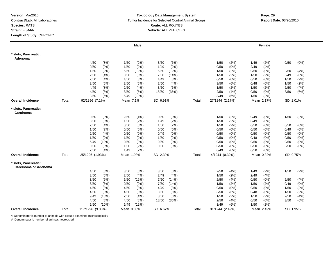#### **Toxicology Data Management System** Tumor Incidence for Selected Control Animal Groups **Report Date:** 03/20/2010 **Route:** ALL ROUTES **Vehicle:** ALL VEHICLES

|                                              |       |                  |       |            | Male    |          |         |       |                 |       |      | Female     |          |      |
|----------------------------------------------|-------|------------------|-------|------------|---------|----------|---------|-------|-----------------|-------|------|------------|----------|------|
| *Islets, Pancreatic:<br>Adenoma              |       |                  |       |            |         |          |         |       |                 |       |      |            |          |      |
|                                              |       | 4/50             | (8%)  | 1/50       | (2%)    | 3/50     | (6%)    |       | 1/50            | (2%)  | 1/49 | (2%)       | 0/50     | (0%) |
|                                              |       | 0/50             | (0%)  | 1/50       | (2%)    | 1/49     | (2%)    |       | 0/50            | (0%)  | 2/49 | (4% )      |          |      |
|                                              |       | 1/50             | (2%)  | 6/50       | (12%)   | 6/50     | (12%)   |       | 1/50            | (2%)  | 0/50 | (0%)       | 2/50     | (4%) |
|                                              |       | 2/50             | (4% ) | 0/50       | (0%)    | 7/50     | (14%)   |       | 1/50            | (2%)  | 1/50 | (2%        | 0/49     | (0%) |
|                                              |       | 2/50             | (4% ) | 4/50       | (8%)    | 4/49     | (8%)    |       | 0/50            | (0%)  | 0/50 | (0%)       | 1/50     | (2%) |
|                                              |       | 3/50             | (6%)  | 3/50       | (6%)    | 2/50     | (4%)    |       | 3/50            | (6%)  | 0/48 | $(0\%)$    | 1/50     | (2%) |
|                                              |       | 4/49             | (8%)  | 2/50       | (4%)    | 3/50     | (6%)    |       | 1/50            | (2%)  | 1/50 | (2%)       | 2/50     | (4%) |
|                                              |       | 4/50             | (8%)  | 3/50       | (6%)    | 18/50    | (36%)   |       | 2/50            | (4% ) | 0/50 | (0%)       | 3/50     | (6%) |
|                                              |       | 3/50             | (6%)  | 5/49       | (10%)   |          |         |       | 3/49            | (6%)  | 1/50 | (2%)       |          |      |
| Overall Incidence                            | Total | 92/1296 (7.1%)   |       | Mean 7.1%  |         | SD 6.91% |         | Total | 27/1244 (2.17%) |       |      | Mean 2.17% | SD 2.01% |      |
| *Islets, Pancreatic:<br>Carcinoma            |       |                  |       |            |         |          |         |       |                 |       |      |            |          |      |
|                                              |       | 0/50             | (0%)  | 2/50       | (4%)    | 0/50     | (0%)    |       | 1/50            | (2%)  | 0/49 | (0%)       | 1/50     | (2%) |
|                                              |       | 3/50             | (6%)  | 1/50       | (2%)    | 1/49     | (2%)    |       | 1/50            | (2%)  | 0/49 | (0%        |          |      |
|                                              |       | 2/50             | (4%)  | 0/50       | $(0\%)$ | 1/50     | (2%)    |       | 1/50            | (2%)  | 0/50 | $(0\%)$    | 0/50     | (0%) |
|                                              |       | 1/50             | (2%)  | 0/50       | $(0\%)$ | 0/50     | $(0\%)$ |       | 0/50            | (0%)  | 0/50 | $(0\%)$    | 0/49     | (0%) |
|                                              |       | 2/50             | (4% ) | 0/50       | (0%)    | 0/49     | $(0\%)$ |       | 0/50            | (0%)  | 0/50 | (0%)       | 0/50     | (0%) |
|                                              |       | 1/50             | (2%)  | 1/50       | (2%)    | 1/50     | (2%)    |       | 0/50            | (0%)  | 0/48 | (0%        | 0/50     | (0%) |
|                                              |       | 5/49             | (10%) | 0/50       | (0%)    | 0/50     | (0%)    |       | 0/50            | (0%)  | 0/50 | (0%)       | 0/50     | (0%) |
|                                              |       | 0/50             | (0%)  | 1/50       | (2%)    | 0/50     | (0%)    |       | 0/50            | (0%)  | 0/50 | (0%)       | 0/50     | (0%) |
|                                              |       | 2/50             | (4% ) | 1/49       | (2%)    |          |         |       | 0/49            | (0%)  | 0/50 | $(0\%)$    |          |      |
| Overall Incidence                            | Total | 25/1296 (1.93%)  |       | Mean 1.93% |         | SD 2.39% |         | Total | 4/1244 (0.32%)  |       |      | Mean 0.32% | SD 0.75% |      |
| *Islets, Pancreatic:<br>Carcinoma or Adenoma |       |                  |       |            |         |          |         |       |                 |       |      |            |          |      |
|                                              |       | 4/50             | (8%)  | 3/50       | (6%)    | 3/50     | (6%)    |       | 2/50            | (4% ) | 1/49 | (2%)       | 1/50     | (2%) |
|                                              |       | 3/50             | (6%)  | 2/50       | (4% )   | 2/49     | (4% )   |       | 1/50            | (2%)  | 2/49 | (4% )      |          |      |
|                                              |       | 3/50             | (6%)  | 6/50       | (12%)   | 7/50     | (14%)   |       | 2/50            | (4% ) | 0/50 | $(0\%)$    | 2/50     | (4%) |
|                                              |       | 3/50             | (6%)  | 0/50       | (0%)    | 7/50     | (14%)   |       | 1/50            | (2%)  | 1/50 | (2%        | 0/49     | (0%) |
|                                              |       | 4/50             | (8%)  | 4/50       | (8%)    | 4/49     | (8%)    |       | 0/50            | (0%)  | 0/50 | $(0\%)$    | 1/50     | (2%) |
|                                              |       | 4/50             | (8%)  | 4/50       | (8%)    | 3/50     | (6%)    |       | 3/50            | (6%)  | 0/48 | $(0\%)$    | 1/50     | (2%) |
|                                              |       | 9/49             | (18%) | 2/50       | (4%)    | 3/50     | (6%)    |       | 1/50            | (2%)  | 1/50 | (2%)       | 2/50     | (4%) |
|                                              |       | 4/50             | (8%)  | 4/50       | (8%)    | 18/50    | (36%)   |       | 2/50            | (4% ) | 0/50 | $(0\%)$    | 3/50     | (6%) |
|                                              |       | 5/50             | (10%) | 6/49       | (12%)   |          |         |       | 3/49            | (6%)  | 1/50 | (2%)       |          |      |
| <b>Overall Incidence</b>                     | Total | 117/1296 (9.03%) |       | Mean 9.03% |         | SD 6.67% |         | Total | 31/1244 (2.49%) |       |      | Mean 2.49% | SD 1.95% |      |

\*: Denominator is number of animals with tissues examined microscopically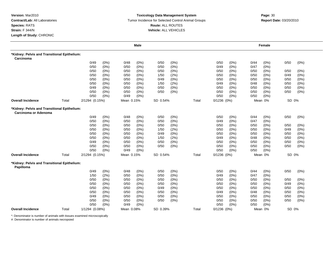#### **Toxicology Data Management System** Tumor Incidence for Selected Control Animal Groups **Report Date:** 03/20/2010 **Route:** ALL ROUTES **Vehicle:** ALL VEHICLES

|                                                                      |       |                |         |            | <b>Male</b> |          |         |       |                 |      |      | Female  |       |         |
|----------------------------------------------------------------------|-------|----------------|---------|------------|-------------|----------|---------|-------|-----------------|------|------|---------|-------|---------|
| *Kidney: Pelvis and Transitional Epithelium:<br>Carcinoma            |       |                |         |            |             |          |         |       |                 |      |      |         |       |         |
|                                                                      |       | 0/49           | $(0\%)$ | 0/48       | $(0\%)$     | 0/50     | (0%)    |       | 0/50            | (0%) | 0/44 | $(0\%)$ | 0/50  | (0%)    |
|                                                                      |       | 0/50           | (0% )   | 0/50       | (0%)        | 0/50     | $(0\%)$ |       | 0/49            | (0%) | 0/47 | (0%)    |       |         |
|                                                                      |       | 0/50           | (0%)    | 0/50       | $(0\%)$     | 0/50     | (0%)    |       | 0/50            | (0%) | 0/50 | (0%)    | 0/50  | $(0\%)$ |
|                                                                      |       | 0/50           | (0%)    | 0/50       | $(0\%)$     | 1/50     | (2%)    |       | 0/50            | (0%) | 0/50 | (0%)    | 0/49  | $(0\%)$ |
|                                                                      |       | 0/50           | $(0\%)$ | 0/50       | (0%)        | 0/49     | (0%)    |       | 0/50            | (0%  | 0/50 | $(0\%)$ | 0/50  | (0%)    |
|                                                                      |       | 0/50           | (0%)    | 0/50       | $(0\%)$     | 1/50     | (2%)    |       | 0/49            | (0%) | 0/48 | (0%)    | 0/50  | (0%)    |
|                                                                      |       | 0/49           | (0%)    | 0/50       | (0%)        | 0/50     | (0%)    |       | 0/50            | (0%) | 0/50 | $(0\%)$ | 0/50  | $(0\%)$ |
|                                                                      |       | 0/50           | (0%)    | 0/50       | (0%)        | 0/50     | (0%)    |       | 0/50            | (0%) | 0/50 | $(0\%)$ | 0/50  | (0%)    |
|                                                                      |       | 0/50           | $(0\%)$ | 0/49       | (0%)        |          |         |       | 0/50            | (0%) | 0/50 | (0%)    |       |         |
| <b>Overall Incidence</b>                                             | Total | 2/1294 (0.15%) |         | Mean 0.15% |             | SD 0.54% |         | Total | 0/1236 (0%)     |      |      | Mean 0% | SD 0% |         |
| *Kidney: Pelvis and Transitional Epithelium:<br>Carcinoma or Adenoma |       |                |         |            |             |          |         |       |                 |      |      |         |       |         |
|                                                                      |       | 0/49           | (0% )   | 0/48       | (0%)        | 0/50     | (0%)    |       | 0/50            | (0%) | 0/44 | $(0\%)$ | 0/50  | (0%)    |
|                                                                      |       | 0/50           | (0%)    | 0/50       | (0%)        | 0/50     | (0% )   |       | 0/49            | (0%  | 0/47 | (0%)    |       |         |
|                                                                      |       | 0/50           | (0%)    | 0/50       | $(0\%)$     | 0/50     | (0%)    |       | 0/50            | (0%) | 0/50 | $(0\%)$ | 0/50  | (0%)    |
|                                                                      |       | 0/50           | (0%)    | 0/50       | $(0\%)$     | 1/50     | (2%)    |       | 0/50            | (0%) | 0/50 | $(0\%)$ | 0/49  | $(0\%)$ |
|                                                                      |       | 0/50           | (0%)    | 0/50       | $(0\%)$     | 0/49     | (0%)    |       | 0/50            | (0%) | 0/50 | $(0\%)$ | 0/50  | $(0\%)$ |
|                                                                      |       | 0/50           | $(0\%)$ | 0/50       | (0%)        | 1/50     | (2%)    |       | 0/49            | (0%) | 0/48 | (0%)    | 0/50  | $(0\%)$ |
|                                                                      |       | 0/49           | $(0\%)$ | 0/50       | (0%)        | 0/50     | (0%)    |       | 0/50            | (0%) | 0/50 | $(0\%)$ | 0/50  | (0%)    |
|                                                                      |       | 0/50           | (0%)    | 0/50       | (0%)        | 0/50     | (0%)    |       | 0/50            | (0%) | 0/50 | (0%)    | 0/50  | $(0\%)$ |
|                                                                      |       | 0/50           | $(0\%)$ | 0/49       | (0%)        |          |         |       | 0/50            | (0%) | 0/50 | (0%)    |       |         |
| <b>Overall Incidence</b>                                             | Total | 2/1294 (0.15%) |         | Mean 0.15% |             | SD 0.54% |         | Total | $0/1236$ $(0%)$ |      |      | Mean 0% | SD 0% |         |
| *Kidney: Pelvis and Transitional Epithelium:<br>Papilloma            |       |                |         |            |             |          |         |       |                 |      |      |         |       |         |
|                                                                      |       | 0/49           | $(0\%)$ | 0/48       | (0%)        | 0/50     | (0%)    |       | 0/50            | (0%) | 0/44 | $(0\%)$ | 0/50  | $(0\%)$ |
|                                                                      |       | 1/50           | (2%)    | 0/50       | (0%)        | 0/50     | (0%)    |       | 0/49            | (0%) | 0/47 | $(0\%)$ |       |         |
|                                                                      |       | 0/50           | $(0\%)$ | 0/50       | $(0\%)$     | 0/50     | (0%)    |       | 0/50            | (0%) | 0/50 | $(0\%)$ | 0/50  | $(0\%)$ |
|                                                                      |       | 0/50           | (0%)    | 0/50       | $(0\%)$     | 0/50     | (0%)    |       | 0/50            | (0%  | 0/50 | $(0\%)$ | 0/49  | (0%)    |
|                                                                      |       | 0/50           | (0%)    | 0/50       | $(0\%)$     | 0/49     | (0%)    |       | 0/50            | (0%) | 0/50 | (0%)    | 0/50  | (0%)    |
|                                                                      |       | 0/50           | (0%)    | 0/50       | $(0\%)$     | 0/50     | (0%)    |       | 0/49            | (0%) | 0/48 | $(0\%)$ | 0/50  | $(0\%)$ |
|                                                                      |       | 0/49           | $(0\%)$ | 0/50       | (0%)        | 0/50     | (0%)    |       | 0/50            | (0%) | 0/50 | $(0\%)$ | 0/50  | (0%)    |
|                                                                      |       | 0/50           | (0%)    | 0/50       | $(0\%)$     | 0/50     | (0%)    |       | 0/50            | (0%) | 0/50 | (0%)    | 0/50  | (0%)    |
|                                                                      |       | 0/50           | (0%)    | 0/49       | (0% )       |          |         |       | 0/50            | (0%) | 0/50 | (0% )   |       |         |
| <b>Overall Incidence</b>                                             | Total | 1/1294 (0.08%) |         | Mean 0.08% |             | SD 0.39% |         | Total | $0/1236$ $(0%)$ |      |      | Mean 0% | SD 0% |         |

\*: Denominator is number of animals with tissues examined microscopically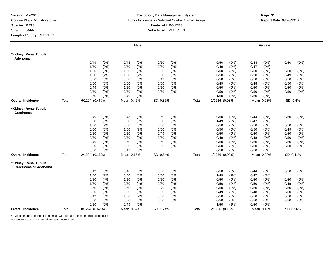#### **Toxicology Data Management System** Tumor Incidence for Selected Control Animal Groups **Report Date:** 03/20/2010 **Route:** ALL ROUTES **Vehicle:** ALL VEHICLES

|                                                |       |                |         |            | <b>Male</b> |          |         |       |                |      |      | Female     |          |         |
|------------------------------------------------|-------|----------------|---------|------------|-------------|----------|---------|-------|----------------|------|------|------------|----------|---------|
| *Kidney: Renal Tubule:<br>Adenoma              |       |                |         |            |             |          |         |       |                |      |      |            |          |         |
|                                                |       | 0/49           | (0%)    | 0/48       | $(0\%)$     | 0/50     | $(0\%)$ |       | 0/50           | (0%) | 0/44 | $(0\%)$    | 0/50     | $(0\%)$ |
|                                                |       | 1/50           | (2%)    | 0/50       | $(0\%)$     | 0/50     | (0%)    |       | 0/49           | (0%) | 0/47 | (0%)       |          |         |
|                                                |       | 1/50           | (2%)    | 1/50       | (2%)        | 0/50     | (0%)    |       | 0/50           | (0%) | 0/50 | (0%)       | 0/50     | $(0\%)$ |
|                                                |       | 1/50           | (2%)    | 1/50       | (2%)        | 0/50     | (0%)    |       | 0/50           | (0%  | 0/50 | (0%        | 0/49     | (0%)    |
|                                                |       | 0/50           | (0%)    | 0/50       | $(0\%)$     | 0/49     | (0%)    |       | 0/50           | (0%) | 0/50 | $(0\%)$    | 0/50     | (0%)    |
|                                                |       | 0/50           | (0%)    | 0/50       | $(0\%)$     | 0/50     | $(0\%)$ |       | 0/49           | (0%) | 0/48 | (0%)       | 0/50     | (0%)    |
|                                                |       | 0/49           | $(0\%)$ | 1/50       | (2%)        | 0/50     | (0%)    |       | 0/50           | (0%) | 0/50 | (0%)       | 0/50     | (0%)    |
|                                                |       | 0/50           | (0%)    | 0/50       | $(0\%)$     | 0/50     | (0%)    |       | 0/50           | (0%) | 0/50 | $(0\%)$    | 0/50     | (0%)    |
|                                                |       | 0/50           | (0%)    | 0/49       | $(0\%)$     |          |         |       | 1/50           | (2%) | 0/50 | (0%)       |          |         |
| <b>Overall Incidence</b>                       | Total | 6/1294 (0.46%) |         | Mean 0.46% |             | SD 0.86% |         | Total | 1/1236 (0.08%) |      |      | Mean 0.08% | SD 0.4%  |         |
| *Kidney: Renal Tubule:<br>Carcinoma            |       |                |         |            |             |          |         |       |                |      |      |            |          |         |
|                                                |       | 0/49           | (0%)    | 0/48       | $(0\%)$     | 0/50     | (0%)    |       | 0/50           | (0%) | 0/44 | $(0\%)$    | 0/50     | (0%)    |
|                                                |       | 0/50           | (0%)    | 0/50       | $(0\%)$     | 0/50     | (0% )   |       | 1/49           | (2%) | 0/47 | (0%)       |          |         |
|                                                |       | 1/50           | (2%)    | 0/50       | $(0\%)$     | 0/50     | (0% )   |       | 0/50           | (0%) | 0/50 | (0%)       | 0/50     | $(0\%)$ |
|                                                |       | 0/50           | (0%)    | 1/50       | (2%)        | 0/50     | (0%)    |       | 0/50           | (0%) | 0/50 | (0%)       | 0/49     | (0%)    |
|                                                |       | 0/50           | $(0\%)$ | 0/50       | $(0\%)$     | 0/49     | (0%)    |       | 0/50           | (0%) | 0/50 | $(0\%)$    | 0/50     | (0%)    |
|                                                |       | 0/50           | $(0\%)$ | 0/50       | $(0\%)$     | 0/50     | (0%)    |       | 0/49           | (0%) | 0/48 | $(0\%)$    | 0/50     | (0%)    |
|                                                |       | 0/49           | (0%)    | 0/50       | $(0\%)$     | 0/50     | (0%)    |       | 0/50           | (0%) | 0/50 | (0%)       | 0/50     | (0%)    |
|                                                |       | 0/50           | (0%)    | 0/50       | $(0\%)$     | 0/50     | (0%)    |       | 0/50           | (0%) | 0/50 | $(0\%)$    | 0/50     | (0%)    |
|                                                |       | 0/50           | $(0\%)$ | 0/49       | $(0\%)$     |          |         |       | 0/50           | (0%) | 0/50 | (0%)       |          |         |
| <b>Overall Incidence</b>                       | Total | 2/1294 (0.15%) |         | Mean 0.15% |             | SD 0.54% |         | Total | 1/1236 (0.08%) |      |      | Mean 0.08% | SD 0.41% |         |
| *Kidney: Renal Tubule:<br>Carcinoma or Adenoma |       |                |         |            |             |          |         |       |                |      |      |            |          |         |
|                                                |       | 0/49           | (0%)    | 0/48       | $(0\%)$     | 0/50     | (0%)    |       | 0/50           | (0%) | 0/44 | $(0\%)$    | 0/50     | $(0\%)$ |
|                                                |       | 1/50           | (2%)    | 0/50       | (0%)        | 0/50     | (0%)    |       | 1/49           | (2%) | 0/47 | (0%)       |          |         |
|                                                |       | 2/50           | (4%)    | 1/50       | (2%)        | 0/50     | (0%)    |       | 0/50           | (0%) | 0/50 | (0%)       | 0/50     | (0%)    |
|                                                |       | 1/50           | (2%)    | 2/50       | (4%)        | 0/50     | (0%)    |       | 0/50           | (0%) | 0/50 | (0%)       | 0/49     | (0%)    |
|                                                |       | 0/50           | (0%)    | 0/50       | $(0\%)$     | 0/49     | (0%)    |       | 0/50           | (0%) | 0/50 | $(0\%)$    | 0/50     | (0%)    |
|                                                |       | 0/50           | (0%)    | 0/50       | $(0\%)$     | 0/50     | (0%)    |       | 0/49           | (0%) | 0/48 | (0%)       | 0/50     | (0%)    |
|                                                |       | 0/49           | (0%)    | 1/50       | (2%)        | 0/50     | (0%)    |       | 0/50           | (0%) | 0/50 | (0%)       | 0/50     | (0%)    |
|                                                |       | 0/50           | (0%)    | 0/50       | $(0\%)$     | 0/50     | (0%)    |       | 0/50           | (0%) | 0/50 | (0%)       | 0/50     | (0%)    |
|                                                |       | 0/50           | (0%)    | 0/49       | (0%)        |          |         |       | 1/50           | (2%) | 0/50 | (0%        |          |         |
| <b>Overall Incidence</b>                       | Total | 8/1294 (0.62%) |         | Mean 0.62% |             | SD 1.24% |         | Total | 2/1236 (0.16%) |      |      | Mean 0.16% | SD 0.56% |         |

\*: Denominator is number of animals with tissues examined microscopically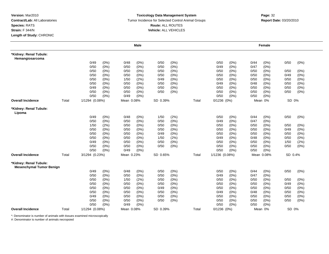#### **Toxicology Data Management System** Tumor Incidence for Selected Control Animal Groups **Report Date:** 03/20/2010 **Route:** ALL ROUTES **Vehicle:** ALL VEHICLES

|                                                           |       |                |      |            | <b>Male</b> |          |         |       |                 |         |      | <b>Female</b> |         |      |
|-----------------------------------------------------------|-------|----------------|------|------------|-------------|----------|---------|-------|-----------------|---------|------|---------------|---------|------|
| *Kidney: Renal Tubule:<br>Hemangiosarcoma                 |       |                |      |            |             |          |         |       |                 |         |      |               |         |      |
|                                                           |       | 0/49           | (0%) | 0/48       | $(0\%)$     | 0/50     | (0%)    |       | 0/50            | (0%)    | 0/44 | (0%)          | 0/50    | (0%) |
|                                                           |       | 0/50           | (0%) | 0/50       | (0%)        | 0/50     | (0%)    |       | 0/49            | (0%)    | 0/47 | (0%)          |         |      |
|                                                           |       | 0/50           | (0%) | 0/50       | (0%)        | 0/50     | (0%)    |       | 0/50            | $(0\%)$ | 0/50 | $(0\%)$       | 0/50    | (0%) |
|                                                           |       | 0/50           | (0%) | 0/50       | $(0\%)$     | 0/50     | (0%)    |       | 0/50            | $(0\%)$ | 0/50 | $(0\%)$       | 0/49    | (0%) |
|                                                           |       | 0/50           | (0%) | 1/50       | (2%)        | 0/49     | (0%)    |       | 0/50            | (0%)    | 0/50 | $(0\%)$       | 0/50    | (0%) |
|                                                           |       | 0/50           | (0%) | 0/50       | (0%)        | 0/50     | (0%)    |       | 0/49            | $(0\%)$ | 0/48 | (0%)          | 0/50    | (0%) |
|                                                           |       | 0/49           | (0%) | 0/50       | (0%)        | 0/50     | (0%)    |       | 0/50            | $(0\%)$ | 0/50 | $(0\%)$       | 0/50    | (0%) |
|                                                           |       | 0/50           | (0%) | 0/50       | (0%)        | 0/50     | (0%)    |       | 0/50            | $(0\%)$ | 0/50 | $(0\%)$       | 0/50    | (0%) |
|                                                           |       | 0/50           | (0%) | 0/49       | (0%)        |          |         |       | 0/50            | (0%)    | 0/50 | (0%           |         |      |
| <b>Overall Incidence</b>                                  | Total | 1/1294 (0.08%) |      | Mean 0.08% |             | SD 0.39% |         | Total | 0/1236 (0%)     |         |      | Mean 0%       | SD 0%   |      |
| *Kidney: Renal Tubule:<br>Lipoma                          |       |                |      |            |             |          |         |       |                 |         |      |               |         |      |
|                                                           |       | 0/49           | (0%) | 0/48       | (0%)        | 1/50     | (2%)    |       | 0/50            | (0%)    | 0/44 | $(0\%)$       | 0/50    | (0%) |
|                                                           |       | 0/50           | (0%) | 0/50       | (0%)        | 0/50     | (0%)    |       | 0/49            | (0% )   | 0/47 | (0%)          |         |      |
|                                                           |       | 1/50           | (2%) | 0/50       | (0%)        | 0/50     | (0%)    |       | 0/50            | (0%)    | 0/50 | (0%)          | 0/50    | (0%) |
|                                                           |       | 0/50           | (0%) | 0/50       | (0%)        | 0/50     | (0%)    |       | 0/50            | $(0\%)$ | 0/50 | (0%)          | 0/49    | (0%) |
|                                                           |       | 0/50           | (0%) | 0/50       | $(0\%)$     | 0/49     | $(0\%)$ |       | 0/50            | (0%     | 0/50 | (0%)          | 0/50    | (0%) |
|                                                           |       | 0/50           | (0%) | 0/50       | $(0\%)$     | 1/50     | (2%)    |       | 0/49            | $(0\%)$ | 0/48 | $(0\%)$       | 0/50    | (0%) |
|                                                           |       | 0/49           | (0%) | 0/50       | (0%)        | 0/50     | (0%)    |       | 0/50            | (0%)    | 0/50 | (0%)          | 1/50    | (2%) |
|                                                           |       | 0/50           | (0%) | 0/50       | $(0\%)$     | 0/50     | (0%)    |       | 0/50            | (0%)    | 0/50 | $(0\%)$       | 0/50    | (0%) |
|                                                           |       | 0/50           | (0%) | 0/49       | (0%)        |          |         |       | 0/50            | (0%)    | 0/50 | $(0\%)$       |         |      |
| <b>Overall Incidence</b>                                  | Total | 3/1294 (0.23%) |      | Mean 0.23% |             | SD 0.65% |         | Total | 1/1236 (0.08%)  |         |      | Mean 0.08%    | SD 0.4% |      |
| *Kidney: Renal Tubule:<br><b>Mesenchymal Tumor Benign</b> |       |                |      |            |             |          |         |       |                 |         |      |               |         |      |
|                                                           |       | 0/49           | (0%) | 0/48       | (0%)        | 0/50     | (0%)    |       | 0/50            | (0%)    | 0/44 | (0%)          | 0/50    | (0%) |
|                                                           |       | 0/50           | (0%) | 0/50       | (0%)        | 0/50     | (0%)    |       | 0/49            | (0%)    | 0/47 | (0%)          |         |      |
|                                                           |       | 0/50           | (0%) | 1/50       | (2%)        | 0/50     | (0%)    |       | 0/50            | (0%     | 0/50 | $(0\%)$       | 0/50    | (0%) |
|                                                           |       | 0/50           | (0%) | 0/50       | (0%)        | 0/50     | (0%)    |       | 0/50            | $(0\%)$ | 0/50 | $(0\%)$       | 0/49    | (0%) |
|                                                           |       | 0/50           | (0%) | 0/50       | (0%)        | 0/49     | (0%)    |       | 0/50            | (0%)    | 0/50 | $(0\%)$       | 0/50    | (0%) |
|                                                           |       | 0/50           | (0%) | 0/50       | (0%)        | 0/50     | (0%)    |       | 0/49            | $(0\%)$ | 0/48 | (0%)          | 0/50    | (0%) |
|                                                           |       | 0/49           | (0%) | 0/50       | (0%)        | 0/50     | (0%)    |       | 0/50            | (0%)    | 0/50 | (0%)          | 0/50    | (0%) |
|                                                           |       | 0/50           | (0%) | 0/50       | (0%)        | 0/50     | (0%)    |       | 0/50            | (0%)    | 0/50 | $(0\%)$       | 0/50    | (0%) |
|                                                           |       | 0/50           | (0%) | 0/49       | (0%)        |          |         |       | 0/50            | (0%)    | 0/50 | (0%           |         |      |
| <b>Overall Incidence</b>                                  | Total | 1/1294 (0.08%) |      | Mean 0.08% |             | SD 0.39% |         | Total | $0/1236$ $(0%)$ |         |      | Mean 0%       | SD 0%   |      |

\*: Denominator is number of animals with tissues examined microscopically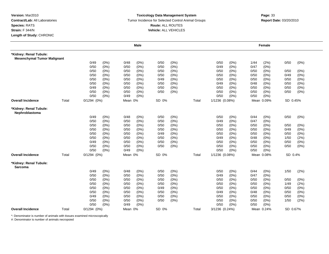#### **Toxicology Data Management System** Tumor Incidence for Selected Control Animal Groups **Report Date:** 03/20/2010 **Route:** ALL ROUTES **Vehicle:** ALL VEHICLES

# **Page:** <sup>33</sup>

|                                          |       |                 |         |         | <b>Male</b> |       |       |       |                |         |      | Female     |          |         |
|------------------------------------------|-------|-----------------|---------|---------|-------------|-------|-------|-------|----------------|---------|------|------------|----------|---------|
| *Kidney: Renal Tubule:                   |       |                 |         |         |             |       |       |       |                |         |      |            |          |         |
| <b>Mesenchymal Tumor Malignant</b>       |       |                 |         |         |             |       |       |       |                |         |      |            |          |         |
|                                          |       | 0/49            | $(0\%)$ | 0/48    | (0%)        | 0/50  | (0%)  |       | 0/50           | (0%)    | 1/44 | (2%)       | 0/50     | (0%)    |
|                                          |       | 0/50            | (0% )   | 0/50    | (0% )       | 0/50  | (0% ) |       | 0/49           | (0%)    | 0/47 | (0%        |          |         |
|                                          |       | 0/50            | (0%)    | 0/50    | $(0\%)$     | 0/50  | (0%)  |       | 0/50           | (0%)    | 0/50 | (0%)       | 0/50     | (0%)    |
|                                          |       | 0/50            | (0%)    | 0/50    | $(0\%)$     | 0/50  | (0%)  |       | 0/50           | $(0\%)$ | 0/50 | (0%)       | 0/49     | (0%)    |
|                                          |       | 0/50            | (0%)    | 0/50    | $(0\%)$     | 0/49  | (0%)  |       | 0/50           | (0%)    | 0/50 | (0%)       | 0/50     | (0%)    |
|                                          |       | 0/50            | (0%)    | 0/50    | $(0\%)$     | 0/50  | (0%)  |       | 0/49           | (0%)    | 0/48 | (0%)       | 0/50     | (0%)    |
|                                          |       | 0/49            | (0%)    | 0/50    | $(0\%)$     | 0/50  | (0%)  |       | 0/50           | (0%)    | 0/50 | (0%        | 0/50     | (0%)    |
|                                          |       | 0/50            | (0%)    | 0/50    | $(0\%)$     | 0/50  | (0%)  |       | 0/50           | (0%)    | 0/50 | $(0\%)$    | 0/50     | $(0\%)$ |
|                                          |       | 0/50            | (0%)    | 0/49    | (0% )       |       |       |       | 0/50           | (0%)    | 0/50 | (0%        |          |         |
| <b>Overall Incidence</b>                 | Total | 0/1294 (0%)     |         | Mean 0% |             | SD 0% |       | Total | 1/1236 (0.08%) |         |      | Mean 0.09% | SD 0.45% |         |
| *Kidney: Renal Tubule:<br>Nephroblastoma |       |                 |         |         |             |       |       |       |                |         |      |            |          |         |
|                                          |       | 0/49            | (0%)    | 0/48    | $(0\%)$     | 0/50  | (0%)  |       | 0/50           | (0%)    | 0/44 | (0%)       | 0/50     | (0%)    |
|                                          |       | 0/50            | (0% )   | 0/50    | (0%         | 0/50  | (0% ) |       | 0/49           | (0%)    | 0/47 | (0%        |          |         |
|                                          |       | 0/50            | (0%)    | 0/50    | $(0\%)$     | 0/50  | (0%)  |       | 0/50           | (0%)    | 0/50 | (0%)       | 0/50     | (0%)    |
|                                          |       | 0/50            | (0%)    | 0/50    | $(0\%)$     | 0/50  | (0%)  |       | 0/50           | (0%)    | 0/50 | (0%)       | 0/49     | (0%)    |
|                                          |       | 0/50            | (0%)    | 0/50    | $(0\%)$     | 0/49  | (0%)  |       | 0/50           | (0%)    | 0/50 | (0%)       | 0/50     | (0%)    |
|                                          |       | 0/50            | (0%)    | 0/50    | $(0\%)$     | 0/50  | (0%)  |       | 0/49           | (0%)    | 0/48 | (0%)       | 1/50     | (2%)    |
|                                          |       | 0/49            | (0%)    | 0/50    | $(0\%)$     | 0/50  | (0%)  |       | 0/50           | (0%)    | 0/50 | $(0\%)$    | 0/50     | (0%)    |
|                                          |       | 0/50            | $(0\%)$ | 0/50    | (0%)        | 0/50  | (0%)  |       | 0/50           | (0%)    | 0/50 | $(0\%)$    | 0/50     | $(0\%)$ |
|                                          |       | 0/50            | $(0\%)$ | 0/49    | (0%)        |       |       |       | 0/50           | (0%)    | 0/50 | (0%        |          |         |
| <b>Overall Incidence</b>                 | Total | $0/1294$ $(0%)$ |         | Mean 0% |             | SD 0% |       | Total | 1/1236 (0.08%) |         |      | Mean 0.08% | SD 0.4%  |         |
| *Kidney: Renal Tubule:<br>Sarcoma        |       |                 |         |         |             |       |       |       |                |         |      |            |          |         |
|                                          |       | 0/49            | (0%)    | 0/48    | $(0\%)$     | 0/50  | (0%)  |       | 0/50           | (0%)    | 0/44 | $(0\%)$    | 1/50     | (2%)    |
|                                          |       | 0/50            | (0%)    | 0/50    | $(0\%)$     | 0/50  | (0%)  |       | 0/49           | (0%)    | 0/47 | (0%)       |          |         |
|                                          |       | 0/50            | (0%)    | 0/50    | $(0\%)$     | 0/50  | (0%)  |       | 0/50           | (0%)    | 0/50 | $(0\%)$    | 0/50     | (0%)    |
|                                          |       | 0/50            | (0%)    | 0/50    | $(0\%)$     | 0/50  | (0%)  |       | 0/50           | (0% )   | 0/50 | (0%)       | 1/49     | (2%)    |
|                                          |       | 0/50            | (0%)    | 0/50    | $(0\%)$     | 0/49  | (0%)  |       | 0/50           | (0%)    | 0/50 | (0%)       | 0/50     | (0%)    |
|                                          |       | 0/50            | (0%)    | 0/50    | $(0\%)$     | 0/50  | (0%)  |       | 0/49           | (0%)    | 0/48 | (0%)       | 0/50     | (0%)    |
|                                          |       | 0/49            | (0%)    | 0/50    | $(0\%)$     | 0/50  | (0%)  |       | 0/50           | (0%)    | 0/50 | (0%)       | 0/50     | $(0\%)$ |
|                                          |       | 0/50            | (0%)    | 0/50    | $(0\%)$     | 0/50  | (0%)  |       | 0/50           | $(0\%)$ | 0/50 | $(0\%)$    | 1/50     | (2%)    |
|                                          |       | 0/50            | $(0\%)$ | 0/49    | (0% )       |       |       |       | 0/50           | (0%)    | 0/50 | (0%        |          |         |
|                                          |       |                 |         |         |             |       |       |       |                |         |      |            |          |         |

\*: Denominator is number of animals with tissues examined microscopically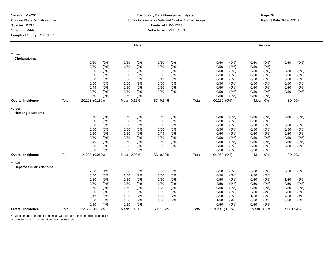#### **Toxicology Data Management System** Tumor Incidence for Selected Control Animal Groups **Report Date:** 03/20/2010 **Route:** ALL ROUTES **Vehicle:** ALL VEHICLES

|                                          |       |                 |         |            | <b>Male</b> |          |      |       |                 |         |      | Female     |          |         |
|------------------------------------------|-------|-----------------|---------|------------|-------------|----------|------|-------|-----------------|---------|------|------------|----------|---------|
| *Liver:<br>Cholangioma                   |       |                 |         |            |             |          |      |       |                 |         |      |            |          |         |
|                                          |       | 0/50            | (0%)    | 0/50       | (0%)        | 0/50     | (0%) |       | 0/50            | (0%)    | 0/50 | $(0\%)$    | 0/50     | (0%)    |
|                                          |       | 0/50            | (0%)    | 1/50       | (2%)        | 0/50     | (0%) |       | 0/50            | (0%     | 0/50 | (0%        |          |         |
|                                          |       | 0/50            | (0%)    | 0/50       | (0%)        | 0/50     | (0%) |       | 0/50            | $(0\%)$ | 0/50 | (0%)       | 0/50     | (0%)    |
|                                          |       | 0/50            | (0%)    | 0/50       | (0%)        | 0/50     | (0%) |       | 0/50            | (0%     | 0/50 | (0%)       | 0/50     | (0%)    |
|                                          |       | 0/50            | (0%)    | 0/50       | (0%)        | 0/49     | (0%) |       | 0/50            | (0%     | 0/50 | (0%)       | 0/50     | (0%)    |
|                                          |       | 0/50            | (0%)    | 1/50       | (2%)        | 0/50     | (0%) |       | 0/50            | (0%)    | 0/50 | (0%)       | 0/50     | (0%)    |
|                                          |       | 0/49            | (0%)    | 0/50       | (0%)        | 0/50     | (0%) |       | 0/50            | $(0\%)$ | 0/50 | $(0\%)$    | 0/50     | (0%)    |
|                                          |       | 0/50            | $(0\%)$ | 0/50       | (0%)        | 0/50     | (0%) |       | 0/50            | (0%)    | 0/50 | (0%)       | 0/50     | (0%)    |
|                                          |       | 0/50            | (0%)    | 0/50       | (0%)        |          |      |       | 0/50            | (0% )   | 0/50 | (0%        |          |         |
| <b>Overall Incidence</b>                 | Total | 2/1298 (0.15%)  |         | Mean 0.15% |             | SD 0.54% |      | Total | $0/1250$ $(0%)$ |         |      | Mean 0%    | SD 0%    |         |
| *Liver:<br>Hemangiosarcoma               |       |                 |         |            |             |          |      |       |                 |         |      |            |          |         |
|                                          |       | 0/50            | (0%)    | 0/50       | (0%)        | 0/50     | (0%) |       | 0/50            | (0%)    | 0/50 | (0%)       | 0/50     | (0%)    |
|                                          |       | 0/50            | (0%)    | 0/50       | (0%)        | 0/50     | (0%) |       | 0/50            | $(0\%)$ | 0/50 | (0%)       |          |         |
|                                          |       | 0/50            | $(0\%)$ | 0/50       | (0%)        | 0/50     | (0%) |       | 0/50            | (0%)    | 0/50 | $(0\%)$    | 0/50     | $(0\%)$ |
|                                          |       | 0/50            | (0%)    | 0/50       | (0%)        | 0/50     | (0%) |       | 0/50            | $(0\%)$ | 0/50 | (0%)       | 0/50     | (0%)    |
|                                          |       | 0/50            | $(0\%)$ | 1/50       | (2%)        | 0/49     | (0%) |       | 0/50            | $(0\%)$ | 0/50 | (0%)       | 0/50     | (0%)    |
|                                          |       | 0/50            | $(0\%)$ | 0/50       | (0%)        | 0/50     | (0%) |       | 0/50            | $(0\%)$ | 0/50 | (0%)       | 0/50     | (0%)    |
|                                          |       | 0/49            | (0%)    | 0/50       | (0%)        | 0/50     | (0%) |       | 0/50            | (0%)    | 0/50 | (0%)       | 0/50     | (0%)    |
|                                          |       | 0/50            | $(0\%)$ | 0/50       | (0%)        | 0/50     | (0%) |       | 0/50            | $(0\%)$ | 0/50 | $(0\%)$    | 0/50     | (0%)    |
|                                          |       | 0/50            | $(0\%)$ | 0/50       | (0%)        |          |      |       | 0/50            | (0%)    | 0/50 | $(0\%)$    |          |         |
| <b>Overall Incidence</b>                 | Total | 1/1298 (0.08%)  |         | Mean 0.08% |             | SD 0.39% |      | Total | $0/1250$ $(0%)$ |         |      | Mean 0%    | SD 0%    |         |
| *Liver:<br><b>Hepatocellular Adenoma</b> |       |                 |         |            |             |          |      |       |                 |         |      |            |          |         |
|                                          |       | 2/50            | (4%)    | 0/50       | (0%)        | 0/50     | (0%) |       | 0/50            | (0%)    | 0/50 | $(0\%)$    | 0/50     | (0%)    |
|                                          |       | 0/50            | (0%)    | 1/50       | (2%)        | 0/50     | (0%) |       | 0/50            | (0%     | 2/50 | (4% )      |          |         |
|                                          |       | 0/50            | $(0\%)$ | 0/50       | (0%)        | 0/50     | (0%) |       | 0/50            | $(0\%)$ | 0/50 | (0%)       | 1/50     | (2%)    |
|                                          |       | 0/50            | (0%)    | 0/50       | $(0\%)$     | 1/50     | (2%) |       | 2/50            | (4% )   | 0/50 | (0%)       | 0/50     | (0% )   |
|                                          |       | 0/50            | (0%)    | 1/50       | (2%)        | 1/49     | (2%) |       | 0/50            | (0% )   | 0/50 | (0%)       | 0/50     | (0%)    |
|                                          |       | 0/50            | (0%)    | 3/50       | (6%)        | 0/50     | (0%) |       | 0/50            | $(0\%)$ | 2/50 | (4% )      | 0/50     | (0%)    |
|                                          |       | 0/49            | (0%)    | 1/50       | (2%)        | 1/50     | (2%) |       | 0/50            | (0%)    | 1/50 | (2%)       | 2/50     | (4%)    |
|                                          |       | 0/50            | (0%)    | 1/50       | (2%)        | 1/50     | (2%) |       | 1/50            | (2%)    | 0/50 | (0%)       | 0/50     | (0%)    |
|                                          |       | 2/50            | (4% )   | 0/50       | (0%)        |          |      |       | 0/50            | (0% )   | 0/50 | (0%        |          |         |
| <b>Overall Incidence</b>                 | Total | 15/1298 (1.16%) |         | Mean 1.16% |             | SD 1.62% |      | Total | 11/1250 (0.88%) |         |      | Mean 0.88% | SD 1.54% |         |

\*: Denominator is number of animals with tissues examined microscopically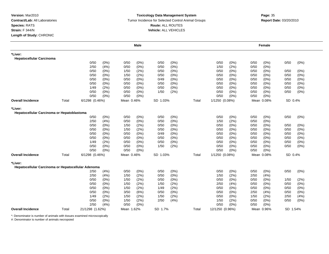#### **Toxicology Data Management System** Tumor Incidence for Selected Control Animal Groups **Report Date:** 03/20/2010 **Route:** ALL ROUTES **Vehicle:** ALL VEHICLES

|                                                       |       |                 |         |            | <b>Male</b> |          |         |       |                 |         |      | Female     |          |         |
|-------------------------------------------------------|-------|-----------------|---------|------------|-------------|----------|---------|-------|-----------------|---------|------|------------|----------|---------|
| *Liver:<br><b>Hepatocellular Carcinoma</b>            |       |                 |         |            |             |          |         |       |                 |         |      |            |          |         |
|                                                       |       | 0/50            | (0%)    | 0/50       | $(0\%)$     | 0/50     | $(0\%)$ |       | 0/50            | (0%)    | 0/50 | (0%)       | 0/50     | (0%)    |
|                                                       |       | 2/50            | (4% )   | 0/50       | $(0\%)$     | 0/50     | $(0\%)$ |       | 1/50            | (2%)    | 0/50 | $(0\%)$    |          |         |
|                                                       |       | 0/50            | (0%)    | 1/50       | (2%)        | 0/50     | $(0\%)$ |       | 0/50            | (0%)    | 0/50 | (0%)       | 0/50     | (0%)    |
|                                                       |       | 0/50            | (0%)    | 1/50       | (2%)        | 0/50     | (0%     |       | 0/50            | $(0\%)$ | 0/50 | $(0\%)$    | 0/50     | (0%)    |
|                                                       |       | 0/50            | (0%)    | 0/50       | $(0\%)$     | 0/49     | $(0\%)$ |       | 0/50            | (0%)    | 0/50 | $(0\%)$    | 0/50     | (0%)    |
|                                                       |       | 0/50            | (0%)    | 0/50       | $(0\%)$     | 0/50     | $(0\%)$ |       | 0/50            | (0%)    | 0/50 | (0%)       | 0/50     | (0%)    |
|                                                       |       | 1/49            | (2%)    | 0/50       | $(0\%)$     | 0/50     | $(0\%)$ |       | 0/50            | (0%)    | 0/50 | $(0\%)$    | 0/50     | $(0\%)$ |
|                                                       |       | 0/50            | (0%)    | 0/50       | $(0\%)$     | 1/50     | (2%)    |       | 0/50            | (0%)    | 0/50 | (0%)       | 0/50     | (0%)    |
|                                                       |       | 0/50            | (0%)    | 0/50       | $(0\%)$     |          |         |       | 0/50            | (0%)    | 0/50 | $(0\%)$    |          |         |
| <b>Overall Incidence</b>                              | Total | 6/1298 (0.46%)  |         | Mean 0.46% |             | SD 1.03% |         | Total | 1/1250 (0.08%)  |         |      | Mean 0.08% | SD 0.4%  |         |
| *Liver:<br>Hepatocellular Carcinoma or Hepatoblastoma |       |                 |         |            |             |          |         |       |                 |         |      |            |          |         |
|                                                       |       | 0/50            | (0%)    | 0/50       | $(0\%)$     | 0/50     | $(0\%)$ |       | 0/50            | (0%)    | 0/50 | (0%)       | 0/50     | $(0\%)$ |
|                                                       |       | 2/50            | (4% )   | 0/50       | $(0\%)$     | 0/50     | $(0\%)$ |       | 1/50            | (2%)    | 0/50 | $(0\%)$    |          |         |
|                                                       |       | 0/50            | $(0\%)$ | 1/50       | (2%)        | 0/50     | (0%)    |       | 0/50            | $(0\%)$ | 0/50 | $(0\%)$    | 0/50     | $(0\%)$ |
|                                                       |       | 0/50            | $(0\%)$ | 1/50       | (2%)        | 0/50     | $(0\%)$ |       | 0/50            | (0%)    | 0/50 | $(0\%)$    | 0/50     | $(0\%)$ |
|                                                       |       | 0/50            | $(0\%)$ | 0/50       | (0%)        | 0/49     | $(0\%)$ |       | 0/50            | $(0\%)$ | 0/50 | $(0\%)$    | 0/50     | (0%)    |
|                                                       |       | 0/50            | (0%)    | 0/50       | (0%)        | 0/50     | (0%)    |       | 0/50            | $(0\%)$ | 0/50 | $(0\%)$    | 0/50     | $(0\%)$ |
|                                                       |       | 1/49            | (2%)    | 0/50       | $(0\%)$     | 0/50     | $(0\%)$ |       | 0/50            | $(0\%)$ | 0/50 | $(0\%)$    | 0/50     | (0%)    |
|                                                       |       | 0/50            | $(0\%)$ | 0/50       | $(0\%)$     | 1/50     | (2%)    |       | 0/50            | (0%)    | 0/50 | $(0\%)$    | 0/50     | $(0\%)$ |
|                                                       |       | 0/50            | $(0\%)$ | 0/50       | $(0\%)$     |          |         |       | 0/50            | (0%)    | 0/50 | (0%)       |          |         |
| <b>Overall Incidence</b>                              | Total | 6/1298 (0.46%)  |         | Mean 0.46% |             | SD 1.03% |         | Total | 1/1250 (0.08%)  |         |      | Mean 0.08% | SD 0.4%  |         |
| *Liver:                                               |       |                 |         |            |             |          |         |       |                 |         |      |            |          |         |
| Hepatocellular Carcinoma or Hepatocellular Adenoma    |       | 2/50            | (4%)    | 0/50       | $(0\%)$     | 0/50     | $(0\%)$ |       | 0/50            | (0%)    | 0/50 | (0%)       | 0/50     | $(0\%)$ |
|                                                       |       | 2/50            | (4% )   | 1/50       | (2%)        | 0/50     | (0% )   |       | 1/50            | (2%)    | 2/50 | (4% )      |          |         |
|                                                       |       | 0/50            | (0%)    | 1/50       | (2%)        | 0/50     | $(0\%)$ |       | 0/50            | (0%)    | 0/50 | $(0\%)$    | 1/50     | (2%)    |
|                                                       |       | 0/50            | (0%)    | 1/50       | (2%)        | 1/50     | (2%)    |       | 2/50            | (4% )   | 0/50 | (0%)       | 0/50     | (0% )   |
|                                                       |       | 0/50            | (0%)    | 1/50       | (2%)        | 1/49     | (2%)    |       | 0/50            | (0%)    | 0/50 | $(0\%)$    | 0/50     | (0%)    |
|                                                       |       | 0/50            | (0%)    | 3/50       | (6%)        | 0/50     | $(0\%)$ |       | 0/50            | (0%)    | 2/50 | (4% )      | 0/50     | $(0\%)$ |
|                                                       |       | 1/49            | (2%)    | 1/50       | (2%)        | 1/50     | (2%)    |       | 0/50            | (0%)    | 1/50 | (2%)       | 2/50     | (4%)    |
|                                                       |       | 0/50            | (0%)    | 1/50       | (2%)        | 2/50     | (4%)    |       | 1/50            | (2%)    | 0/50 | (0%)       | 0/50     |         |
|                                                       |       | 2/50            | (4% )   | 0/50       | (0%)        |          |         |       | 0/50            | (0%)    | 0/50 | (0%)       |          | (0%)    |
|                                                       |       |                 |         |            |             |          |         |       |                 |         |      |            |          |         |
| <b>Overall Incidence</b>                              | Total | 21/1298 (1.62%) |         | Mean 1.62% |             | SD 1.7%  |         | Total | 12/1250 (0.96%) |         |      | Mean 0.96% | SD 1.54% |         |

\*: Denominator is number of animals with tissues examined microscopically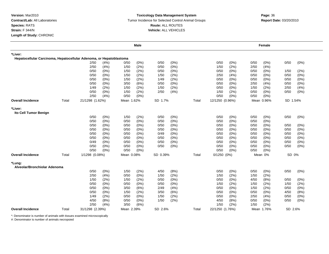#### **Toxicology Data Management System** Tumor Incidence for Selected Control Animal Groups **Report Date:** 03/20/2010 **Route:** ALL ROUTES **Vehicle:** ALL VEHICLES

# **m**<br> **Page:** 36

|                                        |       |                                                                     | Male            |                 |       |                 | Female          |                 |
|----------------------------------------|-------|---------------------------------------------------------------------|-----------------|-----------------|-------|-----------------|-----------------|-----------------|
| *Liver:                                |       |                                                                     |                 |                 |       |                 |                 |                 |
|                                        |       | Hepatocellular Carcinoma, Hepatocellular Adenoma, or Hepatoblastoma |                 |                 |       |                 |                 |                 |
|                                        |       | 2/50<br>(4% )                                                       | 0/50<br>$(0\%)$ | 0/50<br>(0%)    |       | 0/50<br>$(0\%)$ | 0/50<br>(0%)    | 0/50<br>$(0\%)$ |
|                                        |       | 2/50<br>(4% )                                                       | 1/50<br>(2%)    | 0/50<br>(0%)    |       | (2%)<br>1/50    | 2/50<br>(4% )   |                 |
|                                        |       | 0/50<br>(0%)                                                        | (2%)<br>1/50    | 0/50<br>(0%)    |       | 0/50<br>(0%)    | 0/50<br>(0%)    | 1/50<br>(2%)    |
|                                        |       | 0/50<br>(0%)                                                        | 1/50<br>(2%)    | 1/50<br>(2%)    |       | 2/50<br>(4% )   | 0/50<br>$(0\%)$ | 0/50<br>(0%     |
|                                        |       | 0/50<br>(0%)                                                        | 1/50<br>(2%)    | (2%)<br>1/49    |       | 0/50<br>(0%)    | 0/50<br>$(0\%)$ | 0/50<br>(0%     |
|                                        |       | 0/50<br>(0%)                                                        | (6%)<br>3/50    | 0/50<br>(0%)    |       | (0%)<br>0/50    | 2/50<br>(4% )   | 0/50<br>$(0\%)$ |
|                                        |       | 1/49<br>(2%)                                                        | (2%)<br>1/50    | (2%)<br>1/50    |       | (0%)<br>0/50    | (2%)<br>1/50    | 2/50<br>(4% )   |
|                                        |       | 0/50<br>(0%)                                                        | (2%)<br>1/50    | 2/50<br>(4% )   |       | (2%)<br>1/50    | $(0\%)$<br>0/50 | 0/50<br>(0%)    |
|                                        |       | 2/50<br>(4% )                                                       | 0/50<br>$(0\%)$ |                 |       | 0/50<br>(0%)    | 0/50<br>$(0\%)$ |                 |
| <b>Overall Incidence</b>               | Total | 21/1298 (1.62%)                                                     | Mean 1.62%      | SD 1.7%         | Total | 12/1250 (0.96%) | Mean 0.96%      | SD 1.54%        |
| *Liver:<br>Ito Cell Tumor Benign       |       |                                                                     |                 |                 |       |                 |                 |                 |
|                                        |       | 0/50<br>(0%)                                                        | 1/50<br>(2%)    | 0/50<br>(0%)    |       | 0/50<br>(0%)    | 0/50<br>(0%)    | 0/50<br>$(0\%)$ |
|                                        |       | 0/50<br>(0%)                                                        | 0/50<br>$(0\%)$ | (0%)<br>0/50    |       | 0/50<br>(0%)    | 0/50<br>$(0\%)$ |                 |
|                                        |       | 0/50<br>(0%)                                                        | $(0\%)$<br>0/50 | (0% )<br>0/50   |       | (0%)<br>0/50    | (0%<br>0/50     | 0/50<br>(0%)    |
|                                        |       | 0/50<br>(0%)                                                        | $(0\%)$<br>0/50 | (0%)<br>0/50    |       | (0%)<br>0/50    | 0/50<br>(0%)    | 0/50<br>$(0\%)$ |
|                                        |       | 0/50<br>(0%)                                                        | 0/50<br>$(0\%)$ | 0/49<br>$(0\%)$ |       | 0/50<br>(0%)    | 0/50<br>(0%)    | 0/50<br>$(0\%)$ |
|                                        |       | 0/50<br>(0%)                                                        | 0/50<br>$(0\%)$ | 0/50<br>$(0\%)$ |       | 0/50<br>(0%)    | 0/50<br>$(0\%)$ | 0/50<br>$(0\%)$ |
|                                        |       | 0/49<br>(0%)                                                        | 0/50<br>$(0\%)$ | 0/50<br>$(0\%)$ |       | (0%)<br>0/50    | 0/50<br>$(0\%)$ | 0/50<br>(0%)    |
|                                        |       | 0/50<br>(0%)                                                        | 0/50<br>$(0\%)$ | (0%)<br>0/50    |       | 0/50<br>(0%)    | (0%)<br>0/50    | 0/50<br>$(0\%)$ |
|                                        |       | 0/50<br>(0%)                                                        | $(0\%)$<br>0/50 |                 |       | (0%)<br>0/50    | (0%)<br>0/50    |                 |
| <b>Overall Incidence</b>               | Total | 1/1298 (0.08%)                                                      | Mean 0.08%      | SD 0.39%        | Total | $0/1250(0\%)$   | Mean 0%         | SD 0%           |
| *Lung:<br>Alveolar/Bronchiolar Adenoma |       |                                                                     |                 |                 |       |                 |                 |                 |
|                                        |       | 0/50<br>(0%)                                                        | 1/50<br>(2%)    | 4/50<br>(8%)    |       | 0/50<br>(0%)    | 0/50<br>(0%)    | 0/50<br>$(0\%)$ |
|                                        |       | 2/50<br>(4% )                                                       | $(0\%)$<br>0/50 | 1/50<br>(2%)    |       | (2%)<br>1/50    | (2%)<br>1/50    |                 |
|                                        |       | 1/50<br>(2%)                                                        | 1/50<br>(2%)    | 0/50<br>$(0\%)$ |       | 0/50<br>(0%)    | 4/50<br>(8%)    | 0/50<br>(0%)    |
|                                        |       | 0/50<br>(0%)                                                        | 0/50<br>$(0\%)$ | 0/50<br>(0%)    |       | (2%)<br>1/50    | (2%)<br>1/50    | (2%)<br>1/50    |
|                                        |       | 0/50<br>(0%)                                                        | 3/50<br>(6%)    | (4% )<br>2/49   |       | 0/50<br>(0%)    | (2%)<br>1/50    | $(0\%)$<br>0/50 |
|                                        |       | 0/50<br>(0%)                                                        | (2%)<br>1/50    | 3/50<br>(6%)    |       | 0/50<br>(0%)    | 0/50<br>(0%)    | 4/50<br>(8%)    |
|                                        |       | 1/49<br>(2%)                                                        | 0/50<br>$(0\%)$ | 1/50<br>(2%)    |       | 0/50<br>(0%)    | 2/50<br>(4% )   | 0/50<br>(0%)    |
|                                        |       | 4/50<br>(8%)                                                        | 0/50<br>$(0\%)$ | (2%)<br>1/50    |       | 4/50<br>(8%)    | 0/50<br>(0%)    | 0/50<br>$(0\%)$ |
|                                        |       | 2/50<br>(4% )                                                       | 3/50<br>(6%)    |                 |       | (2%)<br>1/50    | 1/50<br>(2%)    |                 |
| <b>Overall Incidence</b>               | Total | 31/1298 (2.39%)                                                     | Mean 2.39%      | SD 2.6%         | Total | 22/1250 (1.76%) | Mean 1.76%      | SD 2.6%         |

\*: Denominator is number of animals with tissues examined microscopically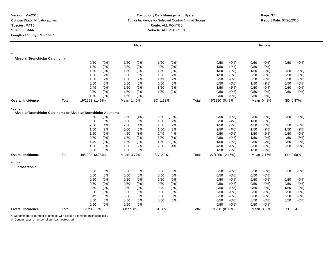## **Toxicology Data Management System** Tumor Incidence for Selected Control Animal Groups **Report Date:** 03/20/2010 **Route:** ALL ROUTES **Vehicle:** ALL VEHICLES

|                                                                |       |                 |         |            | <b>Male</b>  |          |       |       |                 |         |      | Female     |          |              |
|----------------------------------------------------------------|-------|-----------------|---------|------------|--------------|----------|-------|-------|-----------------|---------|------|------------|----------|--------------|
| *Lung:<br>Alveolar/Bronchiolar Carcinoma                       |       |                 |         |            |              |          |       |       |                 |         |      |            |          |              |
|                                                                |       | 0/50            | (0%)    | 1/50       | (2%)         | 1/50     | (2%)  |       | 0/50            | (0%)    | 0/50 | $(0\%)$    | 0/50     | (0%)         |
|                                                                |       | 1/50            | (2%)    | 0/50       | (0%)         | 0/50     | (0% ) |       | 1/50            | (2%)    | 0/50 | (0%)       |          |              |
|                                                                |       | 1/50            | (2%)    | 1/50       | (2%)         | 1/50     | (2%)  |       | 1/50            | (2%)    | 1/50 | (2%)       | 0/50     | (0%)         |
|                                                                |       | 1/50            | (2%)    | 0/50       | (0%)         | 1/50     | (2%)  |       | 1/50            | (2%)    | 0/50 | $(0\%)$    | 0/50     | (0%)         |
|                                                                |       | 1/50            | (2%)    | 1/50       | (2%)         | 1/49     | (2%)  |       | 0/50            | $(0\%)$ | 0/50 | (0%)       | 0/50     | (0%)         |
|                                                                |       | 0/50            | (0%)    | 0/50       | (0%)         | 0/50     | (0%)  |       | 0/50            | (0% )   | 1/50 | (2%)       | 0/50     | (0%)         |
|                                                                |       | 0/49            | (0%)    | 1/50       |              | 3/50     | (6%)  |       | 1/50            | (2%)    | 0/50 | (0%)       | 0/50     |              |
|                                                                |       | 0/50            | $(0\%)$ | 1/50       | (2%)<br>(2%) | 1/50     | (2%)  |       | 0/50            | (0%)    | 0/50 | $(0\%)$    | 0/50     | (0%)<br>(0%) |
|                                                                |       | 1/50            | (2%)    | 1/50       | (2%)         |          |       |       | 0/50            | (0%)    | 0/50 | $(0\%)$    |          |              |
| <b>Overall Incidence</b>                                       | Total | 19/1298 (1.46%) |         | Mean 1.46% |              | SD 1.33% |       | Total | 6/1250 (0.48%)  |         |      | Mean 0.48% | SD 0.87% |              |
|                                                                |       |                 |         |            |              |          |       |       |                 |         |      |            |          |              |
| *Lung:                                                         |       |                 |         |            |              |          |       |       |                 |         |      |            |          |              |
| Alveolar/Bronchiolar Carcinoma or Alveolar/Bronchiolar Adenoma |       |                 |         |            |              |          |       |       |                 |         |      |            |          |              |
|                                                                |       | 0/50            | (0%)    | 2/50       | (4%)         | 5/50     | (10%) |       | 0/50            | (0%)    | 0/50 | $(0\%)$    | 0/50     | (0%)         |
|                                                                |       | 3/50            | (6%)    | 0/50       | (0%)         | 1/50     | (2%)  |       | 2/50            | (4% )   | 1/50 | (2%)       |          |              |
|                                                                |       | 2/50            | (4% )   | 2/50       | (4%)         | 1/50     | (2%)  |       | 1/50            | (2%)    | 4/50 | (8%)       | 0/50     | $(0\%)$      |
|                                                                |       | 1/50            | (2%)    | 0/50       | (0%)         | 1/50     | (2%)  |       | 2/50            | (4% )   | 1/50 | (2%)       | 1/50     | (2%)         |
|                                                                |       | 1/50            | (2%)    | 4/50       | (8%)         | 2/49     | (4% ) |       | 0/50            | $(0\%)$ | 1/50 | (2%)       | 0/50     | (0%)         |
|                                                                |       | 0/50            | (0%)    | 1/50       | (2%)         | 3/50     | (6%)  |       | 0/50            | $(0\%)$ | 1/50 | (2%)       | 4/50     | (8%)         |
|                                                                |       | 1/49            | (2%)    | 1/50       | (2%)         | 4/50     | (8%)  |       | 1/50            | (2%)    | 2/50 | (4% )      | 0/50     | (0%)         |
|                                                                |       | 4/50            | (8%)    | 1/50       | (2%)         | 2/50     | (4% ) |       | 4/50            | (8%)    | 0/50 | $(0\%)$    | 0/50     | (0%)         |
|                                                                |       | 3/50            | (6%)    | 4/50       | (8%)         |          |       |       | 1/50            | (2%)    | 1/50 | (2%)       |          |              |
| <b>Overall Incidence</b>                                       | Total | 49/1298 (3.78%) |         | Mean 3.77% |              | SD 2.9%  |       | Total | 27/1250 (2.16%) |         |      | Mean 2.16% | SD 2.58% |              |
| *Lung:<br>Fibrosarcoma                                         |       |                 |         |            |              |          |       |       |                 |         |      |            |          |              |
|                                                                |       | 0/50            | (0%)    | 0/50       | (0%)         | 0/50     | (0%)  |       | 0/50            | (0%)    | 0/50 | $(0\%)$    | 0/50     | (0%)         |
|                                                                |       | 0/50            | (0%)    | 0/50       | (0%)         | 0/50     | (0%)  |       | 0/50            | (0%     | 0/50 | (0%)       |          |              |
|                                                                |       | 0/50            | $(0\%)$ | 0/50       | (0%)         | 0/50     | (0%)  |       | 0/50            | $(0\%)$ | 0/50 | (0%)       | 0/50     | (0%)         |
|                                                                |       | 0/50            | (0%)    | 0/50       | $(0\%)$      | 0/50     | (0%)  |       | 0/50            | (0%     | 0/50 | (0%        | 0/50     | $(0\%)$      |
|                                                                |       | 0/50            | (0%)    | 0/50       | (0%)         | 0/49     | (0%)  |       | 0/50            | (0% )   | 0/50 | (0%)       | 1/50     | (2%)         |
|                                                                |       | 0/50            | (0%)    | 0/50       | (0%)         | 0/50     | (0%)  |       | 0/50            | $(0\%)$ | 0/50 | (0%)       | 0/50     | (0%)         |
|                                                                |       | 0/49            | (0%)    | 0/50       | (0%)         | 0/50     | (0%)  |       | 0/50            | $(0\%)$ | 0/50 | (0%)       | 0/50     | (0%)         |
|                                                                |       | 0/50            | (0%)    | 0/50       | (0%)         | 0/50     | (0%)  |       | 0/50            | (0%)    | 0/50 | (0%)       | 0/50     | (0%)         |
|                                                                |       | 0/50            | (0%)    | 0/50       | (0%)         |          |       |       | 0/50            | (0% )   | 0/50 | (0%        |          |              |
| <b>Overall Incidence</b>                                       | Total | $0/1298$ $(0%)$ |         | Mean 0%    |              | SD 0%    |       | Total | 1/1250 (0.08%)  |         |      | Mean 0.08% | SD 0.4%  |              |
|                                                                |       |                 |         |            |              |          |       |       |                 |         |      |            |          |              |

\*: Denominator is number of animals with tissues examined microscopically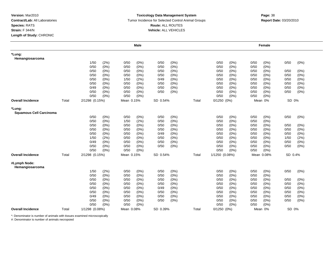#### **Toxicology Data Management System** Tumor Incidence for Selected Control Animal Groups **Report Date:** 03/20/2010 **Route:** ALL ROUTES **Vehicle:** ALL VEHICLES

|                                          |       |                |         |            | <b>Male</b> |          |         |       |                 |         |      | Female     |         |         |
|------------------------------------------|-------|----------------|---------|------------|-------------|----------|---------|-------|-----------------|---------|------|------------|---------|---------|
| *Lung:<br>Hemangiosarcoma                |       |                |         |            |             |          |         |       |                 |         |      |            |         |         |
|                                          |       | 1/50           | (2%)    | 0/50       | (0%)        | 0/50     | $(0\%)$ |       | 0/50            | (0%)    | 0/50 | (0%)       | 0/50    | $(0\%)$ |
|                                          |       | 0/50           | (0%)    | 0/50       | $(0\%)$     | 0/50     | $(0\%)$ |       | 0/50            | (0%)    | 0/50 | $(0\%)$    |         |         |
|                                          |       | 0/50           | (0%)    | 0/50       | (0%)        | 0/50     | (0%)    |       | 0/50            | (0%)    | 0/50 | $(0\%)$    | 0/50    | (0%)    |
|                                          |       | 0/50           | (0%)    | 0/50       | $(0\%)$     | 0/50     | $(0\%)$ |       | 0/50            | (0%)    | 0/50 | $(0\%)$    | 0/50    | (0% )   |
|                                          |       | 0/50           | (0%)    | 1/50       | (2%)        | 0/49     | (0%)    |       | 0/50            | (0%)    | 0/50 | (0%)       | 0/50    | $(0\%)$ |
|                                          |       | 0/50           | $(0\%)$ | 0/50       | $(0\%)$     | 0/50     | $(0\%)$ |       | 0/50            | (0%)    | 0/50 | $(0\%)$    | 0/50    | $(0\%)$ |
|                                          |       | 0/49           | $(0\%)$ | 0/50       | $(0\%)$     | 0/50     | $(0\%)$ |       | 0/50            | $(0\%)$ | 0/50 | (0%)       | 0/50    | $(0\%)$ |
|                                          |       | 0/50           | (0%)    | 0/50       | (0%)        | 0/50     | (0%)    |       | 0/50            | (0%)    | 0/50 | (0%)       | 0/50    | $(0\%)$ |
|                                          |       | 0/50           | $(0\%)$ | 0/50       | $(0\%)$     |          |         |       | 0/50            | (0%)    | 0/50 | (0%)       |         |         |
| <b>Overall Incidence</b>                 | Total | 2/1298 (0.15%) |         | Mean 0.15% |             | SD 0.54% |         | Total | $0/1250$ $(0%)$ |         |      | Mean 0%    | SD 0%   |         |
| *Lung:<br><b>Squamous Cell Carcinoma</b> |       |                |         |            |             |          |         |       |                 |         |      |            |         |         |
|                                          |       | 0/50           | (0%)    | 0/50       | $(0\%)$     | 0/50     | $(0\%)$ |       | 0/50            | (0%)    | 0/50 | (0%)       | 0/50    | (0%)    |
|                                          |       | 0/50           | (0% )   | 1/50       | (2%)        | 0/50     | (0% )   |       | 0/50            | (0% )   | 0/50 | (0% )      |         |         |
|                                          |       | 0/50           | (0%)    | 0/50       | $(0\%)$     | 0/50     | (0% )   |       | 0/50            | (0%)    | 0/50 | (0%)       | 0/50    | $(0\%)$ |
|                                          |       | 0/50           | (0%)    | 0/50       | $(0\%)$     | 0/50     | $(0\%)$ |       | 0/50            | (0%)    | 0/50 | $(0\%)$    | 0/50    | (0% )   |
|                                          |       | 0/50           | (0%)    | 0/50       | $(0\%)$     | 0/49     | $(0\%)$ |       | 0/50            | (0%)    | 0/50 | $(0\%)$    | 0/50    | $(0\%)$ |
|                                          |       | 1/50           | (2%)    | 0/50       | (0%         | 0/50     | $(0\%)$ |       | 0/50            | $(0\%)$ | 0/50 | $(0\%)$    | 1/50    | (2%)    |
|                                          |       | 0/49           | (0%)    | 0/50       | $(0\%)$     | 0/50     | $(0\%)$ |       | 0/50            | (0%)    | 0/50 | (0%)       | 0/50    | (0%)    |
|                                          |       | 0/50           | (0%)    | 0/50       | $(0\%)$     | 0/50     | (0%)    |       | 0/50            | (0%)    | 0/50 | (0%)       | 0/50    | $(0\%)$ |
|                                          |       | 0/50           | (0%)    | 0/50       | $(0\%)$     |          |         |       | 0/50            | (0%)    | 0/50 | (0%)       |         |         |
| <b>Overall Incidence</b>                 | Total | 2/1298 (0.15%) |         | Mean 0.15% |             | SD 0.54% |         | Total | 1/1250 (0.08%)  |         |      | Mean 0.08% | SD 0.4% |         |
| #Lymph Node:<br>Hemangiosarcoma          |       |                |         |            |             |          |         |       |                 |         |      |            |         |         |
|                                          |       | 1/50           | (2%)    | 0/50       | $(0\%)$     | 0/50     | $(0\%)$ |       | 0/50            | (0%)    | 0/50 | (0%)       | 0/50    | $(0\%)$ |
|                                          |       | 0/50           | $(0\%)$ | 0/50       | $(0\%)$     | 0/50     | $(0\%)$ |       | 0/50            | (0%)    | 0/50 | $(0\%)$    |         |         |
|                                          |       | 0/50           | $(0\%)$ | 0/50       | (0%)        | 0/50     | (0%)    |       | 0/50            | (0%)    | 0/50 | $(0\%)$    | 0/50    | (0%)    |
|                                          |       | 0/50           | (0%)    | 0/50       | (0%)        | 0/50     | $(0\%)$ |       | 0/50            | (0%)    | 0/50 | $(0\%)$    | 0/50    | (0%)    |
|                                          |       | 0/50           | (0%)    | 0/50       | $(0\%)$     | 0/49     | $(0\%)$ |       | 0/50            | $(0\%)$ | 0/50 | (0%)       | 0/50    | $(0\%)$ |
|                                          |       | 0/50           | (0%)    | 0/50       | $(0\%)$     | 0/50     | $(0\%)$ |       | 0/50            | (0%)    | 0/50 | (0%)       | 0/50    | $(0\%)$ |
|                                          |       | 0/49           | (0%)    | 0/50       | $(0\%)$     | 0/50     | (0%)    |       | 0/50            | $(0\%)$ | 0/50 | (0%)       | 0/50    | $(0\%)$ |
|                                          |       | 0/50           | (0%)    | 0/50       | $(0\%)$     | 0/50     | (0%)    |       | 0/50            | (0%)    | 0/50 | (0%)       | 0/50    | (0%)    |
|                                          |       | 0/50           | $(0\%)$ | 0/50       | (0%)        |          |         |       | 0/50            | (0%)    | 0/50 | (0%)       |         |         |
| <b>Overall Incidence</b>                 | Total | 1/1298 (0.08%) |         | Mean 0.08% |             | SD 0.39% |         | Total | $0/1250$ $(0%)$ |         |      | Mean 0%    | SD 0%   |         |

\*: Denominator is number of animals with tissues examined microscopically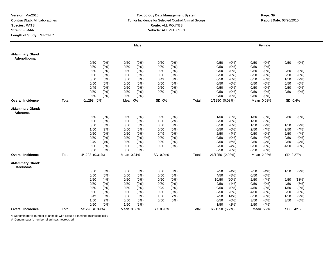### **Toxicology Data Management System** Tumor Incidence for Selected Control Animal Groups **Report Date:** 03/20/2010 **Route:** ALL ROUTES **Vehicle:** ALL VEHICLES

|                                |       |                |         |            | Male    |          |      |       |                 |       |      | <b>Female</b> |          |       |  |
|--------------------------------|-------|----------------|---------|------------|---------|----------|------|-------|-----------------|-------|------|---------------|----------|-------|--|
| #Mammary Gland:<br>Adenolipoma |       |                |         |            |         |          |      |       |                 |       |      |               |          |       |  |
|                                |       | 0/50           | (0%)    | 0/50       | (0%)    | 0/50     | (0%) |       | 0/50            | (0%)  | 0/50 | (0%)          | 0/50     | (0%)  |  |
|                                |       | 0/50           | (0%)    | 0/50       | $(0\%)$ | 0/50     | (0%) |       | 0/50            | (0%)  | 0/50 | $(0\%)$       |          |       |  |
|                                |       | 0/50           | (0%)    | 0/50       | $(0\%)$ | 0/50     | (0%) |       | 0/50            | (0%)  | 0/50 | $(0\%)$       | 0/50     | (0%)  |  |
|                                |       | 0/50           | (0%)    | 0/50       | $(0\%)$ | 0/50     | (0%  |       | 0/50            | (0%)  | 0/50 | (0%           | 0/50     | (0%)  |  |
|                                |       | 0/50           | (0%)    | 0/50       | $(0\%)$ | 0/49     | (0%) |       | 0/50            | (0%)  | 0/50 | $(0\%)$       | 1/50     | (2%)  |  |
|                                |       | 0/50           | (0%)    | 0/50       | $(0\%)$ | 0/50     | (0%) |       | 0/50            | (0%)  | 0/50 | $(0\%)$       | 0/50     | (0%)  |  |
|                                |       | 0/49           | (0%)    | 0/50       | $(0\%)$ | 0/50     | (0%) |       | 0/50            | (0%)  | 0/50 | $(0\%)$       | 0/50     | (0%)  |  |
|                                |       | 0/50           | (0%)    | 0/50       | $(0\%)$ | 0/50     | (0%) |       | 0/50            | (0%)  | 0/50 | $(0\%)$       | 0/50     | (0%)  |  |
|                                |       | 0/50           | (0%)    | 0/50       | $(0\%)$ |          |      |       | 0/50            | (0%)  | 0/50 | (0%           |          |       |  |
| <b>Overall Incidence</b>       | Total | 0/1298 (0%)    |         | Mean 0%    |         | SD 0%    |      | Total | 1/1250 (0.08%)  |       |      | Mean 0.08%    | SD 0.4%  |       |  |
| #Mammary Gland:<br>Adenoma     |       |                |         |            |         |          |      |       |                 |       |      |               |          |       |  |
|                                |       | 0/50           | (0%)    | 0/50       | (0%)    | 0/50     | (0%) |       | 1/50            | (2%)  | 1/50 | (2%)          | 0/50     | (0%)  |  |
|                                |       | 0/50           | (0%)    | 0/50       | $(0\%)$ | 1/50     | (2%) |       | 0/50            | (0%)  | 1/50 | (2%)          |          |       |  |
|                                |       | 0/50           | (0%)    | 0/50       | (0%)    | 0/50     | (0%) |       | 0/50            | (0%)  | 1/50 | (2%)          | 1/50     | (2%)  |  |
|                                |       | 1/50           | (2%)    | 0/50       | $(0\%)$ | 0/50     | (0%) |       | 0/50            | (0%)  | 2/50 | (4% )         | 2/50     | (4% ) |  |
|                                |       | 0/50           | $(0\%)$ | 0/50       | $(0\%)$ | 0/49     | (0%) |       | 2/50            | (4%)  | 0/50 | (0%)          | 2/50     | (4%)  |  |
|                                |       | 0/50           | $(0\%)$ | 0/50       | $(0\%)$ | 0/50     | (0%) |       | 0/50            | (0%)  | 0/50 | (0%           | 0/50     | (0%)  |  |
|                                |       | 2/49           | (4% )   | 0/50       | $(0\%)$ | 0/50     | (0%) |       | 3/50            | (6%)  | 2/50 | (4% )         | 2/50     | (4%)  |  |
|                                |       | 0/50           | (0%)    | 0/50       | (0%)    | 0/50     | (0%) |       | 2/50            | (4% ) | 0/50 | $(0\%)$       | 4/50     | (8%)  |  |
|                                |       | 0/50           | (0%)    | 0/50       | (0%)    |          |      |       | 0/50            | (0%)  | 0/50 | (0%)          |          |       |  |
| Overall Incidence              | Total | 4/1298 (0.31%) |         | Mean 0.31% |         | SD 0.94% |      | Total | 26/1250 (2.08%) |       |      | Mean 2.08%    | SD 2.27% |       |  |
| #Mammary Gland:<br>Carcinoma   |       |                |         |            |         |          |      |       |                 |       |      |               |          |       |  |
|                                |       | 0/50           | (0%)    | 0/50       | (0%)    | 0/50     | (0%) |       | 2/50            | (4% ) | 2/50 | (4%)          | 1/50     | (2%)  |  |
|                                |       | 0/50           | (0%)    | 0/50       | $(0\%)$ | 0/50     | (0%) |       | 4/50            | (8%)  | 0/50 | $(0\%)$       |          |       |  |
|                                |       | 2/50           | (4% )   | 0/50       | $(0\%)$ | 0/50     | (0%) |       | 10/50           | (20%) | 2/50 | (4% )         | 9/50     | (18%) |  |
|                                |       | 0/50           | (0%)    | 0/50       | $(0\%)$ | 0/50     | (0%) |       | 2/50            | (4%)  | 0/50 | (0%)          | 4/50     | (8%)  |  |
|                                |       | 0/50           | (0%)    | 0/50       | $(0\%)$ | 0/49     | (0%) |       | 0/50            | (0%)  | 4/50 | (8%)          | 1/50     | (2%)  |  |
|                                |       | 0/50           | (0%)    | 0/50       | (0%)    | 0/50     | (0%) |       | 3/50            | (6%)  | 4/50 | (8%)          | 0/50     | (0%)  |  |
|                                |       | 0/49           | $(0\%)$ | 0/50       | (0%)    | 1/50     | (2%) |       | 7/50            | (14%) | 0/50 | (0%           | 1/50     | (2%)  |  |
|                                |       | 1/50           | (2%)    | 0/50       | $(0\%)$ | 0/50     | (0%) |       | 0/50            | (0%)  | 3/50 | (6%)          | 3/50     | (6%)  |  |
|                                |       | 0/50           | (0%)    | 1/50       | (2%)    |          |      |       | 1/50            | (2%)  | 2/50 | (4% )         |          |       |  |
| <b>Overall Incidence</b>       | Total | 5/1298 (0.39%) |         | Mean 0.38% |         | SD 0.98% |      | Total | 65/1250 (5.2%)  |       |      | Mean 5.2%     | SD 5.42% |       |  |

\*: Denominator is number of animals with tissues examined microscopically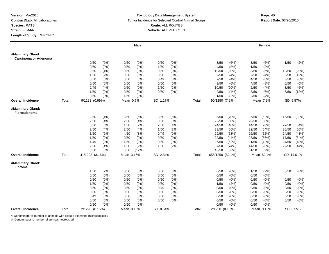#### **Toxicology Data Management System** Tumor Incidence for Selected Control Animal Groups **Report Date:** 03/20/2010 **Route:** ALL ROUTES **Vehicle:** ALL VEHICLES

# **m**<br> **Page:** 40

|                                         |       |                 |         |            | <b>Male</b> |          |         |       |                  |         |       | Female     |           |         |  |
|-----------------------------------------|-------|-----------------|---------|------------|-------------|----------|---------|-------|------------------|---------|-------|------------|-----------|---------|--|
| #Mammary Gland:<br>Carcinoma or Adenoma |       |                 |         |            |             |          |         |       |                  |         |       |            |           |         |  |
|                                         |       | 0/50            | $(0\%)$ | 0/50       | (0%)        | 0/50     | (0%)    |       | 3/50             | (6%)    | 3/50  | (6%)       | 1/50      | (2%)    |  |
|                                         |       | 0/50            | $(0\%)$ | 0/50       | $(0\%)$     | 1/50     | (2%)    |       | 4/50             | (8%)    | 1/50  | (2%)       |           |         |  |
|                                         |       | 2/50            | (4%)    | 0/50       | $(0\%)$     | 0/50     | (0%)    |       | 10/50            | (20%)   | 3/50  | (6%)       | 10/50     | (20%)   |  |
|                                         |       | 1/50            | (2%)    | 0/50       | $(0\%)$     | 0/50     | (0% )   |       | 2/50             | (4% )   | 2/50  | (4% )      | 6/50      | (12%)   |  |
|                                         |       | 0/50            | (0%)    | 0/50       | (0%)        | 0/49     | (0%)    |       | 2/50             | (4% )   | 4/50  | (8%)       | 3/50      | (6%)    |  |
|                                         |       | 0/50            | (0%)    | 0/50       | $(0\%)$     | 0/50     | (0%)    |       | 3/50             | (6%)    | 4/50  | (8%)       | 0/50      | (0%)    |  |
|                                         |       | 2/49            | (4%)    | 0/50       | $(0\%)$     | 1/50     | (2%)    |       | 10/50            | (20%)   | 2/50  | (4%)       | 3/50      | (6%)    |  |
|                                         |       | 1/50            | (2%)    | 0/50       | $(0\%)$     | 0/50     | (0%)    |       | 2/50             | (4%)    | 3/50  | (6%)       | 6/50      | (12%)   |  |
|                                         |       | 0/50            | (0%)    | 1/50       | (2%)        |          |         |       | 1/50             | (2%)    | 2/50  | (4% )      |           |         |  |
| <b>Overall Incidence</b>                | Total | 9/1298 (0.69%)  |         | Mean 0.7%  |             | SD 1.27% |         | Total | 90/1250 (7.2%)   |         |       | Mean 7.2%  | SD 5.57%  |         |  |
| #Mammary Gland:<br>Fibroadenoma         |       |                 |         |            |             |          |         |       |                  |         |       |            |           |         |  |
|                                         |       | 2/50            | (4% )   | 3/50       | (6%)        | 3/50     | (6%)    |       | 35/50            | (70%)   | 26/50 | (52%)      | 16/50     | (32%)   |  |
|                                         |       | 2/50            | (4%)    | 2/50       | (4% )       | 0/50     | (0% )   |       | 25/50            | (50%)   | 29/50 | (58%)      |           |         |  |
|                                         |       | 0/50            | (0%)    | 1/50       | (2%)        | 2/50     | (4% )   |       | 24/50            | (48%)   | 14/50 | (28%)      | 27/50     | (54%)   |  |
|                                         |       | 2/50            | (4%)    | 2/50       | (4% )       | 1/50     | (2%)    |       | 33/50            | (66%)   | 32/50 | (64%)      | 30/50     | (60%)   |  |
|                                         |       | 1/50            | (2%)    | 4/50       | (8%)        | 0/49     | $(0\%)$ |       | 29/50            | (58%)   | 26/50 | (52%)      | 24/50     | (48%)   |  |
|                                         |       | 1/50            | (2%)    | 0/50       | $(0\%)$     | 0/50     | $(0\%)$ |       | 22/50            | (44%    | 28/50 | (56%)      | 17/50     | (34%)   |  |
|                                         |       | 1/49            | (2%)    | 1/50       | (2%)        | 0/50     | (0%)    |       | 26/50            | (52%)   | 21/50 | (42%)      | 24/50     | (48%)   |  |
|                                         |       | 2/50            | (4%)    | 1/50       | (2%)        | 1/50     | (2%)    |       | 37/50            | (74%)   | 14/50 | (28%)      | 22/50     | (44%)   |  |
|                                         |       | 3/50            | (6%)    | 6/50       | (12%)       |          |         |       | 43/50            | (86%)   | 31/50 | (62%)      |           |         |  |
| <b>Overall Incidence</b>                | Total | 41/1298 (3.16%) |         | Mean 3.16% |             | SD 2.84% |         | Total | 655/1250 (52.4%) |         |       | Mean 52.4% | SD 14.01% |         |  |
| #Mammary Gland:<br><b>Fibroma</b>       |       |                 |         |            |             |          |         |       |                  |         |       |            |           |         |  |
|                                         |       | 1/50            | (2%)    | 0/50       | (0%)        | 0/50     | (0%)    |       | 0/50             | (0%)    | 1/50  | (2%)       | 0/50      | $(0\%)$ |  |
|                                         |       | 0/50            | $(0\%)$ | 0/50       | $(0\%)$     | 0/50     | (0%)    |       | 0/50             | (0%)    | 0/50  | (0%)       |           |         |  |
|                                         |       | 0/50            | (0%)    | 0/50       | $(0\%)$     | 0/50     | $(0\%)$ |       | 0/50             | (0%)    | 0/50  | (0%)       | 0/50      | (0%)    |  |
|                                         |       | 1/50            | (2%)    | 0/50       | $(0\%)$     | 0/50     | (0%)    |       | 1/50             | (2%)    | 0/50  | $(0\%)$    | 0/50      | (0%)    |  |
|                                         |       | 0/50            | $(0\%)$ | 0/50       | $(0\%)$     | 0/49     | (0%)    |       | 0/50             | (0%)    | 0/50  | $(0\%)$    | 0/50      | $(0\%)$ |  |
|                                         |       | 0/50            | $(0\%)$ | 0/50       | $(0\%)$     | 0/50     | (0%)    |       | 0/50             | (0%     | 0/50  | $(0\%)$    | 0/50      | $(0\%)$ |  |
|                                         |       | 0/49            | (0%)    | 0/50       | $(0\%)$     | 0/50     | (0%)    |       | 0/50             | $(0\%)$ | 0/50  | $(0\%)$    | 0/50      | $(0\%)$ |  |
|                                         |       | 0/50            | $(0\%)$ | 0/50       | $(0\%)$     | 0/50     | (0%)    |       | 0/50             | (0%)    | 0/50  | $(0\%)$    | 0/50      | $(0\%)$ |  |
|                                         |       | 0/50            | $(0\%)$ | 0/50       | $(0\%)$     |          |         |       | 0/50             | (0%)    | 0/50  | $(0\%)$    |           |         |  |
| <b>Overall Incidence</b>                | Total | 2/1298 (0.15%)  |         | Mean 0.15% |             | SD 0.54% |         | Total | 2/1250 (0.16%)   |         |       | Mean 0.16% | SD 0.55%  |         |  |

\*: Denominator is number of animals with tissues examined microscopically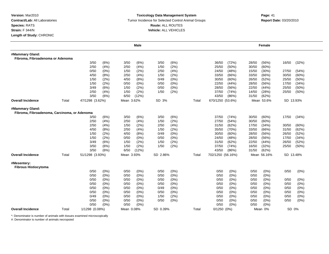#### **Toxicology Data Management System** Tumor Incidence for Selected Control Animal Groups **Report Date:** 03/20/2010 **Route:** ALL ROUTES **Vehicle:** ALL VEHICLES

# **m**<br> **Page:** 41

|                                                                 |       |                 |                 |              | <b>Male</b>        |              |                 |       |                   |              |                | <b>Female</b>   |                |                |
|-----------------------------------------------------------------|-------|-----------------|-----------------|--------------|--------------------|--------------|-----------------|-------|-------------------|--------------|----------------|-----------------|----------------|----------------|
| #Mammary Gland:                                                 |       |                 |                 |              |                    |              |                 |       |                   |              |                |                 |                |                |
| Fibroma, Fibroadenoma or Adenoma                                |       |                 |                 |              |                    |              |                 |       |                   |              |                |                 |                |                |
|                                                                 |       | 3/50            | (6%)            | 3/50         | (6%)               | 3/50         | (6%)            |       | 36/50             | (72%)        | 28/50          | (56%)           | 16/50          | (32%)          |
|                                                                 |       | 2/50            | (4% )           | 2/50         | (4% )              | 1/50         | (2%)            |       | 25/50             | (50%)        | 30/50          | (60%)           |                |                |
|                                                                 |       | 0/50            | $(0\%)$         | 1/50         | (2%)               | 2/50         | (4% )           |       | 24/50             | (48%)        | 15/50          | (30%)           | 27/50          | (54%)          |
|                                                                 |       | 4/50            | (8%)            | 2/50         | (4% )              | 1/50         | (2%)            |       | 33/50             | (66%)        | 33/50          | (66%)           | 30/50          | (60%           |
|                                                                 |       | 1/50            | (2%)            | 4/50         | (8%)               | 0/49         | (0%)            |       | 30/50             | (60%)        | 26/50          | (52%)           | 25/50          | $(50\%)$       |
|                                                                 |       | 1/50            | (2%)            | 0/50         | $(0\%)$            | 0/50         | (0%)            |       | 22/50             | (44%         | 28/50          | (56%)           | 17/50          | (34%)          |
|                                                                 |       | 3/49            | (6%)            | 1/50         | (2%)               | 0/50         | (0%             |       | 28/50             | (56%)        | 22/50          | (44% )          | 25/50          | (50%)          |
|                                                                 |       | 2/50            | (4% )           | 1/50         | (2%)               | 1/50         | (2%)            |       | 37/50             | (74%)        | 14/50          | (28%)           | 25/50          | (50%)          |
|                                                                 |       | 3/50            | (6%)            | 6/50         | (12%)              |              |                 |       | 43/50             | (86%)        | 31/50          | (62%)           |                |                |
| <b>Overall Incidence</b>                                        | Total | 47/1298 (3.62%) |                 | Mean 3.62%   |                    | SD 3%        |                 | Total | 670/1250 (53.6%)  |              |                | Mean 53.6%      | SD 13.93%      |                |
| #Mammary Gland:<br>Fibroma, Fibroadenoma, Carcinoma, or Adenoma |       |                 |                 |              |                    |              |                 |       |                   |              |                |                 |                |                |
|                                                                 |       | 3/50            | (6%)            | 3/50         | (6%)               | 3/50         | (6%)            |       | 37/50             | (74%)        | 30/50          | (60%)           | 17/50          | (34%)          |
|                                                                 |       | 2/50            | (4% )           | 2/50         | (4% )              | 1/50         | (2%)            |       | 27/50             | (54%)        | 30/50          | (60%)           |                |                |
|                                                                 |       | 2/50            | (4% )           | 1/50         | (2%)               | 2/50         | (4% )           |       | 31/50             | (62%)        | 17/50          | (34%)           | 30/50          | (60%           |
|                                                                 |       | 4/50            | (8%)            | 2/50         | (4% )              | 1/50         | (2%)            |       | 35/50             | (70%)        | 33/50          | (66%)           | 31/50          | (62%)          |
|                                                                 |       | 1/50<br>1/50    | (2%)<br>(2%)    | 4/50<br>0/50 | (8%)<br>$(0\%)$    | 0/49<br>0/50 | $(0\%)$<br>(0%  |       | 30/50<br>24/50    | (60%<br>(48% | 28/50<br>28/50 | (56%)<br>(56%)  | 26/50<br>17/50 | (52%)<br>(34%) |
|                                                                 |       | 3/49            | (6%)            | 1/50         | (2%)               | 1/50         | (2%)            |       | 31/50             | (62%)        | 22/50          | (44%)           | 26/50          | (52%)          |
|                                                                 |       | 3/50            | (6%)            | 1/50         | (2%)               | 1/50         | (2%)            |       | 37/50             | (74%)        | 16/50          | (32%)           | 25/50          | $(50\%)$       |
|                                                                 |       | 3/50            | (6%)            | 6/50         | (12%)              |              |                 |       | 43/50             | (86%)        | 31/50          | (62%)           |                |                |
| <b>Overall Incidence</b>                                        | Total | 51/1298 (3.93%) |                 | Mean 3.93%   |                    | SD 2.86%     |                 | Total | 702/1250 (56.16%) |              |                | Mean 56.16%     | SD 13.48%      |                |
|                                                                 |       |                 |                 |              |                    |              |                 |       |                   |              |                |                 |                |                |
| #Mesentery:<br><b>Fibrous Histiocytoma</b>                      |       |                 |                 |              |                    |              |                 |       |                   |              |                |                 |                |                |
|                                                                 |       | 0/50            | (0% )           | 0/50         | (0%)               | 0/50         | (0% )           |       | 0/50              | (0%)         | 0/50           | $(0\%)$         | 0/50           | (0%)           |
|                                                                 |       | 0/50            | (0%)            | 0/50         | $(0\%)$            | 0/50         | $(0\%)$         |       | 0/50              | (0%)         | 0/50           | $(0\%)$         |                |                |
|                                                                 |       | 0/50            | $(0\%)$         | 0/50         | $(0\%)$            | 0/50         | $(0\%)$         |       | 0/50              | (0%)         | 0/50           | $(0\%)$         | 0/50           | (0%)           |
|                                                                 |       | 0/50            | $(0\%)$         | 0/50         | $(0\%)$            | 0/50         | $(0\%)$         |       | 0/50              | (0%          | 0/50           | $(0\%)$         | 0/50           | $(0\%)$        |
|                                                                 |       | 0/50            | (0%)            | 0/50         | $(0\%)$            | 0/49         | (0%)            |       | 0/50              | (0%)         | 0/50           | $(0\%)$         | 0/50           | $(0\%)$        |
|                                                                 |       | 0/50<br>0/49    | $(0\%)$<br>(0%) | 0/50<br>0/50 | $(0\%)$<br>$(0\%)$ | 0/50<br>1/50 | $(0\%)$<br>(2%) |       | 0/50<br>0/50      | (0%)<br>(0%) | 0/50<br>0/50   | $(0\%)$<br>(0%) | 0/50<br>0/50   | (0%)<br>(0%)   |
|                                                                 |       | 0/50            | (0%)            | 0/50         | $(0\%)$            | 0/50         | (0%)            |       | 0/50              | (0%)         | 0/50           | (0%)            | 0/50           | (0%)           |
|                                                                 |       | 0/50            | (0%)            | 0/50         | (0%)               |              |                 |       | 0/50              | (0%)         | 0/50           | (0%)            |                |                |
|                                                                 |       |                 |                 |              |                    |              |                 |       |                   |              |                |                 | SD 0%          |                |
| <b>Overall Incidence</b>                                        | Total | 1/1298 (0.08%)  |                 | Mean 0.08%   |                    | SD 0.39%     |                 | Total | $0/1250$ $(0%)$   |              |                | Mean 0%         |                |                |

\*: Denominator is number of animals with tissues examined microscopically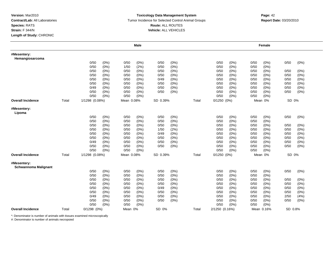#### **Toxicology Data Management System** Tumor Incidence for Selected Control Animal Groups **Report Date:** 03/20/2010 **Route:** ALL ROUTES **Vehicle:** ALL VEHICLES

|                                            |       |                 |         |            | <b>Male</b> |          |       |       |                 |         |      | Female     |         |         |
|--------------------------------------------|-------|-----------------|---------|------------|-------------|----------|-------|-------|-----------------|---------|------|------------|---------|---------|
| #Mesentery:<br>Hemangiosarcoma             |       |                 |         |            |             |          |       |       |                 |         |      |            |         |         |
|                                            |       | 0/50            | (0%)    | 0/50       | (0%)        | 0/50     | (0%)  |       | 0/50            | (0%)    | 0/50 | $(0\%)$    | 0/50    | (0%)    |
|                                            |       | 0/50            | (0%)    | 1/50       | (2%)        | 0/50     | (0%)  |       | 0/50            | (0%     | 0/50 | (0%)       |         |         |
|                                            |       | 0/50            | (0%)    | 0/50       | (0%)        | 0/50     | (0%)  |       | 0/50            | $(0\%)$ | 0/50 | (0%)       | 0/50    | (0%)    |
|                                            |       | 0/50            | (0%)    | 0/50       | (0%)        | 0/50     | (0%)  |       | 0/50            | $(0\%)$ | 0/50 | $(0\%)$    | 0/50    | (0%)    |
|                                            |       | 0/50            | (0%)    | 0/50       | (0%)        | 0/49     | (0%)  |       | 0/50            | (0%     | 0/50 | (0%)       | 0/50    | (0%)    |
|                                            |       | 0/50            | (0%)    | 0/50       | (0%)        | 0/50     | (0%)  |       | 0/50            | (0%)    | 0/50 | (0%)       | 0/50    | (0%)    |
|                                            |       | 0/49            | (0%)    | 0/50       | (0%)        | 0/50     | (0%)  |       | 0/50            | $(0\%)$ | 0/50 | (0%)       | 0/50    | (0%)    |
|                                            |       | 0/50            | $(0\%)$ | 0/50       | (0%)        | 0/50     | (0%)  |       | 0/50            | (0%)    | 0/50 | (0%)       | 0/50    | (0%)    |
|                                            |       | 0/50            | (0%)    | 0/50       | (0%)        |          |       |       | 0/50            | (0% )   | 0/50 | (0%        |         |         |
| <b>Overall Incidence</b>                   | Total | 1/1298 (0.08%)  |         | Mean 0.08% |             | SD 0.39% |       | Total | $0/1250$ $(0%)$ |         |      | Mean 0%    | SD 0%   |         |
| #Mesentery:<br>Lipoma                      |       |                 |         |            |             |          |       |       |                 |         |      |            |         |         |
|                                            |       | 0/50            | (0%)    | 0/50       | $(0\%)$     | 0/50     | (0%)  |       | 0/50            | (0%)    | 0/50 | (0%)       | 0/50    | (0%)    |
|                                            |       | 0/50            | (0%)    | 0/50       | (0%)        | 0/50     | (0%)  |       | 0/50            | $(0\%)$ | 0/50 | (0%)       |         |         |
|                                            |       | 0/50            | $(0\%)$ | 0/50       | (0%)        | 0/50     | (0%)  |       | 0/50            | (0%)    | 0/50 | $(0\%)$    | 0/50    | $(0\%)$ |
|                                            |       | 0/50            | (0%)    | 0/50       | (0%)        | 1/50     | (2%)  |       | 0/50            | $(0\%)$ | 0/50 | (0%)       | 0/50    | (0%)    |
|                                            |       | 0/50            | (0%)    | 0/50       | (0%)        | 0/49     | (0%)  |       | 0/50            | $(0\%)$ | 0/50 | (0%)       | 0/50    | (0%)    |
|                                            |       | 0/50            | $(0\%)$ | 0/50       | (0%)        | 0/50     | (0%)  |       | 0/50            | $(0\%)$ | 0/50 | (0%)       | 0/50    | (0%)    |
|                                            |       | 0/49            | (0%)    | 0/50       | (0%)        | 0/50     | (0%)  |       | 0/50            | (0%)    | 0/50 | $(0\%)$    | 0/50    | (0%)    |
|                                            |       | 0/50            | $(0\%)$ | 0/50       | (0%)        | 0/50     | (0%)  |       | 0/50            | (0%)    | 0/50 | $(0\%)$    | 0/50    | (0%)    |
|                                            |       | 0/50            | $(0\%)$ | 0/50       | (0%)        |          |       |       | 0/50            | (0%)    | 0/50 | $(0\%)$    |         |         |
| <b>Overall Incidence</b>                   | Total | 1/1298 (0.08%)  |         | Mean 0.08% |             | SD 0.39% |       | Total | $0/1250$ $(0%)$ |         |      | Mean 0%    | SD 0%   |         |
| #Mesentery:<br><b>Schwannoma Malignant</b> |       |                 |         |            |             |          |       |       |                 |         |      |            |         |         |
|                                            |       | 0/50            | (0%)    | 0/50       | (0%)        | 0/50     | (0%)  |       | 0/50            | (0%)    | 0/50 | $(0\%)$    | 0/50    | (0%)    |
|                                            |       | 0/50            | (0%)    | 0/50       | (0%)        | 0/50     | (0%)  |       | 0/50            | (0%     | 0/50 | (0%)       |         |         |
|                                            |       | 0/50            | $(0\%)$ | 0/50       | (0%)        | 0/50     | (0%)  |       | 0/50            | (0%     | 0/50 | $(0\%)$    | 0/50    | (0%)    |
|                                            |       | 0/50            | (0%)    | 0/50       | $(0\%)$     | 0/50     | (0% ) |       | 0/50            | (0%     | 0/50 | $(0\%)$    | 0/50    | (0% )   |
|                                            |       | 0/50            | (0%)    | 0/50       | (0%)        | 0/49     | (0%)  |       | 0/50            | (0%)    | 0/50 | $(0\%)$    | 0/50    | (0%)    |
|                                            |       | 0/50            | (0%)    | 0/50       | (0%)        | 0/50     | (0%)  |       | 0/50            | $(0\%)$ | 0/50 | (0%)       | 0/50    | (0%)    |
|                                            |       | 0/49            | $(0\%)$ | 0/50       | (0%)        | 0/50     | (0%)  |       | 0/50            | (0%)    | 0/50 | (0%)       | 2/50    | (4%)    |
|                                            |       | 0/50            | (0%)    | 0/50       | (0%)        | 0/50     | (0%)  |       | 0/50            | (0%)    | 0/50 | (0%)       | 0/50    | $(0\%)$ |
|                                            |       | 0/50            | (0%)    | 0/50       | (0%)        |          |       |       | 0/50            | (0% )   | 0/50 | (0%        |         |         |
| <b>Overall Incidence</b>                   | Total | $0/1298$ $(0%)$ |         | Mean 0%    |             | SD 0%    |       | Total | 2/1250 (0.16%)  |         |      | Mean 0.16% | SD 0.8% |         |

\*: Denominator is number of animals with tissues examined microscopically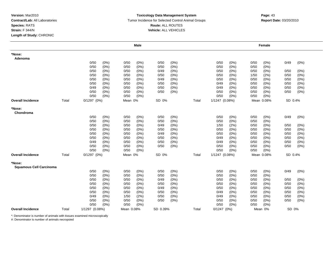#### **Toxicology Data Management System** Tumor Incidence for Selected Control Animal Groups **Report Date:** 03/20/2010 **Route:** ALL ROUTES **Vehicle:** ALL VEHICLES

|                                          |       |                 |         |            | <b>Male</b> |          |         |       |                 |         |      | Female     |         |         |
|------------------------------------------|-------|-----------------|---------|------------|-------------|----------|---------|-------|-----------------|---------|------|------------|---------|---------|
| *Nose:<br>Adenoma                        |       |                 |         |            |             |          |         |       |                 |         |      |            |         |         |
|                                          |       | 0/50            | (0%)    | 0/50       | (0%)        | 0/50     | (0%)    |       | 0/50            | $(0\%)$ | 0/50 | $(0\%)$    | 0/49    | (0%)    |
|                                          |       | 0/50            | (0%)    | 0/50       | (0%)        | 0/50     | (0%)    |       | 0/50            | $(0\%)$ | 0/50 | (0%        |         |         |
|                                          |       | 0/50            | (0%)    | 0/50       | $(0\%)$     | 0/49     | (0%)    |       | 0/50            | $(0\%)$ | 0/50 | $(0\%)$    | 0/50    | (0%)    |
|                                          |       | 0/50            | (0%)    | 0/50       | $(0\%)$     | 0/50     | (0%)    |       | 0/50            | $(0\%)$ | 1/50 | (2%)       | 0/50    | (0%)    |
|                                          |       | 0/50            | (0%)    | 0/50       | $(0\%)$     | 0/49     | (0%)    |       | 0/50            | $(0\%)$ | 0/50 | $(0\%)$    | 0/50    | (0%)    |
|                                          |       | 0/50            | $(0\%)$ | 0/50       | $(0\%)$     | 0/50     | (0%)    |       | 0/49            | $(0\%)$ | 0/50 | (0%        | 0/50    | (0%)    |
|                                          |       | 0/49            | $(0\%)$ | 0/50       | $(0\%)$     | 0/50     | (0%)    |       | 0/49            | $(0\%)$ | 0/50 | (0%        | 0/50    | (0%)    |
|                                          |       | 0/50            | (0%)    | 0/50       | (0%)        | 0/50     | (0%)    |       | 0/50            | (0%)    | 0/50 | (0%)       | 0/50    | (0%)    |
|                                          |       | 0/50            | (0%)    | 0/50       | (0%)        |          |         |       | 0/50            | $(0\%)$ | 0/50 | (0%        |         |         |
| <b>Overall Incidence</b>                 | Total | $0/1297$ $(0%)$ |         | Mean 0%    |             | SD 0%    |         | Total | 1/1247 (0.08%)  |         |      | Mean 0.08% | SD 0.4% |         |
| *Nose:<br>Chondroma                      |       |                 |         |            |             |          |         |       |                 |         |      |            |         |         |
|                                          |       | 0/50            | $(0\%)$ | 0/50       | (0%)        | 0/50     | (0%)    |       | 0/50            | (0%)    | 0/50 | $(0\%)$    | 0/49    | (0%)    |
|                                          |       | 0/50            | (0%)    | 0/50       | $(0\%)$     | 0/50     | (0%)    |       | 0/50            | (0%     | 0/50 | (0%)       |         |         |
|                                          |       | 0/50            | (0%)    | 0/50       | $(0\%)$     | 0/49     | (0%)    |       | 1/50            | (2%)    | 0/50 | $(0\%)$    | 0/50    | $(0\%)$ |
|                                          |       | 0/50            | (0%)    | 0/50       | $(0\%)$     | 0/50     | $(0\%)$ |       | 0/50            | $(0\%)$ | 0/50 | $(0\%)$    | 0/50    | (0%)    |
|                                          |       | 0/50            | $(0\%)$ | 0/50       | $(0\%)$     | 0/49     | $(0\%)$ |       | 0/50            | (0%)    | 0/50 | $(0\%)$    | 0/50    | (0%)    |
|                                          |       | 0/50            | (0%)    | 0/50       | $(0\%)$     | 0/50     | (0%)    |       | 0/49            | $(0\%)$ | 0/50 | (0%)       | 0/50    | (0%)    |
|                                          |       | 0/49            | $(0\%)$ | 0/50       | $(0\%)$     | 0/50     | $(0\%)$ |       | 0/49            | (0%)    | 0/50 | $(0\%)$    | 0/50    | (0%)    |
|                                          |       | 0/50            | (0%)    | 0/50       | $(0\%)$     | 0/50     | (0%)    |       | 0/50            | (0%)    | 0/50 | $(0\%)$    | 0/50    | (0%)    |
|                                          |       | 0/50            | $(0\%)$ | 0/50       | $(0\%)$     |          |         |       | 0/50            | (0%)    | 0/50 | $(0\%)$    |         |         |
| <b>Overall Incidence</b>                 | Total | $0/1297$ $(0%)$ |         | Mean 0%    |             | SD 0%    |         | Total | 1/1247 (0.08%)  |         |      | Mean 0.08% | SD 0.4% |         |
| *Nose:<br><b>Squamous Cell Carcinoma</b> |       |                 |         |            |             |          |         |       |                 |         |      |            |         |         |
|                                          |       | 0/50            | (0%)    | 0/50       | $(0\%)$     | 0/50     | (0%)    |       | 0/50            | (0%)    | 0/50 | $(0\%)$    | 0/49    | (0%)    |
|                                          |       | 0/50            | (0%)    | 0/50       | $(0\%)$     | 0/50     | (0%)    |       | 0/50            | (0%)    | 0/50 | $(0\%)$    |         |         |
|                                          |       | 0/50            | (0%)    | 0/50       | $(0\%)$     | 0/49     | (0%)    |       | 0/50            | $(0\%)$ | 0/50 | (0%)       | 0/50    | (0%)    |
|                                          |       | 0/50            | (0%)    | 0/50       | (0%)        | 0/50     | (0%)    |       | 0/50            | $(0\%)$ | 0/50 | $(0\%)$    | 0/50    | (0% )   |
|                                          |       | 0/50            | $(0\%)$ | 0/50       | $(0\%)$     | 0/49     | (0%)    |       | 0/50            | (0%)    | 0/50 | $(0\%)$    | 0/50    | (0%)    |
|                                          |       | 0/50            | (0%)    | 0/50       | $(0\%)$     | 0/50     | (0%)    |       | 0/49            | $(0\%)$ | 0/50 | $(0\%)$    | 0/50    | (0%)    |
|                                          |       | 0/49            | (0%)    | 1/50       | (2%)        | 0/50     | (0%)    |       | 0/49            | (0%)    | 0/50 | (0%)       | 0/50    | (0%)    |
|                                          |       | 0/50            | $(0\%)$ | 0/50       | (0%)        | 0/50     | $(0\%)$ |       | 0/50            | (0%)    | 0/50 | $(0\%)$    | 0/50    | (0%)    |
|                                          |       | 0/50            | (0%)    | 0/50       | $(0\%)$     |          |         |       | 0/50            | (0%)    | 0/50 | $(0\%)$    |         |         |
| <b>Overall Incidence</b>                 | Total | 1/1297 (0.08%)  |         | Mean 0.08% |             | SD 0.39% |         | Total | $0/1247$ $(0%)$ |         |      | Mean 0%    | SD 0%   |         |

\*: Denominator is number of animals with tissues examined microscopically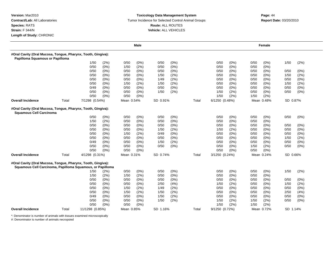## **Toxicology Data Management SystemTumor Incidence for Selected Control Animal Groups Route:** ALL ROUTES **Vehicle:** ALL VEHICLES

# **Page: 44<br>Report Date: 03/20/2010**

|                                                                                                                           |       |                 |         |            | <b>Male</b> |          |         |       |                |         |      | Female     |          |         |
|---------------------------------------------------------------------------------------------------------------------------|-------|-----------------|---------|------------|-------------|----------|---------|-------|----------------|---------|------|------------|----------|---------|
| #Oral Cavity (Oral Mucosa, Tongue, Pharynx, Tooth, Gingiva):<br>Papilloma Squamous or Papilloma                           |       |                 |         |            |             |          |         |       |                |         |      |            |          |         |
|                                                                                                                           |       | 1/50            | (2%)    | 0/50       | $(0\%)$     | 0/50     | (0%)    |       | 0/50           | (0%)    | 0/50 | (0%)       | 1/50     | (2%)    |
|                                                                                                                           |       | 0/50            | (0%)    | 1/50       | (2%)        | 0/50     | (0% )   |       | 0/50           | (0%)    | 0/50 | (0%)       |          |         |
|                                                                                                                           |       | 0/50            | (0%)    | 0/50       | $(0\%)$     | 0/50     | (0%)    |       | 0/50           | (0%)    | 0/50 | $(0\%)$    | 0/50     | (0%)    |
|                                                                                                                           |       | 0/50            | (0%)    | 0/50       | $(0\%)$     | 1/50     | (2%)    |       | 0/50           | $(0\%)$ | 0/50 | (0%)       | 1/50     | (2%)    |
|                                                                                                                           |       | 0/50            | (0%)    | 0/50       | $(0\%)$     | 1/49     | (2%)    |       | 0/50           | $(0\%)$ | 0/50 | $(0\%)$    | 0/50     | (0%)    |
|                                                                                                                           |       | 0/50            | $(0\%)$ | 1/50       | (2%)        | 1/50     | (2%)    |       | 0/50           | (0%)    | 0/50 | $(0\%)$    | 1/50     | (2%)    |
|                                                                                                                           |       | 0/49            | (0%)    | 0/50       | (0% )       | 0/50     | (0%)    |       | 0/50           | (0%)    | 0/50 | (0%)       | 0/50     | (0%)    |
|                                                                                                                           |       | 0/50            | (0%)    | 0/50       | $(0\%)$     | 1/50     | (2%)    |       | 1/50           | (2%)    | 0/50 | (0%)       | 0/50     | (0%)    |
|                                                                                                                           |       | 0/50            | (0%)    | 0/50       | (0% )       |          |         |       | 1/50           | (2%)    | 1/50 | (2%)       |          |         |
| <b>Overall Incidence</b>                                                                                                  | Total | 7/1298 (0.54%)  |         | Mean 0.54% |             | SD 0.91% |         | Total | 6/1250 (0.48%) |         |      | Mean 0.48% | SD 0.87% |         |
| #Oral Cavity (Oral Mucosa, Tongue, Pharynx, Tooth, Gingiva):<br><b>Squamous Cell Carcinoma</b>                            |       |                 |         |            |             |          |         |       |                |         |      |            |          |         |
|                                                                                                                           |       | 0/50            | (0%)    | 0/50       | $(0\%)$     | 0/50     | (0%)    |       | 0/50           | (0%)    | 0/50 | $(0\%)$    | 0/50     | (0%)    |
|                                                                                                                           |       | 1/50            | (2%)    | 0/50       | (0%         | 0/50     | (0% )   |       | 0/50           | (0% )   | 0/50 | (0%        |          |         |
|                                                                                                                           |       | 0/50            | (0%)    | 0/50       | (0% )       | 0/50     | (0%)    |       | 0/50           | (0%)    | 0/50 | (0%)       | 0/50     | (0%)    |
|                                                                                                                           |       | 0/50            | (0%)    | 0/50       | (0% )       | 1/50     | (2%)    |       | 1/50           | (2%)    | 0/50 | $(0\%)$    | 0/50     | (0% )   |
|                                                                                                                           |       | 0/50            | (0%)    | 1/50       | (2%)        | 0/49     | (0%)    |       | 0/50           | (0%)    | 0/50 | (0%)       | 0/50     | (0%)    |
|                                                                                                                           |       | 0/50            | (0%)    | 0/50       | $(0\%)$     | 0/50     | (0%)    |       | 0/50           | (0%)    | 0/50 | (0%)       | 1/50     | (2%)    |
|                                                                                                                           |       | 0/49            | (0%)    | 0/50       | $(0\%)$     | 1/50     | (2%)    |       | 0/50           | (0%)    | 0/50 | (0%)       | 0/50     | (0%)    |
|                                                                                                                           |       | 0/50            | (0%)    | 0/50       | $(0\%)$     | 0/50     | $(0\%)$ |       | 0/50           | (0%)    | 1/50 | (2%)       | 0/50     | (0%)    |
|                                                                                                                           |       | 0/50            | (0%)    | 0/50       | (0% )       |          |         |       | 0/50           | (0%)    | 0/50 | (0%)       |          |         |
| <b>Overall Incidence</b>                                                                                                  | Total | 4/1298 (0.31%)  |         | Mean 0.31% |             | SD 0.74% |         | Total | 3/1250 (0.24%) |         |      | Mean 0.24% | SD 0.66% |         |
| #Oral Cavity (Oral Mucosa, Tongue, Pharynx, Tooth, Gingiva):<br>Squamous Cell Carcinoma, Papilloma Squamous, or Papilloma |       |                 |         |            |             |          |         |       |                |         |      |            |          |         |
|                                                                                                                           |       | 1/50            | (2%)    | 0/50       | (0%)        | 0/50     | (0%)    |       | 0/50           | (0%)    | 0/50 | (0%)       | 1/50     | (2%)    |
|                                                                                                                           |       | 1/50            | (2%)    | 1/50       | (2%)        | 0/50     | (0%)    |       | 0/50           | (0%)    | 0/50 | $(0\%)$    |          |         |
|                                                                                                                           |       | 0/50            | (0%)    | 0/50       | $(0\%)$     | 0/50     | (0%)    |       | 0/50           | (0%)    | 0/50 | $(0\%)$    | 0/50     | (0%)    |
|                                                                                                                           |       | 0/50            | (0%)    | 0/50       | $(0\%)$     | 2/50     | (4% )   |       | 1/50           | (2%)    | 0/50 | (0%)       | 1/50     | (2%)    |
|                                                                                                                           |       | 0/50            | (0%)    | 1/50       | (2%)        | 1/49     | (2%)    |       | 0/50           | (0%)    | 0/50 | (0%)       | 0/50     | (0%)    |
|                                                                                                                           |       | 0/50            | (0%)    | 1/50       | (2%)        | 1/50     | (2%)    |       | 0/50           | (0%)    | 0/50 | $(0\%)$    | 2/50     | (4%)    |
|                                                                                                                           |       | 0/49            | (0%)    | 0/50       | $(0\%)$     | 1/50     | (2%)    |       | 0/50           | (0%)    | 0/50 | (0%)       | 0/50     | $(0\%)$ |
|                                                                                                                           |       | 0/50            | (0%)    | 0/50       | $(0\%)$     | 1/50     | (2%)    |       | 1/50           | (2%)    | 1/50 | (2%)       | 0/50     | (0%)    |
|                                                                                                                           |       | 0/50            | (0%)    | 0/50       | (0%         |          |         |       | 1/50           | (2%)    | 1/50 | (2%)       |          |         |
| <b>Overall Incidence</b>                                                                                                  | Total | 11/1298 (0.85%) |         | Mean 0.85% |             | SD 1.16% |         | Total | 9/1250 (0.72%) |         |      | Mean 0.72% | SD 1.14% |         |

\*: Denominator is number of animals with tissues examined microscopically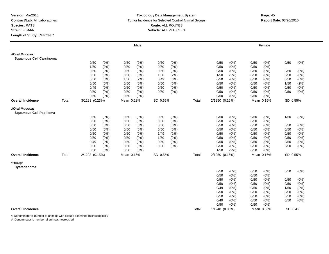## **Toxicology Data Management System** Tumor Incidence for Selected Control Animal Groups **Report Date:** 03/20/2010 **Route:** ALL ROUTES **Vehicle:** ALL VEHICLES

|                                                 |       |                |      |            | <b>Male</b> |          |      |       |                |         |      | Female     |          |         |
|-------------------------------------------------|-------|----------------|------|------------|-------------|----------|------|-------|----------------|---------|------|------------|----------|---------|
| #Oral Mucosa:<br><b>Squamous Cell Carcinoma</b> |       |                |      |            |             |          |      |       |                |         |      |            |          |         |
|                                                 |       | 0/50           | (0%) | 0/50       | $(0\%)$     | 0/50     | (0%) |       | 0/50           | (0%)    | 0/50 | (0%)       | 0/50     | (0%)    |
|                                                 |       | 1/50           | (2%) | 0/50       | (0%)        | 0/50     | (0%) |       | 0/50           | (0% )   | 0/50 | (0%)       |          |         |
|                                                 |       | 0/50           | (0%) | 0/50       | $(0\%)$     | 0/50     | (0%) |       | 0/50           | (0% )   | 0/50 | $(0\%)$    | 0/50     | (0%)    |
|                                                 |       | 0/50           | (0%) | 0/50       | (0%)        | 1/50     | (2%) |       | 1/50           | (2%)    | 0/50 | (0%        | 0/50     | $(0\%)$ |
|                                                 |       | 0/50           | (0%) | 1/50       | (2%)        | 0/49     | (0%) |       | 0/50           | (0% )   | 0/50 | $(0\%)$    | 0/50     | (0%)    |
|                                                 |       | 0/50           | (0%) | 0/50       | (0%)        | 0/50     | (0%) |       | 0/50           | (0%     | 0/50 | (0%)       | 1/50     | (2%)    |
|                                                 |       | 0/49           | (0%) | 0/50       | $(0\%)$     | 0/50     | (0%) |       | 0/50           | $(0\%)$ | 0/50 | (0%)       | 0/50     | (0%)    |
|                                                 |       | 0/50           | (0%) | 0/50       | $(0\%)$     | 0/50     | (0%) |       | 0/50           | (0% )   | 0/50 | $(0\%)$    | 0/50     | (0%)    |
|                                                 |       | 0/50           | (0%) | 0/50       | $(0\%)$     |          |      |       | 0/50           | (0% )   | 0/50 | (0%)       |          |         |
| <b>Overall Incidence</b>                        | Total | 3/1298 (0.23%) |      | Mean 0.23% |             | SD 0.65% |      | Total | 2/1250 (0.16%) |         |      | Mean 0.16% | SD 0.55% |         |
| #Oral Mucosa:<br><b>Squamous Cell Papilloma</b> |       |                |      |            |             |          |      |       |                |         |      |            |          |         |
|                                                 |       | 0/50           | (0%) | 0/50       | $(0\%)$     | 0/50     | (0%) |       | 0/50           | (0%)    | 0/50 | (0%)       | 1/50     | (2%)    |
|                                                 |       | 0/50           | (0%) | 0/50       | (0%)        | 0/50     | (0%) |       | 0/50           | (0% )   | 0/50 | (0%)       |          |         |
|                                                 |       | 0/50           | (0%) | 0/50       | $(0\%)$     | 0/50     | (0%) |       | 0/50           | (0% )   | 0/50 | (0%)       | 0/50     | (0%)    |
|                                                 |       | 0/50           | (0%) | 0/50       | $(0\%)$     | 0/50     | (0%) |       | 0/50           | (0%)    | 0/50 | (0%)       | 0/50     | (0%)    |
|                                                 |       | 0/50           | (0%) | 0/50       | (0%)        | 1/49     | (2%) |       | 0/50           | (0%     | 0/50 | (0%        | 0/50     | (0% )   |
|                                                 |       | 0/50           | (0%) | 0/50       | (0%)        | 1/50     | (2%) |       | 0/50           | (0% )   | 0/50 | (0%)       | 0/50     | (0%)    |
|                                                 |       | 0/49           | (0%) | 0/50       | (0%)        | 0/50     | (0%) |       | 0/50           | (0% )   | 0/50 | (0%)       | 0/50     | $(0\%)$ |
|                                                 |       | 0/50           | (0%) | 0/50       | $(0\%)$     | 0/50     | (0%) |       | 0/50           | (0% )   | 0/50 | $(0\%)$    | 0/50     | (0% )   |
|                                                 |       | 0/50           | (0%) | 0/50       | (0%)        |          |      |       | 1/50           | (2%)    | 0/50 | $(0\%)$    |          |         |
| <b>Overall Incidence</b>                        | Total | 2/1298 (0.15%) |      | Mean 0.16% |             | SD 0.55% |      | Total | 2/1250 (0.16%) |         |      | Mean 0.16% | SD 0.55% |         |
| *Ovary:<br>Cystadenoma                          |       |                |      |            |             |          |      |       |                |         |      |            |          |         |
|                                                 |       |                |      |            |             |          |      |       | 0/50           | (0% )   | 0/50 | (0%)       | 0/50     | $(0\%)$ |
|                                                 |       |                |      |            |             |          |      |       | 0/50           | (0% )   | 0/50 | (0%)       |          |         |
|                                                 |       |                |      |            |             |          |      |       | 0/50           | (0% )   | 0/50 | (0%)       | 0/50     | (0%)    |
|                                                 |       |                |      |            |             |          |      |       | 0/50           | (0%     | 0/50 | (0%)       | 0/50     | $(0\%)$ |
|                                                 |       |                |      |            |             |          |      |       | 0/49           | $(0\%)$ | 0/50 | $(0\%)$    | 1/50     | (2%)    |
|                                                 |       |                |      |            |             |          |      |       | 0/50           | (0%     | 0/50 | (0% )      | 0/50     | (0%)    |
|                                                 |       |                |      |            |             |          |      |       | 0/50           | (0% )   | 0/50 | (0%)       | 0/50     | (0%)    |
|                                                 |       |                |      |            |             |          |      |       | 0/49           |         |      |            |          |         |
|                                                 |       |                |      |            |             |          |      |       |                | (0%)    | 0/50 | (0%)       | 0/50     | (0%)    |
|                                                 |       |                |      |            |             |          |      |       | 0/50           | (0%)    | 0/50 | $(0\%)$    |          |         |
| <b>Overall Incidence</b>                        |       |                |      |            |             |          |      | Total | 1/1248 (0.08%) |         |      | Mean 0.08% | SD 0.4%  |         |

\*: Denominator is number of animals with tissues examined microscopically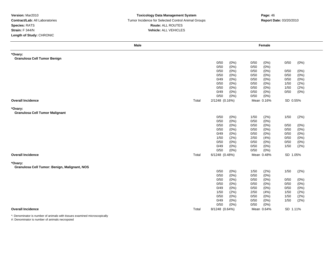### **Toxicology Data Management System** Tumor Incidence for Selected Control Animal Groups **Report Date:** 03/20/2010 **Route:** ALL ROUTES **Vehicle:** ALL VEHICLES

|                                              | <b>Male</b> |                 | Female               |                 |
|----------------------------------------------|-------------|-----------------|----------------------|-----------------|
| *Ovary:                                      |             |                 |                      |                 |
| <b>Granulosa Cell Tumor Benign</b>           |             |                 |                      |                 |
|                                              |             | 0/50<br>(0% )   | 0/50<br>(0% )        | 0/50<br>$(0\%)$ |
|                                              |             | 0/50<br>(0%)    | 0/50<br>(0%)         |                 |
|                                              |             | (0% )<br>0/50   | (0% )<br>0/50        | (0%)<br>0/50    |
|                                              |             | 0/50<br>(0% )   | (0%)<br>0/50         | 0/50<br>(0%)    |
|                                              |             | (0% )<br>0/49   | (0% )<br>0/50        | 0/50<br>(0% )   |
|                                              |             | 0/50<br>(0%)    | 0/50<br>(0%)         | 1/50<br>(2%)    |
|                                              |             | (0% )<br>0/50   | (0%)<br>0/50         | 1/50<br>(2%)    |
|                                              |             | (0%)<br>0/49    | 0/50<br>$(0\%)$      | 0/50<br>(0% )   |
|                                              |             | 0/50<br>(0% )   | 0/50<br>(0%)         |                 |
| <b>Overall Incidence</b>                     | Total       | 2/1248 (0.16%)  | Mean 0.16%           | SD 0.55%        |
| *Ovary:                                      |             |                 |                      |                 |
| <b>Granulosa Cell Tumor Malignant</b>        |             |                 |                      |                 |
|                                              |             | 0/50<br>(0%)    | 1/50<br>(2%)         | 1/50<br>(2%)    |
|                                              |             | $(0\%)$<br>0/50 | 0/50<br>(0%)         |                 |
|                                              |             | 0/50<br>(0%)    | 0/50<br>$(0\%)$      | (0%)<br>0/50    |
|                                              |             | 0/50<br>(0%)    | $(0\%)$<br>0/50      | (0% )<br>0/50   |
|                                              |             | 0/49<br>(0% )   | 0/50<br>$(0\%)$      | 0/50<br>$(0\%)$ |
|                                              |             | (2%)<br>1/50    | (4% )<br>2/50        | 0/50<br>(0% )   |
|                                              |             | 0/50<br>(0%)    | 0/50<br>$(0\%)$      | $(0\%)$<br>0/50 |
|                                              |             | (0%)<br>0/49    | (0%)<br>0/50         | 1/50<br>(2%)    |
|                                              |             | 0/50<br>(0%)    | 0/50<br>(0% )        |                 |
| <b>Overall Incidence</b>                     | Total       | 6/1248 (0.48%)  | Mean 0.48%           | SD 1.05%        |
|                                              |             |                 |                      |                 |
| *Ovary:                                      |             |                 |                      |                 |
| Granulosa Cell Tumor: Benign, Malignant, NOS |             | 0/50<br>(0%)    | 1/50                 | 1/50            |
|                                              |             | (0% )<br>0/50   | (2%)<br>0/50<br>(0%) | (2%)            |
|                                              |             | $(0\%)$<br>0/50 | (0% )<br>0/50        | 0/50<br>$(0\%)$ |
|                                              |             | 0/50<br>(0%)    | 0/50<br>(0%)         | 0/50<br>(0% )   |
|                                              |             | (0% )<br>0/49   | 0/50<br>(0%)         | 0/50<br>$(0\%)$ |
|                                              |             | 1/50<br>(2%)    | (4% )<br>2/50        | (2%)<br>1/50    |
|                                              |             | 0/50<br>(0% )   | $(0\%)$<br>0/50      | 1/50<br>(2%)    |
|                                              |             | 0/49<br>(0%)    | 0/50<br>$(0\%)$      | 1/50<br>(2%)    |
|                                              |             | 0/50<br>(0% )   | (0% )<br>0/50        |                 |
| <b>Overall Incidence</b>                     | Total       | 8/1248 (0.64%)  | Mean 0.64%           | SD 1.11%        |
|                                              |             |                 |                      |                 |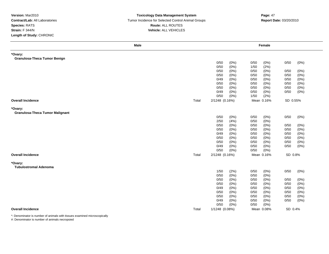#### **Toxicology Data Management System** Tumor Incidence for Selected Control Animal Groups **Report Date:** 03/20/2010 **Route:** ALL ROUTES **Vehicle:** ALL VEHICLES

| Male                                   |       |                 | Female          |                 |
|----------------------------------------|-------|-----------------|-----------------|-----------------|
| *Ovary:                                |       |                 |                 |                 |
| <b>Granulosa-Theca Tumor Benign</b>    |       |                 |                 |                 |
|                                        |       | 0/50<br>(0%)    | 0/50<br>$(0\%)$ | 0/50<br>(0%)    |
|                                        |       | (0% )<br>0/50   | (2%)<br>1/50    |                 |
|                                        |       | 0/50<br>(0%)    | (0%)<br>0/50    | 0/50<br>(0%)    |
|                                        |       | (0%)<br>0/50    | $(0\%)$<br>0/50 | 0/50<br>$(0\%)$ |
|                                        |       | 0/49<br>(0%)    | 0/50<br>(0%)    | 0/50<br>(0%)    |
|                                        |       | 0/50<br>(0% )   | (0%)<br>0/50    | 0/50<br>$(0\%)$ |
|                                        |       | 0/50<br>(0%)    | 0/50<br>$(0\%)$ | $(0\%)$<br>0/50 |
|                                        |       | (0%)<br>0/49    | $(0\%)$<br>0/50 | (0% )<br>0/50   |
|                                        |       | 0/50<br>(0%)    | 1/50<br>(2%)    |                 |
| <b>Overall Incidence</b>               | Total | 2/1248 (0.16%)  | Mean 0.16%      | SD 0.55%        |
| *Ovary:                                |       |                 |                 |                 |
| <b>Granulosa-Theca Tumor Malignant</b> |       |                 |                 |                 |
|                                        |       | 0/50<br>(0%)    | 0/50<br>$(0\%)$ | 0/50<br>(0%)    |
|                                        |       | 2/50<br>(4% )   | 0/50<br>(0% )   |                 |
|                                        |       | 0/50<br>(0%)    | 0/50<br>$(0\%)$ | 0/50<br>(0%)    |
|                                        |       | 0/50<br>(0%)    | (0%)<br>0/50    | 0/50<br>(0% )   |
|                                        |       | 0/49<br>(0%)    | 0/50<br>$(0\%)$ | 0/50<br>(0%)    |
|                                        |       | 0/50<br>$(0\%)$ | 0/50<br>(0% )   | $(0\%)$<br>0/50 |
|                                        |       | 0/50<br>(0%)    | $(0\%)$<br>0/50 | 0/50<br>(0% )   |
|                                        |       | (0% )<br>0/49   | (0%)<br>0/50    | 0/50<br>(0%)    |
|                                        |       | 0/50<br>(0%)    | 0/50<br>$(0\%)$ |                 |
| <b>Overall Incidence</b>               | Total | 2/1248 (0.16%)  | Mean 0.16%      | SD 0.8%         |
| *Ovary:                                |       |                 |                 |                 |
| <b>Tubulostromal Adenoma</b>           |       |                 |                 |                 |
|                                        |       | 1/50<br>(2%)    | 0/50<br>(0%)    | 0/50<br>(0%)    |
|                                        |       | 0/50<br>(0%)    | 0/50<br>$(0\%)$ |                 |
|                                        |       | 0/50<br>(0%)    | $(0\%)$<br>0/50 | 0/50<br>(0%)    |
|                                        |       | 0/50<br>(0%)    | 0/50<br>(0%)    | 0/50<br>(0% )   |
|                                        |       | 0/49<br>(0%)    | 0/50<br>$(0\%)$ | 0/50<br>(0%)    |
|                                        |       | 0/50<br>$(0\%)$ | $(0\%)$<br>0/50 | 0/50<br>(0%)    |
|                                        |       | (0%)<br>0/50    | $(0\%)$<br>0/50 | (0% )<br>0/50   |
|                                        |       | 0/49<br>(0%)    | 0/50<br>$(0\%)$ | 0/50<br>(0%)    |
|                                        |       | (0%)<br>0/50    | 0/50<br>(0% )   |                 |
|                                        |       |                 |                 |                 |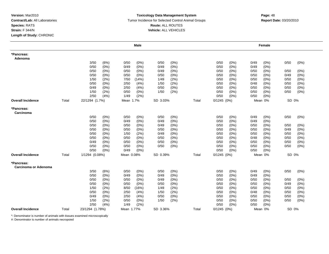#### **Toxicology Data Management SystemTumor Incidence for Selected Control Animal Groups Route:** ALL ROUTES **Vehicle:** ALL VEHICLES

|                                    |       |                 |            | <b>Male</b>     |       |       |               |       |         | Female  |       |         |
|------------------------------------|-------|-----------------|------------|-----------------|-------|-------|---------------|-------|---------|---------|-------|---------|
| *Pancreas:<br>Adenoma              |       |                 |            |                 |       |       |               |       |         |         |       |         |
|                                    |       | 3/50<br>(6%)    | 0/50       | (0%)<br>0/50    | (0%)  |       | 0/50          | (0%)  | 0/49    | (0%)    | 0/50  | $(0\%)$ |
|                                    |       | 0/50<br>(0%)    | 0/49       | (0%)<br>0/49    | (0%)  |       | 0/50          | (0%)  | 0/49    | (0%)    |       |         |
|                                    |       | 0/50<br>$(0\%)$ | 0/50       | (0%)<br>0/49    | (0%)  |       | 0/50          | (0%)  | 0/50    | $(0\%)$ | 0/50  | (0%)    |
|                                    |       | 0/50<br>$(0\%)$ | 0/50       | $(0\%)$<br>0/50 | (0%)  |       | 0/50          | (0%   | 0/50    | $(0\%)$ | 0/49  | (0%)    |
|                                    |       | 1/50<br>(2%)    | 7/50       | (14%)<br>1/49   | (2%)  |       | 0/50          | (0%)  | 0/50    | $(0\%)$ | 0/50  | (0%)    |
|                                    |       | 0/50<br>$(0\%)$ | 2/50       | (4%)<br>1/50    | (2%)  |       | 0/50          | (0%)  | 0/48    | (0%)    | 0/50  | $(0\%)$ |
|                                    |       | 0/49<br>(0%)    | 2/50       | (4%)<br>0/50    | (0%)  |       | 0/50          | (0%)  | 0/50    | (0%)    | 0/50  | $(0\%)$ |
|                                    |       | 1/50<br>(2%)    | 0/50       | (0%)<br>1/50    | (2%)  |       | 0/50          | (0%)  | 0/50    | (0%)    | 0/50  | $(0\%)$ |
|                                    |       | 2/50<br>(4%)    | 1/49       | (2%)            |       |       | 0/50          | (0%)  | 0/50    | (0%)    |       |         |
| <b>Overall Incidence</b>           | Total | 22/1294 (1.7%)  | Mean 1.7%  | SD 3.03%        |       | Total | $0/1245$ (0%) |       | Mean 0% |         | SD 0% |         |
| *Pancreas:<br>Carcinoma            |       |                 |            |                 |       |       |               |       |         |         |       |         |
|                                    |       | 0/50<br>(0%)    | 0/50       | (0%)<br>0/50    | (0%)  |       | 0/50          | (0%)  | 0/49    | (0%)    | 0/50  | (0%)    |
|                                    |       | 0/50<br>(0%)    | 0/49       | $(0\%)$<br>0/49 | (0% ) |       | 0/50          | (0% ) | 0/49    | (0%)    |       |         |
|                                    |       | 0/50<br>(0%)    | 0/50       | (0%)<br>0/49    | (0%)  |       | 0/50          | (0%)  | 0/50    | $(0\%)$ | 0/50  | (0%)    |
|                                    |       | 0/50<br>(0%)    | 0/50       | $(0\%)$<br>0/50 | (0%)  |       | 0/50          | (0%)  | 0/50    | (0%)    | 0/49  | (0%)    |
|                                    |       | 0/50<br>(0%)    | 1/50       | (2%)<br>0/49    | (0%)  |       | 0/50          | (0%   | 0/50    | $(0\%)$ | 0/50  | (0%)    |
|                                    |       | 0/50<br>(0%)    | 0/50       | $(0\%)$<br>0/50 | (0%)  |       | 0/50          | (0%   | 0/48    | (0%)    | 0/50  | (0%)    |
|                                    |       | 0/49<br>(0%)    | 0/50       | (0%)<br>0/50    | (0%)  |       | 0/50          | (0%)  | 0/50    | (0%)    | 0/50  | (0%)    |
|                                    |       | 0/50<br>(0%)    | 0/50       | (0%)<br>0/50    | (0%)  |       | 0/50          | (0%)  | 0/50    | $(0\%)$ | 0/50  | $(0\%)$ |
|                                    |       | 0/50<br>(0%)    | 0/49       | (0%)            |       |       | 0/50          | (0%)  | 0/50    | (0%)    |       |         |
| <b>Overall Incidence</b>           | Total | 1/1294 (0.08%)  | Mean 0.08% | SD 0.39%        |       | Total | $0/1245$ (0%) |       | Mean 0% |         | SD 0% |         |
| *Pancreas:<br>Carcinoma or Adenoma |       |                 |            |                 |       |       |               |       |         |         |       |         |
|                                    |       | 3/50<br>(6%)    | 0/50       | (0%)<br>0/50    | (0%)  |       | 0/50          | (0%)  | 0/49    | (0%)    | 0/50  | $(0\%)$ |
|                                    |       | 0/50<br>(0%)    | 0/49       | (0%)<br>0/49    | (0%)  |       | 0/50          | (0%)  | 0/49    | (0%)    |       |         |
|                                    |       | 0/50<br>$(0\%)$ | 0/50       | $(0\%)$<br>0/49 | (0%)  |       | 0/50          | (0%)  | 0/50    | (0%)    | 0/50  | $(0\%)$ |
|                                    |       | 0/50<br>$(0\%)$ | 0/50       | $(0\%)$<br>0/50 | (0%)  |       | 0/50          | (0%   | 0/50    | (0%)    | 0/49  | (0%)    |
|                                    |       | 1/50<br>(2%)    | 8/50       | (16%)<br>1/49   | (2%)  |       | 0/50          | (0%)  | 0/50    | (0%)    | 0/50  | $(0\%)$ |
|                                    |       | 0/50<br>(0%)    | 2/50       | (4%)<br>1/50    | (2%)  |       | 0/50          | (0%)  | 0/48    | (0%)    | 0/50  | (0%)    |
|                                    |       | 0/49<br>$(0\%)$ | 2/50       | 0/50<br>(4%)    | (0%)  |       | 0/50          | (0%)  | 0/50    | (0%)    | 0/50  | $(0\%)$ |
|                                    |       | 1/50<br>(2%)    | 0/50       | (0%)<br>1/50    | (2%)  |       | 0/50          | (0%)  | 0/50    | (0%)    | 0/50  | $(0\%)$ |
|                                    |       | 2/50<br>(4% )   | 1/49       | (2%)            |       |       | 0/50          | (0%)  | 0/50    | (0%)    |       |         |
| <b>Overall Incidence</b>           | Total | 23/1294 (1.78%) | Mean 1.77% | SD 3.36%        |       | Total | $0/1245$ (0%) |       | Mean 0% |         | SD 0% |         |

\*: Denominator is number of animals with tissues examined microscopically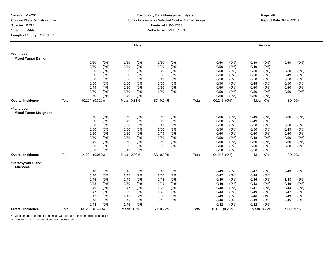#### **Toxicology Data Management System** Tumor Incidence for Selected Control Animal Groups **Report Date:** 03/20/2010 **Route:** ALL ROUTES **Vehicle:** ALL VEHICLES

|                                            |       |                |         |            | Male    |          |         |       |                 |         |      | Female     |          |         |
|--------------------------------------------|-------|----------------|---------|------------|---------|----------|---------|-------|-----------------|---------|------|------------|----------|---------|
| *Pancreas:<br><b>Mixed Tumor Benign</b>    |       |                |         |            |         |          |         |       |                 |         |      |            |          |         |
|                                            |       | 0/50           | $(0\%)$ | 1/50       | (2%)    | 0/50     | (0%)    |       | 0/50            | (0%)    | 0/49 | $(0\%)$    | 0/50     | $(0\%)$ |
|                                            |       | 0/50           | (0%)    | 0/49       | $(0\%)$ | 0/49     | (0%)    |       | 0/50            | (0%)    | 0/49 | $(0\%)$    |          |         |
|                                            |       | 0/50           | (0%)    | 0/50       | (0%)    | 0/49     | $(0\%)$ |       | 0/50            | (0%)    | 0/50 | (0%)       | 0/50     | (0%)    |
|                                            |       | 0/50           | $(0\%)$ | 0/50       | $(0\%)$ | 0/50     | $(0\%)$ |       | 0/50            | (0%)    | 0/50 | $(0\%)$    | 0/49     | (0%)    |
|                                            |       | 0/50           | (0%)    | 0/50       | $(0\%)$ | 0/49     | $(0\%)$ |       | 0/50            | (0%)    | 0/50 | (0%)       | 0/50     | $(0\%)$ |
|                                            |       | 0/50           | $(0\%)$ | 0/50       | (0%)    | 0/50     | (0%)    |       | 0/50            | (0%)    | 0/48 | (0%)       | 0/50     | $(0\%)$ |
|                                            |       | 2/49           | (4% )   | 0/50       | (0%)    | 0/50     | (0%)    |       | 0/50            | (0%)    | 0/50 | $(0\%)$    | 0/50     | $(0\%)$ |
|                                            |       | 0/50           | $(0\%)$ | 0/50       | $(0\%)$ | 1/50     | (2%)    |       | 0/50            | (0%)    | 0/50 | $(0\%)$    | 0/50     | (0%)    |
|                                            |       | 0/50           | $(0\%)$ | 0/49       | $(0\%)$ |          |         |       | 0/50            | (0%)    | 0/50 | (0%)       |          |         |
| <b>Overall Incidence</b>                   | Total | 4/1294 (0.31%) |         | Mean 0.31% |         | SD 0.94% |         | Total | $0/1245$ $(0%)$ |         |      | Mean 0%    | SD 0%    |         |
| *Pancreas:<br><b>Mixed Tumor Malignant</b> |       |                |         |            |         |          |         |       |                 |         |      |            |          |         |
|                                            |       | 0/50           | $(0\%)$ | 0/50       | (0%)    | 0/50     | $(0\%)$ |       | 0/50            | (0%)    | 0/49 | $(0\%)$    | 0/50     | $(0\%)$ |
|                                            |       | 0/50           | (0%)    | 0/49       | $(0\%)$ | 0/49     | (0%)    |       | 0/50            | (0%)    | 0/49 | $(0\%)$    |          |         |
|                                            |       | 0/50           | (0%)    | 0/50       | $(0\%)$ | 0/49     | (0%)    |       | 0/50            | (0%)    | 0/50 | $(0\%)$    | 0/50     | $(0\%)$ |
|                                            |       | 0/50           | (0%)    | 0/50       | $(0\%)$ | 1/50     | (2%)    |       | 0/50            | (0%)    | 0/50 | (0%)       | 0/49     | $(0\%)$ |
|                                            |       | 0/50           | (0%)    | 0/50       | $(0\%)$ | 0/49     | (0%)    |       | 0/50            | $(0\%)$ | 0/50 | (0%)       | 0/50     | $(0\%)$ |
|                                            |       | 0/50           | $(0\%)$ | 0/50       | $(0\%)$ | 0/50     | $(0\%)$ |       | 0/50            | $(0\%)$ | 0/48 | (0%)       | 0/50     | (0%)    |
|                                            |       | 0/49           | (0%)    | 0/50       | $(0\%)$ | 0/50     | $(0\%)$ |       | 0/50            | $(0\%)$ | 0/50 | $(0\%)$    | 0/50     | $(0\%)$ |
|                                            |       | 0/50           | $(0\%)$ | 0/50       | $(0\%)$ | 0/50     | (0%)    |       | 0/50            | (0%)    | 0/50 | (0%)       | 0/50     | $(0\%)$ |
|                                            |       | 0/50           | (0%)    | 0/49       | $(0\%)$ |          |         |       | 0/50            | (0%)    | 0/50 | (0%)       |          |         |
| <b>Overall Incidence</b>                   | Total | 1/1294 (0.08%) |         | Mean 0.08% |         | SD 0.39% |         | Total | $0/1245$ $(0%)$ |         |      | Mean 0%    | SD 0%    |         |
| *Parathyroid Gland:<br>Adenoma             |       |                |         |            |         |          |         |       |                 |         |      |            |          |         |
|                                            |       | 0/48           | (0%)    | 0/48       | (0%)    | 0/49     | (0%)    |       | 0/49            | (0%)    | 0/47 | (0%)       | 0/43     | $(0\%)$ |
|                                            |       | 0/46           | $(0\%)$ | 1/45       | (2%)    | 1/46     | (2%)    |       | 0/47            | $(0\%)$ | 0/48 | $(0\%)$    |          |         |
|                                            |       | 0/45           | (0%)    | 0/49       | $(0\%)$ | 0/48     | (0%)    |       | 0/49            | $(0\%)$ | 0/46 | $(0\%)$    | 1/43     | (2%)    |
|                                            |       | 0/48           | $(0\%)$ | 0/50       | $(0\%)$ | 0/49     | $(0\%)$ |       | 0/46            | (0%)    | 0/48 | $(0\%)$    | 0/49     | (0%)    |
|                                            |       | 0/49           | (0%)    | 0/47       | $(0\%)$ | 1/49     | (2%)    |       | 0/48            | (0%)    | 0/47 | $(0\%)$    | 0/44     | $(0\%)$ |
|                                            |       | 0/47           | (0%)    | 0/50       | $(0\%)$ | 1/45     | (2%)    |       | 0/43            | (0%)    | 0/49 | $(0\%)$    | 0/47     | $(0\%)$ |
|                                            |       | 0/47           | (0%)    | 1/49       | (2%)    | 0/50     | $(0\%)$ |       | 0/49            | $(0\%)$ | 2/46 | (4% )      | 0/49     | (0%)    |
|                                            |       | 0/46           | $(0\%)$ | 0/48       | $(0\%)$ | 0/45     | (0%)    |       | 0/46            | (0%)    | 0/49 | $(0\%)$    | 0/45     | (0%)    |
|                                            |       | 0/44           | (0%)    | 1/46       | (2%)    |          |         |       | 0/42            | (0%)    | 0/42 | (0%)       |          |         |
| <b>Overall Incidence</b>                   | Total | 6/1233 (0.49%) |         | Mean 0.5%  |         | SD 0.92% |         | Total | 3/1161 (0.26%)  |         |      | Mean 0.27% | SD 0.97% |         |

\*: Denominator is number of animals with tissues examined microscopically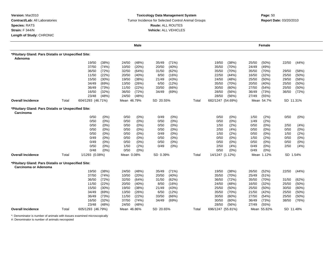#### **Toxicology Data Management System** Tumor Incidence for Selected Control Animal Groups **Report Date:** 03/20/2010 **Route:** ALL ROUTES **Vehicle:** ALL VEHICLES

|                                                                              |       |                   |          |             | Male    |           |         |       |                   |       |       | Female      |           |          |
|------------------------------------------------------------------------------|-------|-------------------|----------|-------------|---------|-----------|---------|-------|-------------------|-------|-------|-------------|-----------|----------|
| *Pituitary Gland: Pars Distalis or Unspecified Site:                         |       |                   |          |             |         |           |         |       |                   |       |       |             |           |          |
| Adenoma                                                                      |       |                   |          |             |         |           |         |       |                   |       |       |             |           |          |
|                                                                              |       | 19/50             | (38%)    | 24/50       | (48%)   | 35/49     | (71%)   |       | 19/50             | (38%) | 25/50 | $(50\%)$    | 22/50     | (44%)    |
|                                                                              |       | 37/50             | (74%)    | 10/50       | (20%)   | 20/50     | (40%)   |       | 35/50             | (70%) | 24/49 | (49%)       |           |          |
|                                                                              |       | 36/50             | (72%)    | 32/50       | (64%)   | 31/50     | (62%)   |       | 35/50             | (70%) | 35/50 | (70%)       | 29/50     | (58%)    |
|                                                                              |       | 11/50             | (22%)    | 20/50       | (40%)   | 8/50      | (16%)   |       | 22/50             | (44%) | 16/50 | (32%)       | 25/50     | $(50\%)$ |
|                                                                              |       | 15/50             | (30%)    | 19/50       | (38%)   | 21/49     | (43%)   |       | 24/50             | (48%) | 25/50 | $(50\%)$    | 29/50     | (58%)    |
|                                                                              |       | 34/49             | (69%)    | 13/50       | (26%)   | 6/50      | (12%)   |       | 35/50             | (70%) | 20/50 | (40%)       | 25/50     | $(50\%)$ |
|                                                                              |       | 36/49             | (73%)    | 11/50       | (22%)   | 33/50     | (66%)   |       | 30/50             | (60%  | 27/50 | (54%)       | 25/50     | $(50\%)$ |
|                                                                              |       | 16/50             | (32%)    | 36/50       | (72%)   | 34/49     | (69%)   |       | 28/50             | (56%) | 36/49 | (73%)       | 36/50     | (72%)    |
|                                                                              |       | 23/48             | (48%)    | 24/50       | (48%)   |           |         |       | 28/50             | (56%) | 27/49 | (55%)       |           |          |
| <b>Overall Incidence</b>                                                     | Total | 604/1293 (46.71%) |          | Mean 46.79% |         | SD 20.55% |         | Total | 682/1247 (54.69%) |       |       | Mean 54.7%  | SD 11.31% |          |
| *Pituitary Gland: Pars Distalis or Unspecified Site:<br>Carcinoma            |       |                   |          |             |         |           |         |       |                   |       |       |             |           |          |
|                                                                              |       | 0/50              | (0%)     | 0/50        | $(0\%)$ | 0/49      | (0%)    |       | 0/50              | (0%)  | 1/50  | (2%)        | 0/50      | (0%)     |
|                                                                              |       | 0/50              | (0%)     | 0/50        | $(0\%)$ | 0/50      | (0%)    |       | 0/50              | (0%)  | 1/49  | (2%)        |           |          |
|                                                                              |       | 0/50              | (0%)     | 0/50        | $(0\%)$ | 0/50      | $(0\%)$ |       | 1/50              | (2%)  | 0/50  | (0%)        | 2/50      | (4%)     |
|                                                                              |       | 0/50              | (0%)     | 0/50        | $(0\%)$ | 0/50      | $(0\%)$ |       | 2/50              | (4% ) | 0/50  | $(0\%)$     | 0/50      | (0%)     |
|                                                                              |       | 0/50              | $(0\%)$  | 0/50        | $(0\%)$ | 0/49      | (0%)    |       | 1/50              | (2%)  | 0/50  | (0%)        | 1/50      | (2%)     |
|                                                                              |       | 0/49              | (0%)     | 0/50        | $(0\%)$ | 0/50      | (0%)    |       | 0/50              | (0%)  | 1/50  | (2%)        | 0/50      | (0%)     |
|                                                                              |       | 0/49              | $(0\%)$  | 0/50        | $(0\%)$ | 0/50      | (0%)    |       | 0/50              | (0%)  | 0/50  | (0%)        | 0/50      | (0%)     |
|                                                                              |       | 0/50              | (0%)     | 1/50        | (2%)    | 0/49      | (0%)    |       | 2/50              | (4% ) | 0/49  | (0%)        | 2/50      | (4%)     |
|                                                                              |       | 0/48              | (0%)     | 0/50        | $(0\%)$ |           |         |       | 0/50              | (0%)  | 0/49  | (0%)        |           |          |
| <b>Overall Incidence</b>                                                     | Total | 1/1293 (0.08%)    |          | Mean 0.08%  |         | SD 0.39%  |         | Total | 14/1247 (1.12%)   |       |       | Mean 1.12%  | SD 1.54%  |          |
| *Pituitary Gland: Pars Distalis or Unspecified Site:<br>Carcinoma or Adenoma |       |                   |          |             |         |           |         |       |                   |       |       |             |           |          |
|                                                                              |       | 19/50             | (38%)    | 24/50       | (48%)   | 35/49     | (71%)   |       | 19/50             | (38%) | 26/50 | (52%)       | 22/50     | (44%)    |
|                                                                              |       | 37/50             | (74%)    | 10/50       | (20%)   | 20/50     | (40%)   |       | 35/50             | (70%) | 25/49 | (51%)       |           |          |
|                                                                              |       | 36/50             | (72%)    | 32/50       | (64%)   | 31/50     | (62%)   |       | 36/50             | (72%) | 35/50 | (70%)       | 31/50     | (62%)    |
|                                                                              |       | 11/50             | (22%)    | 20/50       | (40%)   | 8/50      | (16%)   |       | 24/50             | (48%) | 16/50 | (32%)       | 25/50     | $(50\%)$ |
|                                                                              |       | 15/50             | $(30\%)$ | 19/50       | (38%)   | 21/49     | (43%)   |       | 25/50             | (50%  | 25/50 | $(50\%)$    | 30/50     | $(60\%)$ |
|                                                                              |       | 34/49             | (69%)    | 13/50       | (26%)   | 6/50      | (12%)   |       | 35/50             | (70%) | 21/50 | (42%)       | 25/50     | $(50\%)$ |
|                                                                              |       | 36/49             | (73%)    | 11/50       | (22%)   | 33/50     | (66%)   |       | 30/50             | (60%) | 27/50 | (54%)       | 25/50     | $(50\%)$ |
|                                                                              |       | 16/50             | (32%)    | 37/50       | (74%)   | 34/49     | (69%)   |       | 30/50             | (60%) | 36/49 | (73%)       | 38/50     | (76%)    |
|                                                                              |       | 23/48             | (48%)    | 24/50       | (48%)   |           |         |       | 28/50             | (56%) | 27/49 | (55%)       |           |          |
| <b>Overall Incidence</b>                                                     | Total | 605/1293 (46.79%) |          | Mean 46.86% |         | SD 20.65% |         | Total | 696/1247 (55.81%) |       |       | Mean 55.82% | SD 11.48% |          |

\*: Denominator is number of animals with tissues examined microscopically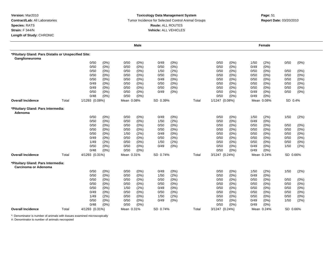## **Toxicology Data Management System** Tumor Incidence for Selected Control Animal Groups **Report Date:** 03/20/2010 **Route:** ALL ROUTES **Vehicle:** ALL VEHICLES

# **m**<br> **Page:** 51

|                                                                        |       |                |         |            | Male    |          |         |       |                |         |      | Female     |          |         |
|------------------------------------------------------------------------|-------|----------------|---------|------------|---------|----------|---------|-------|----------------|---------|------|------------|----------|---------|
| *Pituitary Gland: Pars Distalis or Unspecified Site:<br>Ganglioneuroma |       |                |         |            |         |          |         |       |                |         |      |            |          |         |
|                                                                        |       | 0/50           | (0%)    | 0/50       | (0%)    | 0/49     | (0%)    |       | 0/50           | (0%)    | 1/50 | (2%)       | 0/50     | (0%)    |
|                                                                        |       | 0/50           | (0%)    | 0/50       | $(0\%)$ | 0/50     | (0%)    |       | 0/50           | (0%)    | 0/49 | (0%)       |          |         |
|                                                                        |       | 0/50           | (0%)    | 0/50       | $(0\%)$ | 1/50     | (2%)    |       | 0/50           | (0%)    | 0/50 | $(0\%)$    | 0/50     | (0%)    |
|                                                                        |       | 0/50           | (0%)    | 0/50       | $(0\%)$ | 0/50     | (0%)    |       | 0/50           | (0%)    | 0/50 | $(0\%)$    | 0/50     | (0%)    |
|                                                                        |       | 0/50           | (0%)    | 0/50       | $(0\%)$ | 0/49     | (0%)    |       | 0/50           | (0%)    | 0/50 | $(0\%)$    | 0/50     | $(0\%)$ |
|                                                                        |       | 0/49           | (0%)    | 0/50       | $(0\%)$ | 0/50     | $(0\%)$ |       | 0/50           | (0%)    | 0/50 | $(0\%)$    | 0/50     | $(0\%)$ |
|                                                                        |       | 0/49           | (0%)    | 0/50       | $(0\%)$ | 0/50     | $(0\%)$ |       | 0/50           | (0%)    | 0/50 | $(0\%)$    | 0/50     | $(0\%)$ |
|                                                                        |       | 0/50           | (0%)    | 0/50       | $(0\%)$ | 0/49     | (0%)    |       | 0/50           | (0%)    | 0/49 | $(0\%)$    | 0/50     | $(0\%)$ |
|                                                                        |       | 0/48           | $(0\%)$ | 0/50       | $(0\%)$ |          |         |       | 0/50           | (0%)    | 0/49 | (0%)       |          |         |
| <b>Overall Incidence</b>                                               | Total | 1/1293 (0.08%) |         | Mean 0.08% |         | SD 0.39% |         | Total | 1/1247 (0.08%) |         |      | Mean 0.08% | SD 0.4%  |         |
| *Pituitary Gland: Pars Intermedia:<br>Adenoma                          |       |                |         |            |         |          |         |       |                |         |      |            |          |         |
|                                                                        |       | 0/50           | (0%)    | 0/50       | (0%)    | 0/49     | (0%)    |       | 0/50           | (0%)    | 1/50 | (2%)       | 1/50     | (2%)    |
|                                                                        |       | 0/50           | (0% )   | 0/50       | (0% )   | 1/50     | (2%)    |       | 0/50           | $(0\%)$ | 0/49 | (0% )      |          |         |
|                                                                        |       | 0/50           | (0%)    | 0/50       | $(0\%)$ | 0/50     | (0%)    |       | 0/50           | $(0\%)$ | 0/50 | (0%)       | 0/50     | (0%)    |
|                                                                        |       | 0/50           | $(0\%)$ | 0/50       | $(0\%)$ | 0/50     | (0%)    |       | 0/50           | (0%)    | 0/50 | (0%)       | 0/50     | (0%)    |
|                                                                        |       | 0/50           | $(0\%)$ | 1/50       | (2%)    | 0/49     | $(0\%)$ |       | 0/50           | (0%)    | 0/50 | $(0\%)$    | 0/50     | (0%)    |
|                                                                        |       | 0/49           | (0%)    | 0/50       | (0%)    | 0/50     | (0%)    |       | 0/50           | (0%)    | 0/50 | (0%)       | 0/50     | (0%)    |
|                                                                        |       | 1/49           | (2%)    | 0/50       | $(0\%)$ | 1/50     | (2%)    |       | 0/50           | (0%)    | 0/50 | (0%)       | 0/50     | (0%)    |
|                                                                        |       | 0/50           | (0%)    | 0/50       | $(0\%)$ | 0/49     | (0%)    |       | 0/50           | (0%)    | 0/49 | (0%)       | 1/50     | (2%)    |
|                                                                        |       | 0/48           | $(0\%)$ | 0/50       | $(0\%)$ |          |         |       | 0/50           | (0%)    | 0/49 | (0%)       |          |         |
| <b>Overall Incidence</b>                                               | Total | 4/1293 (0.31%) |         | Mean 0.31% |         | SD 0.74% |         | Total | 3/1247 (0.24%) |         |      | Mean 0.24% | SD 0.66% |         |
| *Pituitary Gland: Pars Intermedia:<br>Carcinoma or Adenoma             |       |                |         |            |         |          |         |       |                |         |      |            |          |         |
|                                                                        |       | 0/50           | (0%)    | 0/50       | (0%)    | 0/49     | $(0\%)$ |       | 0/50           | (0%)    | 1/50 | (2%)       | 1/50     | (2%)    |
|                                                                        |       | 0/50           | (0%)    | 0/50       | $(0\%)$ | 1/50     | (2%)    |       | 0/50           | (0%)    | 0/49 | (0%)       |          |         |
|                                                                        |       | 0/50           | (0%)    | 0/50       | $(0\%)$ | 0/50     | $(0\%)$ |       | 0/50           | (0%)    | 0/50 | $(0\%)$    | 0/50     | $(0\%)$ |
|                                                                        |       | 0/50           | $(0\%)$ | 0/50       | $(0\%)$ | 0/50     | (0%)    |       | 0/50           | (0%)    | 0/50 | $(0\%)$    | 0/50     | (0%)    |
|                                                                        |       | 0/50           | (0%)    | 1/50       | (2%)    | 0/49     | (0%)    |       | 0/50           | (0%)    | 0/50 | $(0\%)$    | 0/50     | $(0\%)$ |
|                                                                        |       | 0/49           | $(0\%)$ | 0/50       | $(0\%)$ | 0/50     | (0%)    |       | 0/50           | (0%)    | 0/50 | $(0\%)$    | 0/50     | (0%)    |
|                                                                        |       | 1/49           | (2%)    | 0/50       | $(0\%)$ | 1/50     | (2%)    |       | 0/50           | (0%)    | 0/50 | $(0\%)$    | 0/50     | (0%)    |
|                                                                        |       | 0/50           | (0%)    | 0/50       | $(0\%)$ | 0/49     | (0%)    |       | 0/50           | (0%)    | 0/49 | $(0\%)$    | 1/50     | (2%)    |
|                                                                        |       | 0/48           | (0%)    | 0/50       | (0% )   |          |         |       | 0/50           | (0%)    | 0/49 | (0% )      |          |         |
| <b>Overall Incidence</b>                                               | Total | 4/1293 (0.31%) |         | Mean 0.31% |         | SD 0.74% |         | Total | 3/1247 (0.24%) |         |      | Mean 0.24% | SD 0.66% |         |

\*: Denominator is number of animals with tissues examined microscopically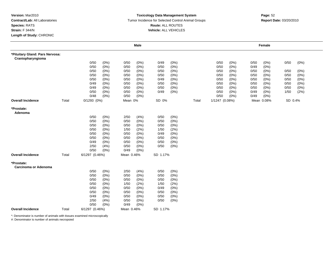#### **Toxicology Data Management System** Tumor Incidence for Selected Control Animal Groups **Report Date:** 03/20/2010 **Route:** ALL ROUTES **Vehicle:** ALL VEHICLES

|                                                      |       |                 |         |            | <b>Male</b> |          |      |       |                |         |      | Female     |         |         |
|------------------------------------------------------|-------|-----------------|---------|------------|-------------|----------|------|-------|----------------|---------|------|------------|---------|---------|
| *Pituitary Gland: Pars Nervosa:<br>Craniopharyngioma |       |                 |         |            |             |          |      |       |                |         |      |            |         |         |
|                                                      |       | 0/50            | (0%)    | 0/50       | (0%)        | 0/49     | (0%) |       | 0/50           | (0%)    | 0/50 | (0%)       | 0/50    | (0%)    |
|                                                      |       | 0/50            | (0%)    | 0/50       | $(0\%)$     | 0/50     | (0%) |       | 0/50           | $(0\%)$ | 0/49 | (0%)       |         |         |
|                                                      |       | 0/50            | (0%)    | 0/50       | $(0\%)$     | 0/50     | (0%) |       | 0/50           | (0%)    | 0/50 | (0%)       | 0/50    | (0%)    |
|                                                      |       | 0/50            | (0%)    | 0/50       | $(0\%)$     | 0/50     | (0%) |       | 0/50           | (0%)    | 0/50 | (0%)       | 0/50    | (0%)    |
|                                                      |       | 0/50            | (0%)    | 0/50       | $(0\%)$     | 0/49     | (0%) |       | 0/50           | (0%)    | 0/50 | (0%)       | 0/50    | $(0\%)$ |
|                                                      |       | 0/49            | (0%)    | 0/50       | $(0\%)$     | 0/50     | (0%) |       | 0/50           | (0%)    | 0/50 | (0%)       | 0/50    | (0%)    |
|                                                      |       | 0/49            | (0%)    | 0/50       | $(0\%)$     | 0/50     | (0%) |       | 0/50           | $(0\%)$ | 0/50 | $(0\%)$    | 0/50    | $(0\%)$ |
|                                                      |       | 0/50            | (0%)    | 0/50       | $(0\%)$     | 0/49     | (0%) |       | 0/50           | (0%)    | 0/49 | (0%)       | 1/50    | (2%)    |
|                                                      |       | 0/48            | (0%)    | 0/50       | (0%)        |          |      |       | 0/50           | (0%)    | 0/49 | (0%)       |         |         |
| <b>Overall Incidence</b>                             | Total | $0/1293$ $(0%)$ |         | Mean 0%    |             | SD 0%    |      | Total | 1/1247 (0.08%) |         |      | Mean 0.08% | SD 0.4% |         |
| *Prostate:<br>Adenoma                                |       |                 |         |            |             |          |      |       |                |         |      |            |         |         |
|                                                      |       | 0/50            | (0%)    | 2/50       | (4% )       | 0/50     | (0%) |       |                |         |      |            |         |         |
|                                                      |       | 0/50            | (0%)    | 0/50       | $(0\%)$     | 0/50     | (0%) |       |                |         |      |            |         |         |
|                                                      |       | 0/50            | (0%)    | 0/50       | $(0\%)$     | 0/50     | (0%) |       |                |         |      |            |         |         |
|                                                      |       | 0/50            | (0%)    | 1/50       | (2%)        | 1/50     | (2%) |       |                |         |      |            |         |         |
|                                                      |       | 0/50            | $(0\%)$ | 0/50       | $(0\%)$     | 0/49     | (0%) |       |                |         |      |            |         |         |
|                                                      |       | 0/50            | (0%)    | 0/50       | $(0\%)$     | 0/50     | (0%) |       |                |         |      |            |         |         |
|                                                      |       | 0/49            | $(0\%)$ | 0/50       | $(0\%)$     | 0/50     | (0%) |       |                |         |      |            |         |         |
|                                                      |       | 2/50            | (4%)    | 0/50       | $(0\%)$     | 0/50     | (0%) |       |                |         |      |            |         |         |
|                                                      |       | 0/50            | (0%)    | 0/49       | (0%)        |          |      |       |                |         |      |            |         |         |
| <b>Overall Incidence</b>                             | Total | 6/1297 (0.46%)  |         | Mean 0.46% |             | SD 1.17% |      |       |                |         |      |            |         |         |
| *Prostate:<br>Carcinoma or Adenoma                   |       |                 |         |            |             |          |      |       |                |         |      |            |         |         |
|                                                      |       | 0/50            | (0%)    | 2/50       | (4%)        | 0/50     | (0%) |       |                |         |      |            |         |         |
|                                                      |       | 0/50            | (0%)    | 0/50       | $(0\%)$     | 0/50     | (0%) |       |                |         |      |            |         |         |
|                                                      |       | 0/50            | (0%)    | 0/50       | $(0\%)$     | 0/50     | (0%) |       |                |         |      |            |         |         |
|                                                      |       | 0/50            | (0%)    | 1/50       | (2%)        | 1/50     | (2%) |       |                |         |      |            |         |         |
|                                                      |       | 0/50            | (0%)    | 0/50       | $(0\%)$     | 0/49     | (0%) |       |                |         |      |            |         |         |
|                                                      |       | 0/50            | (0%)    | 0/50       | $(0\%)$     | 0/50     | (0%) |       |                |         |      |            |         |         |
|                                                      |       | 0/49            | $(0\%)$ | 0/50       | $(0\%)$     | 0/50     | (0%) |       |                |         |      |            |         |         |
|                                                      |       | 2/50            | (4%)    | 0/50       | $(0\%)$     | 0/50     | (0%) |       |                |         |      |            |         |         |
| <b>Overall Incidence</b>                             |       | 0/50            | (0%)    | 0/49       | $(0\%)$     |          |      |       |                |         |      |            |         |         |
|                                                      | Total | 6/1297 (0.46%)  |         | Mean 0.46% |             | SD 1.17% |      |       |                |         |      |            |         |         |

\*: Denominator is number of animals with tissues examined microscopically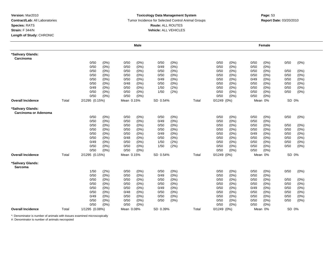#### **Toxicology Data Management System** Tumor Incidence for Selected Control Animal Groups **Report Date:** 03/20/2010 **Route:** ALL ROUTES **Vehicle:** ALL VEHICLES

# **Page:** 53<br> **Page:** 53

|                                           |       |                |         |            | <b>Male</b> |          |         |       |                 |         |      | Female  |       |         |
|-------------------------------------------|-------|----------------|---------|------------|-------------|----------|---------|-------|-----------------|---------|------|---------|-------|---------|
| *Salivary Glands:<br>Carcinoma            |       |                |         |            |             |          |         |       |                 |         |      |         |       |         |
|                                           |       | 0/50           | $(0\%)$ | 0/50       | (0%)        | 0/50     | $(0\%)$ |       | 0/50            | (0%)    | 0/50 | (0%)    | 0/50  | $(0\%)$ |
|                                           |       | 0/50           | (0%)    | 0/50       | $(0\%)$     | 0/49     | $(0\%)$ |       | 0/50            | (0%)    | 0/50 | $(0\%)$ |       |         |
|                                           |       | 0/50           | (0%)    | 0/50       | $(0\%)$     | 0/50     | (0%)    |       | 0/50            | (0%)    | 0/50 | $(0\%)$ | 0/50  | (0%)    |
|                                           |       | 0/50           | (0%)    | 0/50       | $(0\%)$     | 0/50     | (0%)    |       | 0/50            | (0%     | 0/50 | (0%)    | 0/50  | (0%)    |
|                                           |       | 0/50           | (0%)    | 0/50       | (0%)        | 0/49     | (0%)    |       | 0/50            | (0%)    | 0/49 | $(0\%)$ | 0/50  | $(0\%)$ |
|                                           |       | 0/50           | (0% )   | 0/48       | (0% )       | 0/50     | (0%)    |       | 0/50            | (0%)    | 0/50 | $(0\%)$ | 0/50  | (0%)    |
|                                           |       | 0/49           | (0%)    | 0/50       | $(0\%)$     | 1/50     | (2%)    |       | 0/50            | (0%)    | 0/50 | $(0\%)$ | 0/50  | (0%)    |
|                                           |       | 0/50           | (0%)    | 0/50       | (0%)        | 1/50     | (2%)    |       | 0/50            | (0%)    | 0/50 | $(0\%)$ | 0/50  | $(0\%)$ |
|                                           |       | 0/50           | $(0\%)$ | 0/50       | (0%)        |          |         |       | 0/50            | $(0\%)$ | 0/50 | (0%)    |       |         |
| <b>Overall Incidence</b>                  | Total | 2/1295 (0.15%) |         | Mean 0.15% |             | SD 0.54% |         | Total | $0/1249$ $(0%)$ |         |      | Mean 0% | SD 0% |         |
| *Salivary Glands:<br>Carcinoma or Adenoma |       |                |         |            |             |          |         |       |                 |         |      |         |       |         |
|                                           |       | 0/50           | (0%)    | 0/50       | (0%)        | 0/50     | (0%)    |       | 0/50            | (0%)    | 0/50 | (0%)    | 0/50  | $(0\%)$ |
|                                           |       | 0/50           | (0%)    | 0/50       | $(0\%)$     | 0/49     | (0%)    |       | 0/50            | (0%)    | 0/50 | $(0\%)$ |       |         |
|                                           |       | 0/50           | (0%)    | 0/50       | $(0\%)$     | 0/50     | $(0\%)$ |       | 0/50            | (0%)    | 0/50 | (0%)    | 0/50  | $(0\%)$ |
|                                           |       | 0/50           | $(0\%)$ | 0/50       | $(0\%)$     | 0/50     | (0%)    |       | 0/50            | (0%)    | 0/50 | $(0\%)$ | 0/50  | (0%)    |
|                                           |       | 0/50           | (0%)    | 0/50       | (0%)        | 0/49     | (0%)    |       | 0/50            | (0%)    | 0/49 | (0%)    | 0/50  | (0%)    |
|                                           |       | 0/50           | (0%)    | 0/48       | $(0\%)$     | 0/50     | (0%)    |       | 0/50            | (0%)    | 0/50 | $(0\%)$ | 0/50  | (0%)    |
|                                           |       | 0/49           | $(0\%)$ | 0/50       | $(0\%)$     | 1/50     | (2%)    |       | 0/50            | (0%)    | 0/50 | $(0\%)$ | 0/50  | $(0\%)$ |
|                                           |       | 0/50           | (0%)    | 0/50       | (0%)        | 1/50     | (2%)    |       | 0/50            | (0%)    | 0/50 | (0%)    | 0/50  | (0%)    |
|                                           |       | 0/50           | $(0\%)$ | 0/50       | $(0\%)$     |          |         |       | 0/50            | $(0\%)$ | 0/50 | (0%)    |       |         |
| <b>Overall Incidence</b>                  | Total | 2/1295 (0.15%) |         | Mean 0.15% |             | SD 0.54% |         | Total | $0/1249$ $(0%)$ |         |      | Mean 0% | SD 0% |         |
| *Salivary Glands:<br><b>Sarcoma</b>       |       |                |         |            |             |          |         |       |                 |         |      |         |       |         |
|                                           |       | 1/50           | (2%)    | 0/50       | (0%)        | 0/50     | $(0\%)$ |       | 0/50            | (0%)    | 0/50 | (0%)    | 0/50  | $(0\%)$ |
|                                           |       | 0/50           | (0%)    | 0/50       | $(0\%)$     | 0/49     | $(0\%)$ |       | 0/50            | (0%)    | 0/50 | $(0\%)$ |       |         |
|                                           |       | 0/50           | (0%)    | 0/50       | $(0\%)$     | 0/50     | (0%)    |       | 0/50            | (0%)    | 0/50 | (0%)    | 0/50  | (0%)    |
|                                           |       | 0/50           | (0%)    | 0/50       | $(0\%)$     | 0/50     | (0%)    |       | 0/50            | (0%)    | 0/50 | $(0\%)$ | 0/50  | (0%)    |
|                                           |       | 0/50           | (0%)    | 0/50       | (0%)        | 0/49     | (0%)    |       | 0/50            | (0%)    | 0/49 | (0%)    | 0/50  | $(0\%)$ |
|                                           |       | 0/50           | (0%)    | 0/48       | $(0\%)$     | 0/50     | $(0\%)$ |       | 0/50            | (0%)    | 0/50 | $(0\%)$ | 0/50  | (0%)    |
|                                           |       | 0/49           | (0%)    | 0/50       | $(0\%)$     | 0/50     | $(0\%)$ |       | 0/50            | (0%)    | 0/50 | $(0\%)$ | 0/50  | (0%)    |
|                                           |       | 0/50           | (0%)    | 0/50       | (0%)        | 0/50     | $(0\%)$ |       | 0/50            | (0%)    | 0/50 | $(0\%)$ | 0/50  | (0%)    |
|                                           |       | 0/50           | (0%)    | 0/50       | (0%)        |          |         |       | 0/50            | (0%)    | 0/50 | $(0\%)$ |       |         |
| <b>Overall Incidence</b>                  | Total | 1/1295 (0.08%) |         | Mean 0.08% |             | SD 0.39% |         | Total | $0/1249$ $(0%)$ |         |      | Mean 0% | SD 0% |         |

\*: Denominator is number of animals with tissues examined microscopically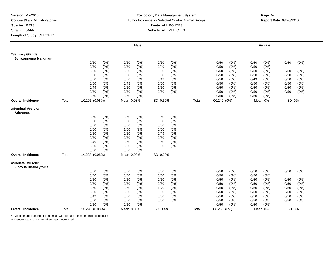#### **Toxicology Data Management System** Tumor Incidence for Selected Control Animal Groups **Report Date:** 03/20/2010 **Route:** ALL ROUTES **Vehicle:** ALL VEHICLES

|                                                  |       |                |         |            | <b>Male</b> |          |       |       |                 |       |      | Female  |       |         |
|--------------------------------------------------|-------|----------------|---------|------------|-------------|----------|-------|-------|-----------------|-------|------|---------|-------|---------|
| *Salivary Glands:<br><b>Schwannoma Malignant</b> |       |                |         |            |             |          |       |       |                 |       |      |         |       |         |
|                                                  |       | 0/50           | (0%)    | 0/50       | $(0\%)$     | 0/50     | (0%)  |       | 0/50            | (0%)  | 0/50 | (0%)    | 0/50  | (0%)    |
|                                                  |       | 0/50           | (0% )   | 0/50       | (0% )       | 0/49     | (0%   |       | 0/50            | (0% ) | 0/50 | $(0\%)$ |       |         |
|                                                  |       | 0/50           | $(0\%)$ | 0/50       | (0%)        | 0/50     | (0%)  |       | 0/50            | (0%)  | 0/50 | $(0\%)$ | 0/50  | $(0\%)$ |
|                                                  |       | 0/50           | $(0\%)$ | 0/50       | $(0\%)$     | 0/50     | (0%)  |       | 0/50            | (0%   | 0/50 | $(0\%)$ | 0/50  | (0%)    |
|                                                  |       | 0/50           | $(0\%)$ | 0/50       | $(0\%)$     | 0/49     | (0%)  |       | 0/50            | (0%)  | 0/49 | $(0\%)$ | 0/50  | $(0\%)$ |
|                                                  |       | 0/50           | $(0\%)$ | 0/48       | $(0\%)$     | 0/50     | (0%)  |       | 0/50            | (0%)  | 0/50 | $(0\%)$ | 0/50  | $(0\%)$ |
|                                                  |       | 0/49           | (0%)    | 0/50       | (0%)        | 1/50     | (2%)  |       | 0/50            | (0%)  | 0/50 | $(0\%)$ | 0/50  | (0%)    |
|                                                  |       | 0/50           | $(0\%)$ | 0/50       | (0%)        | 0/50     | (0%)  |       | 0/50            | (0%)  | 0/50 | $(0\%)$ | 0/50  | (0%)    |
|                                                  |       | 0/50           | $(0\%)$ | 0/50       | (0%)        |          |       |       | 0/50            | (0%)  | 0/50 | $(0\%)$ |       |         |
| <b>Overall Incidence</b>                         | Total | 1/1295 (0.08%) |         | Mean 0.08% |             | SD 0.39% |       | Total | $0/1249$ $(0%)$ |       |      | Mean 0% | SD 0% |         |
| #Seminal Vesicle:<br>Adenoma                     |       |                |         |            |             |          |       |       |                 |       |      |         |       |         |
|                                                  |       | 0/50           | (0%)    | 0/50       | $(0\%)$     | 0/50     | (0%)  |       |                 |       |      |         |       |         |
|                                                  |       | 0/50           | (0%)    | 0/50       | (0%)        | 0/50     | (0% ) |       |                 |       |      |         |       |         |
|                                                  |       | 0/50           | (0%)    | 0/50       | (0%)        | 0/50     | (0%)  |       |                 |       |      |         |       |         |
|                                                  |       | 0/50           | (0%)    | 1/50       | (2%)        | 0/50     | (0%)  |       |                 |       |      |         |       |         |
|                                                  |       | 0/50           | $(0\%)$ | 0/50       | $(0\%)$     | 0/49     | (0%)  |       |                 |       |      |         |       |         |
|                                                  |       | 0/50           | $(0\%)$ | 0/50       | (0%)        | 0/50     | (0%)  |       |                 |       |      |         |       |         |
|                                                  |       | 0/49           | (0%)    | 0/50       | $(0\%)$     | 0/50     | (0%)  |       |                 |       |      |         |       |         |
|                                                  |       | 0/50           | (0%)    | 0/50       | (0%)        | 0/50     | (0%)  |       |                 |       |      |         |       |         |
|                                                  |       | 0/50           | $(0\%)$ | 0/50       | (0%)        |          |       |       |                 |       |      |         |       |         |
| <b>Overall Incidence</b>                         | Total | 1/1298 (0.08%) |         | Mean 0.08% |             | SD 0.39% |       |       |                 |       |      |         |       |         |
| #Skeletal Muscle:<br><b>Fibrous Histiocytoma</b> |       |                |         |            |             |          |       |       |                 |       |      |         |       |         |
|                                                  |       | 0/50           | (0%)    | 0/50       | $(0\%)$     | 0/50     | (0%)  |       | 0/50            | (0%)  | 0/50 | (0%)    | 0/50  | (0%)    |
|                                                  |       | 0/50           | (0%)    | 0/50       | (0%)        | 0/50     | (0%)  |       | 0/50            | (0%)  | 0/50 | $(0\%)$ |       |         |
|                                                  |       | 0/50           | (0%)    | 0/50       | (0%)        | 0/50     | (0%)  |       | 0/50            | (0%)  | 0/50 | $(0\%)$ | 0/50  | $(0\%)$ |
|                                                  |       | 0/50           | (0%)    | 0/50       | (0%)        | 0/50     | (0%)  |       | 0/50            | (0%   | 0/50 | (0%)    | 0/50  | (0% )   |
|                                                  |       | 0/50           | (0%)    | 0/50       | $(0\%)$     | 1/49     | (2%)  |       | 0/50            | (0% ) | 0/50 | $(0\%)$ | 0/50  | $(0\%)$ |
|                                                  |       | 0/50           | $(0\%)$ | 0/50       | $(0\%)$     | 0/50     | (0%)  |       | 0/50            | (0%)  | 0/50 | $(0\%)$ | 0/50  | $(0\%)$ |
|                                                  |       | 0/49           | $(0\%)$ | 0/50       | $(0\%)$     | 0/50     | (0%)  |       | 0/50            | (0%)  | 0/50 | $(0\%)$ | 0/50  | (0%)    |
|                                                  |       | 0/50           | (0%)    | 0/50       | (0%)        | 0/50     | (0%)  |       | 0/50            | (0%)  | 0/50 | $(0\%)$ | 0/50  | (0% )   |
|                                                  |       | 0/50           | (0%)    | 0/50       | $(0\%)$     |          |       |       | 0/50            | (0%)  | 0/50 | (0%)    |       |         |
| <b>Overall Incidence</b>                         | Total | 1/1298 (0.08%) |         | Mean 0.08% |             | SD 0.4%  |       | Total | $0/1250$ $(0%)$ |       |      | Mean 0% | SD 0% |         |

\*: Denominator is number of animals with tissues examined microscopically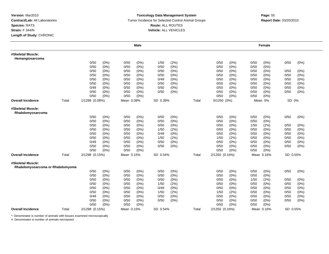#### **Toxicology Data Management System** Tumor Incidence for Selected Control Animal Groups **Report Date:** 03/20/2010 **Route:** ALL ROUTES **Vehicle:** ALL VEHICLES

|                                                      |       |                |         |            | <b>Male</b> |          |       |       |                |       |      | Female     |          |         |
|------------------------------------------------------|-------|----------------|---------|------------|-------------|----------|-------|-------|----------------|-------|------|------------|----------|---------|
| #Skeletal Muscle:<br>Hemangiosarcoma                 |       |                |         |            |             |          |       |       |                |       |      |            |          |         |
|                                                      |       | 0/50           | (0%)    | 0/50       | $(0\%)$     | 1/50     | (2%)  |       | 0/50           | (0%)  | 0/50 | (0%)       | 0/50     | (0%)    |
|                                                      |       | 0/50           | (0%)    | 0/50       | $(0\%)$     | 0/50     | (0%)  |       | 0/50           | (0% ) | 0/50 | (0%)       |          |         |
|                                                      |       | 0/50           | (0%)    | 0/50       | $(0\%)$     | 0/50     | (0%)  |       | 0/50           | (0%)  | 0/50 | (0%)       | 0/50     | (0%)    |
|                                                      |       | 0/50           | (0%)    | 0/50       | $(0\%)$     | 0/50     | (0%)  |       | 0/50           | (0%   | 0/50 | (0%)       | 0/50     | $(0\%)$ |
|                                                      |       | 0/50           | (0%)    | 0/50       | (0%)        | 0/49     | (0%)  |       | 0/50           | (0%)  | 0/50 | $(0\%)$    | 0/50     | (0%)    |
|                                                      |       | 0/50           | (0%)    | 0/50       | (0%)        | 0/50     | (0%)  |       | 0/50           | (0%)  | 0/50 | $(0\%)$    | 0/50     | (0%)    |
|                                                      |       | 0/49           | (0%)    | 0/50       | $(0\%)$     | 0/50     | (0%)  |       | 0/50           | (0%)  | 0/50 | $(0\%)$    | 0/50     | (0%)    |
|                                                      |       | 0/50           | (0%)    | 0/50       | (0%)        | 0/50     | (0%)  |       | 0/50           | (0%)  | 0/50 | (0%)       | 0/50     | (0%)    |
|                                                      |       | 0/50           | (0%)    | 0/50       | (0%)        |          |       |       | 0/50           | (0%)  | 0/50 | (0% )      |          |         |
| <b>Overall Incidence</b>                             | Total | 1/1298 (0.08%) |         | Mean 0.08% |             | SD 0.39% |       | Total | 0/1250 (0%)    |       |      | Mean 0%    | SD 0%    |         |
| #Skeletal Muscle:<br>Rhabdomyosarcoma                |       |                |         |            |             |          |       |       |                |       |      |            |          |         |
|                                                      |       | 0/50           | (0% )   | 0/50       | (0%)        | 0/50     | (0%)  |       | 0/50           | (0%)  | 0/50 | (0%)       | 0/50     | (0%)    |
|                                                      |       | 0/50           | (0%)    | 0/50       | (0%)        | 0/50     | (0% ) |       | 0/50           | (0% ) | 0/50 | $(0\%)$    |          |         |
|                                                      |       | 0/50           | (0%)    | 0/50       | (0%)        | 0/50     | (0%)  |       | 0/50           | (0%)  | 1/50 | (2%)       | 0/50     | (0%)    |
|                                                      |       | 0/50           | (0%)    | 0/50       | $(0\%)$     | 1/50     | (2%)  |       | 0/50           | (0%)  | 0/50 | $(0\%)$    | 0/50     | (0%)    |
|                                                      |       | 0/50           | (0%)    | 0/50       | (0%)        | 0/49     | (0%)  |       | 0/50           | (0%   | 0/50 | (0%)       | 0/50     | (0%)    |
|                                                      |       | 0/50           | (0%)    | 0/50       | $(0\%)$     | 1/50     | (2%)  |       | 1/50           | (2%)  | 0/50 | $(0\%)$    | 0/50     | (0%)    |
|                                                      |       | 0/49           | $(0\%)$ | 0/50       | (0%)        | 0/50     | (0%)  |       | 0/50           | (0%)  | 0/50 | $(0\%)$    | 0/50     | (0%)    |
|                                                      |       | 0/50           | (0%)    | 0/50       | (0%)        | 0/50     | (0%)  |       | 0/50           | (0%)  | 0/50 | $(0\%)$    | 0/50     | $(0\%)$ |
|                                                      |       | 0/50           | (0%)    | 0/50       | (0%)        |          |       |       | 0/50           | (0%)  | 0/50 | (0%)       |          |         |
| <b>Overall Incidence</b>                             | Total | 2/1298 (0.15%) |         | Mean 0.15% |             | SD 0.54% |       | Total | 2/1250 (0.16%) |       |      | Mean 0.16% | SD 0.55% |         |
| #Skeletal Muscle:<br>Rhabdomyosarcoma or Rhabdomyoma |       |                |         |            |             |          |       |       |                |       |      |            |          |         |
|                                                      |       | 0/50           | (0% )   | 0/50       | (0%)        | 0/50     | (0%)  |       | 0/50           | (0%)  | 0/50 | (0% )      | 0/50     | (0%)    |
|                                                      |       | 0/50           | (0%)    | 0/50       | (0%)        | 0/50     | (0%)  |       | 0/50           | (0%)  | 0/50 | (0%)       |          |         |
|                                                      |       | 0/50           | $(0\%)$ | 0/50       | (0%)        | 0/50     | (0%)  |       | 0/50           | (0%)  | 1/50 | (2%)       | 0/50     | (0%)    |
|                                                      |       | 0/50           | (0%)    | 0/50       | $(0\%)$     | 1/50     | (2%)  |       | 0/50           | (0%   | 0/50 | (0%)       | 0/50     | (0% )   |
|                                                      |       | 0/50           | (0%)    | 0/50       | (0%)        | 0/49     | (0%)  |       | 0/50           | (0%)  | 0/50 | $(0\%)$    | 0/50     | (0%)    |
|                                                      |       | 0/50           | (0%)    | 0/50       | (0%)        | 1/50     | (2%)  |       | 1/50           | (2%)  | 0/50 | (0%)       | 0/50     | (0%)    |
|                                                      |       | 0/49           | $(0\%)$ | 0/50       | (0%)        | 0/50     | (0%)  |       | 0/50           | (0%)  | 0/50 | (0%)       | 0/50     | (0%)    |
|                                                      |       | 0/50           | (0%)    | 0/50       | (0%)        | 0/50     | (0%)  |       | 0/50           | (0%)  | 0/50 | (0%)       | 0/50     | (0%)    |
|                                                      |       | 0/50           | (0%)    | 0/50       | (0%)        |          |       |       | 0/50           | (0%)  | 0/50 | (0%)       |          |         |
| <b>Overall Incidence</b>                             | Total | 2/1298 (0.15%) |         | Mean 0.15% |             | SD 0.54% |       | Total | 2/1250 (0.16%) |       |      | Mean 0.16% | SD 0.55% |         |

\*: Denominator is number of animals with tissues examined microscopically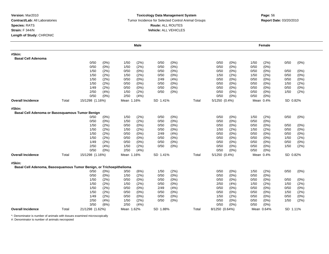### **Toxicology Data Management System** Tumor Incidence for Selected Control Animal Groups **Report Date:** 03/20/2010 **Route:** ALL ROUTES **Vehicle:** ALL VEHICLES

|                                                                               |       |                 |       |            | <b>Male</b> |          |       |       |                |         |      | Female     |          |      |
|-------------------------------------------------------------------------------|-------|-----------------|-------|------------|-------------|----------|-------|-------|----------------|---------|------|------------|----------|------|
| #Skin:<br><b>Basal Cell Adenoma</b>                                           |       |                 |       |            |             |          |       |       |                |         |      |            |          |      |
|                                                                               |       | 0/50            | (0%)  | 1/50       | (2%)        | 0/50     | (0%)  |       | 0/50           | (0%)    | 1/50 | (2%)       | 0/50     | (0%) |
|                                                                               |       | 0/50            | (0% ) | 1/50       | (2%)        | 0/50     | (0% ) |       | 0/50           | (0%     | 0/50 | (0%        |          |      |
|                                                                               |       | 1/50            | (2%)  | 0/50       | $(0\%)$     | 0/50     | (0%)  |       | 0/50           | (0%)    | 0/50 | (0%)       | 0/50     | (0%) |
|                                                                               |       | 1/50            | (2%)  | 1/50       | (2%)        | 0/50     | (0%)  |       | 1/50           | (2%)    | 1/50 | (2%)       | 0/50     | (0%) |
|                                                                               |       | 1/50            | (2%)  | 0/50       | (0%)        | 2/49     | (4% ) |       | 0/50           | $(0\%)$ | 0/50 | (0%)       | 0/50     | (0%) |
|                                                                               |       | 1/50            | (2%)  | 0/50       | (0%)        | 0/50     | (0%)  |       | 0/50           | (0% )   | 0/50 | (0%)       | 1/50     | (2%) |
|                                                                               |       | 1/49            | (2%)  | 0/50       | (0%)        | 0/50     | (0%)  |       | 0/50           | (0%     | 0/50 | (0%)       | 0/50     | (0%) |
|                                                                               |       | 2/50            | (4%)  | 1/50       | (2%)        | 0/50     | (0%)  |       | 0/50           | (0%)    | 0/50 | (0%)       | 1/50     | (2%) |
|                                                                               |       | 0/50            | (0%)  | 2/50       | (4%)        |          |       |       | 0/50           | (0%)    | 0/50 | $(0\%)$    |          |      |
| <b>Overall Incidence</b>                                                      | Total | 15/1298 (1.16%) |       | Mean 1.16% |             | SD 1.41% |       | Total | 5/1250 (0.4%)  |         |      | Mean 0.4%  | SD 0.82% |      |
| #Skin:<br>Basal Cell Adenoma or Basosquamous Tumor Benign                     |       |                 |       |            |             |          |       |       |                |         |      |            |          |      |
|                                                                               |       | 0/50            | (0%)  | 1/50       | (2%)        | 0/50     | (0%)  |       | 0/50           | (0%)    | 1/50 | (2%)       | 0/50     | (0%) |
|                                                                               |       | 0/50            | (0%)  | 1/50       | (2%)        | 0/50     | (0% ) |       | 0/50           | (0%     | 0/50 | $(0\%)$    |          |      |
|                                                                               |       | 1/50            | (2%)  | 0/50       | (0%)        | 0/50     | (0%)  |       | 0/50           | (0% )   | 0/50 | $(0\%)$    | 0/50     | (0%) |
|                                                                               |       | 1/50            | (2%)  | 1/50       | (2%)        | 0/50     | (0%)  |       | 1/50           | (2%)    | 1/50 | (2%)       | 0/50     | (0%) |
|                                                                               |       | 1/50            | (2%)  | 0/50       | (0%)        | 2/49     | (4% ) |       | 0/50           | $(0\%)$ | 0/50 | (0%)       | 0/50     | (0%) |
|                                                                               |       | 1/50            | (2%)  | 0/50       | (0%)        | 0/50     | (0%)  |       | 0/50           | $(0\%)$ | 0/50 | $(0\%)$    | 1/50     | (2%) |
|                                                                               |       | 1/49            | (2%)  | 0/50       | (0%)        | 0/50     | (0%)  |       | 0/50           | $(0\%)$ | 0/50 | (0%)       | 0/50     | (0%) |
|                                                                               |       | 2/50            | (4% ) | 1/50       | (2%)        | 0/50     | (0%)  |       | 0/50           | (0%)    | 0/50 | $(0\%)$    | 1/50     | (2%) |
|                                                                               |       | 0/50            | (0%)  | 2/50       | (4%)        |          |       |       | 0/50           | (0%)    | 0/50 | (0%        |          |      |
| <b>Overall Incidence</b>                                                      | Total | 15/1298 (1.16%) |       | Mean 1.16% |             | SD 1.41% |       | Total | 5/1250 (0.4%)  |         |      | Mean 0.4%  | SD 0.82% |      |
| #Skin:<br>Basal Cell Adenoma, Basosquamous Tumor Benign, or Trichoepithelioma |       |                 |       |            |             |          |       |       |                |         |      |            |          |      |
|                                                                               |       | 0/50            | (0%)  | 3/50       | (6%)        | 1/50     | (2%)  |       | 0/50           | (0%)    | 1/50 | (2%)       | 0/50     | (0%) |
|                                                                               |       | 0/50            | (0%)  | 1/50       | (2%)        | 0/50     | (0%)  |       | 0/50           | (0%     | 0/50 | (0%        |          |      |
|                                                                               |       | 1/50            | (2%)  | 0/50       | (0%)        | 0/50     | (0%)  |       | 0/50           | $(0\%)$ | 0/50 | (0%)       | 0/50     | (0%) |
|                                                                               |       | 1/50            | (2%)  | 1/50       | (2%)        | 0/50     | (0%)  |       | 2/50           | (4% )   | 1/50 | (2%)       | 1/50     | (2%) |
|                                                                               |       | 1/50            | (2%)  | 0/50       | (0%)        | 2/49     | (4% ) |       | 0/50           | (0% )   | 0/50 | (0%)       | 0/50     | (0%) |
|                                                                               |       | 1/50            | (2%)  | 0/50       | (0%)        | 0/50     | (0%)  |       | 0/50           | $(0\%)$ | 0/50 | (0%)       | 1/50     | (2%) |
|                                                                               |       | 1/49            | (2%)  | 0/50       | (0%)        | 0/50     | (0%)  |       | 1/50           | (2%)    | 0/50 | (0%)       | 0/50     | (0%) |
|                                                                               |       | 2/50            | (4%)  | 1/50       | (2%)        | 0/50     | (0%)  |       | 0/50           | (0%)    | 0/50 | (0%)       | 1/50     | (2%) |
|                                                                               |       | 3/50            | (6%)  | 2/50       | (4%)        |          |       |       | 0/50           | (0% )   | 0/50 | (0%        |          |      |
| <b>Overall Incidence</b>                                                      | Total | 21/1298 (1.62%) |       | Mean 1.62% |             | SD 1.88% |       | Total | 8/1250 (0.64%) |         |      | Mean 0.64% | SD 1.11% |      |

\*: Denominator is number of animals with tissues examined microscopically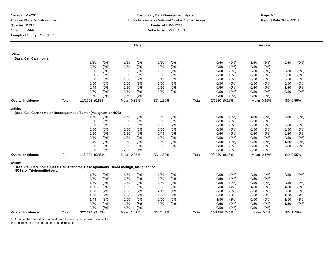### **Toxicology Data Management System** Tumor Incidence for Selected Control Animal Groups **Report Date:** 03/20/2010 **Route:** ALL ROUTES **Vehicle:** ALL VEHICLES

|                                                                                                                  |       |                 |            | <b>Male</b> |          |         |       |                |         |      | Female     |          |      |
|------------------------------------------------------------------------------------------------------------------|-------|-----------------|------------|-------------|----------|---------|-------|----------------|---------|------|------------|----------|------|
| #Skin:                                                                                                           |       |                 |            |             |          |         |       |                |         |      |            |          |      |
| <b>Basal Cell Carcinoma</b>                                                                                      |       |                 |            |             |          |         |       |                |         |      |            |          |      |
|                                                                                                                  |       | (2%)<br>1/50    | 1/50       | (2%)        | 0/50     | (0%)    |       | 0/50           | (0%)    | 1/50 | (2%)       | 0/50     | (0%) |
|                                                                                                                  |       | 0/50<br>(0%)    | 0/50       | (0%)        | 0/50     | (0% )   |       | 0/50           | (0%     | 0/50 | (0%        |          |      |
|                                                                                                                  |       | 0/50<br>(0%)    | 0/50       | $(0\%)$     | 1/50     | (2%)    |       | 0/50           | (0%     | 0/50 | (0%)       | 0/50     | (0%) |
|                                                                                                                  |       | 0/50<br>(0%)    | 0/50       | (0%)        | 0/50     | (0%)    |       | 0/50           | $(0\%)$ | 0/50 | (0%        | 0/50     | (0%) |
|                                                                                                                  |       | 0/50<br>$(0\%)$ | 1/50       | (2%)        | 0/49     | $(0\%)$ |       | 0/50           | (0%     | 0/50 | (0%)       | 0/50     | (0%) |
|                                                                                                                  |       | 0/50<br>(0%)    | 1/50       | (2%)        | 1/50     | (2%)    |       | 0/50           | $(0\%)$ | 0/50 | (0%        | 0/50     | (0%) |
|                                                                                                                  |       | 0/49<br>$(0\%)$ | 0/50       | (0%)        | 0/50     | (0%)    |       | 0/50           | $(0\%)$ | 0/50 | (0%        | 1/50     | (2%) |
|                                                                                                                  |       | 0/50<br>(0%)    | 3/50       | (6%)        | 0/50     | (0%)    |       | 0/50           | (0%)    | 0/50 | (0%        | 0/50     | (0%) |
|                                                                                                                  |       | 0/50<br>$(0\%)$ | 2/50       | (4%)        |          |         |       | 0/50           | (0%)    | 0/50 | (0%)       |          |      |
| <b>Overall Incidence</b>                                                                                         | Total | 11/1298 (0.85%) | Mean 0.85% |             | SD 1.52% |         | Total | 2/1250 (0.16%) |         |      | Mean 0.16% | SD 0.55% |      |
| #Skin:                                                                                                           |       |                 |            |             |          |         |       |                |         |      |            |          |      |
| Basal Cell Carcinoma or Basosquamous Tumor (malignant or NOS)                                                    |       |                 |            |             |          |         |       |                |         |      |            |          |      |
|                                                                                                                  |       | 1/50<br>(2%)    | 1/50       | (2%)        | 0/50     | (0%)    |       | 0/50           | $(0\%)$ | 1/50 | (2%)       | 0/50     | (0%) |
|                                                                                                                  |       | 0/50<br>(0%)    | 0/50       | (0%)        | 0/50     | (0%     |       | 0/50           | $(0\%)$ | 0/50 | (0%        |          |      |
|                                                                                                                  |       | 0/50<br>$(0\%)$ | 0/50       | (0%)        | 1/50     | (2%)    |       | 0/50           | $(0\%)$ | 0/50 | $(0\%)$    | 0/50     | (0%) |
|                                                                                                                  |       | 0/50<br>(0%)    | 0/50       | (0%)        | 0/50     | (0%)    |       | 0/50           | $(0\%)$ | 0/50 | $(0\%)$    | 0/50     | (0%) |
|                                                                                                                  |       | 0/50<br>(0%)    | 1/50       | (2%)        | 0/49     | (0%)    |       | 0/50           | (0%     | 0/50 | (0%        | 0/50     | (0%) |
|                                                                                                                  |       | 0/50<br>(0%)    | 1/50       | (2%)        | 1/50     | (2%)    |       | 0/50           | $(0\%)$ | 0/50 | (0%)       | 0/50     | (0%) |
|                                                                                                                  |       | 0/49<br>(0%)    | 0/50       | $(0\%)$     | 0/50     | (0%)    |       | 0/50           | (0%     | 0/50 | (0%        | 1/50     | (2%) |
|                                                                                                                  |       | 0/50<br>(0%)    | 3/50       | (6%)        | 0/50     | (0%)    |       | 0/50           | (0%)    | 0/50 | $(0\%)$    | 0/50     | (0%) |
|                                                                                                                  |       | 0/50<br>(0%)    | 2/50       | (4%)        |          |         |       | 0/50           | (0%)    | 0/50 | $(0\%)$    |          |      |
| <b>Overall Incidence</b>                                                                                         | Total | 11/1298 (0.85%) | Mean 0.85% |             | SD 1.52% |         | Total | 2/1250 (0.16%) |         |      | Mean 0.16% | SD 0.55% |      |
| #Skin:                                                                                                           |       |                 |            |             |          |         |       |                |         |      |            |          |      |
| Basal Cell Carcinoma, Basal Cell Adenoma, Basosquamous Tumor (benign, malignant or<br>NOS), or Trichoepithelioma |       |                 |            |             |          |         |       |                |         |      |            |          |      |
|                                                                                                                  |       | (2%)<br>1/50    | 4/50       | (8%)        | 1/50     | (2%)    |       | 0/50           | $(0\%)$ | 2/50 | (4% )      | 0/50     | (0%) |
|                                                                                                                  |       | (0%)<br>0/50    | 1/50       | (2%)        | 0/50     | (0% )   |       | 0/50           | (0% )   | 0/50 | $(0\%)$    |          |      |
|                                                                                                                  |       | 1/50<br>(2%)    | 0/50       | (0%)        | 1/50     | (2%)    |       | 0/50           | $(0\%)$ | 0/50 | $(0\%)$    | 0/50     | (0%) |
|                                                                                                                  |       | 1/50<br>(2%)    | 1/50       | (2%)        | 0/50     | $(0\%)$ |       | 2/50           | (4% )   | 1/50 | (2%)       | 1/50     | (2%) |
|                                                                                                                  |       | 1/50<br>(2%)    | 1/50       | (2%)        | 2/49     | (4% )   |       | 0/50           | $(0\%)$ | 0/50 | (0%)       | 0/50     | (0%) |
|                                                                                                                  |       | 1/50<br>(2%)    | 1/50       | (2%)        | 1/50     | (2%)    |       | 0/50           | (0%)    | 0/50 | (0%        | 1/50     | (2%) |
|                                                                                                                  |       | 1/49<br>(2%)    | 0/50       | (0%)        | 0/50     | (0%)    |       | 1/50           | (2%)    | 0/50 | (0%        | 1/50     | (2%) |
|                                                                                                                  |       | 2/50<br>(4%)    | 4/50       | (8%)        | 0/50     | (0%)    |       | 0/50           | $(0\%)$ | 0/50 | (0%)       | 1/50     | (2%) |
|                                                                                                                  |       | 3/50<br>(6%)    | 4/50       | (8%)        |          |         |       | 0/50           | (0%     | 0/50 | (0%        |          |      |
| <b>Overall Incidence</b>                                                                                         | Total | 32/1298 (2.47%) | Mean 2.47% |             | SD 2.49% |         | Total | 10/1250 (0.8%) |         |      | Mean 0.8%  | SD 1.29% |      |
|                                                                                                                  |       |                 |            |             |          |         |       |                |         |      |            |          |      |

\*: Denominator is number of animals with tissues examined microscopically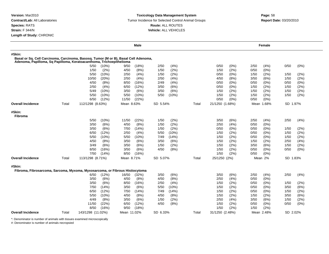## **Toxicology Data Management System** Tumor Incidence for Selected Control Animal Groups **Report Date:** 03/20/2010 **Route:** ALL ROUTES **Vehicle:** ALL VEHICLES

|                          |       |                                                                                                                                                             | <b>Male</b>                    |                              |       |                              | Female                           |                 |
|--------------------------|-------|-------------------------------------------------------------------------------------------------------------------------------------------------------------|--------------------------------|------------------------------|-------|------------------------------|----------------------------------|-----------------|
| #Skin:                   |       | Basal or Sq. Cell Carcinoma, Carcinoma, Basosq. Tumor (M or B), Basal Cell Adenoma,<br>Adenoma, Papilloma, Sq Papilloma, Keratoacanthoma, Trichoepithelioma |                                |                              |       |                              |                                  |                 |
|                          |       | 5/50<br>$(10\%)$                                                                                                                                            | (18%)<br>9/50                  | 2/50<br>(4%)                 |       | $(0\%)$<br>0/50              | 2/50<br>(4% )                    | 0/50<br>(0%)    |
|                          |       | (2%)<br>1/50                                                                                                                                                | 4/50<br>(8%)                   | (2%)<br>1/50                 |       | (2%)<br>1/50                 | 0/50<br>$(0\%)$                  |                 |
|                          |       | 5/50<br>(10%)                                                                                                                                               | 2/50<br>(4% )                  | (2%)<br>1/50                 |       | (0%)<br>0/50                 | 1/50<br>(2%)                     | (2%)<br>1/50    |
|                          |       | 10/50<br>(20%)                                                                                                                                              | 2/50<br>(4% )                  | 2/50<br>(4%)                 |       | 4/50<br>(8%)                 | 3/50<br>(6%)                     | 1/50<br>(2%)    |
|                          |       | 4/50<br>(8%)                                                                                                                                                | 8/50<br>(16%)                  | 2/49<br>(4% )                |       | (0%<br>0/50                  | 0/50<br>(0%)                     | 0/50<br>(0%)    |
|                          |       | 2/50<br>(4%)                                                                                                                                                | 6/50<br>(12%)                  | (6%)<br>3/50                 |       | (0%)<br>0/50                 | (2%)<br>1/50                     | (2%)<br>1/50    |
|                          |       | 5/49<br>(10%)                                                                                                                                               | 3/50<br>(6%)                   | 3/50<br>(6%)                 |       | 1/50<br>(2%)                 | 1/50<br>(2%)                     | 1/50<br>(2%)    |
|                          |       | 5/50<br>(10%)                                                                                                                                               | 5/50<br>(10%)                  | (10%)<br>5/50                |       | (2%)<br>1/50                 | 1/50<br>(2%)                     | (2%)<br>1/50    |
|                          |       | (12%)<br>6/50                                                                                                                                               | (22%)<br>11/50                 |                              |       | (0%)<br>0/50                 | (0%)<br>0/50                     |                 |
| <b>Overall Incidence</b> | Total | 112/1298 (8.63%)                                                                                                                                            | Mean 8.63%                     | SD 5.54%                     | Total | 21/1250 (1.68%)              | Mean 1.68%                       | SD 1.97%        |
| #Skin:<br><b>Fibroma</b> |       |                                                                                                                                                             |                                |                              |       |                              | .                                |                 |
|                          |       | 5/50<br>(10%)                                                                                                                                               | (22%)<br>11/50                 | (2%)<br>1/50                 |       | 3/50<br>(6%)                 | 2/50<br>(4% )                    | 2/50<br>(4%)    |
|                          |       | 3/50<br>(6%)                                                                                                                                                | 4/50<br>(8%)                   | (2%)<br>1/50                 |       | (4% )<br>2/50                | 0/50<br>$(0\%)$                  |                 |
|                          |       | 3/50<br>(6%)                                                                                                                                                | 7/50<br>(14%)                  | (2%)<br>1/50                 |       | (0%)<br>0/50                 | (0%)<br>0/50                     | 1/50<br>(2%)    |
|                          |       | 6/50<br>(12%)                                                                                                                                               | 2/50<br>(4%)                   | (10%)<br>5/50                |       | (2%)<br>1/50                 | 0/50<br>$(0\%)$                  | 1/50<br>(2%)    |
|                          |       | 5/50<br>(10%)                                                                                                                                               | 5/50<br>(10%)                  | (14%)<br>7/49                |       | (2%)<br>1/50                 | (0%)<br>0/50                     | (2%)<br>1/50    |
|                          |       | 4/50<br>(8%)                                                                                                                                                | (6%)<br>3/50                   | (6%)<br>3/50                 |       | (2%)<br>1/50                 | (2%)<br>1/50                     | 2/50<br>(4%)    |
|                          |       | 3/49<br>(6%)                                                                                                                                                | 3/50<br>(6%)                   | (2%)<br>1/50                 |       | (2%)<br>1/50                 | 3/50<br>(6%)                     | 1/50<br>(2%)    |
|                          |       | 8/50<br>(16%)                                                                                                                                               | 3/50<br>(6%)                   | 4/50<br>(8%)                 |       | 1/50<br>(2%)                 | 0/50<br>(0%)                     | 0/50<br>$(0\%)$ |
|                          |       | 7/50<br>(14% )                                                                                                                                              | 8/50<br>(16%)                  |                              |       | (2%)<br>1/50                 | 0/50<br>(0%)                     |                 |
| <b>Overall Incidence</b> | Total | 113/1298 (8.71%)                                                                                                                                            | Mean 8.71%                     | SD 5.07%                     | Total | 25/1250 (2%)                 | Mean 2%                          | SD 1.83%        |
| #Skin:                   |       | Fibroma, Fibrosarcoma, Sarcoma, Myxoma, Myxosarcoma, or Fibrous Histiocytoma<br>(12%)<br>6/50<br>3/50<br>(6%)                                               | 16/50<br>(32%)<br>4/50<br>(8%) | (6%)<br>3/50<br>(8%)<br>4/50 |       | 3/50<br>(6%)<br>(4%)<br>2/50 | 2/50<br>(4% )<br>0/50<br>$(0\%)$ | 2/50<br>(4%)    |
|                          |       | 3/50<br>(6%)                                                                                                                                                | 8/50<br>(16%)                  | 2/50<br>(4% )                |       | (2%)<br>1/50                 | 0/50<br>(0%)                     | 1/50<br>(2%)    |
|                          |       | 7/50<br>(14%)                                                                                                                                               | 3/50<br>(6%)                   | 5/50<br>(10%)                |       | 1/50<br>(2%)                 | 0/50<br>(0%)                     | 3/50<br>(6%)    |
|                          |       | 6/50<br>(12%)                                                                                                                                               | 7/50<br>(14%)                  | (14%)<br>7/49                |       | (2%)<br>1/50                 | 0/50<br>(0%)                     | (2%)<br>1/50    |
|                          |       | (10%)<br>5/50                                                                                                                                               | (8%)<br>4/50                   | (8%)<br>4/50                 |       | (2%)<br>1/50                 | (2%)<br>1/50                     | (6%)<br>3/50    |
|                          |       | 4/49<br>(8%)                                                                                                                                                | 3/50<br>(6%)                   | (2%)<br>1/50                 |       | (4% )<br>2/50                | 3/50<br>(6%)                     | (2%)<br>1/50    |
|                          |       | 11/50<br>(22%)                                                                                                                                              | 6/50<br>(12%)                  | 4/50<br>(8%)                 |       | 1/50<br>(2%)                 | 0/50<br>(0%)                     | 0/50<br>$(0\%)$ |
|                          |       | (16%)<br>8/50                                                                                                                                               | (18%)<br>9/50                  |                              |       | 1/50<br>(2%)                 | 1/50<br>(2%)                     |                 |
| <b>Overall Incidence</b> | Total | 143/1298 (11.02%)                                                                                                                                           | Mean 11.02%                    | SD 6.33%                     | Total | 31/1250 (2.48%)              | Mean 2.48%                       | SD 2.02%        |

\*: Denominator is number of animals with tissues examined microscopically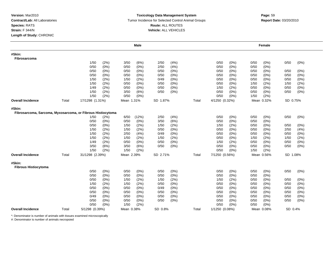### **Toxicology Data Management System** Tumor Incidence for Selected Control Animal Groups **Report Date:** 03/20/2010 **Route:** ALL ROUTES **Vehicle:** ALL VEHICLES

|                                                             |       |                 |         |            | <b>Male</b> |          |         |       |                |         |      | Female          |          |       |
|-------------------------------------------------------------|-------|-----------------|---------|------------|-------------|----------|---------|-------|----------------|---------|------|-----------------|----------|-------|
| #Skin:<br>Fibrosarcoma                                      |       |                 |         |            |             |          |         |       |                |         |      |                 |          |       |
|                                                             |       | 1/50            | (2%)    | 3/50       | (6%)        | 2/50     | (4% )   |       | 0/50           | $(0\%)$ | 0/50 | $(0\%)$         | 0/50     | (0%)  |
|                                                             |       | 0/50            | (0%)    | 0/50       | (0% )       | 2/50     | (4% )   |       | 0/50           | (0% )   | 0/50 | (0%             |          |       |
|                                                             |       | 0/50            | (0%)    | 0/50       | $(0\%)$     | 0/50     | (0%)    |       | 0/50           | (0%)    | 0/50 | $(0\%)$         | 0/50     | (0%)  |
|                                                             |       | 0/50            | (0%)    | 0/50       | $(0\%)$     | 0/50     | (0%)    |       | 0/50           | (0%)    | 0/50 | (0%             | 0/50     | (0%)  |
|                                                             |       | 1/50            | (2%)    | 1/50       | (2%)        | 0/49     | (0%)    |       | 0/50           | (0%)    | 0/50 | $(0\%)$         | 0/50     | (0%)  |
|                                                             |       | 1/50            | (2%)    | 0/50       | $(0\%)$     | 0/50     | (0%)    |       | 0/50           | (0%)    | 1/50 | (2%)            | 1/50     | (2%)  |
|                                                             |       | 1/49            | (2%)    | 0/50       | $(0\%)$     | 0/50     | (0%)    |       | 1/50           | (2%)    | 0/50 | $(0\%)$         | 0/50     | (0%)  |
|                                                             |       | 1/50            | (2%)    | 3/50       | (6%)        | 0/50     | (0%)    |       | 0/50           | (0%)    | 0/50 | $(0\%)$         | 0/50     | (0%)  |
|                                                             |       | 1/50            | (2%)    | 0/50       | $(0\%)$     |          |         |       | 0/50           | (0%)    | 1/50 | (2%)            |          |       |
| <b>Overall Incidence</b>                                    | Total | 17/1298 (1.31%) |         | Mean 1.31% |             | SD 1.87% |         | Total | 4/1250 (0.32%) |         |      | Mean 0.32%<br>. | SD 0.75% |       |
| #Skin:                                                      |       |                 |         |            |             |          |         |       |                |         |      |                 |          |       |
| Fibrosarcoma, Sarcoma, Myxosarcoma, or Fibrous Histiocytoma |       |                 |         |            |             |          |         |       |                |         |      |                 |          |       |
|                                                             |       | 1/50            | (2%)    | 6/50       | (12%)       | 2/50     | (4% )   |       | 0/50           | (0%)    | 0/50 | (0%)            | 0/50     | (0%)  |
|                                                             |       | 0/50            | (0%)    | 0/50       | (0%)        | 3/50     | (6%)    |       | 0/50           | (0%)    | 0/50 | (0%             |          |       |
|                                                             |       | 0/50            | (0%)    | 1/50       | (2%)        | 1/50     | (2%)    |       | 1/50           | (2%)    | 0/50 | $(0\%)$         | 0/50     | (0%)  |
|                                                             |       | 1/50            | (2%)    | 1/50       | (2%)        | 0/50     | (0%)    |       | 0/50           | (0%)    | 0/50 | (0%)            | 2/50     | (4%)  |
|                                                             |       | 1/50            | (2%)    | 2/50       | (4%)        | 0/49     | (0%)    |       | 0/50           | (0%)    | 0/50 | (0%)            | 0/50     | (0%)  |
|                                                             |       | 1/50            | (2%)    | 1/50       | (2%)        | 1/50     | (2%)    |       | 0/50           | (0%)    | 1/50 | (2%             | 1/50     | (2%)  |
|                                                             |       | 1/49            | (2%)    | 0/50       | $(0\%)$     | 0/50     | (0%)    |       | 1/50           | (2%)    | 0/50 | (0%)            | 0/50     | (0%)  |
|                                                             |       | 3/50            | (6%)    | 3/50       | (6%)        | 0/50     | (0%)    |       | 0/50           | (0%)    | 0/50 | $(0\%)$         | 0/50     | (0%)  |
|                                                             |       | 1/50            | (2%)    | 1/50       | (2%)        |          |         |       | 0/50           | (0%)    | 1/50 | (2%)            |          |       |
| <b>Overall Incidence</b>                                    | Total | 31/1298 (2.39%) |         | Mean 2.39% |             | SD 2.71% |         | Total | 7/1250 (0.56%) |         |      | Mean 0.56%      | SD 1.08% |       |
| #Skin:<br><b>Fibrous Histiocytoma</b>                       |       |                 |         |            |             |          |         |       |                |         |      |                 |          |       |
|                                                             |       | 0/50            | (0%)    | 0/50       | (0%)        | 0/50     | $(0\%)$ |       | 0/50           | (0%)    | 0/50 | (0%)            | 0/50     | (0%)  |
|                                                             |       | 0/50            | (0%)    | 0/50       | (0%)        | 0/50     | (0%)    |       | 0/50           | (0%)    | 0/50 | $(0\%)$         |          |       |
|                                                             |       | 0/50            | $(0\%)$ | 1/50       | (2%)        | 1/50     | (2%)    |       | 1/50           | (2%)    | 0/50 | $(0\%)$         | 0/50     | (0%)  |
|                                                             |       | 1/50            | (2%)    | 1/50       | (2%)        | 0/50     | (0%)    |       | 0/50           | (0%)    | 0/50 | (0%             | 0/50     | (0% ) |
|                                                             |       | 0/50            | (0%)    | 0/50       | $(0\%)$     | 0/49     | (0%)    |       | 0/50           | (0%)    | 0/50 | $(0\%)$         | 0/50     | (0%)  |
|                                                             |       | 0/50            | $(0\%)$ | 0/50       | $(0\%)$     | 0/50     | $(0\%)$ |       | 0/50           | (0%)    | 0/50 | $(0\%)$         | 0/50     | (0%)  |
|                                                             |       | 0/49            | $(0\%)$ | 0/50       | (0%)        | 0/50     | $(0\%)$ |       | 0/50           | (0%)    | 0/50 | $(0\%)$         | 0/50     | (0%)  |
|                                                             |       | 0/50            | (0%)    | 0/50       | $(0\%)$     | 0/50     | $(0\%)$ |       | 0/50           | (0%)    | 0/50 | $(0\%)$         | 0/50     | (0%)  |
|                                                             |       | 0/50            | (0%)    | 1/50       | (2%)        |          |         |       | 0/50           | (0%)    | 0/50 | (0%             |          |       |
| <b>Overall Incidence</b>                                    | Total | 5/1298 (0.39%)  |         | Mean 0.38% |             | SD 0.8%  |         | Total | 1/1250 (0.08%) |         |      | Mean 0.08%      | SD 0.4%  |       |
|                                                             |       |                 |         |            |             |          |         |       |                |         |      |                 |          |       |

\*: Denominator is number of animals with tissues examined microscopically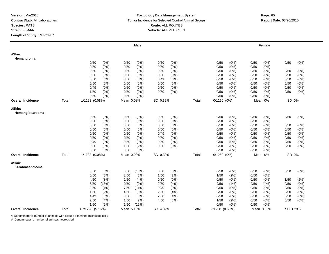### **Toxicology Data Management System** Tumor Incidence for Selected Control Animal Groups **Report Date:** 03/20/2010 **Route:** ALL ROUTES **Vehicle:** ALL VEHICLES

|                           |       |                 |              |              | <b>Male</b>        |              |                    |       |                |              |              | Female      |              |              |
|---------------------------|-------|-----------------|--------------|--------------|--------------------|--------------|--------------------|-------|----------------|--------------|--------------|-------------|--------------|--------------|
| #Skin:<br>Hemangioma      |       |                 |              |              |                    |              |                    |       |                |              |              |             |              |              |
|                           |       | 0/50            | (0%)         | 0/50         | (0%)               | 0/50         | $(0\%)$            |       | 0/50           | (0%)         | 0/50         | $(0\%)$     | 0/50         | (0%)         |
|                           |       | 0/50            | (0%)         | 0/50         | (0%)               | 0/50         | $(0\%)$            |       | 0/50           | (0%)         | 0/50         | $(0\%)$     |              |              |
|                           |       | 0/50            | (0%)         | 0/50         | $(0\%)$            | 0/50         | $(0\%)$            |       | 0/50           | (0%)         | 0/50         | (0%)        | 0/50         | $(0\%)$      |
|                           |       | 0/50            | (0%)         | 0/50         | (0%)               | 0/50         | $(0\%)$            |       | 0/50           | (0%)         | 0/50         | (0%)        | 0/50         | $(0\%)$      |
|                           |       | 0/50            | (0%)         | 0/50         | (0%)               | 0/49         | (0%)               |       | 0/50           | (0%)         | 0/50         | (0%)        | 0/50         | (0%)         |
|                           |       | 0/50            | (0%)         | 0/50         | (0%)               | 0/50         | $(0\%)$            |       | 0/50           | (0%)         | 0/50         | (0%)        | 0/50         | (0%)         |
|                           |       | 0/49            | (0%)         | 0/50         | (0%)               | 0/50         | $(0\%)$            |       | 0/50           | (0%)         | 0/50         | $(0\%)$     | 0/50         | $(0\%)$      |
|                           |       | 1/50            | (2%)         | 0/50         | (0%)               | 0/50         | $(0\%)$            |       | 0/50           | (0%)         | 0/50         | (0%)        | 0/50         | $(0\%)$      |
|                           |       | 0/50            | $(0\%)$      | 0/50         | $(0\%)$            |              |                    |       | 0/50           | (0%)         | 0/50         | $(0\%)$     |              |              |
| <b>Overall Incidence</b>  | Total | 1/1298 (0.08%)  |              | Mean 0.08%   |                    | SD 0.39%     |                    | Total | 0/1250(0%)     |              |              | Mean 0%     | SD 0%        |              |
| #Skin:                    |       |                 |              |              |                    |              |                    |       |                |              |              |             |              |              |
| Hemangiosarcoma           |       | 0/50            |              | 0/50         |                    | 0/50         |                    |       | 0/50           | (0%)         | 0/50         |             | 0/50         |              |
|                           |       |                 | $(0\%)$      |              | (0%)               |              | $(0\%)$            |       |                |              |              | $(0\%)$     |              | $(0\%)$      |
|                           |       | 0/50            | (0%)         | 0/50         | $(0\%)$            | 0/50         | $(0\%)$            |       | 0/50           | (0%)         | 0/50         | (0%)        |              |              |
|                           |       | 0/50            | (0%)         | 0/50         | $(0\%)$            | 0/50         | $(0\%)$            |       | 0/50<br>0/50   | (0%)         | 0/50         | (0%)        | 0/50         | (0%)         |
|                           |       | 0/50<br>0/50    | (0%)         | 0/50         | (0%)               | 0/50         | $(0\%)$            |       |                | (0%)         | 0/50         | $(0\%)$     | 0/50         | $(0\%)$      |
|                           |       | 0/50            | (0%)         | 0/50<br>0/50 | $(0\%)$            | 0/49<br>0/50 | $(0\%)$<br>$(0\%)$ |       | 0/50<br>0/50   | (0%)<br>(0%) | 0/50<br>0/50 | (0%<br>(0%) | 0/50<br>0/50 | (0%)<br>(0%) |
|                           |       | 0/49            | (0%)<br>(0%) | 0/50         | $(0\%)$<br>$(0\%)$ | 0/50         | $(0\%)$            |       | 0/50           | (0%)         | 0/50         | (0%         | 0/50         | (0%)         |
|                           |       | 0/50            | (0%)         | 1/50         | (2%)               | 0/50         | (0%)               |       | 0/50           | $(0\%)$      |              | $(0\%)$     | 0/50         |              |
|                           |       | 0/50            | (0%)         | 0/50         | (0%)               |              |                    |       | 0/50           | (0%)         | 0/50<br>0/50 | $(0\%)$     |              | (0%)         |
|                           |       |                 |              |              |                    |              |                    |       |                |              |              |             |              |              |
| <b>Overall Incidence</b>  | Total | 1/1298 (0.08%)  |              | Mean 0.08%   |                    | SD 0.39%     |                    | Total | $0/1250(0\%)$  |              |              | Mean 0%     | SD 0%        |              |
| #Skin:<br>Keratoacanthoma |       |                 |              |              |                    |              |                    |       |                |              |              |             |              |              |
|                           |       | 3/50            | (6%)         | 5/50         | (10%)              | 0/50         | $(0\%)$            |       | 0/50           | (0%)         | 0/50         | $(0\%)$     | 0/50         | (0%)         |
|                           |       | 0/50            | (0%)         | 3/50         | (6%)               | 1/50         | (2%)               |       | 1/50           | (2%)         | 0/50         | (0%         |              |              |
|                           |       | 4/50            | (8%)         | 2/50         | (4%)               | 0/50         | $(0\%)$            |       | 0/50           | (0%)         | 0/50         | (0%)        | 1/50         | (2%)         |
|                           |       | 8/50            | (16%)        | 0/50         | $(0\%)$            | 2/50         | (4% )              |       | 2/50           | (4% )        | 2/50         | (4% )       | 0/50         | (0%)         |
|                           |       | 2/50            | (4% )        | 7/50         | (14%)              | 0/49         | $(0\%)$            |       | 0/50           | (0%)         | 0/50         | $(0\%)$     | 0/50         | (0%)         |
|                           |       | 1/50            | (2%)         | 4/50         | (8%)               | 2/50         | (4% )              |       | 0/50           | (0%)         | 0/50         | $(0\%)$     | 0/50         | (0%)         |
|                           |       | 4/49            | (8%)         | 3/50         | (6%)               | 2/50         | (4%)               |       | 0/50           | (0%)         | 0/50         | (0%)        | 0/50         | (0%)         |
|                           |       | 2/50            | (4% )        | 1/50         | (2%)               | 4/50         | (8%)               |       | 1/50           | (2%)         | 0/50         | (0%)        | 0/50         | (0%)         |
|                           |       | 1/50            | (2%)         | 6/50         | (12%)              |              |                    |       | 0/50           | (0%)         | 0/50         | (0%         |              |              |
| <b>Overall Incidence</b>  | Total | 67/1298 (5.16%) |              | Mean 5.16%   |                    | SD 4.39%     |                    | Total | 7/1250 (0.56%) |              |              | Mean 0.56%  | SD 1.23%     |              |

\*: Denominator is number of animals with tissues examined microscopically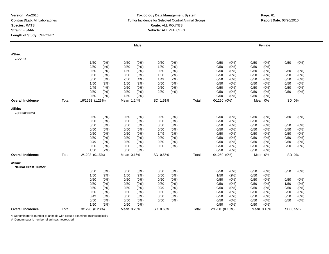#### **Toxicology Data Management System** Tumor Incidence for Selected Control Animal Groups **Report Date:** 03/20/2010 **Route:** ALL ROUTES **Vehicle:** ALL VEHICLES

|                                     |       |                 |         |            | Male    |          |         |       |                 |         |      | Female     |          |      |
|-------------------------------------|-------|-----------------|---------|------------|---------|----------|---------|-------|-----------------|---------|------|------------|----------|------|
| #Skin:<br>Lipoma                    |       |                 |         |            |         |          |         |       |                 |         |      |            |          |      |
|                                     |       | 1/50            | (2%)    | 0/50       | $(0\%)$ | 0/50     | $(0\%)$ |       | 0/50            | $(0\%)$ | 0/50 | (0%)       | 0/50     | (0%) |
|                                     |       | 2/50            | (4% )   | 0/50       | $(0\%)$ | 1/50     | (2%)    |       | 0/50            | $(0\%)$ | 0/50 | (0%)       |          |      |
|                                     |       | 0/50            | (0%)    | 1/50       | (2%)    | 0/50     | $(0\%)$ |       | 0/50            | $(0\%)$ | 0/50 | $(0\%)$    | 0/50     | (0%) |
|                                     |       | 0/50            | (0%)    | 0/50       | $(0\%)$ | 1/50     | (2%)    |       | 0/50            | $(0\%)$ | 0/50 | $(0\%)$    | 0/50     | (0%) |
|                                     |       | 0/50            | (0%)    | 2/50       | (4% )   | 1/49     | (2%)    |       | 0/50            | (0%)    | 0/50 | $(0\%)$    | 0/50     | (0%) |
|                                     |       | 1/50            | (2%)    | 1/50       | (2%)    | 0/50     | (0%)    |       | 0/50            | (0%)    | 0/50 | $(0\%)$    | 0/50     | (0%) |
|                                     |       | 2/49            | (4% )   | 0/50       | $(0\%)$ | 0/50     | $(0\%)$ |       | 0/50            | (0%)    | 0/50 | $(0\%)$    | 0/50     | (0%) |
|                                     |       | 0/50            | $(0\%)$ | 0/50       | $(0\%)$ | 2/50     | (4% )   |       | 0/50            | (0%)    | 0/50 | $(0\%)$    | 0/50     | (0%) |
|                                     |       | 0/50            | (0%)    | 1/50       | (2%)    |          |         |       | 0/50            | (0%)    | 0/50 | $(0\%)$    |          |      |
| <b>Overall Incidence</b>            | Total | 16/1298 (1.23%) |         | Mean 1.24% |         | SD 1.51% |         | Total | $0/1250$ $(0%)$ |         |      | Mean 0%    | SD 0%    |      |
| #Skin:<br>Liposarcoma               |       |                 |         |            |         |          |         |       |                 |         |      |            |          |      |
|                                     |       | 0/50            | (0%)    | 0/50       | $(0\%)$ | 0/50     | $(0\%)$ |       | 0/50            | (0%)    | 0/50 | $(0\%)$    | 0/50     | (0%) |
|                                     |       | 0/50            | (0%)    | 0/50       | $(0\%)$ | 0/50     | $(0\%)$ |       | 0/50            | (0%     | 0/50 | $(0\%)$    |          |      |
|                                     |       | 0/50            | (0%)    | 0/50       | $(0\%)$ | 0/50     | (0%)    |       | 0/50            | (0%)    | 0/50 | $(0\%)$    | 0/50     | (0%) |
|                                     |       | 0/50            | (0%)    | 0/50       | $(0\%)$ | 0/50     | $(0\%)$ |       | 0/50            | (0%)    | 0/50 | (0%)       | 0/50     | (0%) |
|                                     |       | 0/50            | (0%)    | 0/50       | $(0\%)$ | 1/49     | (2%)    |       | 0/50            | (0%)    | 0/50 | (0%)       | 0/50     | (0%) |
|                                     |       | 0/50            | $(0\%)$ | 0/50       | $(0\%)$ | 0/50     | (0%)    |       | 0/50            | $(0\%)$ | 0/50 | (0%)       | 0/50     | (0%) |
|                                     |       | 0/49            | (0%)    | 0/50       | (0%)    | 0/50     | (0%)    |       | 0/50            | (0%)    | 0/50 | (0%)       | 0/50     | (0%) |
|                                     |       | 0/50            | (0%)    | 0/50       | $(0\%)$ | 0/50     | (0%)    |       | 0/50            | (0%)    | 0/50 | $(0\%)$    | 0/50     | (0%) |
|                                     |       | 1/50            | (2%)    | 0/50       | (0%)    |          |         |       | 0/50            | (0%)    | 0/50 | (0%)       |          |      |
| <b>Overall Incidence</b>            | Total | 2/1298 (0.15%)  |         | Mean 0.16% |         | SD 0.55% |         | Total | $0/1250$ $(0%)$ |         |      | Mean 0%    | SD 0%    |      |
| #Skin:<br><b>Neural Crest Tumor</b> |       |                 |         |            |         |          |         |       |                 |         |      |            |          |      |
|                                     |       | 0/50            | (0%)    | 0/50       | $(0\%)$ | 0/50     | $(0\%)$ |       | 0/50            | (0%)    | 0/50 | $(0\%)$    | 0/50     | (0%) |
|                                     |       | 1/50            | (2%)    | 1/50       | (2%)    | 0/50     | (0%)    |       | 1/50            | (2%)    | 0/50 | (0%)       |          |      |
|                                     |       | 0/50            | (0%)    | 0/50       | (0%)    | 0/50     | $(0\%)$ |       | 0/50            | (0%)    | 0/50 | (0%)       | 0/50     | (0%) |
|                                     |       | 0/50            | (0%)    | 0/50       | $(0\%)$ | 0/50     | (0%     |       | 0/50            | $(0\%)$ | 0/50 | $(0\%)$    | 1/50     | (2%) |
|                                     |       | 0/50            | (0%)    | 0/50       | (0%)    | 0/49     | $(0\%)$ |       | 0/50            | (0%)    | 0/50 | (0%)       | 0/50     | (0%) |
|                                     |       | 0/50            | (0%)    | 0/50       | (0%)    | 0/50     | $(0\%)$ |       | 0/50            | (0%)    | 0/50 | (0%)       | 0/50     | (0%) |
|                                     |       | 0/49            | $(0\%)$ | 0/50       | (0%)    | 0/50     | $(0\%)$ |       | 0/50            | (0%)    | 0/50 | (0%)       | 0/50     | (0%) |
|                                     |       | 0/50            | $(0\%)$ | 0/50       | (0%)    | 0/50     | $(0\%)$ |       | 0/50            | $(0\%)$ | 0/50 | (0%)       | 0/50     | (0%) |
|                                     |       | 1/50            | (2%)    | 0/50       | $(0\%)$ |          |         |       | 0/50            | (0%)    | 0/50 | (0%)       |          |      |
| <b>Overall Incidence</b>            | Total | 3/1298 (0.23%)  |         | Mean 0.23% |         | SD 0.65% |         | Total | 2/1250 (0.16%)  |         |      | Mean 0.16% | SD 0.55% |      |

\*: Denominator is number of animals with tissues examined microscopically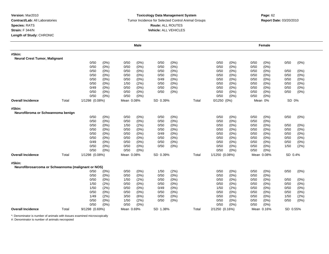### **Toxicology Data Management System** Tumor Incidence for Selected Control Animal Groups **Report Date:** 03/20/2010 **Route:** ALL ROUTES **Vehicle:** ALL VEHICLES

|                                                              |       |                |         |            | <b>Male</b> |          |         |       |                 |         |      | Female     |          |         |
|--------------------------------------------------------------|-------|----------------|---------|------------|-------------|----------|---------|-------|-----------------|---------|------|------------|----------|---------|
| #Skin:<br><b>Neural Crest Tumor, Malignant</b>               |       |                |         |            |             |          |         |       |                 |         |      |            |          |         |
|                                                              |       | 0/50           | (0%)    | 0/50       | (0%)        | 0/50     | (0%)    |       | 0/50            | (0%)    | 0/50 | (0%)       | 0/50     | (0%)    |
|                                                              |       | 0/50           | $(0\%)$ | 0/50       | $(0\%)$     | 0/50     | (0%)    |       | 0/50            | (0%)    | 0/50 | (0%)       |          |         |
|                                                              |       | 0/50           | $(0\%)$ | 0/50       | (0%)        | 0/50     | $(0\%)$ |       | 0/50            | (0%)    | 0/50 | $(0\%)$    | 0/50     | (0%)    |
|                                                              |       | 0/50           | (0%)    | 0/50       | $(0\%)$     | 0/50     | (0%     |       | 0/50            | (0%)    | 0/50 | (0%        | 0/50     | (0%)    |
|                                                              |       | 0/50           | $(0\%)$ | 0/50       | $(0\%)$     | 0/49     | (0%)    |       | 0/50            | (0%)    | 0/50 | (0%)       | 0/50     | (0%)    |
|                                                              |       | 0/50           | $(0\%)$ | 1/50       | (2%)        | 0/50     | (0%)    |       | 0/50            | (0%)    | 0/50 | (0%)       | 0/50     | (0%)    |
|                                                              |       | 0/49           | $(0\%)$ | 0/50       | $(0\%)$     | 0/50     | (0%)    |       | 0/50            | (0%)    | 0/50 | (0%)       | 0/50     | $(0\%)$ |
|                                                              |       | 0/50           | $(0\%)$ | 0/50       | $(0\%)$     | 0/50     | (0%)    |       | 0/50            | (0%)    | 0/50 | (0%)       | 0/50     | (0%)    |
|                                                              |       | 0/50           | (0%)    | 0/50       | (0%)        |          |         |       | 0/50            | (0%)    | 0/50 | (0%)       |          |         |
| <b>Overall Incidence</b>                                     | Total | 1/1298 (0.08%) |         | Mean 0.08% |             | SD 0.39% |         | Total | $0/1250$ $(0%)$ |         |      | Mean 0%    | SD 0%    |         |
| #Skin:<br>Neurofibroma or Schwannoma benign                  |       |                |         |            |             |          |         |       |                 |         |      |            |          |         |
|                                                              |       | 0/50           | (0%)    | 0/50       | $(0\%)$     | 0/50     | (0%)    |       | 0/50            | (0%)    | 0/50 | (0%)       | 0/50     | $(0\%)$ |
|                                                              |       | 0/50           | $(0\%)$ | 0/50       | $(0\%)$     | 0/50     | (0%)    |       | 0/50            | (0%)    | 0/50 | (0%)       |          |         |
|                                                              |       | 0/50           | (0%)    | 1/50       | (2%)        | 0/50     | (0%)    |       | 0/50            | (0%)    | 0/50 | $(0\%)$    | 0/50     | (0%)    |
|                                                              |       | 0/50           | (0%)    | 0/50       | $(0\%)$     | 0/50     | (0%)    |       | 0/50            | (0%)    | 0/50 | (0%)       | 0/50     | (0%)    |
|                                                              |       | 0/50           | $(0\%)$ | 0/50       | $(0\%)$     | 0/49     | $(0\%)$ |       | 0/50            | $(0\%)$ | 0/50 | $(0\%)$    | 0/50     | $(0\%)$ |
|                                                              |       | 0/50           | (0%)    | 0/50       | $(0\%)$     | 0/50     | $(0\%)$ |       | 0/50            | (0%)    | 0/50 | $(0\%)$    | 0/50     | (0%)    |
|                                                              |       | 0/49           | (0%)    | 0/50       | $(0\%)$     | 0/50     | $(0\%)$ |       | 0/50            | (0%)    | 0/50 | $(0\%)$    | 0/50     | (0%)    |
|                                                              |       | 0/50           | (0%)    | 0/50       | $(0\%)$     | 0/50     | (0%)    |       | 0/50            | (0%)    | 0/50 | (0%)       | 1/50     | (2%)    |
|                                                              |       | 0/50           | $(0\%)$ | 0/50       | $(0\%)$     |          |         |       | 0/50            | (0%)    | 0/50 | (0%)       |          |         |
| <b>Overall Incidence</b>                                     | Total | 1/1298 (0.08%) |         | Mean 0.08% |             | SD 0.39% |         | Total | 1/1250 (0.08%)  |         |      | Mean 0.08% | SD 0.4%  |         |
| #Skin:<br>Neurofibrosarcoma or Schwannoma (malignant or NOS) |       |                |         |            |             |          |         |       |                 |         |      |            |          |         |
|                                                              |       | 0/50           | $(0\%)$ | 0/50       | $(0\%)$     | 1/50     | (2%)    |       | 0/50            | (0%)    | 0/50 | (0%)       | 0/50     | $(0\%)$ |
|                                                              |       | 0/50           | (0%)    | 0/50       | $(0\%)$     | 0/50     | (0%)    |       | 0/50            | (0%)    | 0/50 | (0%)       |          |         |
|                                                              |       | 0/50           | $(0\%)$ | 1/50       | (2%)        | 0/50     | (0%)    |       | 0/50            | (0%)    | 0/50 | (0%)       | 0/50     | (0%)    |
|                                                              |       | 1/50           | (2%)    | 0/50       | (0%)        | 0/50     | $(0\%)$ |       | 0/50            | (0%     | 0/50 | (0%)       | 0/50     | (0% )   |
|                                                              |       | 1/50           | (2%)    | 0/50       | $(0\%)$     | 0/49     | (0%)    |       | 1/50            | (2%)    | 0/50 | (0%)       | 0/50     | (0%)    |
|                                                              |       | 0/50           | $(0\%)$ | 0/50       | $(0\%)$     | 0/50     | (0%)    |       | 0/50            | (0%)    | 0/50 | $(0\%)$    | 0/50     | (0%)    |
|                                                              |       | 1/49           | (2%)    | 3/50       | (6%)        | 0/50     | (0%)    |       | 0/50            | (0%)    | 0/50 | $(0\%)$    | 1/50     | (2%)    |
|                                                              |       | 0/50           | (0%)    | 1/50       | (2%)        | 0/50     | (0%)    |       | 0/50            | (0%)    | 0/50 | $(0\%)$    | 0/50     | $(0\%)$ |
|                                                              |       | 0/50           | (0%)    | 0/50       | (0%)        |          |         |       | 0/50            | (0%)    | 0/50 | (0% )      |          |         |
| <b>Overall Incidence</b>                                     | Total | 9/1298 (0.69%) |         | Mean 0.69% |             | SD 1.38% |         | Total | 2/1250 (0.16%)  |         |      | Mean 0.16% | SD 0.55% |         |

\*: Denominator is number of animals with tissues examined microscopically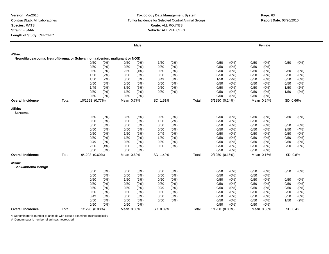#### **Toxicology Data Management System** Tumor Incidence for Selected Control Animal Groups **Report Date:** 03/20/2010 **Route:** ALL ROUTES **Vehicle:** ALL VEHICLES

|                                                                           |       |                 |         |            | Male    |          |         |       |                |         |      | Female     |          |         |
|---------------------------------------------------------------------------|-------|-----------------|---------|------------|---------|----------|---------|-------|----------------|---------|------|------------|----------|---------|
| #Skin:                                                                    |       |                 |         |            |         |          |         |       |                |         |      |            |          |         |
| Neurofibrosarcoma, Neurofibroma, or Schwannoma (benign, malignant or NOS) |       |                 |         |            |         |          |         |       |                |         |      |            |          |         |
|                                                                           |       | 0/50            | (0%)    | 0/50       | $(0\%)$ | 1/50     | (2%)    |       | 0/50           | $(0\%)$ | 0/50 | $(0\%)$    | 0/50     | (0%)    |
|                                                                           |       | 0/50            | (0%)    | 0/50       | $(0\%)$ | 0/50     | (0%)    |       | 0/50           | (0% )   | 0/50 | (0%)       |          |         |
|                                                                           |       | 0/50            | (0%)    | 2/50       | (4% )   | 0/50     | (0%)    |       | 0/50           | $(0\%)$ | 0/50 | $(0\%)$    | 0/50     | (0%)    |
|                                                                           |       | 1/50            | (2%)    | 0/50       | $(0\%)$ | 0/50     | (0%)    |       | 0/50           | (0%     | 0/50 | $(0\%)$    | 0/50     | (0%)    |
|                                                                           |       | 1/50            | (2%)    | 0/50       | (0%)    | 0/49     | (0%)    |       | 1/50           | (2%)    | 0/50 | $(0\%)$    | 0/50     | (0%)    |
|                                                                           |       | 0/50            | $(0\%)$ | 0/50       | $(0\%)$ | 0/50     | (0%)    |       | 0/50           | (0%)    | 0/50 | $(0\%)$    | 0/50     | (0%)    |
|                                                                           |       | 1/49            | (2%)    | 3/50       | (6%)    | 0/50     | $(0\%)$ |       | 0/50           | (0%)    | 0/50 | (0%)       | 1/50     | (2%)    |
|                                                                           |       | 0/50            | $(0\%)$ | 1/50       | (2%)    | 0/50     | $(0\%)$ |       | 0/50           | $(0\%)$ | 0/50 | (0%)       | 1/50     | (2%)    |
|                                                                           |       | 0/50            | $(0\%)$ | 0/50       | $(0\%)$ |          |         |       | 0/50           | $(0\%)$ | 0/50 | $(0\%)$    |          |         |
| Overall Incidence                                                         | Total | 10/1298 (0.77%) |         | Mean 0.77% |         | SD 1.51% |         | Total | 3/1250 (0.24%) |         |      | Mean 0.24% | SD 0.66% |         |
| #Skin:<br><b>Sarcoma</b>                                                  |       |                 |         |            |         |          |         |       |                |         |      |            |          |         |
|                                                                           |       | 0/50            | (0%)    | 3/50       | (6%)    | 0/50     | (0%)    |       | 0/50           | (0%)    | 0/50 | (0%)       | 0/50     | (0%)    |
|                                                                           |       | 0/50            | (0%)    | 0/50       | (0%)    | 1/50     | (2%)    |       | 0/50           | (0%     | 0/50 | $(0\%)$    |          |         |
|                                                                           |       | 0/50            | $(0\%)$ | 0/50       | $(0\%)$ | 0/50     | (0%)    |       | 0/50           | (0%     | 0/50 | (0%)       | 0/50     | (0%)    |
|                                                                           |       | 0/50            | (0%)    | 0/50       | $(0\%)$ | 0/50     | (0%)    |       | 0/50           | (0%)    | 0/50 | $(0\%)$    | 2/50     | (4%)    |
|                                                                           |       | 0/50            | (0%)    | 1/50       | (2%)    | 0/49     | $(0\%)$ |       | 0/50           | (0%)    | 0/50 | $(0\%)$    | 0/50     | (0%)    |
|                                                                           |       | 0/50            | (0%)    | 1/50       | (2%)    | 1/50     | (2%)    |       | 0/50           | $(0\%)$ | 0/50 | (0%)       | 0/50     | (0%)    |
|                                                                           |       | 0/49            | (0%)    | 0/50       | (0%)    | 0/50     | (0%)    |       | 0/50           | (0%     | 0/50 | (0%)       | 0/50     | (0%)    |
|                                                                           |       | 2/50            | (4%)    | 0/50       | $(0\%)$ | 0/50     | $(0\%)$ |       | 0/50           | (0%)    | 0/50 | $(0\%)$    | 0/50     | (0%)    |
|                                                                           |       | 0/50            | (0%)    | 0/50       | $(0\%)$ |          |         |       | 0/50           | (0%)    | 0/50 | (0%)       |          |         |
| Overall Incidence                                                         | Total | 9/1298 (0.69%)  |         | Mean 0.69% |         | SD 1.49% |         | Total | 2/1250 (0.16%) |         |      | Mean 0.16% | SD 0.8%  |         |
| #Skin:<br><b>Schwannoma Benign</b>                                        |       |                 |         |            |         |          |         |       |                |         |      |            |          |         |
|                                                                           |       | 0/50            | (0%)    | 0/50       | $(0\%)$ | 0/50     | $(0\%)$ |       | 0/50           | (0%)    | 0/50 | $(0\%)$    | 0/50     | (0%)    |
|                                                                           |       | 0/50            | (0%)    | 0/50       | $(0\%)$ | 0/50     | (0%)    |       | 0/50           | (0%)    | 0/50 | (0%)       |          |         |
|                                                                           |       | 0/50            | (0%)    | 1/50       | (2%)    | 0/50     | $(0\%)$ |       | 0/50           | $(0\%)$ | 0/50 | (0%)       | 0/50     | $(0\%)$ |
|                                                                           |       | 0/50            | $(0\%)$ | 0/50       | (0%)    | 0/50     | (0%)    |       | 0/50           | (0%     | 0/50 | $(0\%)$    | 0/50     | (0%)    |
|                                                                           |       | 0/50            | $(0\%)$ | 0/50       | $(0\%)$ | 0/49     | $(0\%)$ |       | 0/50           | $(0\%)$ | 0/50 | (0%)       | 0/50     | (0%)    |
|                                                                           |       | 0/50            | (0%)    | 0/50       | $(0\%)$ | 0/50     | $(0\%)$ |       | 0/50           | $(0\%)$ | 0/50 | $(0\%)$    | 0/50     | (0%)    |
|                                                                           |       | 0/49            | (0%)    | 0/50       | $(0\%)$ | 0/50     | $(0\%)$ |       | 0/50           | $(0\%)$ | 0/50 | (0%)       | 0/50     | (0%)    |
|                                                                           |       | 0/50            | (0%)    | 0/50       | $(0\%)$ | 0/50     | (0%)    |       | 0/50           | $(0\%)$ | 0/50 | (0%)       | 1/50     | (2%)    |
|                                                                           |       | 0/50            | (0%)    | 0/50       | $(0\%)$ |          |         |       | 0/50           | (0%)    | 0/50 | (0%)       |          |         |
| <b>Overall Incidence</b>                                                  | Total | 1/1298 (0.08%)  |         | Mean 0.08% |         | SD 0.39% |         | Total | 1/1250 (0.08%) |         |      | Mean 0.08% | SD 0.4%  |         |

\*: Denominator is number of animals with tissues examined microscopically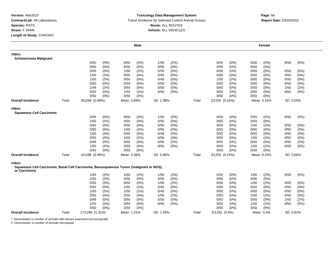#### **Toxicology Data Management System** Tumor Incidence for Selected Control Animal Groups **Report Date:** 03/20/2010 **Route:** ALL ROUTES **Vehicle:** ALL VEHICLES

|                                                                                                       |       |                 |         |            | <b>Male</b> |          |         |       |                |         |      | Female     |          |         |
|-------------------------------------------------------------------------------------------------------|-------|-----------------|---------|------------|-------------|----------|---------|-------|----------------|---------|------|------------|----------|---------|
| #Skin:                                                                                                |       |                 |         |            |             |          |         |       |                |         |      |            |          |         |
| <b>Schwannoma Malignant</b>                                                                           |       |                 |         |            |             |          |         |       |                |         |      |            |          |         |
|                                                                                                       |       | 0/50            | (0%)    | 0/50       | $(0\%)$     | 1/50     | (2%)    |       | 0/50           | (0%)    | 0/50 | $(0\%)$    | 0/50     | $(0\%)$ |
|                                                                                                       |       | 0/50            | (0%)    | 0/50       | (0% )       | 0/50     | (0%     |       | 0/50           | (0%     | 0/50 | (0% )      |          |         |
|                                                                                                       |       | 0/50            | (0% )   | 1/50       | (2%)        | 0/50     | (0%)    |       | 0/50           | (0%)    | 0/50 | (0%)       | 0/50     | (0%)    |
|                                                                                                       |       | 1/50            | (2%)    | 0/50       | $(0\%)$     | 0/50     | (0%)    |       | 0/50           | (0%)    | 0/50 | (0%)       | 0/50     | (0% )   |
|                                                                                                       |       | 1/50            | (2%)    | 0/50       | $(0\%)$     | 0/49     | $(0\%)$ |       | 1/50           | (2%)    | 0/50 | $(0\%)$    | 0/50     | (0%)    |
|                                                                                                       |       | 0/50            | (0%)    | 0/50       | $(0\%)$     | 0/50     | (0%)    |       | 0/50           | (0%)    | 0/50 | (0%)       | 0/50     | (0%)    |
|                                                                                                       |       | 1/49            | (2%)    | 3/50       | (6%)        | 0/50     | (0%)    |       | 0/50           | (0%)    | 0/50 | $(0\%)$    | 1/50     | (2%)    |
|                                                                                                       |       | 0/50            | (0%)    | 1/50       | (2%)        | 0/50     | $(0\%)$ |       | 0/50           | (0%)    | 0/50 | (0%)       | 0/50     | $(0\%)$ |
|                                                                                                       |       | 0/50            | $(0\%)$ | 0/50       | $(0\%)$     |          |         |       | 0/50           | (0%)    | 0/50 | (0%)       |          |         |
| <b>Overall Incidence</b>                                                                              | Total | 9/1298 (0.69%)  |         | Mean 0.69% |             | SD 1.38% |         | Total | 2/1250 (0.16%) |         |      | Mean 0.16% | SD 0.55% |         |
| #Skin:                                                                                                |       |                 |         |            |             |          |         |       |                |         |      |            |          |         |
| <b>Squamous Cell Carcinoma</b>                                                                        |       |                 |         |            |             |          |         |       |                |         |      |            |          |         |
|                                                                                                       |       | 0/50            | $(0\%)$ | 0/50       | $(0\%)$     | 1/50     | (2%)    |       | 0/50           | (0%)    | 0/50 | $(0\%)$    | 0/50     | (0%)    |
|                                                                                                       |       | 1/50            | (2%)    | 0/50       | $(0\%)$     | 0/50     | (0% )   |       | 0/50           | (0% )   | 0/50 | (0% )      |          |         |
|                                                                                                       |       | 0/50            | $(0\%)$ | 0/50       | $(0\%)$     | 0/50     | (0%)    |       | 0/50           | (0%)    | 1/50 | (2%)       | 0/50     | (0%)    |
|                                                                                                       |       | 0/50            | $(0\%)$ | 1/50       | (2%)        | 0/50     | (0%)    |       | 0/50           | (0%)    | 0/50 | $(0\%)$    | 0/50     | (0%)    |
|                                                                                                       |       | 1/50            | (2%)    | 0/50       | $(0\%)$     | 0/49     | (0%)    |       | 0/50           | (0%)    | 0/50 | $(0\%)$    | 0/50     | (0%)    |
|                                                                                                       |       | 0/50            | $(0\%)$ | 1/50       | (2%)        | 0/50     | $(0\%)$ |       | 0/50           | (0%)    | 1/50 | (2%)       | 0/50     | (0%)    |
|                                                                                                       |       | 0/49            | $(0\%)$ | 0/50       | $(0\%)$     | 0/50     | (0%)    |       | 0/50           | (0%     | 0/50 | (0% )      | 0/50     | (0%)    |
|                                                                                                       |       | 1/50            | (2%)    | 0/50       | $(0\%)$     | 0/50     | (0%)    |       | 0/50           | (0%)    | 1/50 | (2%)       | 0/50     | $(0\%)$ |
|                                                                                                       |       | 0/50            | (0%)    | 0/50       | $(0\%)$     |          |         |       | 0/50           | (0%)    | 0/50 | (0%)       |          |         |
| <b>Overall Incidence</b>                                                                              | Total | 6/1298 (0.46%)  |         | Mean 0.46% |             | SD 0.86% |         | Total | 3/1250 (0.24%) |         |      | Mean 0.24% | SD 0.66% |         |
| #Skin:                                                                                                |       |                 |         |            |             |          |         |       |                |         |      |            |          |         |
| Squamous Cell Carcinoma, Basal Cell Carcinoma, Basosquamous Tumor (malignant or NOS),<br>or Carcinoma |       |                 |         |            |             |          |         |       |                |         |      |            |          |         |
|                                                                                                       |       | 1/50            | (2%)    | 1/50       | (2%)        | 1/50     | (2%)    |       | 0/50           | (0%)    | 1/50 | (2%)       | 0/50     | (0%)    |
|                                                                                                       |       | 1/50            | (2%)    | 0/50       | (0%)        | 0/50     | (0%)    |       | 0/50           | (0%)    | 0/50 | (0%)       |          |         |
|                                                                                                       |       | 0/50            | $(0\%)$ | 0/50       | (0%)        | 1/50     | (2%)    |       | 0/50           | (0%)    | 1/50 | (2%)       | 0/50     | (0%)    |
|                                                                                                       |       | 0/50            | (0%)    | 1/50       | (2%)        | 0/50     | (0%)    |       | 0/50           | $(0\%)$ | 0/50 | $(0\%)$    | 0/50     | (0%)    |
|                                                                                                       |       | 1/50            | (2%)    | 1/50       | (2%)        | 0/49     | $(0\%)$ |       | 0/50           | $(0\%)$ | 0/50 | $(0\%)$    | 0/50     | (0%)    |
|                                                                                                       |       | 0/50            | (0%)    | 2/50       | (4%)        | 1/50     | (2%)    |       | 0/50           | (0%)    | 1/50 | (2%)       | 0/50     | (0%)    |
|                                                                                                       |       | 0/49            | (0%)    | 0/50       | $(0\%)$     | 0/50     | (0%)    |       | 0/50           | (0%)    | 0/50 | $(0\%)$    | 1/50     | (2%)    |
|                                                                                                       |       | 1/50            | (2%)    | 3/50       | (6%)        | 0/50     | (0%)    |       | 0/50           | (0%)    | 1/50 | (2%)       | 0/50     | (0%)    |
|                                                                                                       |       | 0/50            | (0%)    | 2/50       | (4% )       |          |         |       | 0/50           | (0%)    | 0/50 | (0% )      |          |         |
| <b>Overall Incidence</b>                                                                              | Total | 17/1298 (1.31%) |         | Mean 1.31% |             | SD 1.59% |         | Total | 5/1250 (0.4%)  |         |      | Mean 0.4%  | SD 0.82% |         |

\*: Denominator is number of animals with tissues examined microscopically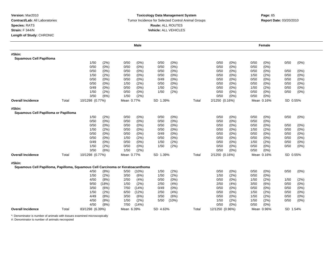### **Toxicology Data Management System** Tumor Incidence for Selected Control Animal Groups **Report Date:** 03/20/2010 **Route:** ALL ROUTES **Vehicle:** ALL VEHICLES

|                                                                                          |       |                 |         |            | Male    |          |         |       |                 |         |      | Female     |          |         |
|------------------------------------------------------------------------------------------|-------|-----------------|---------|------------|---------|----------|---------|-------|-----------------|---------|------|------------|----------|---------|
| #Skin:<br><b>Squamous Cell Papilloma</b>                                                 |       |                 |         |            |         |          |         |       |                 |         |      |            |          |         |
|                                                                                          |       | 1/50            | (2%)    | 0/50       | $(0\%)$ | 0/50     | (0%)    |       | 0/50            | (0%)    | 0/50 | (0%)       | 0/50     | (0%)    |
|                                                                                          |       | 0/50            | (0%)    | 0/50       | $(0\%)$ | 0/50     | (0%)    |       | 0/50            | (0%)    | 0/50 | $(0\%)$    |          |         |
|                                                                                          |       | 0/50            | (0%)    | 0/50       | $(0\%)$ | 0/50     | (0%)    |       | 0/50            | (0%)    | 0/50 | (0%)       | 0/50     | $(0\%)$ |
|                                                                                          |       | 1/50            | (2%)    | 0/50       | $(0\%)$ | 0/50     | (0%)    |       | 0/50            | (0%)    | 1/50 | (2%)       | 0/50     | (0%)    |
|                                                                                          |       | 0/50            | (0%)    | 0/50       | $(0\%)$ | 0/49     | (0%)    |       | 0/50            | (0%)    | 0/50 | (0%)       | 0/50     | (0%)    |
|                                                                                          |       | 0/50            | (0%)    | 1/50       | (2%)    | 0/50     | (0%)    |       | 0/50            | (0%)    | 0/50 | (0%)       | 0/50     | (0%)    |
|                                                                                          |       | 0/49            | (0%)    | 0/50       | $(0\%)$ | 1/50     | (2%)    |       | 0/50            | (0%)    | 1/50 | (2%)       | 0/50     | $(0\%)$ |
|                                                                                          |       | 1/50            | (2%)    | 0/50       | $(0\%)$ | 1/50     | (2%)    |       | 0/50            | (0%)    | 0/50 | $(0\%)$    | 0/50     | (0%)    |
|                                                                                          |       | 3/50            | (6%)    | 1/50       | (2%)    |          |         |       | 0/50            | (0%)    | 0/50 | (0%)       |          |         |
| <b>Overall Incidence</b>                                                                 | Total | 10/1298 (0.77%) |         | Mean 0.77% |         | SD 1.39% |         | Total | 2/1250 (0.16%)  |         |      | Mean 0.16% | SD 0.55% |         |
| #Skin:<br>Squamous Cell Papilloma or Papilloma                                           |       |                 |         |            |         |          |         |       |                 |         |      |            |          |         |
|                                                                                          |       | 1/50            | (2%)    | 0/50       | (0%)    | 0/50     | (0%)    |       | 0/50            | (0%)    | 0/50 | $(0\%)$    | 0/50     | (0%)    |
|                                                                                          |       | 0/50            | (0%)    | 0/50       | $(0\%)$ | 0/50     | (0%)    |       | 0/50            | (0%)    | 0/50 | (0%        |          |         |
|                                                                                          |       | 0/50            | $(0\%)$ | 0/50       | $(0\%)$ | 0/50     | $(0\%)$ |       | 0/50            | (0%)    | 0/50 | $(0\%)$    | 0/50     | $(0\%)$ |
|                                                                                          |       | 1/50            | (2%)    | 0/50       | $(0\%)$ | 0/50     | (0%)    |       | 0/50            | (0%)    | 1/50 | (2%)       | 0/50     | $(0\%)$ |
|                                                                                          |       | 0/50            | $(0\%)$ | 0/50       | $(0\%)$ | 0/49     | (0%)    |       | 0/50            | (0%)    | 0/50 | (0%        | 0/50     | (0%)    |
|                                                                                          |       | 0/50            | (0%)    | 1/50       | (2%)    | 0/50     | (0%)    |       | 0/50            | (0%)    | 0/50 | (0%        | 0/50     | (0%)    |
|                                                                                          |       | 0/49            | (0%)    | 0/50       | $(0\%)$ | 1/50     | (2%)    |       | 0/50            | (0%)    | 1/50 | (2%)       | 0/50     | (0%)    |
|                                                                                          |       | 1/50            | (2%)    | 0/50       | $(0\%)$ | 1/50     | (2%)    |       | 0/50            | (0%)    | 0/50 | $(0\%)$    | 0/50     | (0%)    |
|                                                                                          |       | 3/50            | (6%)    | 1/50       | (2%)    |          |         |       | 0/50            | (0%)    | 0/50 | $(0\%)$    |          |         |
| <b>Overall Incidence</b>                                                                 | Total | 10/1298 (0.77%) |         | Mean 0.77% |         | SD 1.39% |         | Total | 2/1250 (0.16%)  |         |      | Mean 0.16% | SD 0.55% |         |
| #Skin:<br>Squamous Cell Papilloma, Papilloma, Squamous Cell Carcinoma or Keratoacanthoma |       |                 |         |            |         |          |         |       |                 |         |      |            |          |         |
|                                                                                          |       | 4/50            | (8%)    | 5/50       | (10%)   | 1/50     | (2%)    |       | 0/50            | (0%)    | 0/50 | (0%)       | 0/50     | $(0\%)$ |
|                                                                                          |       | 1/50            | (2%)    | 3/50       | (6%)    | 1/50     | (2%)    |       | 1/50            | (2%)    | 0/50 | (0%)       |          |         |
|                                                                                          |       | 4/50            | (8%)    | 2/50       | (4%)    | 0/50     | (0%)    |       | 0/50            | (0%)    | 1/50 | (2%)       | 1/50     | (2%)    |
|                                                                                          |       | 9/50            | (18%)   | 1/50       | (2%)    | 2/50     | (4%)    |       | 2/50            | (4% )   | 3/50 | (6%)       | 0/50     | (0%)    |
|                                                                                          |       | 3/50            | (6%)    | 7/50       | (14%)   | 0/49     | (0%)    |       | 0/50            | (0%)    | 0/50 | (0%        | 0/50     | $(0\%)$ |
|                                                                                          |       | 1/50            | (2%)    | 6/50       | (12%)   | 2/50     | (4%)    |       | 0/50            | (0%)    | 1/50 | (2%)       | 0/50     | $(0\%)$ |
|                                                                                          |       | 4/49            | (8%)    | 3/50       | (6%)    | 3/50     | (6%)    |       | 0/50            | $(0\%)$ | 1/50 | (2%)       | 0/50     | $(0\%)$ |
|                                                                                          |       | 4/50            | (8%)    | 1/50       | (2%)    | 5/50     | (10%)   |       | 1/50            | (2%)    | 1/50 | (2%)       | 0/50     | $(0\%)$ |
|                                                                                          |       | 4/50            | (8%)    | 7/50       | (14%)   |          |         |       | 0/50            | (0%)    | 0/50 | (0% )      |          |         |
| <b>Overall Incidence</b>                                                                 | Total | 83/1298 (6.39%) |         | Mean 6.39% |         | SD 4.63% |         | Total | 12/1250 (0.96%) |         |      | Mean 0.96% | SD 1.54% |         |

\*: Denominator is number of animals with tissues examined microscopically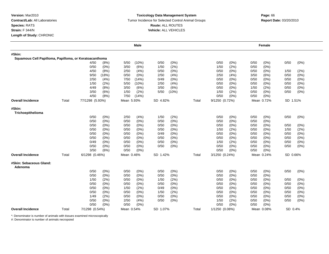## **Toxicology Data Management System** Tumor Incidence for Selected Control Animal Groups **Report Date:** 03/20/2010 **Route:** ALL ROUTES **Vehicle:** ALL VEHICLES

|                                                        |       |                 | Male            |                 |       |                 | Female          |                 |
|--------------------------------------------------------|-------|-----------------|-----------------|-----------------|-------|-----------------|-----------------|-----------------|
| #Skin:                                                 |       |                 |                 |                 |       |                 |                 |                 |
| Squamous Cell Papilloma, Papilloma, or Keratoacanthoma |       |                 |                 |                 |       |                 |                 |                 |
|                                                        |       | 4/50<br>(8%)    | (10%)<br>5/50   | 0/50<br>(0%)    |       | 0/50<br>$(0\%)$ | 0/50<br>$(0\%)$ | 0/50<br>(0%)    |
|                                                        |       | 0/50<br>(0%)    | 3/50<br>(6%)    | (2%)<br>1/50    |       | (2%)<br>1/50    | $(0\%)$<br>0/50 |                 |
|                                                        |       | 4/50<br>(8%)    | 2/50<br>(4%)    | $(0\%)$<br>0/50 |       | $(0\%)$<br>0/50 | 0/50<br>(0%)    | 1/50<br>(2%)    |
|                                                        |       | 9/50<br>(18%)   | 0/50<br>$(0\%)$ | 2/50<br>(4% )   |       | 2/50<br>(4% )   | 3/50<br>(6%)    | 0/50<br>(0%)    |
|                                                        |       | 2/50<br>(4% )   | 7/50<br>(14%)   | 0/49<br>$(0\%)$ |       | $(0\%)$<br>0/50 | 0/50<br>(0%     | 0/50<br>(0%)    |
|                                                        |       | 1/50<br>(2%)    | 5/50<br>(10%)   | 2/50<br>(4% )   |       | 0/50<br>$(0\%)$ | 0/50<br>(0%     | 0/50<br>(0%)    |
|                                                        |       | 4/49<br>(8%)    | 3/50<br>(6%)    | (6%)<br>3/50    |       | (0%<br>0/50     | (2%)<br>1/50    | 0/50<br>(0%)    |
|                                                        |       | 3/50<br>(6%)    | (2%)<br>1/50    | 5/50<br>(10%)   |       | (2%)<br>1/50    | $(0\%)$<br>0/50 | 0/50<br>$(0\%)$ |
|                                                        |       | 4/50<br>(8%)    | 7/50<br>(14%)   |                 |       | 0/50<br>$(0\%)$ | 0/50<br>(0%)    |                 |
| <b>Overall Incidence</b>                               | Total | 77/1298 (5.93%) | Mean 5.93%      | SD 4.82%        | Total | 9/1250 (0.72%)  | Mean 0.72%      | SD 1.51%        |
| #Skin:<br>Trichoepithelioma                            |       |                 |                 |                 |       |                 |                 |                 |
|                                                        |       | (0%)<br>0/50    | 2/50<br>(4% )   | (2%)<br>1/50    |       | 0/50<br>$(0\%)$ | 0/50<br>$(0\%)$ | 0/50<br>(0%)    |
|                                                        |       | 0/50<br>(0%)    | 0/50<br>(0%)    | 0/50<br>(0%)    |       | (0%<br>0/50     | 0/50<br>(0%     |                 |
|                                                        |       | 0/50<br>(0%)    | 0/50<br>(0%)    | (0%)<br>0/50    |       | $(0\%)$<br>0/50 | 0/50<br>(0%     | 0/50<br>(0%)    |
|                                                        |       | 0/50<br>(0%)    | 0/50<br>(0%)    | (0%)<br>0/50    |       | (2%)<br>1/50    | 0/50<br>$(0\%)$ | 1/50<br>(2%)    |
|                                                        |       | 0/50<br>(0%)    | 0/50<br>(0%)    | (0%)<br>0/49    |       | 0/50<br>$(0\%)$ | 0/50<br>(0%     | 0/50<br>(0%)    |
|                                                        |       | 0/50<br>(0%)    | 0/50<br>$(0\%)$ | 0/50<br>$(0\%)$ |       | (0%<br>0/50     | 0/50<br>$(0\%)$ | 0/50<br>(0%)    |
|                                                        |       | 0/49<br>(0%)    | 0/50<br>(0%)    | 0/50<br>$(0\%)$ |       | (2%)<br>1/50    | 0/50<br>(0%     | 0/50<br>(0%)    |
|                                                        |       | 0/50<br>(0%)    | 0/50<br>(0%)    | (0%)<br>0/50    |       | (0%<br>0/50     | 0/50<br>$(0\%)$ | 0/50<br>$(0\%)$ |
|                                                        |       | 3/50<br>(6%)    | 0/50<br>$(0\%)$ |                 |       | 0/50<br>(0%)    | 0/50<br>(0%)    |                 |
|                                                        |       |                 |                 |                 |       |                 |                 |                 |
| <b>Overall Incidence</b>                               | Total | 6/1298 (0.46%)  | Mean 0.46%      | SD 1.42%        | Total | 3/1250 (0.24%)  | Mean 0.24%      | SD 0.66%        |
| #Skin: Sebaceous Gland:<br>Adenoma                     |       |                 |                 |                 |       |                 |                 |                 |
|                                                        |       | 0/50<br>(0%)    | 0/50<br>(0%)    | 0/50<br>$(0\%)$ |       | 0/50<br>(0%)    | 0/50<br>$(0\%)$ | 0/50<br>(0%)    |
|                                                        |       | 0/50<br>(0%)    | (0%)<br>0/50    | (0%)<br>0/50    |       | (0%<br>0/50     | 0/50<br>$(0\%)$ |                 |
|                                                        |       | 1/50<br>(2%)    | 0/50<br>(0%)    | 1/50<br>(2%)    |       | 0/50<br>$(0\%)$ | 0/50<br>(0%)    | 0/50<br>(0%)    |
|                                                        |       | 0/50<br>(0%)    | 0/50<br>$(0\%)$ | 0/50<br>(0%)    |       | $(0\%)$<br>0/50 | 0/50<br>(0%     | 0/50<br>(0%)    |
|                                                        |       | 0/50<br>(0%)    | (2%)<br>1/50    | (0%)<br>0/49    |       | $(0\%)$<br>0/50 | 0/50<br>(0%)    | (0%)<br>0/50    |
|                                                        |       | 0/50<br>(0%)    | 0/50<br>(0%)    | 1/50<br>(2%)    |       | 0/50<br>(0%     | 0/50<br>$(0\%)$ | 0/50<br>(0%)    |
|                                                        |       | 1/49<br>(2%)    | 0/50<br>(0%)    | 0/50<br>$(0\%)$ |       | 0/50<br>$(0\%)$ | 0/50<br>$(0\%)$ | 0/50<br>(0%)    |
|                                                        |       | 0/50<br>(0%)    | 2/50<br>(4%)    | 0/50<br>(0%)    |       | 1/50<br>(2%)    | 0/50<br>(0%)    | 0/50<br>(0%)    |
|                                                        |       | 0/50<br>(0%)    | 0/50<br>(0%)    |                 |       | 0/50<br>$(0\%)$ | 0/50<br>$(0\%)$ |                 |
| <b>Overall Incidence</b>                               | Total | 7/1298 (0.54%)  | Mean 0.54%      | SD 1.07%        | Total | 1/1250 (0.08%)  | Mean 0.08%      | SD 0.4%         |

\*: Denominator is number of animals with tissues examined microscopically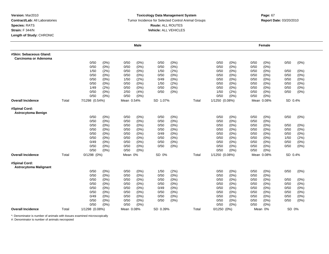### **Toxicology Data Management System** Tumor Incidence for Selected Control Animal Groups **Report Date:** 03/20/2010 **Route:** ALL ROUTES **Vehicle:** ALL VEHICLES

|                                                 |       |                 |         |            | Male    |          |         |       |                 |         |      | Female     |         |         |
|-------------------------------------------------|-------|-----------------|---------|------------|---------|----------|---------|-------|-----------------|---------|------|------------|---------|---------|
| #Skin: Sebaceous Gland:<br>Carcinoma or Adenoma |       |                 |         |            |         |          |         |       |                 |         |      |            |         |         |
|                                                 |       | 0/50            | (0%)    | 0/50       | $(0\%)$ | 0/50     | $(0\%)$ |       | 0/50            | (0%)    | 0/50 | (0%)       | 0/50    | $(0\%)$ |
|                                                 |       | 0/50            | (0%)    | 0/50       | $(0\%)$ | 0/50     | $(0\%)$ |       | 0/50            | (0%)    | 0/50 | $(0\%)$    |         |         |
|                                                 |       | 1/50            | (2%)    | 0/50       | $(0\%)$ | 1/50     | (2%)    |       | 0/50            | (0%)    | 0/50 | $(0\%)$    | 0/50    | (0%)    |
|                                                 |       | 0/50            | $(0\%)$ | 0/50       | $(0\%)$ | 0/50     | (0%)    |       | 0/50            | (0%)    | 0/50 | $(0\%)$    | 0/50    | (0% )   |
|                                                 |       | 0/50            | (0%)    | 1/50       | (2%)    | 0/49     | (0%)    |       | 0/50            | $(0\%)$ | 0/50 | (0%)       | 0/50    | $(0\%)$ |
|                                                 |       | 0/50            | (0%)    | 0/50       | (0%)    | 1/50     | (2%)    |       | 0/50            | (0%)    | 0/50 | (0%)       | 0/50    | $(0\%)$ |
|                                                 |       | 1/49            | (2%)    | 0/50       | $(0\%)$ | 0/50     | $(0\%)$ |       | 0/50            | $(0\%)$ | 0/50 | (0%)       | 0/50    | $(0\%)$ |
|                                                 |       | 0/50            | $(0\%)$ | 2/50       | (4%)    | 0/50     | (0%)    |       | 1/50            | (2%)    | 0/50 | $(0\%)$    | 0/50    | $(0\%)$ |
|                                                 |       | 0/50            | $(0\%)$ | 0/50       | $(0\%)$ |          |         |       | 0/50            | (0%)    | 0/50 | $(0\%)$    |         |         |
| <b>Overall Incidence</b>                        | Total | 7/1298 (0.54%)  |         | Mean 0.54% |         | SD 1.07% |         | Total | 1/1250 (0.08%)  |         |      | Mean 0.08% | SD 0.4% |         |
| #Spinal Cord:<br><b>Astrocytoma Benign</b>      |       |                 |         |            |         |          |         |       |                 |         |      |            |         |         |
|                                                 |       | 0/50            | $(0\%)$ | 0/50       | (0%)    | 0/50     | $(0\%)$ |       | 0/50            | $(0\%)$ | 0/50 | $(0\%)$    | 0/50    | (0%)    |
|                                                 |       | 0/50            | $(0\%)$ | 0/50       | (0%)    | 0/50     | (0% )   |       | 0/50            | (0%)    | 0/50 | (0% )      |         |         |
|                                                 |       | 0/50            | $(0\%)$ | 0/50       | $(0\%)$ | 0/50     | (0%)    |       | 0/50            | (0%)    | 0/50 | $(0\%)$    | 0/50    | $(0\%)$ |
|                                                 |       | 0/50            | (0%)    | 0/50       | (0%)    | 0/50     | $(0\%)$ |       | 0/50            | (0%)    | 0/50 | $(0\%)$    | 0/50    | (0% )   |
|                                                 |       | 0/50            | (0%)    | 0/50       | $(0\%)$ | 0/49     | (0%)    |       | 0/50            | $(0\%)$ | 0/50 | $(0\%)$    | 0/50    | $(0\%)$ |
|                                                 |       | 0/50            | $(0\%)$ | 0/50       | (0%)    | 0/50     | $(0\%)$ |       | 0/50            | $(0\%)$ | 0/50 | (0%        | 1/50    | (2%)    |
|                                                 |       | 0/49            | (0%)    | 0/50       | $(0\%)$ | 0/50     | (0%)    |       | 0/50            | (0%)    | 0/50 | (0%)       | 0/50    | $(0\%)$ |
|                                                 |       | 0/50            | (0%)    | 0/50       | $(0\%)$ | 0/50     | (0%)    |       | 0/50            | (0%)    | 0/50 | (0%)       | 0/50    | $(0\%)$ |
|                                                 |       | 0/50            | (0%)    | 0/50       | $(0\%)$ |          |         |       | 0/50            | (0% )   | 0/50 | (0%)       |         |         |
| <b>Overall Incidence</b>                        | Total | $0/1298$ $(0%)$ |         | Mean 0%    |         | SD 0%    |         | Total | 1/1250 (0.08%)  |         |      | Mean 0.08% | SD 0.4% |         |
| #Spinal Cord:<br><b>Astrocytoma Malignant</b>   |       |                 |         |            |         |          |         |       |                 |         |      |            |         |         |
|                                                 |       | 0/50            | $(0\%)$ | 0/50       | $(0\%)$ | 1/50     | (2%)    |       | 0/50            | (0%)    | 0/50 | (0%)       | 0/50    | $(0\%)$ |
|                                                 |       | 0/50            | $(0\%)$ | 0/50       | $(0\%)$ | 0/50     | (0%)    |       | 0/50            | (0%)    | 0/50 | $(0\%)$    |         |         |
|                                                 |       | 0/50            | (0%)    | 0/50       | $(0\%)$ | 0/50     | $(0\%)$ |       | 0/50            | $(0\%)$ | 0/50 | $(0\%)$    | 0/50    | (0%)    |
|                                                 |       | 0/50            | $(0\%)$ | 0/50       | (0%)    | 0/50     | $(0\%)$ |       | 0/50            | (0%)    | 0/50 | (0%)       | 0/50    | (0%)    |
|                                                 |       | 0/50            | (0%)    | 0/50       | $(0\%)$ | 0/49     | (0%)    |       | 0/50            | $(0\%)$ | 0/50 | $(0\%)$    | 0/50    | $(0\%)$ |
|                                                 |       | 0/50            | (0%)    | 0/50       | $(0\%)$ | 0/50     | (0%)    |       | 0/50            | (0%)    | 0/50 | (0%)       | 0/50    | $(0\%)$ |
|                                                 |       | 0/49            | (0%)    | 0/50       | (0%)    | 0/50     | (0%)    |       | 0/50            | $(0\%)$ | 0/50 | $(0\%)$    | 0/50    | $(0\%)$ |
|                                                 |       | 0/50            | (0%)    | 0/50       | $(0\%)$ | 0/50     | (0%)    |       | 0/50            | (0%)    | 0/50 | (0%)       | 0/50    | (0%)    |
|                                                 |       | 0/50            | (0%)    | 0/50       | (0%)    |          |         |       | 0/50            | (0%)    | 0/50 | (0%)       |         |         |
| <b>Overall Incidence</b>                        | Total | 1/1298 (0.08%)  |         | Mean 0.08% |         | SD 0.39% |         | Total | $0/1250$ $(0%)$ |         |      | Mean 0%    | SD 0%   |         |

\*: Denominator is number of animals with tissues examined microscopically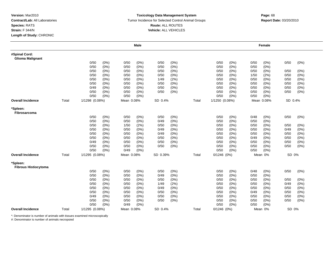#### **Toxicology Data Management System** Tumor Incidence for Selected Control Animal Groups **Report Date:** 03/20/2010 **Route:** ALL ROUTES **Vehicle:** ALL VEHICLES

# **Page:** <sup>68</sup>

|                                          |       |                |         |            | <b>Male</b> |          |         |       |                |      |      | Female     |         |         |
|------------------------------------------|-------|----------------|---------|------------|-------------|----------|---------|-------|----------------|------|------|------------|---------|---------|
| #Spinal Cord:<br><b>Glioma Malignant</b> |       |                |         |            |             |          |         |       |                |      |      |            |         |         |
|                                          |       | 0/50           | (0%)    | 0/50       | $(0\%)$     | 0/50     | (0%)    |       | 0/50           | (0%) | 0/50 | (0%)       | 0/50    | $(0\%)$ |
|                                          |       | 0/50           | (0%)    | 0/50       | $(0\%)$     | 0/50     | (0%)    |       | 0/50           | (0%) | 0/50 | $(0\%)$    |         |         |
|                                          |       | 0/50           | (0%)    | 0/50       | $(0\%)$     | 0/50     | (0%)    |       | 0/50           | (0%) | 0/50 | $(0\%)$    | 0/50    | (0%)    |
|                                          |       | 0/50           | (0%)    | 0/50       | $(0\%)$     | 0/50     | (0%)    |       | 0/50           | (0%  | 1/50 | (2%)       | 0/50    | (0%)    |
|                                          |       | 0/50           | (0%)    | 0/50       | $(0\%)$     | 1/49     | (2%)    |       | 0/50           | (0%) | 0/50 | $(0\%)$    | 0/50    | $(0\%)$ |
|                                          |       | 0/50           | (0%)    | 0/50       | $(0\%)$     | 0/50     | (0%)    |       | 0/50           | (0%) | 0/50 | $(0\%)$    | 0/50    | (0%)    |
|                                          |       | 0/49           | $(0\%)$ | 0/50       | $(0\%)$     | 0/50     | (0%)    |       | 0/50           | (0%  | 0/50 | $(0\%)$    | 0/50    | (0%)    |
|                                          |       | 0/50           | (0%)    | 0/50       | (0%)        | 0/50     | (0%)    |       | 0/50           | (0%) | 0/50 | $(0\%)$    | 0/50    | (0%)    |
|                                          |       | 0/50           | $(0\%)$ | 0/50       | (0%)        |          |         |       | 0/50           | (0%) | 0/50 | (0%)       |         |         |
| <b>Overall Incidence</b>                 | Total | 1/1298 (0.08%) |         | Mean 0.08% |             | SD 0.4%  |         | Total | 1/1250 (0.08%) |      |      | Mean 0.08% | SD 0.4% |         |
| *Spleen:<br>Fibrosarcoma                 |       |                |         |            |             |          |         |       |                |      |      |            |         |         |
|                                          |       | 0/50           | (0%)    | 0/50       | (0%)        | 0/50     | (0%)    |       | 0/50           | (0%) | 0/48 | $(0\%)$    | 0/50    | $(0\%)$ |
|                                          |       | 0/50           | (0%)    | 0/50       | (0%)        | 0/49     | (0%)    |       | 0/50           | (0%) | 0/50 | $(0\%)$    |         |         |
|                                          |       | 0/50           | (0%)    | 1/50       | (2%)        | 0/50     | (0%)    |       | 0/50           | (0%) | 0/50 | (0%)       | 0/50    | $(0\%)$ |
|                                          |       | 0/50           | (0%)    | 0/50       | $(0\%)$     | 0/49     | (0%)    |       | 0/50           | (0%) | 0/50 | $(0\%)$    | 0/49    | (0%)    |
|                                          |       | 0/50           | (0%)    | 0/50       | (0%)        | 0/49     | (0%)    |       | 0/50           | (0%) | 0/50 | (0%)       | 0/50    | (0%)    |
|                                          |       | 0/50           | (0%)    | 0/50       | $(0\%)$     | 0/50     | (0%)    |       | 0/50           | (0%) | 0/49 | $(0\%)$    | 0/50    | (0%)    |
|                                          |       | 0/49           | $(0\%)$ | 0/50       | $(0\%)$     | 0/50     | $(0\%)$ |       | 0/50           | (0%) | 0/50 | $(0\%)$    | 0/50    | (0%)    |
|                                          |       | 0/50           | (0%)    | 0/50       | $(0\%)$     | 0/50     | (0%)    |       | 0/50           | (0%) | 0/50 | (0%)       | 0/50    | $(0\%)$ |
|                                          |       | 0/50           | $(0\%)$ | 0/49       | $(0\%)$     |          |         |       | 0/50           | (0%) | 0/50 | $(0\%)$    |         |         |
| <b>Overall Incidence</b>                 | Total | 1/1295 (0.08%) |         | Mean 0.08% |             | SD 0.39% |         | Total | $0/1246$ (0%)  |      |      | Mean 0%    | SD 0%   |         |
| *Spleen:<br><b>Fibrous Histiocytoma</b>  |       |                |         |            |             |          |         |       |                |      |      |            |         |         |
|                                          |       | 0/50           | (0%)    | 0/50       | (0%)        | 0/50     | $(0\%)$ |       | 0/50           | (0%) | 0/48 | (0%)       | 0/50    | $(0\%)$ |
|                                          |       | 0/50           | (0%)    | 0/50       | $(0\%)$     | 0/49     | (0%)    |       | 0/50           | (0%) | 0/50 | $(0\%)$    |         |         |
|                                          |       | 0/50           | (0%)    | 0/50       | $(0\%)$     | 0/50     | (0%)    |       | 0/50           | (0%) | 0/50 | (0%)       | 0/50    | (0%)    |
|                                          |       | 0/50           | (0%)    | 0/50       | $(0\%)$     | 1/49     | (2%)    |       | 0/50           | (0%) | 0/50 | $(0\%)$    | 0/49    | (0%)    |
|                                          |       | 0/50           | (0%)    | 0/50       | $(0\%)$     | 0/49     | $(0\%)$ |       | 0/50           | (0%) | 0/50 | (0%)       | 0/50    | (0%)    |
|                                          |       | 0/50           | (0%)    | 0/50       | $(0\%)$     | 0/50     | (0%)    |       | 0/50           | (0%) | 0/49 | $(0\%)$    | 0/50    | (0%)    |
|                                          |       | 0/49           | $(0\%)$ | 0/50       | $(0\%)$     | 0/50     | (0%)    |       | 0/50           | (0%) | 0/50 | $(0\%)$    | 0/50    | (0%)    |
|                                          |       | 0/50           | (0%)    | 0/50       | $(0\%)$     | 0/50     | (0%)    |       | 0/50           | (0%) | 0/50 | $(0\%)$    | 0/50    | (0%)    |
|                                          |       | 0/50           | (0%)    | 0/49       | (0%)        |          |         |       | 0/50           | (0%) | 0/50 | $(0\%)$    |         |         |
| <b>Overall Incidence</b>                 | Total | 1/1295 (0.08%) |         | Mean 0.08% |             | SD 0.4%  |         | Total | $0/1246$ (0%)  |      |      | Mean 0%    | SD 0%   |         |

\*: Denominator is number of animals with tissues examined microscopically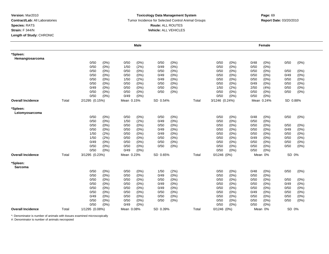#### **Toxicology Data Management System** Tumor Incidence for Selected Control Animal Groups **Report Date:** 03/20/2010 **Route:** ALL ROUTES **Vehicle:** ALL VEHICLES

|                             |       |                |         |            | <b>Male</b> |          |         |       |                 |         |      | Female     |          |       |
|-----------------------------|-------|----------------|---------|------------|-------------|----------|---------|-------|-----------------|---------|------|------------|----------|-------|
| *Spleen:<br>Hemangiosarcoma |       |                |         |            |             |          |         |       |                 |         |      |            |          |       |
|                             |       | 0/50           | (0%)    | 0/50       | (0%)        | 0/50     | $(0\%)$ |       | 0/50            | $(0\%)$ | 0/48 | (0%)       | 0/50     | (0%)  |
|                             |       | 0/50           | (0%)    | 1/50       | (2%)        | 0/49     | (0%)    |       | 0/50            | (0% )   | 0/50 | (0%        |          |       |
|                             |       | 0/50           | (0%)    | 0/50       | $(0\%)$     | 0/50     | (0%)    |       | 0/50            | (0%)    | 0/50 | $(0\%)$    | 0/50     | (0%)  |
|                             |       | 0/50           | (0%)    | 0/50       | $(0\%)$     | 0/49     | (0%)    |       | 0/50            | (0%)    | 0/50 | (0%        | 0/49     | (0%)  |
|                             |       | 0/50           | (0%)    | 1/50       | (2%)        | 0/49     | (0%)    |       | 0/50            | (0%)    | 0/50 | (0%)       | 0/50     | (0%)  |
|                             |       | 0/50           | (0%)    | 0/50       | (0%)        | 0/50     | $(0\%)$ |       | 0/50            | (0%)    | 0/49 | (0%)       | 0/50     | (0%)  |
|                             |       | 0/49           | $(0\%)$ | 0/50       | (0%)        | 0/50     | $(0\%)$ |       | 1/50            | (2%)    | 2/50 | (4% )      | 0/50     | (0%)  |
|                             |       | 0/50           | $(0\%)$ | 0/50       | (0%)        | 0/50     | (0%)    |       | 0/50            | (0%)    | 0/50 | $(0\%)$    | 0/50     | (0%)  |
|                             |       | 0/50           | (0%)    | 0/49       | (0%)        |          |         |       | 0/50            | (0%)    | 0/50 | (0%)       |          |       |
| <b>Overall Incidence</b>    | Total | 2/1295 (0.15%) |         | Mean 0.15% |             | SD 0.54% |         | Total | 3/1246 (0.24%)  |         |      | Mean 0.24% | SD 0.88% |       |
| *Spleen:<br>Leiomyosarcoma  |       |                |         |            |             |          |         |       |                 |         |      |            |          |       |
|                             |       | 0/50           | (0%)    | 0/50       | (0%)        | 0/50     | (0%)    |       | 0/50            | (0%)    | 0/48 | (0%)       | 0/50     | (0%)  |
|                             |       | 0/50           | (0%     | 1/50       | (2%)        | 0/49     | (0% )   |       | 0/50            | (0%)    | 0/50 | (0%        |          |       |
|                             |       | 0/50           | (0%)    | 0/50       | (0%)        | 0/50     | (0% )   |       | 0/50            | (0%)    | 0/50 | $(0\%)$    | 0/50     | (0%)  |
|                             |       | 0/50           | (0%)    | 0/50       | $(0\%)$     | 0/49     | $(0\%)$ |       | 0/50            | (0%)    | 0/50 | (0%)       | 0/49     | (0%)  |
|                             |       | 1/50           | (2%)    | 0/50       | $(0\%)$     | 0/49     | (0%)    |       | 0/50            | (0%)    | 0/50 | (0%)       | 0/50     | (0%)  |
|                             |       | 1/50           | (2%)    | 0/50       | $(0\%)$     | 0/50     | (0%)    |       | 0/50            | (0%)    | 0/49 | (0%        | 0/50     | (0%)  |
|                             |       | 0/49           | (0%)    | 0/50       | $(0\%)$     | 0/50     | (0%)    |       | 0/50            | (0%)    | 0/50 | (0%)       | 0/50     | (0%)  |
|                             |       | 0/50           | (0%)    | 0/50       | (0%)        | 0/50     | (0%)    |       | 0/50            | (0%)    | 0/50 | $(0\%)$    | 0/50     | (0%)  |
|                             |       | 0/50           | (0%)    | 0/49       | (0%)        |          |         |       | 0/50            | (0%)    | 0/50 | (0%        |          |       |
| <b>Overall Incidence</b>    | Total | 3/1295 (0.23%) |         | Mean 0.23% |             | SD 0.65% |         | Total | $0/1246$ $(0%)$ |         |      | Mean 0%    | SD 0%    |       |
| *Spleen:<br>Sarcoma         |       |                |         |            |             |          |         |       |                 |         |      |            |          |       |
|                             |       | 0/50           | (0%)    | 0/50       | (0%)        | 1/50     | (2%)    |       | 0/50            | (0%)    | 0/48 | (0%)       | 0/50     | (0%)  |
|                             |       | 0/50           | (0%)    | 0/50       | (0%)        | 0/49     | (0%)    |       | 0/50            | (0%)    | 0/50 | (0%)       |          |       |
|                             |       | 0/50           | $(0\%)$ | 0/50       | $(0\%)$     | 0/50     | (0%)    |       | 0/50            | (0%)    | 0/50 | $(0\%)$    | 0/50     | (0%)  |
|                             |       | 0/50           | (0%     | 0/50       | (0%)        | 0/49     | (0%)    |       | 0/50            | (0%)    | 0/50 | (0%        | 0/49     | (0% ) |
|                             |       | 0/50           | (0%)    | 0/50       | $(0\%)$     | 0/49     | (0%)    |       | 0/50            | (0%)    | 0/50 | $(0\%)$    | 0/50     | (0%)  |
|                             |       | 0/50           | $(0\%)$ | 0/50       | $(0\%)$     | 0/50     | $(0\%)$ |       | 0/50            | (0%)    | 0/49 | $(0\%)$    | 0/50     | (0%)  |
|                             |       | 0/49           | $(0\%)$ | 0/50       | (0%)        | 0/50     | $(0\%)$ |       | 0/50            | (0%)    | 0/50 | $(0\%)$    | 0/50     | (0%)  |
|                             |       | 0/50           | (0%)    | 0/50       | $(0\%)$     | 0/50     | $(0\%)$ |       | 0/50            | (0%)    | 0/50 | $(0\%)$    | 0/50     | (0% ) |
|                             |       | 0/50           | (0%)    | 0/49       | (0%)        |          |         |       | 0/50            | (0%)    | 0/50 | (0%        |          |       |
| <b>Overall Incidence</b>    | Total | 1/1295 (0.08%) |         | Mean 0.08% |             | SD 0.39% |         | Total | $0/1246$ (0%)   |         |      | Mean 0%    | SD 0%    |       |

\*: Denominator is number of animals with tissues examined microscopically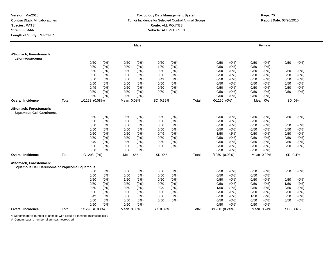#### **Toxicology Data Management System** Tumor Incidence for Selected Control Animal Groups **Report Date:** 03/20/2010 **Route:** ALL ROUTES **Vehicle:** ALL VEHICLES

|                                                                         |       |                 |         |            | <b>Male</b> |          |         |       |                 |         |      | Female     |          |         |
|-------------------------------------------------------------------------|-------|-----------------|---------|------------|-------------|----------|---------|-------|-----------------|---------|------|------------|----------|---------|
| #Stomach, Forestomach:<br>Leiomyosarcoma                                |       |                 |         |            |             |          |         |       |                 |         |      |            |          |         |
|                                                                         |       | 0/50            | $(0\%)$ | 0/50       | $(0\%)$     | 0/50     | $(0\%)$ |       | 0/50            | (0%)    | 0/50 | (0%)       | 0/50     | $(0\%)$ |
|                                                                         |       | 0/50            | (0%)    | 0/50       | $(0\%)$     | 1/50     | (2%)    |       | 0/50            | (0%)    | 0/50 | $(0\%)$    |          |         |
|                                                                         |       | 0/50            | (0%)    | 0/50       | $(0\%)$     | 0/50     | (0%)    |       | 0/50            | (0%)    | 0/50 | $(0\%)$    | 0/50     | (0%)    |
|                                                                         |       | 0/50            | $(0\%)$ | 0/50       | $(0\%)$     | 0/50     | $(0\%)$ |       | 0/50            | (0%)    | 0/50 | $(0\%)$    | 0/50     | (0%)    |
|                                                                         |       | 0/50            | (0%)    | 0/50       | $(0\%)$     | 0/49     | (0%)    |       | 0/50            | (0%)    | 0/50 | (0%)       | 0/50     | $(0\%)$ |
|                                                                         |       | 0/50            | (0%)    | 0/50       | $(0\%)$     | 0/50     | $(0\%)$ |       | 0/50            | (0%)    | 0/50 | $(0\%)$    | 0/50     | $(0\%)$ |
|                                                                         |       | 0/49            | (0%)    | 0/50       | $(0\%)$     | 0/50     | (0%)    |       | 0/50            | $(0\%)$ | 0/50 | (0%)       | 0/50     | $(0\%)$ |
|                                                                         |       | 0/50            | (0%)    | 0/50       | $(0\%)$     | 0/50     | (0%)    |       | 0/50            | $(0\%)$ | 0/50 | $(0\%)$    | 0/50     | $(0\%)$ |
|                                                                         |       | 0/50            | (0%)    | 0/50       | $(0\%)$     |          |         |       | 0/50            | (0%)    | 0/50 | $(0\%)$    |          |         |
| <b>Overall Incidence</b>                                                | Total | 1/1298 (0.08%)  |         | Mean 0.08% |             | SD 0.39% |         | Total | $0/1250$ $(0%)$ |         |      | Mean 0%    | SD 0%    |         |
| #Stomach, Forestomach:<br><b>Squamous Cell Carcinoma</b>                |       |                 |         |            |             |          |         |       |                 |         |      |            |          |         |
|                                                                         |       | 0/50            | $(0\%)$ | 0/50       | (0%)        | 0/50     | $(0\%)$ |       | 0/50            | $(0\%)$ | 0/50 | $(0\%)$    | 0/50     | (0%)    |
|                                                                         |       | 0/50            | $(0\%)$ | 0/50       | (0%)        | 0/50     | (0% )   |       | 0/50            | (0%)    | 0/50 | (0% )      |          |         |
|                                                                         |       | 0/50            | $(0\%)$ | 0/50       | $(0\%)$     | 0/50     | (0%)    |       | 0/50            | (0%)    | 0/50 | $(0\%)$    | 0/50     | $(0\%)$ |
|                                                                         |       | 0/50            | (0%)    | 0/50       | $(0\%)$     | 0/50     | $(0\%)$ |       | 0/50            | (0%)    | 0/50 | $(0\%)$    | 0/50     | (0%)    |
|                                                                         |       | 0/50            | (0%)    | 0/50       | $(0\%)$     | 0/49     | $(0\%)$ |       | 1/50            | (2%)    | 0/50 | (0%)       | 0/50     | $(0\%)$ |
|                                                                         |       | 0/50            | $(0\%)$ | 0/50       | (0%)        | 0/50     | $(0\%)$ |       | 0/50            | $(0\%)$ | 0/50 | (0%)       | 0/50     | (0%)    |
|                                                                         |       | 0/49            | (0%)    | 0/50       | $(0\%)$     | 0/50     | $(0\%)$ |       | 0/50            | (0%)    | 0/50 | (0%)       | 0/50     | $(0\%)$ |
|                                                                         |       | 0/50            | (0%)    | 0/50       | $(0\%)$     | 0/50     | (0%)    |       | 0/50            | (0%)    | 0/50 | (0%)       | 0/50     | $(0\%)$ |
|                                                                         |       | 0/50            | (0%)    | 0/50       | $(0\%)$     |          |         |       | 0/50            | (0%)    | 0/50 | (0%)       |          |         |
| <b>Overall Incidence</b>                                                | Total | $0/1298$ $(0%)$ |         | Mean 0%    |             | SD 0%    |         | Total | 1/1250 (0.08%)  |         |      | Mean 0.08% | SD 0.4%  |         |
| #Stomach, Forestomach:<br>Squamous Cell Carcinoma or Papilloma Squamous |       |                 |         |            |             |          |         |       |                 |         |      |            |          |         |
|                                                                         |       | 0/50            | (0%)    | 0/50       | $(0\%)$     | 0/50     | (0%)    |       | 0/50            | (0%)    | 0/50 | (0%)       | 0/50     | $(0\%)$ |
|                                                                         |       | 0/50            | (0%)    | 0/50       | $(0\%)$     | 0/50     | $(0\%)$ |       | 0/50            | (0%)    | 0/50 | $(0\%)$    |          |         |
|                                                                         |       | 0/50            | (0%)    | 1/50       | (2%)        | 0/50     | (0%)    |       | 0/50            | $(0\%)$ | 0/50 | $(0\%)$    | 0/50     | (0%)    |
|                                                                         |       | 0/50            | $(0\%)$ | 0/50       | $(0\%)$     | 0/50     | $(0\%)$ |       | 0/50            | (0%)    | 0/50 | $(0\%)$    | 1/50     | (2%)    |
|                                                                         |       | 0/50            | (0%)    | 0/50       | $(0\%)$     | 0/49     | (0%)    |       | 1/50            | (2%)    | 0/50 | $(0\%)$    | 0/50     | $(0\%)$ |
|                                                                         |       | 0/50            | (0%)    | 0/50       | $(0\%)$     | 0/50     | $(0\%)$ |       | 0/50            | (0%)    | 0/50 | $(0\%)$    | 0/50     | $(0\%)$ |
|                                                                         |       | 0/49            | $(0\%)$ | 0/50       | $(0\%)$     | 0/50     | $(0\%)$ |       | 0/50            | $(0\%)$ | 1/50 | (2%)       | 0/50     | $(0\%)$ |
|                                                                         |       | 0/50            | (0%)    | 0/50       | $(0\%)$     | 0/50     | (0%)    |       | 0/50            | (0%)    | 0/50 | $(0\%)$    | 0/50     | (0%)    |
|                                                                         |       | 0/50            | (0%)    | 0/50       | (0% )       |          |         |       | 0/50            | (0%)    | 0/50 | (0% )      |          |         |
| <b>Overall Incidence</b>                                                | Total | 1/1298 (0.08%)  |         | Mean 0.08% |             | SD 0.39% |         | Total | 3/1250 (0.24%)  |         |      | Mean 0.24% | SD 0.66% |         |

\*: Denominator is number of animals with tissues examined microscopically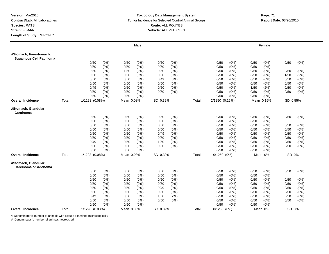#### **Toxicology Data Management System** Tumor Incidence for Selected Control Animal Groups **Report Date:** 03/20/2010 **Route:** ALL ROUTES **Vehicle:** ALL VEHICLES

# **Page:** <sup>71</sup>

|                                                          |       |                |                 |              | <b>Male</b>        |              |              |       |                 |              |              | Female          |              |                 |
|----------------------------------------------------------|-------|----------------|-----------------|--------------|--------------------|--------------|--------------|-------|-----------------|--------------|--------------|-----------------|--------------|-----------------|
| #Stomach, Forestomach:<br><b>Squamous Cell Papilloma</b> |       |                |                 |              |                    |              |              |       |                 |              |              |                 |              |                 |
|                                                          |       | 0/50           | (0%)            | 0/50         | (0%)               | 0/50         | $(0\%)$      |       | 0/50            | (0%)         | 0/50         | $(0\%)$         | 0/50         | (0%)            |
|                                                          |       | 0/50           | (0%)            | 0/50         | (0%)               | 0/50         | $(0\%)$      |       | 0/50            | (0%)         | 0/50         | $(0\%)$         |              |                 |
|                                                          |       | 0/50           | (0%)            | 1/50         | (2%)               | 0/50         | $(0\%)$      |       | 0/50            | (0%)         | 0/50         | $(0\%)$         | 0/50         | (0%)            |
|                                                          |       | 0/50           | (0%)            | 0/50         | (0%)               | 0/50         | (0%)         |       | 0/50            | (0%)         | 0/50         | $(0\%)$         | 1/50         | (2%)            |
|                                                          |       | 0/50           | (0%)            | 0/50         | (0%)               | 0/49         | $(0\%)$      |       | 0/50            | (0%)         | 0/50         | $(0\%)$         | 0/50         | (0%)            |
|                                                          |       | 0/50<br>0/49   | $(0\%)$         | 0/50         | $(0\%)$            | 0/50         | $(0\%)$      |       | 0/50            | (0%)         | 0/50         | $(0\%)$<br>(2%) | 0/50<br>0/50 | (0%)            |
|                                                          |       | 0/50           | (0%)<br>$(0\%)$ | 0/50<br>0/50 | $(0\%)$<br>$(0\%)$ | 0/50<br>0/50 | (0%)<br>(0%) |       | 0/50<br>0/50    | (0%)<br>(0%) | 1/50<br>0/50 | $(0\%)$         | 0/50         | (0%)<br>$(0\%)$ |
|                                                          |       | 0/50           | (0%)            | 0/50         | (0%)               |              |              |       | 0/50            | (0%)         | 0/50         | $(0\%)$         |              |                 |
| <b>Overall Incidence</b>                                 | Total | 1/1298 (0.08%) |                 | Mean 0.08%   |                    | SD 0.39%     |              | Total | 2/1250 (0.16%)  |              |              | Mean 0.16%      | SD 0.55%     |                 |
| #Stomach, Glandular:<br>Carcinoma                        |       |                |                 |              |                    |              |              |       |                 |              |              |                 |              |                 |
|                                                          |       | 0/50           | (0%)            | 0/50         | (0% )              | 0/50         | (0% )        |       | 0/50            | (0%)         | 0/50         | $(0\%)$         | 0/50         | (0%)            |
|                                                          |       | 0/50           | (0%)            | 0/50         | (0%)               | 0/50         | (0%)         |       | 0/50            | (0%)         | 0/50         | (0%)            |              |                 |
|                                                          |       | 0/50           | (0%)            | 0/50         | $(0\%)$            | 0/50         | $(0\%)$      |       | 0/50            | (0%)         | 0/50         | (0%)            | 0/50         | (0%)            |
|                                                          |       | 0/50           | $(0\%)$         | 0/50         | $(0\%)$            | 0/50         | $(0\%)$      |       | 0/50            | (0%)         | 0/50         | (0%)            | 0/50         | (0%)            |
|                                                          |       | 0/50           | (0%)            | 0/50         | $(0\%)$            | 0/49         | (0%)         |       | 0/50            | (0%)         | 0/50         | (0%)            | 0/50         | (0%)            |
|                                                          |       | 0/50           | (0%)            | 0/50         | $(0\%)$            | 0/50         | $(0\%)$      |       | 0/50            | (0%)         | 0/50         | $(0\%)$         | 0/50         | $(0\%)$         |
|                                                          |       | 0/49           | (0%)            | 0/50         | $(0\%)$            | 1/50         | (2%)         |       | 0/50            | (0%)         | 0/50         | $(0\%)$         | 0/50         | $(0\%)$         |
|                                                          |       | 0/50           | (0%)            | 0/50         | (0%)               | 0/50         | (0%)         |       | 0/50            | (0%)         | 0/50         | (0%)            | 0/50         | (0%)            |
|                                                          |       | 0/50           | (0%)            | 0/50         | $(0\%)$            |              |              |       | 0/50            | (0%)         | 0/50         | (0%)            |              |                 |
| <b>Overall Incidence</b>                                 | Total | 1/1298 (0.08%) |                 | Mean 0.08%   |                    | SD 0.39%     |              | Total | $0/1250$ $(0%)$ |              |              | Mean 0%         | SD 0%        |                 |
| #Stomach, Glandular:<br>Carcinoma or Adenoma             |       |                |                 |              |                    |              |              |       |                 |              |              |                 |              |                 |
|                                                          |       | 0/50           | (0%)            | 0/50         | (0% )              | 0/50         | (0% )        |       | 0/50            | (0%)         | 0/50         | $(0\%)$         | 0/50         | (0%)            |
|                                                          |       | 0/50           | $(0\%)$         | 0/50         | $(0\%)$            | 0/50         | $(0\%)$      |       | 0/50            | (0%)         | 0/50         | $(0\%)$         |              |                 |
|                                                          |       | 0/50           | $(0\%)$         | 0/50         | $(0\%)$            | 0/50         | $(0\%)$      |       | 0/50            | (0%)         | 0/50         | $(0\%)$         | 0/50         | $(0\%)$         |
|                                                          |       | 0/50           | $(0\%)$         | 0/50         | $(0\%)$            | 0/50         | $(0\%)$      |       | 0/50            | (0%)         | 0/50         | $(0\%)$         | 0/50         | $(0\%)$         |
|                                                          |       | 0/50           | (0%)            | 0/50         | (0%)               | 0/49         | $(0\%)$      |       | 0/50            | (0%)         | 0/50         | $(0\%)$         | 0/50         | $(0\%)$         |
|                                                          |       | 0/50           | (0%)            | 0/50         | (0%)               | 0/50         | $(0\%)$      |       | 0/50            | (0%)         | 0/50         | $(0\%)$         | 0/50         | (0%)            |
|                                                          |       | 0/49           | $(0\%)$         | 0/50         | $(0\%)$            | 1/50         | (2%)         |       | 0/50            | (0%)         | 0/50         | $(0\%)$         | 0/50         | (0%)            |
|                                                          |       | 0/50           | (0%)            | 0/50         | $(0\%)$            | 0/50         | (0%)         |       | 0/50            | (0%)         | 0/50         | $(0\%)$         | 0/50         | (0%)            |
|                                                          |       | 0/50           | (0%)            | 0/50         | (0%)               |              |              |       | 0/50            | (0%)         | 0/50         | $(0\%)$         |              |                 |
| <b>Overall Incidence</b>                                 | Total | 1/1298 (0.08%) |                 | Mean 0.08%   |                    | SD 0.39%     |              | Total | $0/1250$ $(0%)$ |              |              | Mean 0%         | SD 0%        |                 |

\*: Denominator is number of animals with tissues examined microscopically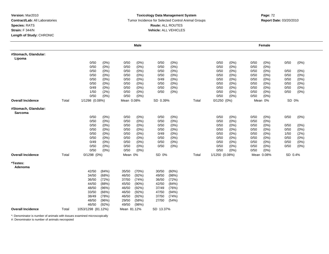#### **Toxicology Data Management System** Tumor Incidence for Selected Control Animal Groups **Report Date:** 03/20/2010 **Route:** ALL ROUTES **Vehicle:** ALL VEHICLES

|                                 |       |                    |         |             | <b>Male</b> |           |         |       |                |         |      | Female     |         |      |
|---------------------------------|-------|--------------------|---------|-------------|-------------|-----------|---------|-------|----------------|---------|------|------------|---------|------|
| #Stomach, Glandular:<br>Lipoma  |       |                    |         |             |             |           |         |       |                |         |      |            |         |      |
|                                 |       | 0/50               | (0%)    | 0/50        | (0%)        | 0/50      | (0%)    |       | 0/50           | $(0\%)$ | 0/50 | $(0\%)$    | 0/50    | (0%) |
|                                 |       | 0/50               | (0%)    | 0/50        | $(0\%)$     | 0/50      | (0%)    |       | 0/50           | (0%)    | 0/50 | (0%)       |         |      |
|                                 |       | 0/50               | (0%)    | 0/50        | $(0\%)$     | 0/50      | (0%)    |       | 0/50           | (0%)    | 0/50 | (0%)       | 0/50    | (0%) |
|                                 |       | 0/50               | (0%     | 0/50        | $(0\%)$     | 0/50      | (0%)    |       | 0/50           | (0%)    | 0/50 | (0%        | 0/50    | (0%) |
|                                 |       | 0/50               | (0%)    | 0/50        | $(0\%)$     | 0/49      | (0%)    |       | 0/50           | (0%)    | 0/50 | $(0\%)$    | 0/50    | (0%) |
|                                 |       | 0/50               | $(0\%)$ | 0/50        | $(0\%)$     | 0/50      | (0%)    |       | 0/50           | (0%)    | 0/50 | (0%)       | 0/50    | (0%) |
|                                 |       | 0/49               | (0%)    | 0/50        | (0%)        | 0/50      | $(0\%)$ |       | 0/50           | (0%)    | 0/50 | (0%)       | 0/50    | (0%) |
|                                 |       | 1/50               | (2%)    | 0/50        | (0%)        | 0/50      | $(0\%)$ |       | 0/50           | $(0\%)$ | 0/50 | (0%)       | 0/50    | (0%) |
|                                 |       | 0/50               | $(0\%)$ | 0/50        | (0%)        |           |         |       | 0/50           | (0%)    | 0/50 | $(0\%)$    |         |      |
| <b>Overall Incidence</b>        | Total | 1/1298 (0.08%)     |         | Mean 0.08%  |             | SD 0.39%  |         | Total | $0/1250(0\%)$  |         |      | Mean 0%    | SD 0%   |      |
| #Stomach, Glandular:<br>Sarcoma |       |                    |         |             |             |           |         |       |                |         |      |            |         |      |
|                                 |       | 0/50               | (0%)    | 0/50        | (0%)        | 0/50      | (0%)    |       | 0/50           | (0%)    | 0/50 | $(0\%)$    | 0/50    | (0%) |
|                                 |       | 0/50               | $(0\%)$ | 0/50        | $(0\%)$     | 0/50      | (0%)    |       | 0/50           | (0%)    | 0/50 | $(0\%)$    |         |      |
|                                 |       | 0/50               | (0%)    | 0/50        | (0%)        | 0/50      | $(0\%)$ |       | 0/50           | (0%)    | 0/50 | $(0\%)$    | 0/50    | (0%) |
|                                 |       | 0/50               | $(0\%)$ | 0/50        | $(0\%)$     | 0/50      | (0%)    |       | 0/50           | (0%)    | 0/50 | (0%)       | 0/50    | (0%) |
|                                 |       | 0/50               | (0%)    | 0/50        | $(0\%)$     | 0/49      | (0%)    |       | 0/50           | (0%)    | 0/50 | (0%)       | 1/50    | (2%) |
|                                 |       | 0/50               | (0%)    | 0/50        | $(0\%)$     | 0/50      | (0%)    |       | 0/50           | (0%)    | 0/50 | (0%        | 0/50    | (0%) |
|                                 |       | 0/49               | $(0\%)$ | 0/50        | $(0\%)$     | 0/50      | $(0\%)$ |       | 0/50           | (0%)    | 0/50 | (0%)       | 0/50    | (0%) |
|                                 |       | 0/50               | $(0\%)$ | 0/50        | (0%)        | 0/50      | (0%)    |       | 0/50           | (0%)    | 0/50 | $(0\%)$    | 0/50    | (0%) |
|                                 |       | 0/50               | (0%)    | 0/50        | (0%)        |           |         |       | 0/50           | (0%)    | 0/50 | (0%)       |         |      |
| <b>Overall Incidence</b>        | Total | $0/1298$ $(0%)$    |         | Mean 0%     |             | SD 0%     |         | Total | 1/1250 (0.08%) |         |      | Mean 0.08% | SD 0.4% |      |
| *Testes:<br>Adenoma             |       |                    |         |             |             |           |         |       |                |         |      |            |         |      |
|                                 |       | 42/50              | (84%)   | 35/50       | (70%)       | 30/50     | (60%)   |       |                |         |      |            |         |      |
|                                 |       | 34/50              | (68%)   | 46/50       | (92%)       | 49/50     | (98%)   |       |                |         |      |            |         |      |
|                                 |       | 36/50              | (72%)   | 37/50       | (74%)       | 36/50     | (72%)   |       |                |         |      |            |         |      |
|                                 |       | 44/50              | (88%)   | 45/50       | $(90\%)$    | 42/50     | (84%)   |       |                |         |      |            |         |      |
|                                 |       | 48/50              | (96%)   | 46/50       | (92%)       | 37/49     | (76%)   |       |                |         |      |            |         |      |
|                                 |       | 33/50              | (66%)   | 46/50       | (92%)       | 47/50     | (94%)   |       |                |         |      |            |         |      |
|                                 |       | 38/49              | (78%)   | 46/50       | (92%)       | 37/50     | (74%)   |       |                |         |      |            |         |      |
|                                 |       | 48/50              | (96%)   | 29/50       | (58%)       | 27/50     | (54%)   |       |                |         |      |            |         |      |
|                                 |       | 46/50              | (92%)   | 49/50       | (98%)       |           |         |       |                |         |      |            |         |      |
| <b>Overall Incidence</b>        | Total | 1053/1298 (81.12%) |         | Mean 81.12% |             | SD 13.37% |         |       |                |         |      |            |         |      |

\*: Denominator is number of animals with tissues examined microscopically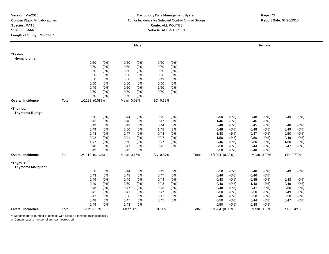### **Toxicology Data Management System** Tumor Incidence for Selected Control Animal Groups **Report Date:** 03/20/2010 **Route:** ALL ROUTES **Vehicle:** ALL VEHICLES

# **Page:** <sup>73</sup>

|                                      |       |                 |         |            | <b>Male</b> |          |         |       |                |       |      | Female         |          |         |
|--------------------------------------|-------|-----------------|---------|------------|-------------|----------|---------|-------|----------------|-------|------|----------------|----------|---------|
| *Testes:<br>Hemangioma               |       |                 |         |            |             |          |         |       |                |       |      |                |          |         |
|                                      |       | 0/50            | (0%)    | 0/50       | (0%)        | 0/50     | (0%)    |       |                |       |      |                |          |         |
|                                      |       | 0/50            | (0%)    | 0/50       | (0% )       | 0/50     | (0%)    |       |                |       |      |                |          |         |
|                                      |       | 0/50            | (0%)    | 0/50       | $(0\%)$     | 0/50     | (0%)    |       |                |       |      |                |          |         |
|                                      |       | 0/50            | (0%)    | 0/50       | $(0\%)$     | 0/50     | (0%)    |       |                |       |      |                |          |         |
|                                      |       | 0/50            | (0%)    | 0/50       | (0%)        | 0/49     | (0%)    |       |                |       |      |                |          |         |
|                                      |       | 0/50            | (0%)    | 0/50       | (0%)        | 0/50     | $(0\%)$ |       |                |       |      |                |          |         |
|                                      |       | 0/49            | (0%)    | 0/50       | (0%)        | 1/50     | (2%)    |       |                |       |      |                |          |         |
|                                      |       | 0/50            | $(0\%)$ | 0/50       | $(0\%)$     | 0/50     | (0%)    |       |                |       |      |                |          |         |
|                                      |       | 0/50            | $(0\%)$ | 0/50       | $(0\%)$     |          |         |       |                |       |      |                |          |         |
| <b>Overall Incidence</b>             | Total | 1/1298 (0.08%)  |         | Mean 0.08% |             | SD 0.39% |         |       |                |       |      |                |          |         |
| *Thymus:<br><b>Thymoma Benign</b>    |       |                 |         |            |             |          |         |       |                |       |      |                |          |         |
|                                      |       | 0/50            | (0%)    | 0/44       | (0%)        | 0/49     | (0%)    |       | 0/50           | (0%)  | 0/48 | $(0\%)$        | 0/49     | (0%)    |
|                                      |       | 0/43            | (0%)    | 0/48       | (0% )       | 0/47     | $(0\%)$ |       | 1/46           | (2% ) | 0/46 | (0%)           |          |         |
|                                      |       | 0/49            | (0%)    | 0/49       | $(0\%)$     | 0/44     | (0%)    |       | 0/48           | (0%)  | 0/45 | (0%)           | 0/48     | (0%)    |
|                                      |       | 0/49            | (0%)    | 0/50       | (0%)        | 1/48     | (2%)    |       | 0/48           | (0%)  | 0/48 | (0%)           | 0/49     | $(0\%)$ |
|                                      |       | 0/48            | (0%)    | 0/47       | (0%)        | 0/48     | (0%)    |       | 1/48           | (2%)  | 0/47 | (0%)           | 0/50     | (0%)    |
|                                      |       | 0/42            | (0%)    | 0/41       | (0%)        | 0/47     | (0%)    |       | 1/50           | (2%)  | 0/50 | (0%)           | 0/49     | (0%)    |
|                                      |       | 1/47            | (2%)    | 0/50       | (0%)        | 0/47     | $(0\%)$ |       | 0/46           | (0%   | 0/50 | (0%)           | 1/50     | (2%)    |
|                                      |       | 0/48            | (0%)    | 0/47       | $(0\%)$     | 0/45     | (0%)    |       | 0/50           | (0% ) | 0/44 | $(0\%)$        | 0/47     | (0%)    |
|                                      |       | 0/49            | (0%)    | 0/43       | $(0\%)$     |          |         |       | 0/50           | (0%)  | 0/48 | (0%)           |          |         |
| <b>Overall Incidence</b>             | Total | 2/1219 (0.16%)  |         | Mean 0.16% |             | SD 0.57% |         | Total | 4/1204 (0.33%) |       |      | Mean 0.33%<br> | SD 0.77% |         |
| *Thymus:<br><b>Thymoma Malignant</b> |       |                 |         |            |             |          |         |       |                |       |      |                |          |         |
|                                      |       | 0/50            | (0%)    | 0/44       | $(0\%)$     | 0/49     | (0%)    |       | 0/50           | (0%)  | 0/48 | (0% )          | 0/49     | (0%)    |
|                                      |       | 0/43            | (0%)    | 0/48       | $(0\%)$     | 0/47     | (0%)    |       | 0/46           | (0%)  | 0/46 | $(0\%)$        |          |         |
|                                      |       | 0/49            | (0%)    | 0/49       | $(0\%)$     | 0/44     | (0%)    |       | 0/48           | (0%)  | 0/45 | (0%)           | 0/48     | (0%)    |
|                                      |       | 0/49            | (0%)    | 0/50       | (0%)        | 0/48     | (0%)    |       | 0/48           | (0%   | 1/48 | (2%)           | 0/49     | (0%)    |
|                                      |       | 0/48            | (0%)    | 0/47       | (0%)        | 0/48     | $(0\%)$ |       | 0/48           | (0%)  | 0/47 | (0%)           | 0/50     | (0%)    |
|                                      |       | 0/42            | (0%)    | 0/41       | (0%)        | 0/47     | (0%)    |       | 0/50           | (0%)  | 0/50 | (0%)           | 0/49     | (0%)    |
|                                      |       | 0/47            | (0%)    | 0/50       | $(0\%)$     | 0/47     | (0%)    |       | 0/46           | (0%)  | 0/50 | (0%)           | 0/50     | (0%)    |
|                                      |       | 0/48            | (0%)    | 0/47       | (0%)        | 0/45     | (0%)    |       | 0/50           | (0%)  | 0/44 | (0%)           | 0/47     | (0%)    |
|                                      |       | 0/49            | (0%)    | 0/43       | (0% )       |          |         |       | 0/50           | (0% ) | 0/48 | (0%            |          |         |
| <b>Overall Incidence</b>             | Total | $0/1219$ $(0%)$ |         | Mean 0%    |             | SD 0%    |         | Total | 1/1204 (0.08%) |       |      | Mean 0.08%     | SD 0.42% |         |

\*: Denominator is number of animals with tissues examined microscopically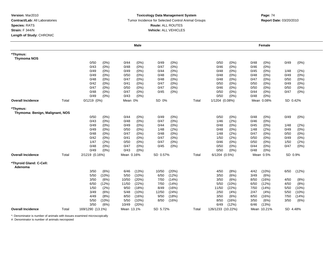### **Toxicology Data Management System** Tumor Incidence for Selected Control Animal Groups **Report Date:** 03/20/2010 **Route:** ALL ROUTES **Vehicle:** ALL VEHICLES

|                                             |       |                  |         |            | <b>Male</b> |          |         |       |                   |         |      | Female      |          |         |  |
|---------------------------------------------|-------|------------------|---------|------------|-------------|----------|---------|-------|-------------------|---------|------|-------------|----------|---------|--|
| *Thymus:<br><b>Thymoma NOS</b>              |       |                  |         |            |             |          |         |       |                   |         |      |             |          |         |  |
|                                             |       | 0/50             | (0%)    | 0/44       | $(0\%)$     | 0/49     | (0%)    |       | 0/50              | (0%)    | 0/48 | (0%)        | 0/49     | (0%)    |  |
|                                             |       | 0/43             | (0%)    | 0/48       | $(0\%)$     | 0/47     | $(0\%)$ |       | 0/46              | (0%)    | 0/46 | $(0\%)$     |          |         |  |
|                                             |       | 0/49             | $(0\%)$ | 0/49       | (0%)        | 0/44     | $(0\%)$ |       | 0/48              | (0%)    | 0/45 | (0%)        | 1/48     | (2%)    |  |
|                                             |       | 0/49             | (0%)    | 0/50       | $(0\%)$     | 0/48     | (0%)    |       | 0/48              | (0%)    | 0/48 | (0%)        | 0/49     | (0%)    |  |
|                                             |       | 0/48             | $(0\%)$ | 0/47       | (0%)        | 0/48     | (0%)    |       | 0/48              | (0%)    | 0/47 | $(0\%)$     | 0/50     | $(0\%)$ |  |
|                                             |       | 0/42             | (0%)    | 0/41       | (0%)        | 0/47     | (0%)    |       | 0/50              | (0%)    | 0/50 | (0%)        | 0/49     | $(0\%)$ |  |
|                                             |       | 0/47             | $(0\%)$ | 0/50       | (0%)        | 0/47     | $(0\%)$ |       | 0/46              | (0%)    | 0/50 | $(0\%)$     | 0/50     | $(0\%)$ |  |
|                                             |       | 0/48             | $(0\%)$ | 0/47       | (0%)        | 0/45     | (0%)    |       | 0/50              | (0%)    | 0/44 | $(0\%)$     | 0/47     | (0%)    |  |
|                                             |       | 0/49             | (0%)    | 0/43       | $(0\%)$     |          |         |       | 0/50              | (0%)    | 0/48 | (0%)        |          |         |  |
| <b>Overall Incidence</b>                    | Total | $0/1219$ $(0%)$  |         | Mean 0%    |             | SD 0%    |         | Total | 1/1204 (0.08%)    |         |      | Mean 0.08%  | SD 0.42% |         |  |
| *Thymus:<br>Thymoma: Benign, Malignant, NOS |       |                  |         |            |             |          |         |       |                   |         |      |             |          |         |  |
|                                             |       | 0/50             | (0%)    | 0/44       | (0%)        | 0/49     | $(0\%)$ |       | 0/50              | (0%)    | 0/48 | (0%)        | 0/49     | (0%)    |  |
|                                             |       | 0/43             | (0%)    | 0/48       | $(0\%)$     | 0/47     | $(0\%)$ |       | 1/46              | (2%)    | 0/46 | $(0\%)$     |          |         |  |
|                                             |       | 0/49             | (0%)    | 0/49       | $(0\%)$     | 0/44     | $(0\%)$ |       | 0/48              | (0%)    | 0/45 | $(0\%)$     | 1/48     | (2%)    |  |
|                                             |       | 0/49             | $(0\%)$ | 0/50       | (0%)        | 1/48     | (2%)    |       | 0/48              | (0%)    | 1/48 | (2%)        | 0/49     | $(0\%)$ |  |
|                                             |       | 0/48             | $(0\%)$ | 0/47       | $(0\%)$     | 0/48     | $(0\%)$ |       | 1/48              | (2%)    | 0/47 | (0%)        | 0/50     | (0%)    |  |
|                                             |       | 0/42             | $(0\%)$ | 0/41       | $(0\%)$     | 0/47     | $(0\%)$ |       | 1/50              | (2%)    | 0/50 | $(0\%)$     | 0/49     | $(0\%)$ |  |
|                                             |       | 1/47             | (2%)    | 0/50       | $(0\%)$     | 0/47     | (0%)    |       | 0/46              | $(0\%)$ | 0/50 | $(0\%)$     | 1/50     | (2%)    |  |
|                                             |       | 0/48             | (0%)    | 0/47       | $(0\%)$     | 0/45     | (0%)    |       | 0/50              | (0%)    | 0/44 | $(0\%)$     | 0/47     | $(0\%)$ |  |
|                                             |       | 0/49             | (0%)    | 0/43       | $(0\%)$     |          |         |       | 0/50              | (0%)    | 0/48 | $(0\%)$     |          |         |  |
| <b>Overall Incidence</b>                    | Total | 2/1219 (0.16%)   |         | Mean 0.16% |             | SD 0.57% |         | Total | 6/1204 (0.5%)     |         |      | Mean 0.5%   | SD 0.9%  |         |  |
| *Thyroid Gland: C-Cell:<br>Adenoma          |       |                  |         |            |             |          |         |       |                   |         |      |             |          |         |  |
|                                             |       | 3/50             | (6%)    | 6/46       | (13%)       | 10/50    | (20%)   |       | 4/50              | (8%)    | 4/42 | (10%)       | 6/50     | (12%)   |  |
|                                             |       | 5/50             | (10%)   | 5/50       | (10%)       | 6/50     | (12%)   |       | 3/50              | (6%)    | 3/49 | (6%)        |          |         |  |
|                                             |       | 3/50             | (6%)    | 10/50      | (20%)       | 7/50     | (14%    |       | 3/50              | (6%)    | 8/50 | (16%)       | 4/50     | (8%)    |  |
|                                             |       | 6/50             | (12%)   | 11/50      | (22%)       | 7/50     | (14%)   |       | 5/50              | (10%)   | 6/50 | (12%)       | 4/50     | (8%)    |  |
|                                             |       | 1/50             | (2%)    | 9/50       | (18%)       | 8/49     | (16%)   |       | 11/50             | (22%)   | 7/50 | (14% )      | 5/50     | (10%)   |  |
|                                             |       | 3/49             | (6%)    | 5/48       | (10%)       | 12/50    | (24%)   |       | 2/50              | (4% )   | 2/47 | (4%)        | 5/50     | (10%)   |  |
|                                             |       | 4/49             | (8%)    | 8/50       | (16%)       | 9/50     | (18%)   |       | 3/50              | (6%)    | 8/50 | (16%)       | 7/50     | (14%)   |  |
|                                             |       | 5/50             | (10%)   | 5/50       | (10%)       | 8/50     | (16%)   |       | 8/50              | (16%)   | 3/50 | (6%)        | 3/50     | (6%)    |  |
|                                             |       | 3/50             | (6%)    | 10/49      | (20%)       |          |         |       | 6/49              | (12%)   | 6/46 | (13%)       |          |         |  |
| <b>Overall Incidence</b>                    | Total | 169/1290 (13.1%) |         | Mean 13.1% |             | SD 5.72% |         | Total | 126/1233 (10.22%) |         |      | Mean 10.21% | SD 4.48% |         |  |

\*: Denominator is number of animals with tissues examined microscopically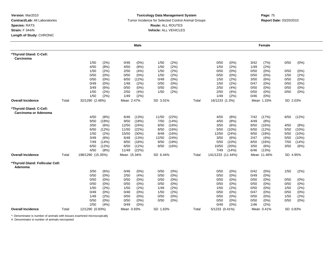### **Toxicology Data Management System** Tumor Incidence for Selected Control Animal Groups **Report Date:** 03/20/2010 **Route:** ALL ROUTES **Vehicle:** ALL VEHICLES

|                                                 |       |                   | <b>Male</b>   |                 |       |       |                   |         |      | Female      |          |         |
|-------------------------------------------------|-------|-------------------|---------------|-----------------|-------|-------|-------------------|---------|------|-------------|----------|---------|
| *Thyroid Gland: C-Cell:<br>Carcinoma            |       |                   |               |                 |       |       |                   |         |      |             |          |         |
|                                                 |       | 1/50              | (2%)<br>0/46  | $(0\%)$<br>1/50 | (2%)  |       | 0/50              | $(0\%)$ | 3/42 | (7%)        | 0/50     | (0%)    |
|                                                 |       | 4/50              | (8%)<br>4/50  | (8%)<br>1/50    | (2%)  |       | 1/50              | (2%)    | 1/49 | (2%)        |          |         |
|                                                 |       | 1/50              | (2%)<br>2/50  | (4%)<br>1/50    | (2%)  |       | 0/50              | (0%)    | 0/50 | (0%)        | 0/50     | (0%)    |
|                                                 |       | 0/50<br>(0%)      | 0/50          | (0%)<br>1/50    | (2%)  |       | 0/50              | (0%     | 0/50 | (0%)        | 1/50     | (2%)    |
|                                                 |       | 0/50<br>$(0\%)$   | 6/50          | (12%)<br>0/49   | (0%)  |       | 1/50              | (2%)    | 3/50 | (6%)        | 0/50     | (0%)    |
|                                                 |       | 0/49<br>(0%)      | 1/48          | (2%)<br>0/50    | (0%)  |       | 1/50              | (2%)    | 0/47 | $(0\%)$     | 0/50     | (0%)    |
|                                                 |       | 3/49              | 0/50<br>(6%)  | $(0\%)$<br>0/50 | (0%)  |       | 2/50              | (4% )   | 0/50 | (0%)        | 0/50     | $(0\%)$ |
|                                                 |       | 1/50              | (2%)<br>2/50  | (4%)<br>1/50    | (2%)  |       | 2/50              | (4% )   | 0/50 | (0%)        | 0/50     | (0%)    |
|                                                 |       | 1/50              | (2%)<br>1/49  | (2%)            |       |       | 1/49              | (2%)    | 0/46 | (0%)        |          |         |
| <b>Overall Incidence</b>                        | Total | 32/1290 (2.48%)   | Mean 2.47%    | SD 3.01%        |       | Total | 16/1233 (1.3%)    |         |      | Mean 1.33%  | SD 2.03% |         |
| *Thyroid Gland: C-Cell:<br>Carcinoma or Adenoma |       |                   |               |                 |       |       |                   |         |      |             |          |         |
|                                                 |       | 4/50              | (8%)<br>6/46  | (13%)<br>11/50  | (22%) |       | 4/50              | (8%)    | 7/42 | (17%)       | 6/50     | (12%)   |
|                                                 |       | 9/50<br>(18%)     | 9/50          | (18%)<br>7/50   | (14%) |       | 4/50              | (8%)    | 4/49 | (8%)        |          |         |
|                                                 |       | 3/50<br>(6%)      | 12/50         | (24%)<br>8/50   | (16%) |       | 3/50              | (6%)    | 8/50 | (16%)       | 4/50     | (8%)    |
|                                                 |       | 6/50<br>(12%)     | 11/50         | (22%)<br>8/50   | (16%) |       | 5/50              | (10%)   | 6/50 | (12%)       | 5/50     | (10%)   |
|                                                 |       | 1/50<br>(2%)      | 15/50         | (30%)<br>8/49   | (16%) |       | 12/50             | (24%)   | 9/50 | (18%)       | 5/50     | (10%)   |
|                                                 |       | 3/49<br>(6%)      | 6/48          | (13%)<br>12/50  | (24%) |       | 3/50              | (6%)    | 2/47 | (4%)        | 5/50     | (10%)   |
|                                                 |       | 7/49<br>(14%)     | 8/50          | (16%)<br>9/50   | (18%) |       | 5/50              | (10%)   | 8/50 | (16%)       | 7/50     | (14%)   |
|                                                 |       | 6/50<br>(12%)     | 6/50          | (12%)<br>8/50   | (16%) |       | 10/50             | (20%)   | 3/50 | (6%)        | 3/50     | (6%)    |
|                                                 |       | 4/50<br>(8%)      | 11/49         | (22%)           |       |       | 7/49              | (14%)   | 6/46 | (13%)       |          |         |
| <b>Overall Incidence</b>                        | Total | 198/1290 (15.35%) | Mean 15.34%   | SD 6.44%        |       | Total | 141/1233 (11.44%) |         |      | Mean 11.46% | SD 4.95% |         |
| *Thyroid Gland: Follicular Cell:<br>Adenoma     |       |                   |               |                 |       |       |                   |         |      |             |          |         |
|                                                 |       | (6%)<br>3/50      | 0/46          | (0%)<br>0/50    | (0%)  |       | 0/50              | (0%)    | 0/42 | (0%)        | 1/50     | (2%)    |
|                                                 |       | 0/50<br>(0%)      | 2/50          | (4%)<br>0/50    | (0%)  |       | 0/50              | (0%)    | 0/49 | $(0\%)$     |          |         |
|                                                 |       | 0/50<br>$(0\%)$   | 0/50          | 0/50<br>(0%)    | (0%)  |       | 0/50              | (0%)    | 0/50 | (0%)        | 0/50     | (0%)    |
|                                                 |       | 0/50<br>(0%)      | 0/50          | (0%)<br>0/50    | (0%)  |       | 0/50              | (0%     | 0/50 | (0%)        | 0/50     | (0%)    |
|                                                 |       | 1/50              | (2%)<br>1/50  | (2%)<br>1/49    | (2%)  |       | 1/50              | (2%)    | 0/50 | (0%)        | 1/50     | (2%)    |
|                                                 |       | 0/49              | (0%)<br>0/48  | (0%)<br>1/50    | (2%)  |       | 0/50              | (0%)    | 0/47 | $(0\%)$     | 0/50     | (0%)    |
|                                                 |       | 1/49<br>(2%)      | 0/50          | (0%)<br>0/50    | (0%)  |       | 0/50              | (0%)    | 0/50 | (0%)        | 1/50     | (2%)    |
|                                                 |       | 0/50<br>(0%)      | 0/50          | 0/50<br>(0%)    | (0%)  |       | 0/50              | (0%)    | 0/50 | $(0\%)$     | 0/50     | $(0\%)$ |
|                                                 |       | 2/50              | 0/49<br>(4% ) | $(0\%)$         |       |       | 0/49              | (0%)    | 1/46 | (2%)        |          |         |
| <b>Overall Incidence</b>                        | Total | 12/1290 (0.93%)   | Mean 0.93%    | SD 1.63%        |       | Total | 5/1233 (0.41%)    |         |      | Mean 0.41%  | SD 0.83% |         |

\*: Denominator is number of animals with tissues examined microscopically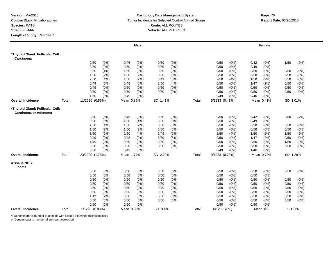### **Toxicology Data Management System** Tumor Incidence for Selected Control Animal Groups **Report Date:** 03/20/2010 **Route:** ALL ROUTES **Vehicle:** ALL VEHICLES

|                                                          |       |                 |       |            | <b>Male</b> |          |         |       |                 |       |      | Female     |          |         |
|----------------------------------------------------------|-------|-----------------|-------|------------|-------------|----------|---------|-------|-----------------|-------|------|------------|----------|---------|
| *Thyroid Gland: Follicular Cell:<br>Carcinoma            |       |                 |       |            |             |          |         |       |                 |       |      |            |          |         |
|                                                          |       | 0/50            | (0%)  | 0/46       | $(0\%)$     | 0/50     | (0%)    |       | 0/50            | (0%)  | 0/42 | (0%)       | 1/50     | (2%)    |
|                                                          |       | 0/50            | (0%)  | 0/50       | (0%)        | 0/50     | (0%)    |       | 0/50            | (0%)  | 0/49 | (0%)       |          |         |
|                                                          |       | 2/50            | (4% ) | 1/50       | (2%)        | 0/50     | $(0\%)$ |       | 0/50            | (0%)  | 0/50 | $(0\%)$    | 0/50     | (0%)    |
|                                                          |       | 1/50            | (2%)  | 1/50       | (2%)        | 0/50     | $(0\%)$ |       | 0/50            | (0%)  | 0/50 | (0%)       | 0/50     | (0%)    |
|                                                          |       | 2/50            | (4% ) | 1/50       | (2%)        | 0/49     | (0% )   |       | 2/50            | (4% ) | 1/50 | (2%)       | 0/50     | (0%)    |
|                                                          |       | 0/49            | (0%)  | 0/48       | (0%)        | 2/50     | (4%)    |       | 0/50            | (0%)  | 1/47 | (2%)       | 0/50     | (0%)    |
|                                                          |       | 0/49            | (0%)  | 0/50       | $(0\%)$     | 0/50     | (0% )   |       | 0/50            | (0% ) | 0/50 | (0%)       | 0/50     | (0%)    |
|                                                          |       | 0/50            | (0%)  | 0/50       | (0%)        | 0/50     | $(0\%)$ |       | 0/50            | (0%)  | 0/50 | (0%)       | 0/50     | $(0\%)$ |
|                                                          |       | 1/50            | (2%)  | 0/49       | $(0\%)$     |          |         |       | 0/49            | (0%)  | 0/46 | (0%)       |          |         |
| <b>Overall Incidence</b>                                 | Total | 11/1290 (0.85%) |       | Mean 0.85% |             | SD 1.41% |         | Total | 5/1233 (0.41%)  |       |      | Mean 0.41% | SD 1.01% |         |
| *Thyroid Gland: Follicular Cell:<br>Carcinoma or Adenoma |       |                 |       |            |             |          |         |       |                 |       |      |            |          |         |
|                                                          |       | 3/50            | (6%)  | 0/46       | $(0\%)$     | 0/50     | $(0\%)$ |       | 0/50            | (0%)  | 0/42 | $(0\%)$    | 2/50     | (4%)    |
|                                                          |       | 0/50            | (0%)  | 2/50       | (4% )       | 0/50     | $(0\%)$ |       | 0/50            | (0%)  | 0/49 | (0%)       |          |         |
|                                                          |       | 2/50            | (4% ) | 1/50       | (2%)        | 0/50     | (0%)    |       | 0/50            | (0%)  | 0/50 | (0%)       | 0/50     | (0%)    |
|                                                          |       | 1/50            | (2%)  | 1/50       | (2%)        | 0/50     | $(0\%)$ |       | 0/50            | (0%)  | 0/50 | (0%)       | 0/50     | $(0\%)$ |
|                                                          |       | 3/50            | (6%)  | 2/50       | (4%)        | 1/49     | (2%)    |       | 2/50            | (4% ) | 1/50 | (2%)       | 1/50     | (2%)    |
|                                                          |       | 0/49            | (0%)  | 0/48       | $(0\%)$     | 3/50     | (6%)    |       | 0/50            | (0%)  | 1/47 | (2%)       | 0/50     | $(0\%)$ |
|                                                          |       | 1/49            | (2%)  | 0/50       | (0%)        | 0/50     | (0%)    |       | 0/50            | (0%)  | 0/50 | $(0\%)$    | 1/50     | (2%)    |
|                                                          |       | 0/50            | (0%)  | 0/50       | $(0\%)$     | 0/50     | (0%)    |       | 0/50            | (0%)  | 0/50 | $(0\%)$    | 0/50     | (0%)    |
|                                                          |       | 3/50            | (6%)  | 0/49       | $(0\%)$     |          |         |       | 0/49            | (0%)  | 1/46 | (2%)       |          |         |
| <b>Overall Incidence</b>                                 | Total | 23/1290 (1.78%) |       | Mean 1.77% |             | SD 2.29% |         | Total | 9/1233 (0.73%)  |       |      | Mean 0.73% | SD 1.29% |         |
| #Tissue NOS:<br>Lipoma                                   |       |                 |       |            |             |          |         |       |                 |       |      |            |          |         |
|                                                          |       | 0/50            | (0%)  | 0/50       | $(0\%)$     | 0/50     | (0%)    |       | 0/50            | (0%)  | 0/50 | (0%)       | 0/50     | $(0\%)$ |
|                                                          |       | 0/50            | (0%)  | 0/50       | $(0\%)$     | 0/50     | (0%)    |       | 0/50            | (0%)  | 0/50 | (0%)       |          |         |
|                                                          |       | 0/50            | (0%)  | 0/50       | (0%)        | 0/50     | $(0\%)$ |       | 0/50            | (0%)  | 0/50 | $(0\%)$    | 0/50     | $(0\%)$ |
|                                                          |       | 0/50            | (0%)  | 0/50       | $(0\%)$     | 0/50     | (0%)    |       | 0/50            | (0%)  | 0/50 | (0%)       | 0/50     | (0%)    |
|                                                          |       | 0/50            | (0%)  | 0/50       | $(0\%)$     | 0/49     | (0%)    |       | 0/50            | (0%)  | 0/50 | (0%)       | 0/50     | $(0\%)$ |
|                                                          |       | 0/50            | (0%)  | 0/50       | $(0\%)$     | 0/50     | (0%)    |       | 0/50            | (0%)  | 0/50 | (0%)       | 0/50     | $(0\%)$ |
|                                                          |       | 1/49            | (2%)  | 0/50       | $(0\%)$     | 0/50     | (0%)    |       | 0/50            | (0%)  | 0/50 | $(0\%)$    | 0/50     | (0%)    |
|                                                          |       | 0/50            | (0%)  | 0/50       | $(0\%)$     | 0/50     | (0%)    |       | 0/50            | (0%)  | 0/50 | $(0\%)$    | 0/50     | (0% )   |
|                                                          |       | 0/50            | (0%)  | 0/50       | (0%)        |          |         |       | 0/50            | (0%)  | 0/50 | (0% )      |          |         |
| <b>Overall Incidence</b>                                 | Total | 1/1298 (0.08%)  |       | Mean 0.08% |             | SD 0.4%  |         | Total | $0/1250$ $(0%)$ |       |      | Mean 0%    | SD 0%    |         |

\*: Denominator is number of animals with tissues examined microscopically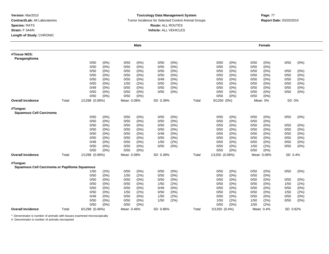### **Toxicology Data Management System** Tumor Incidence for Selected Control Animal Groups **Report Date:** 03/20/2010 **Route:** ALL ROUTES **Vehicle:** ALL VEHICLES

|                                                           |       |                |         |            | <b>Male</b> |          |         |       |                 |         |      | Female     |          |         |
|-----------------------------------------------------------|-------|----------------|---------|------------|-------------|----------|---------|-------|-----------------|---------|------|------------|----------|---------|
| #Tissue NOS:<br>Paraganglioma                             |       |                |         |            |             |          |         |       |                 |         |      |            |          |         |
|                                                           |       | 0/50           | (0%)    | 0/50       | $(0\%)$     | 0/50     | (0%)    |       | 0/50            | (0%)    | 0/50 | (0%)       | 0/50     | (0%)    |
|                                                           |       | 0/50           | (0%)    | 0/50       | $(0\%)$     | 0/50     | $(0\%)$ |       | 0/50            | (0%)    | 0/50 | $(0\%)$    |          |         |
|                                                           |       | 0/50           | (0%)    | 0/50       | $(0\%)$     | 0/50     | $(0\%)$ |       | 0/50            | (0%)    | 0/50 | $(0\%)$    | 0/50     | $(0\%)$ |
|                                                           |       | 0/50           | (0%)    | 0/50       | (0%)        | 0/50     | (0%     |       | 0/50            | (0%)    | 0/50 | (0%        | 0/50     | (0%)    |
|                                                           |       | 0/50           | (0%)    | 0/50       | $(0\%)$     | 0/49     | (0%)    |       | 0/50            | (0%)    | 0/50 | (0%)       | 0/50     | $(0\%)$ |
|                                                           |       | 0/50           | (0%)    | 1/50       | (2%)        | 0/50     | (0%)    |       | 0/50            | (0%)    | 0/50 | $(0\%)$    | 0/50     | $(0\%)$ |
|                                                           |       | 0/49           | $(0\%)$ | 0/50       | $(0\%)$     | 0/50     | $(0\%)$ |       | 0/50            | (0%)    | 0/50 | $(0\%)$    | 0/50     | $(0\%)$ |
|                                                           |       | 0/50           | (0%)    | 0/50       | $(0\%)$     | 0/50     | (0%)    |       | 0/50            | (0%)    | 0/50 | $(0\%)$    | 0/50     | (0%)    |
|                                                           |       | 0/50           | (0%)    | 0/50       | (0%)        |          |         |       | 0/50            | (0% )   | 0/50 | $(0\%)$    |          |         |
| <b>Overall Incidence</b>                                  | Total | 1/1298 (0.08%) |         | Mean 0.08% |             | SD 0.39% |         | Total | $0/1250$ $(0%)$ |         |      | Mean 0%    | SD 0%    |         |
| #Tongue:<br><b>Squamous Cell Carcinoma</b>                |       |                |         |            |             |          |         |       |                 |         |      |            |          |         |
|                                                           |       | 0/50           | (0%)    | 0/50       | (0%)        | 0/50     | $(0\%)$ |       | 0/50            | (0%)    | 0/50 | (0%)       | 0/50     | $(0\%)$ |
|                                                           |       | 0/50           | (0%)    | 0/50       | $(0\%)$     | 0/50     | (0%)    |       | 0/50            | (0%)    | 0/50 | $(0\%)$    |          |         |
|                                                           |       | 0/50           | (0%)    | 0/50       | $(0\%)$     | 0/50     | $(0\%)$ |       | 0/50            | (0%)    | 0/50 | (0%)       | 0/50     | $(0\%)$ |
|                                                           |       | 0/50           | (0%)    | 0/50       | (0%)        | 0/50     | $(0\%)$ |       | 0/50            | (0%)    | 0/50 | (0%)       | 0/50     | $(0\%)$ |
|                                                           |       | 0/50           | $(0\%)$ | 0/50       | $(0\%)$     | 0/49     | $(0\%)$ |       | 0/50            | $(0\%)$ | 0/50 | (0%)       | 0/50     | (0%)    |
|                                                           |       | 0/50           | $(0\%)$ | 0/50       | $(0\%)$     | 0/50     | $(0\%)$ |       | 0/50            | (0%)    | 0/50 | (0%)       | 0/50     | (0%)    |
|                                                           |       | 0/49           | $(0\%)$ | 0/50       | $(0\%)$     | 1/50     | (2%)    |       | 0/50            | $(0\%)$ | 0/50 | $(0\%)$    | 0/50     | (0%)    |
|                                                           |       | 0/50           | (0%)    | 0/50       | $(0\%)$     | 0/50     | $(0\%)$ |       | 0/50            | (0%)    | 1/50 | (2%)       | 0/50     | $(0\%)$ |
|                                                           |       | 0/50           | $(0\%)$ | 0/50       | $(0\%)$     |          |         |       | 0/50            | (0%)    | 0/50 | $(0\%)$    |          |         |
| <b>Overall Incidence</b>                                  | Total | 1/1298 (0.08%) |         | Mean 0.08% |             | SD 0.39% |         | Total | 1/1250 (0.08%)  |         |      | Mean 0.08% | SD 0.4%  |         |
| #Tongue:<br>Squamous Cell Carcinoma or Papilloma Squamous |       |                |         |            |             |          |         |       |                 |         |      |            |          |         |
|                                                           |       | 1/50           | (2%)    | 0/50       | (0%)        | 0/50     | (0%)    |       | 0/50            | (0%)    | 0/50 | (0%)       | 0/50     | $(0\%)$ |
|                                                           |       | 0/50           | (0%)    | 1/50       | (2%)        | 0/50     | (0%)    |       | 0/50            | (0%)    | 0/50 | $(0\%)$    |          |         |
|                                                           |       | 0/50           | (0%)    | 0/50       | $(0\%)$     | 0/50     | (0%)    |       | 0/50            | (0%)    | 0/50 | $(0\%)$    | 0/50     | $(0\%)$ |
|                                                           |       | 0/50           | $(0\%)$ | 0/50       | $(0\%)$     | 1/50     | (2%)    |       | 0/50            | (0% )   | 0/50 | (0%)       | 1/50     | (2%)    |
|                                                           |       | 0/50           | (0%)    | 0/50       | $(0\%)$     | 0/49     | (0%)    |       | 0/50            | $(0\%)$ | 0/50 | (0%)       | 0/50     | (0%)    |
|                                                           |       | 0/50           | (0%)    | 1/50       | (2%)        | 0/50     | (0%)    |       | 0/50            | (0%)    | 0/50 | $(0\%)$    | 1/50     | (2%)    |
|                                                           |       | 0/49           | $(0\%)$ | 0/50       | $(0\%)$     | 1/50     | (2%)    |       | 0/50            | (0%)    | 0/50 | $(0\%)$    | 0/50     | $(0\%)$ |
|                                                           |       | 0/50           | (0%)    | 0/50       | $(0\%)$     | 1/50     | (2%)    |       | 1/50            | (2%)    | 1/50 | (2%)       | 0/50     | (0%)    |
|                                                           |       | 0/50           | (0%)    | 0/50       | (0%)        |          |         |       | 0/50            | (0%)    | 1/50 | (2%)       |          |         |
| <b>Overall Incidence</b>                                  | Total | 6/1298 (0.46%) |         | Mean 0.46% |             | SD 0.86% |         | Total | 5/1250 (0.4%)   |         |      | Mean 0.4%  | SD 0.82% |         |

\*: Denominator is number of animals with tissues examined microscopically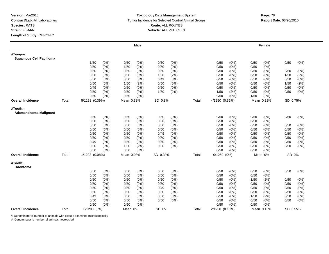### **Toxicology Data Management System** Tumor Incidence for Selected Control Animal Groups **Report Date:** 03/20/2010 **Route:** ALL ROUTES **Vehicle:** ALL VEHICLES

|                                            |       |                 |         |            | <b>Male</b> |          |         |       |                |         |      | Female     |          |         |
|--------------------------------------------|-------|-----------------|---------|------------|-------------|----------|---------|-------|----------------|---------|------|------------|----------|---------|
| #Tongue:<br><b>Squamous Cell Papilloma</b> |       |                 |         |            |             |          |         |       |                |         |      |            |          |         |
|                                            |       | 1/50            | (2%)    | 0/50       | $(0\%)$     | 0/50     | $(0\%)$ |       | 0/50           | (0%)    | 0/50 | $(0\%)$    | 0/50     | $(0\%)$ |
|                                            |       | 0/50            | (0%)    | 1/50       | (2%)        | 0/50     | $(0\%)$ |       | 0/50           | (0%)    | 0/50 | $(0\%)$    |          |         |
|                                            |       | 0/50            | (0%)    | 0/50       | (0%)        | 0/50     | (0%)    |       | 0/50           | (0%)    | 0/50 | (0%)       | 0/50     | (0%)    |
|                                            |       | 0/50            | (0%)    | 0/50       | (0%)        | 1/50     | (2%)    |       | 0/50           | (0%)    | 0/50 | $(0\%)$    | 1/50     | (2%)    |
|                                            |       | 0/50            | (0%)    | 0/50       | $(0\%)$     | 0/49     | (0%)    |       | 0/50           | $(0\%)$ | 0/50 | $(0\%)$    | 0/50     | $(0\%)$ |
|                                            |       | 0/50            | (0%)    | 1/50       | (2%)        | 0/50     | $(0\%)$ |       | 0/50           | (0%)    | 0/50 | (0%)       | 1/50     | (2%)    |
|                                            |       | 0/49            | (0%)    | 0/50       | $(0\%)$     | 0/50     | $(0\%)$ |       | 0/50           | $(0\%)$ | 0/50 | $(0\%)$    | 0/50     | $(0\%)$ |
|                                            |       | 0/50            | (0%)    | 0/50       | $(0\%)$     | 1/50     | (2%)    |       | 1/50           | (2%)    | 0/50 | (0%)       | 0/50     | $(0\%)$ |
|                                            |       | 0/50            | $(0\%)$ | 0/50       | $(0\%)$     |          |         |       | 0/50           | (0%)    | 1/50 | (2%)       |          |         |
| <b>Overall Incidence</b>                   | Total | 5/1298 (0.39%)  |         | Mean 0.38% |             | SD 0.8%  |         | Total | 4/1250 (0.32%) |         |      | Mean 0.32% | SD 0.75% |         |
| #Tooth:<br><b>Adamantinoma Malignant</b>   |       |                 |         |            |             |          |         |       |                |         |      |            |          |         |
|                                            |       | 0/50            | (0%)    | 0/50       | $(0\%)$     | 0/50     | $(0\%)$ |       | 0/50           | (0%)    | 0/50 | (0%)       | 0/50     | $(0\%)$ |
|                                            |       | 0/50            | (0%)    | 0/50       | $(0\%)$     | 0/50     | (0% )   |       | 0/50           | $(0\%)$ | 0/50 | (0%)       |          |         |
|                                            |       | 0/50            | (0%)    | 0/50       | $(0\%)$     | 0/50     | $(0\%)$ |       | 0/50           | (0%)    | 0/50 | (0%)       | 0/50     | $(0\%)$ |
|                                            |       | 0/50            | $(0\%)$ | 0/50       | (0%)        | 0/50     | $(0\%)$ |       | 0/50           | (0%)    | 0/50 | (0%)       | 0/50     | $(0\%)$ |
|                                            |       | 0/50            | $(0\%)$ | 0/50       | (0%)        | 0/49     | (0%)    |       | 0/50           | (0%)    | 0/50 | (0%)       | 0/50     | $(0\%)$ |
|                                            |       | 0/50            | (0%)    | 0/50       | (0%)        | 0/50     | $(0\%)$ |       | 0/50           | $(0\%)$ | 0/50 | (0%)       | 0/50     | $(0\%)$ |
|                                            |       | 0/49            | (0%)    | 0/50       | $(0\%)$     | 0/50     | $(0\%)$ |       | 0/50           | (0%)    | 0/50 | (0%)       | 0/50     | $(0\%)$ |
|                                            |       | 0/50            | (0%)    | 1/50       | (2%)        | 0/50     | (0%)    |       | 0/50           | (0%)    | 0/50 | (0%)       | 0/50     | $(0\%)$ |
|                                            |       | 0/50            | $(0\%)$ | 0/50       | $(0\%)$     |          |         |       | 0/50           | (0%)    | 0/50 | (0%)       |          |         |
| <b>Overall Incidence</b>                   | Total | 1/1298 (0.08%)  |         | Mean 0.08% |             | SD 0.39% |         | Total | 0/1250 (0%)    |         |      | Mean 0%    | SD 0%    |         |
| #Tooth:<br>Odontoma                        |       |                 |         |            |             |          |         |       |                |         |      |            |          |         |
|                                            |       | 0/50            | (0%)    | 0/50       | $(0\%)$     | 0/50     | $(0\%)$ |       | 0/50           | (0%)    | 0/50 | (0%)       | 0/50     | $(0\%)$ |
|                                            |       | 0/50            | (0%)    | 0/50       | $(0\%)$     | 0/50     | $(0\%)$ |       | 0/50           | $(0\%)$ | 0/50 | $(0\%)$    |          |         |
|                                            |       | 0/50            | $(0\%)$ | 0/50       | (0%)        | 0/50     | (0%)    |       | 0/50           | $(0\%)$ | 1/50 | (2%)       | 0/50     | $(0\%)$ |
|                                            |       | 0/50            | (0%)    | 0/50       | (0%)        | 0/50     | $(0\%)$ |       | 0/50           | (0%)    | 0/50 | (0%)       | 0/50     | (0%)    |
|                                            |       | 0/50            | (0%)    | 0/50       | $(0\%)$     | 0/49     | (0%)    |       | 0/50           | $(0\%)$ | 0/50 | (0%)       | 0/50     | (0%)    |
|                                            |       | 0/50            | (0%)    | 0/50       | (0%)        | 0/50     | $(0\%)$ |       | 0/50           | (0%)    | 0/50 | (0%)       | 0/50     | $(0\%)$ |
|                                            |       | 0/49            | (0%)    | 0/50       | (0%)        | 0/50     | (0%)    |       | 0/50           | (0%)    | 1/50 | (2%)       | 0/50     | (0%)    |
|                                            |       | 0/50            | (0%)    | 0/50       | (0%)        | 0/50     | (0%)    |       | 0/50           | (0%)    | 0/50 | (0%)       | 0/50     | $(0\%)$ |
|                                            |       | 0/50            | (0%)    | 0/50       | $(0\%)$     |          |         |       | 0/50           | (0%)    | 0/50 | (0%)       |          |         |
| <b>Overall Incidence</b>                   | Total | $0/1298$ $(0%)$ |         | Mean 0%    |             | SD 0%    |         | Total | 2/1250 (0.16%) |         |      | Mean 0.16% | SD 0.55% |         |

\*: Denominator is number of animals with tissues examined microscopically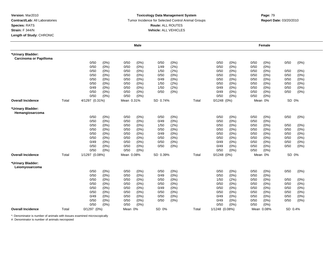### **Toxicology Data Management System** Tumor Incidence for Selected Control Animal Groups **Report Date:** 03/20/2010 **Route:** ALL ROUTES **Vehicle:** ALL VEHICLES

## **m**<br> **Page:** 79

|                                                    |       |                |         |            | <b>Male</b> |          |         |       |                 |         |      | Female     |         |         |
|----------------------------------------------------|-------|----------------|---------|------------|-------------|----------|---------|-------|-----------------|---------|------|------------|---------|---------|
| *Urinary Bladder:<br><b>Carcinoma or Papilloma</b> |       |                |         |            |             |          |         |       |                 |         |      |            |         |         |
|                                                    |       | 0/50           | (0%)    | 0/50       | (0%)        | 0/50     | (0%)    |       | 0/50            | (0%)    | 0/50 | (0%)       | 0/50    | (0%)    |
|                                                    |       | 0/50           | $(0\%)$ | 0/50       | $(0\%)$     | 1/49     | (2%)    |       | 0/50            | (0%)    | 0/50 | $(0\%)$    |         |         |
|                                                    |       | 0/50           | (0%)    | 0/50       | $(0\%)$     | 1/50     | (2%)    |       | 0/50            | $(0\%)$ | 0/50 | $(0\%)$    | 0/50    | (0%)    |
|                                                    |       | 0/50           | $(0\%)$ | 0/50       | $(0\%)$     | 0/50     | (0% )   |       | 0/50            | (0%     | 0/50 | (0%)       | 0/50    | (0%)    |
|                                                    |       | 0/50           | (0%)    | 0/50       | (0%)        | 0/49     | (0% )   |       | 0/50            | (0% )   | 0/50 | (0% )      | 0/50    | (0%)    |
|                                                    |       | 0/50           | (0%)    | 0/50       | $(0\%)$     | 1/50     | (2%)    |       | 0/50            | $(0\%)$ | 0/50 | (0%)       | 0/50    | (0%)    |
|                                                    |       | 0/49           | $(0\%)$ | 0/50       | $(0\%)$     | 1/50     | (2%)    |       | 0/49            | $(0\%)$ | 0/50 | $(0\%)$    | 0/50    | $(0\%)$ |
|                                                    |       | 0/50           | (0%)    | 0/50       | $(0\%)$     | 0/50     | (0% )   |       | 0/49            | $(0\%)$ | 0/50 | $(0\%)$    | 0/50    | (0%)    |
|                                                    |       | 0/50           | $(0\%)$ | 0/50       | $(0\%)$     |          |         |       | 0/50            | (0%)    | 0/50 | $(0\%)$    |         |         |
| <b>Overall Incidence</b>                           | Total | 4/1297 (0.31%) |         | Mean 0.31% |             | SD 0.74% |         | Total | $0/1248$ (0%)   |         |      | Mean 0%    | SD 0%   |         |
| *Urinary Bladder:<br>Hemangiosarcoma               |       |                |         |            |             |          |         |       |                 |         |      |            |         |         |
|                                                    |       | 0/50           | (0% )   | 0/50       | $(0\%)$     | 0/50     | (0% )   |       | 0/50            | (0% )   | 0/50 | (0% )      | 0/50    | (0%)    |
|                                                    |       | 0/50           | (0%)    | 0/50       | (0% )       | 0/49     | (0% )   |       | 0/50            | (0% )   | 0/50 | (0% )      |         |         |
|                                                    |       | 0/50           | (0%)    | 0/50       | (0%)        | 1/50     | (2%)    |       | 0/50            | (0%)    | 0/50 | (0%)       | 0/50    | (0%)    |
|                                                    |       | 0/50           | (0%)    | 0/50       | $(0\%)$     | 0/50     | (0%)    |       | 0/50            | $(0\%)$ | 0/50 | $(0\%)$    | 0/50    | $(0\%)$ |
|                                                    |       | 0/50           | $(0\%)$ | 0/50       | $(0\%)$     | 0/49     | $(0\%)$ |       | 0/50            | (0%)    | 0/50 | (0%)       | 0/50    | (0%)    |
|                                                    |       | 0/50           | (0%)    | 0/50       | $(0\%)$     | 0/50     | $(0\%)$ |       | 0/50            | $(0\%)$ | 0/50 | (0%)       | 0/50    | (0%)    |
|                                                    |       | 0/49           | $(0\%)$ | 0/50       | $(0\%)$     | 0/50     | (0%)    |       | 0/49            | (0%)    | 0/50 | $(0\%)$    | 0/50    | $(0\%)$ |
|                                                    |       | 0/50           | (0%)    | 0/50       | $(0\%)$     | 0/50     | (0%)    |       | 0/49            | (0%)    | 0/50 | (0% )      | 0/50    | $(0\%)$ |
|                                                    |       | 0/50           | $(0\%)$ | 0/50       | $(0\%)$     |          |         |       | 0/50            | (0%)    | 0/50 | $(0\%)$    |         |         |
| <b>Overall Incidence</b>                           | Total | 1/1297 (0.08%) |         | Mean 0.08% |             | SD 0.39% |         | Total | $0/1248$ $(0%)$ |         |      | Mean 0%    | SD 0%   |         |
| *Urinary Bladder:<br>Leiomyosarcoma                |       |                |         |            |             |          |         |       |                 |         |      |            |         |         |
|                                                    |       | 0/50           | (0%)    | 0/50       | (0%)        | 0/50     | (0% )   |       | 0/50            | (0%)    | 0/50 | $(0\%)$    | 0/50    | $(0\%)$ |
|                                                    |       | 0/50           | (0%)    | 0/50       | $(0\%)$     | 0/49     | (0% )   |       | 0/50            | (0%)    | 0/50 | (0%)       |         |         |
|                                                    |       | 0/50           | (0%)    | 0/50       | $(0\%)$     | 0/50     | $(0\%)$ |       | 1/50            | (2%)    | 0/50 | (0%)       | 0/50    | (0%)    |
|                                                    |       | 0/50           | (0%)    | 0/50       | $(0\%)$     | 0/50     | $(0\%)$ |       | 0/50            | $(0\%)$ | 0/50 | (0%)       | 0/50    | (0%)    |
|                                                    |       | 0/50           | (0%)    | 0/50       | (0% )       | 0/49     | (0% )   |       | 0/50            | (0% )   | 0/50 | (0%)       | 0/50    | $(0\%)$ |
|                                                    |       | 0/50           | $(0\%)$ | 0/50       | (0%)        | 0/50     | (0%)    |       | 0/50            | (0%)    | 0/50 | $(0\%)$    | 0/50    | (0%)    |
|                                                    |       | 0/49           | $(0\%)$ | 0/50       | $(0\%)$     | 0/50     | (0%)    |       | 0/49            | (0%     | 0/50 | (0%)       | 0/50    | $(0\%)$ |
|                                                    |       | 0/50           | $(0\%)$ | 0/50       | $(0\%)$     | 0/50     | (0%)    |       | 0/49            | (0%)    | 0/50 | $(0\%)$    | 0/50    | (0%)    |
|                                                    |       | 0/50           | (0%)    | 0/50       | $(0\%)$     |          |         |       | 0/50            | (0%)    | 0/50 | (0%)       |         |         |
| <b>Overall Incidence</b>                           | Total | 0/1297 (0%)    |         | Mean 0%    |             | SD 0%    |         | Total | 1/1248 (0.08%)  |         |      | Mean 0.08% | SD 0.4% |         |

\*: Denominator is number of animals with tissues examined microscopically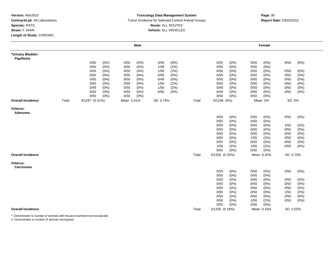### **Toxicology Data Management System** Tumor Incidence for Selected Control Animal Groups **Report Date:** 03/20/2010 **Route:** ALL ROUTES **Vehicle:** ALL VEHICLES

|                                |       |                |               |              | <b>Male</b>     |              |              |       |                 |              |              | Female             |              |                |
|--------------------------------|-------|----------------|---------------|--------------|-----------------|--------------|--------------|-------|-----------------|--------------|--------------|--------------------|--------------|----------------|
| *Urinary Bladder:<br>Papilloma |       |                |               |              |                 |              |              |       |                 |              |              |                    |              |                |
|                                |       | 0/50           | (0%)          | 0/50         | (0% )           | 0/50         | (0% )        |       | 0/50            | (0%)         | 0/50         | (0%)               | 0/50         | (0% )          |
|                                |       | 0/50           | (0%)          | 0/50         | $(0\%)$         | 1/49         | (2%)         |       | 0/50            | (0%)         | 0/50         | (0%)               |              |                |
|                                |       | 0/50           | (0%)          | 0/50         | (0%)            | 1/50         | (2%)         |       | 0/50            | (0% )        | 0/50         | (0%)               | 0/50         | (0%)           |
|                                |       | 0/50           | (0% )         | 0/50         | (0% )           | 0/50         | (0%          |       | 0/50            | (0% )        | 0/50         | (0% )              | 0/50         | (0% )          |
|                                |       | 0/50           | (0%)          | 0/50         | $(0\%)$         | 0/49         | (0%)         |       | 0/50            | (0%)         | 0/50         | $(0\%)$            | 0/50         | (0%)           |
|                                |       | 0/50           | (0%)          | 0/50         | (0%)            | 1/50         | (2%)         |       | 0/50            | (0% )        | 0/50         | (0%)               | 0/50         | (0% )          |
|                                |       | 0/49<br>0/50   | (0%)<br>(0% ) | 0/50<br>0/50 | $(0\%)$<br>(0%) | 1/50<br>0/50 | (2%)<br>(0%) |       | 0/49<br>0/49    | (0%)<br>(0%) | 0/50<br>0/50 | (0%)<br>(0%)       | 0/50<br>0/50 | (0% )<br>(0% ) |
|                                |       | 0/50           | (0%)          | 0/50         | $(0\%)$         |              |              |       | 0/50            | (0%)         | 0/50         | (0%)               |              |                |
| <b>Overall Incidence</b>       | Total | 4/1297 (0.31%) |               | Mean 0.31%   |                 | SD 0.74%     |              | Total | $0/1248$ $(0%)$ |              |              | Mean 0%<br>.       | SD 0%        |                |
| #Uterus:<br>Adenoma            |       |                |               |              |                 |              |              |       |                 |              |              |                    |              |                |
|                                |       |                |               |              |                 |              |              |       | 0/50            | (0%)         | 0/50         | (0%)               | 0/50         | (0%)           |
|                                |       |                |               |              |                 |              |              |       | 0/50            | (0% )        | 0/50         | (0%)               |              |                |
|                                |       |                |               |              |                 |              |              |       | 0/50            | (0%)         | 0/50         | (0%)               | 1/50         | (2%)           |
|                                |       |                |               |              |                 |              |              |       | 0/50            | (0%)         | 0/50         | $(0\%)$            | 0/50         | (0%)           |
|                                |       |                |               |              |                 |              |              |       | 0/50            | (0% )        | 0/50         | (0%)               | 0/50         | (0% )          |
|                                |       |                |               |              |                 |              |              |       | 0/50            | (0%)         | 1/50         | (2%)               | 0/50         | (0%)           |
|                                |       |                |               |              |                 |              |              |       | 0/50            | (0%)         | 0/50         | (0%)               | 0/50         | (0% )          |
|                                |       |                |               |              |                 |              |              |       | 1/50            | (2%)         | 1/50         | (2%)               | 0/50         | (0%)           |
|                                |       |                |               |              |                 |              |              |       | 0/50            | (0% )        | 0/50         | (0%                |              |                |
| <b>Overall Incidence</b>       |       |                |               |              |                 |              |              | Total | 4/1250 (0.32%)  |              |              | Mean 0.32%         | SD 0.75%     |                |
| #Uterus:<br>Carcinoma          |       |                |               |              |                 |              |              |       |                 |              |              |                    |              |                |
|                                |       |                |               |              |                 |              |              |       | 0/50            | (0%)         | 0/50         | (0%)               | 0/50         | (0%)           |
|                                |       |                |               |              |                 |              |              |       | 0/50            | (0% )        | 0/50         | (0%)               |              |                |
|                                |       |                |               |              |                 |              |              |       | 0/50            | (0%)         | 0/50         | $(0\%)$            | 0/50         | $(0\%)$        |
|                                |       |                |               |              |                 |              |              |       | 0/50            | (0% )        | 0/50         | (0%)               | 0/50         | (0% )          |
|                                |       |                |               |              |                 |              |              |       | 0/50            | (0%)         | 0/50         | (0%)               | 0/50         | (0% )          |
|                                |       |                |               |              |                 |              |              |       | 0/50            | (0%)         | 0/50         | (0%)               | 1/50         | (2%)           |
|                                |       |                |               |              |                 |              |              |       | 0/50            | (0%)         | 0/50         | $(0\%)$            | 0/50         | (0% )          |
|                                |       |                |               |              |                 |              |              |       | 0/50<br>0/50    | (0% )        | 1/50         | (2%)               | 0/50         | (0% )          |
| <b>Overall Incidence</b>       |       |                |               |              |                 |              |              | Total |                 | (0%)         | 0/50         | (0%)<br>Mean 0.16% | SD 0.55%     |                |
|                                |       |                |               |              |                 |              |              |       | 2/1250 (0.16%)  |              |              |                    |              |                |

\*: Denominator is number of animals with tissues examined microscopically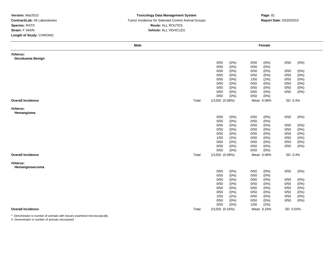### **Toxicology Data Management System** Tumor Incidence for Selected Control Animal Groups **Report Date:** 03/20/2010 **Route:** ALL ROUTES **Vehicle:** ALL VEHICLES

| Male                         |            |                     | Female        |               |  |
|------------------------------|------------|---------------------|---------------|---------------|--|
| #Uterus:<br>Deciduoma Benign |            |                     |               |               |  |
|                              |            | 0/50<br>(0%)        | 0/50<br>(0%)  | 0/50<br>(0%)  |  |
|                              |            | 0/50<br>(0% )       | 0/50<br>(0% ) |               |  |
|                              |            | 0/50<br>(0%)        | 0/50<br>(0% ) | 0/50<br>(0%)  |  |
|                              |            | 0/50<br>(0% )       | 0/50<br>(0%   | 0/50<br>(0% ) |  |
|                              |            | 0/50<br>$(0\%)$     | (2%)<br>1/50  | 0/50<br>(0% ) |  |
|                              |            | 0/50<br>$(0\%)$     | 0/50<br>(0% ) | (0% )<br>0/50 |  |
|                              |            | 0/50<br>(0%)        | (0% )<br>0/50 | 0/50<br>(0% ) |  |
|                              |            | 0/50<br>(0%)        | 0/50<br>(0%)  | 0/50<br>(0%)  |  |
|                              |            | 0/50<br>(0%)        | 0/50<br>(0% ) |               |  |
| <b>Overall Incidence</b>     | Total      | 1/1250 (0.08%)      | Mean 0.08%    | SD 0.4%       |  |
| #Uterus:                     |            |                     |               |               |  |
| Hemangioma                   |            |                     |               |               |  |
|                              |            | 0/50<br>$(0\%)$     | 0/50<br>(0%)  | 0/50<br>(0%)  |  |
|                              |            | 0/50<br>$(0\%)$     | 0/50<br>(0% ) |               |  |
|                              |            | 0/50<br>(0%)        | 0/50<br>(0%)  | 0/50<br>(0%)  |  |
|                              |            | 0/50<br>$(0\%)$     | (0% )<br>0/50 | 0/50<br>(0% ) |  |
|                              |            | 0/50<br>(0%)        | (0% )<br>0/50 | (0% )<br>0/50 |  |
|                              |            | 1/50<br>(2%)        | 0/50<br>(0% ) | 0/50<br>(0% ) |  |
|                              |            | 0/50<br>(0%)        | 0/50<br>(0%)  | 0/50<br>(0%)  |  |
|                              |            | 0/50<br>$(0\%)$     | 0/50<br>(0% ) | 0/50<br>(0%)  |  |
|                              |            | 0/50<br>(0%)        | 0/50<br>(0% ) |               |  |
| <b>Overall Incidence</b>     | Total<br>. | 1/1250 (0.08%)<br>. | Mean 0.08%    | SD 0.4%       |  |
| #Uterus:                     |            |                     |               |               |  |
| Hemangiosarcoma              |            |                     |               |               |  |
|                              |            | 0/50<br>(0%)        | 0/50<br>(0%)  | 0/50<br>(0%)  |  |
|                              |            | (0% )<br>0/50       | (0% )<br>0/50 |               |  |
|                              |            | 0/50<br>(0%)        | (0% )<br>0/50 | 0/50<br>(0%)  |  |
|                              |            | 0/50<br>$(0\%)$     | (0% )<br>0/50 | 0/50<br>(0% ) |  |
|                              |            | 0/50<br>$(0\%)$     | (0% )<br>0/50 | (0% )<br>0/50 |  |
|                              |            | 0/50<br>$(0\%)$     | (0% )<br>0/50 | 0/50<br>(0%)  |  |
|                              |            | 1/50<br>(2%)        | 0/50<br>(0%)  | 0/50<br>(0%)  |  |
|                              |            | 0/50<br>(0%)        | 0/50<br>(0% ) | 0/50<br>(0%)  |  |
|                              |            | 0/50<br>(0% )       | 1/50<br>(2%)  |               |  |
| <b>Overall Incidence</b>     | Total      | 2/1250 (0.16%)      | Mean 0.16%    | SD 0.55%      |  |

\*: Denominator is number of animals with tissues examined microscopically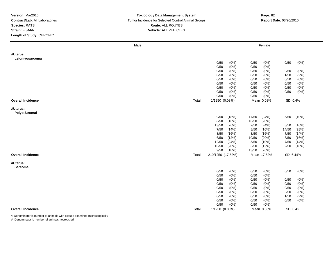### **Toxicology Data Management System** Tumor Incidence for Selected Control Animal Groups **Report Date:** 03/20/2010 **Route:** ALL ROUTES **Vehicle:** ALL VEHICLES

| #Uterus:                 |       |                   |         |       |             |          |         |
|--------------------------|-------|-------------------|---------|-------|-------------|----------|---------|
|                          |       |                   |         |       |             |          |         |
| Leiomyosarcoma           |       |                   |         |       |             |          |         |
|                          |       | 0/50              | (0%)    | 0/50  | (0%)        | 0/50     | (0%)    |
|                          |       | 0/50              | (0% )   | 0/50  | (0%)        |          |         |
|                          |       | 0/50              | (0%)    | 0/50  | (0%)        | 0/50     | (0%)    |
|                          |       | 0/50              | (0%)    | 0/50  | (0%)        | 1/50     | (2%)    |
|                          |       | 0/50              | (0%)    | 0/50  | $(0\%)$     | 0/50     | (0% )   |
|                          |       | 0/50              | (0%)    | 0/50  | (0%)        | 0/50     | (0%)    |
|                          |       | 0/50              | (0%)    | 0/50  | (0%)        | 0/50     | $(0\%)$ |
|                          |       | 0/50              | (0%)    | 0/50  | (0%)        | 0/50     | $(0\%)$ |
|                          |       | 0/50              | (0%)    | 0/50  | $(0\%)$     |          |         |
| <b>Overall Incidence</b> | Total | 1/1250 (0.08%)    |         |       | Mean 0.08%  | SD 0.4%  |         |
| #Uterus:                 |       |                   |         |       |             |          |         |
| <b>Polyp Stromal</b>     |       |                   |         |       |             |          |         |
|                          |       | 9/50              | (18%)   | 17/50 | (34%)       | 5/50     | (10%)   |
|                          |       | 8/50              | (16%)   | 10/50 | (20%)       |          |         |
|                          |       | 13/50             | (26%)   | 2/50  | (4%)        | 8/50     | (16%)   |
|                          |       | 7/50              | (14%)   | 8/50  | (16%)       | 14/50    | (28%)   |
|                          |       | 8/50              | (16%)   | 8/50  | (16%)       | 7/50     | (14%)   |
|                          |       | 6/50              | (12%)   | 10/50 | (20%)       | 8/50     | (16%)   |
|                          |       | 12/50             | (24%)   | 5/50  | (10%)       | 7/50     | (14%)   |
|                          |       | 10/50             | (20%)   | 6/50  | (12%)       | 9/50     | (18%)   |
|                          |       | 9/50              | (18%)   | 13/50 | (26%)       |          |         |
| <b>Overall Incidence</b> | Total | 219/1250 (17.52%) |         |       | Mean 17.52% | SD 6.44% |         |
| #Uterus:                 |       |                   |         |       |             |          |         |
| Sarcoma                  |       |                   |         |       |             |          |         |
|                          |       | 0/50              | (0%)    | 0/50  | $(0\%)$     | 0/50     | (0%)    |
|                          |       | 0/50              | (0% )   | 0/50  | (0% )       |          |         |
|                          |       | 0/50              | (0%)    | 0/50  | (0%         | 0/50     | $(0\%)$ |
|                          |       | 0/50              | (0%)    | 0/50  | (0%)        | 0/50     | (0%)    |
|                          |       | 0/50              | (0% )   | 0/50  | (0%         | 0/50     | $(0\%)$ |
|                          |       | 0/50              | (0% )   | 0/50  | $(0\%)$     | 0/50     | (0%)    |
|                          |       | 0/50              | (0% )   | 0/50  | (0%         | 1/50     | (2%)    |
|                          |       | 0/50              | (0%)    | 0/50  | $(0\%)$     | 0/50     | (0%)    |
|                          |       | 0/50              | $(0\%)$ | 0/50  | (0% )       |          |         |
| <b>Overall Incidence</b> | Total | 1/1250 (0.08%)    |         |       | Mean 0.08%  | SD 0.4%  |         |

\*: Denominator is number of animals with tissues examined microscopically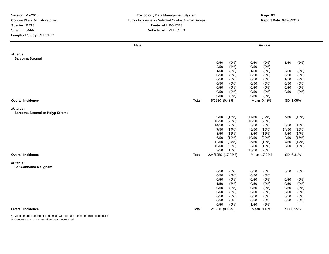### **Toxicology Data Management System** Tumor Incidence for Selected Control Animal Groups **Report Date:** 03/20/2010 **Route:** ALL ROUTES **Vehicle:** ALL VEHICLES

| <b>Male</b>                             |       |                              | Female                       |                                 |
|-----------------------------------------|-------|------------------------------|------------------------------|---------------------------------|
| #Uterus:                                |       |                              |                              |                                 |
| <b>Sarcoma Stromal</b>                  |       |                              |                              |                                 |
|                                         |       | 0/50<br>(0%)                 | 0/50<br>(0%)                 | 1/50<br>(2%)                    |
|                                         |       | (4% )<br>2/50<br>1/50        | $(0\%)$<br>0/50              |                                 |
|                                         |       | (2%)                         | 1/50<br>(2%)                 | 0/50<br>(0%)                    |
|                                         |       | 0/50<br>(0%)<br>0/50<br>(0%) | 0/50<br>(0%)<br>(0%)<br>0/50 | $(0\%)$<br>0/50<br>1/50<br>(2%) |
|                                         |       | (0% )<br>0/50                | $(0\%)$<br>0/50              | (0% )<br>0/50                   |
|                                         |       | 0/50<br>(0%)                 | 0/50<br>(0%)                 | 0/50<br>(0% )                   |
|                                         |       | 0/50<br>(0%)                 | 0/50<br>(0%)                 | (0% )<br>0/50                   |
|                                         |       | 0/50<br>(0%)                 | 0/50<br>(0%)                 |                                 |
| <b>Overall Incidence</b>                | Total | 6/1250 (0.48%)               | Mean 0.48%                   | SD 1.05%                        |
| #Uterus:                                |       |                              |                              |                                 |
| <b>Sarcoma Stromal or Polyp Stromal</b> |       |                              |                              |                                 |
|                                         |       | 9/50<br>(18%)                | 17/50<br>(34%)               | (12%)<br>6/50                   |
|                                         |       | (20%)<br>10/50               | 10/50<br>(20%)               |                                 |
|                                         |       | (28%)<br>14/50               | 3/50<br>(6%)                 | 8/50<br>(16%)                   |
|                                         |       | (14%)<br>7/50                | (16%)<br>8/50                | 14/50<br>(28%)                  |
|                                         |       | 8/50<br>(16%)                | (16%)<br>8/50                | (14%)<br>7/50                   |
|                                         |       | 6/50<br>(12%)                | 10/50<br>(20%)               | 8/50<br>(16%)                   |
|                                         |       | (24%)<br>12/50               | 5/50<br>(10%)                | (14%)<br>7/50                   |
|                                         |       | 10/50<br>(20%)               | 6/50<br>(12%)                | (18%)<br>9/50                   |
|                                         |       | 9/50<br>(18%)                | (26%)<br>13/50               |                                 |
| <b>Overall Incidence</b>                | Total | 224/1250 (17.92%)            | Mean 17.92%<br>.             | SD 6.31%                        |
| #Uterus:                                |       |                              |                              |                                 |
| <b>Schwannoma Malignant</b>             |       |                              |                              |                                 |
|                                         |       | 0/50<br>(0%)                 | 0/50<br>$(0\%)$              | 0/50<br>(0%)                    |
|                                         |       | 0/50<br>(0% )                | (0% )<br>0/50                |                                 |
|                                         |       | 0/50<br>(0%)                 | 0/50<br>(0%)                 | 0/50<br>(0%)                    |
|                                         |       | (2%)<br>1/50                 | 0/50<br>(0%)                 | 0/50<br>(0% )                   |
|                                         |       | 0/50<br>(0%)                 | (0%)<br>0/50                 | 0/50<br>(0%)                    |
|                                         |       | (0%)<br>0/50                 | (0%)<br>0/50                 | 0/50<br>(0% )                   |
|                                         |       | 0/50<br>(0%)                 | 0/50<br>(0%)                 | 0/50<br>(0%)                    |
|                                         |       | (0%)<br>0/50                 | 0/50<br>$(0\%)$              | 0/50<br>(0% )                   |
|                                         |       | 0/50<br>(0% )                | 1/50<br>(2%)                 |                                 |
| <b>Overall Incidence</b>                | Total | 2/1250 (0.16%)               | Mean 0.16%                   | SD 0.55%                        |

\*: Denominator is number of animals with tissues examined microscopically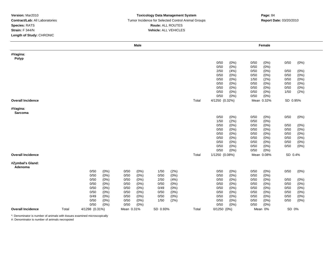### **Toxicology Data Management System** Tumor Incidence for Selected Control Animal Groups **Report Date:** 03/20/2010 **Route:** ALL ROUTES **Vehicle:** ALL VEHICLES

## **m**<br> **Page:** 84

|                          |       |                |         |            | <b>Male</b> |          |      |       |                |       |      | Female     |          |       |
|--------------------------|-------|----------------|---------|------------|-------------|----------|------|-------|----------------|-------|------|------------|----------|-------|
| #Vagina:                 |       |                |         |            |             |          |      |       |                |       |      |            |          |       |
| Polyp                    |       |                |         |            |             |          |      |       |                |       |      |            |          |       |
|                          |       |                |         |            |             |          |      |       | 0/50           | (0%)  | 0/50 | (0%)       | 0/50     | (0%)  |
|                          |       |                |         |            |             |          |      |       | 0/50           | (0%)  | 0/50 | $(0\%)$    |          |       |
|                          |       |                |         |            |             |          |      |       | 2/50           | (4% ) | 0/50 | (0%)       | 0/50     | (0%)  |
|                          |       |                |         |            |             |          |      |       | 0/50           | (0%)  | 0/50 | (0%)       | 0/50     | (0%)  |
|                          |       |                |         |            |             |          |      |       | 0/50           | (0%   | 1/50 | (2%)       | 0/50     | (0% ) |
|                          |       |                |         |            |             |          |      |       | 0/50           | (0% ) | 0/50 | (0%)       | 0/50     | (0%)  |
|                          |       |                |         |            |             |          |      |       | 0/50           | (0% ) | 0/50 | $(0\%)$    | 0/50     | (0%)  |
|                          |       |                |         |            |             |          |      |       | 0/50           | (0%)  | 0/50 | $(0\%)$    | 1/50     | (2%)  |
|                          |       |                |         |            |             |          |      |       | 0/50           | (0%)  | 0/50 | $(0\%)$    |          |       |
| <b>Overall Incidence</b> |       |                |         |            |             |          |      | Total | 4/1250 (0.32%) |       |      | Mean 0.32% | SD 0.95% |       |
| #Vagina:                 |       |                |         |            |             |          |      |       |                |       |      |            |          |       |
| Sarcoma                  |       |                |         |            |             |          |      |       |                |       |      |            |          |       |
|                          |       |                |         |            |             |          |      |       | 0/50           | (0%)  | 0/50 | $(0\%)$    | 0/50     | (0%)  |
|                          |       |                |         |            |             |          |      |       | 1/50           | (2%)  | 0/50 | (0%)       |          |       |
|                          |       |                |         |            |             |          |      |       | 0/50           | (0%)  | 0/50 | $(0\%)$    | 0/50     | (0%)  |
|                          |       |                |         |            |             |          |      |       | 0/50           | (0% ) | 0/50 | (0%)       | 0/50     | (0%)  |
|                          |       |                |         |            |             |          |      |       | 0/50           | (0%)  | 0/50 | (0%)       | 0/50     | (0%)  |
|                          |       |                |         |            |             |          |      |       | 0/50           | (0%   | 0/50 | (0% )      | 0/50     | (0% ) |
|                          |       |                |         |            |             |          |      |       | 0/50           | (0%)  | 0/50 | $(0\%)$    | 0/50     | (0%)  |
|                          |       |                |         |            |             |          |      |       | 0/50           | (0%)  | 0/50 | $(0\%)$    | 0/50     | (0%)  |
|                          |       |                |         |            |             |          |      |       | 0/50           | (0%)  | 0/50 | $(0\%)$    |          |       |
| <b>Overall Incidence</b> |       |                |         |            |             |          |      | Total | 1/1250 (0.08%) |       |      | Mean 0.08% | SD 0.4%  |       |
|                          |       |                |         |            |             |          |      |       |                |       |      |            |          |       |
| #Zymbal's Gland:         |       |                |         |            |             |          |      |       |                |       |      |            |          |       |
| Adenoma                  |       |                |         |            |             |          |      |       |                |       |      |            |          |       |
|                          |       | 0/50           | (0%)    | 0/50       | (0%)        | 1/50     | (2%) |       | 0/50           | (0%)  | 0/50 | $(0\%)$    | 0/50     | (0%)  |
|                          |       | 0/50           | (0% )   | 0/50       | (0%)        | 0/50     | (0%  |       | 0/50           | (0%)  | 0/50 | (0%)       |          |       |
|                          |       | 0/50           | (0% )   | 0/50       | (0% )       | 2/50     | (4%) |       | 0/50           | (0% ) | 0/50 | (0%)       | 0/50     | (0%)  |
|                          |       | 0/50           | $(0\%)$ | 0/50       | (0%)        | 0/50     | (0%) |       | 0/50           | (0%)  | 0/50 | $(0\%)$    | 0/50     | (0%)  |
|                          |       | 0/50           | (0%)    | 0/50       | (0%)        | 0/49     | (0%) |       | 0/50           | (0% ) | 0/50 | (0%)       | 0/50     | (0%)  |
|                          |       | 0/50           | (0%)    | 0/50       | $(0\%)$     | 0/50     | (0%) |       | 0/50           | (0%)  | 0/50 | $(0\%)$    | 0/50     | (0%)  |
|                          |       | 0/49           | (0% )   | 0/50       | (0% )       | 0/50     | (0%) |       | 0/50           | (0% ) | 0/50 | (0% )      | 0/50     | (0% ) |
|                          |       | 0/50           | (0%)    | 0/50       | $(0\%)$     | 1/50     | (2%) |       | 0/50           | (0%)  | 0/50 | $(0\%)$    | 0/50     | (0%)  |
|                          |       | 0/50           | (0%)    | 0/50       | (0% )       |          |      |       | 0/50           | (0% ) | 0/50 | (0%)       |          |       |
| <b>Overall Incidence</b> | Total | 4/1298 (0.31%) |         | Mean 0.31% |             | SD 0.93% |      | Total | 0/1250(0%)     |       |      | Mean 0%    | SD 0%    |       |

\*: Denominator is number of animals with tissues examined microscopically